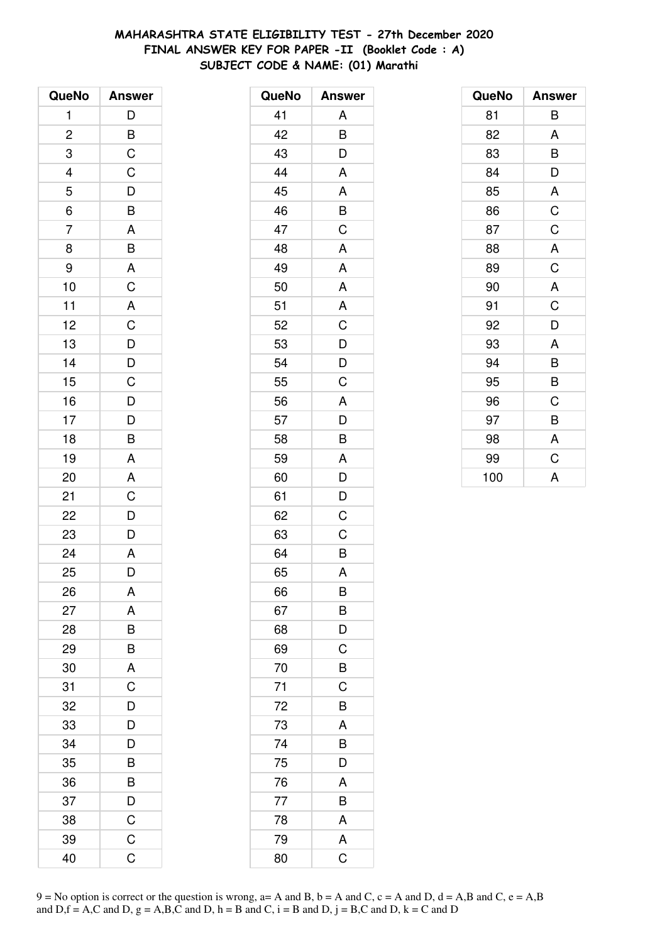# **MAHARASHTRA STATE ELIGIBILITY TEST - 27th December 2020 FINAL ANSWER KEY FOR PAPER -II (Booklet Code : A) SUBJECT CODE & NAME: (01) Marathi**

| QueNo                   | <b>Answer</b>                        |
|-------------------------|--------------------------------------|
| 1                       | D                                    |
| $\overline{\mathbf{c}}$ |                                      |
| 3                       | $rac{B}{C}$                          |
| $\overline{a}$          | $\mathsf C$                          |
| 5                       |                                      |
| $\overline{6}$          | $\frac{D}{B}$                        |
| $\overline{7}$          |                                      |
| 8                       | $rac{A}{B}$                          |
| 9                       |                                      |
| 10                      | $rac{A}{C}$                          |
| 11                      | $\overline{A}$                       |
| 12                      | $\frac{1}{C}$                        |
| 13                      | $\overline{D}$                       |
| 14                      |                                      |
| 15                      | $\frac{D}{C}$                        |
| 16                      |                                      |
| 17                      |                                      |
| 18                      | $\frac{\mathsf{D}}{\mathsf{D}}$<br>B |
| 19                      | A                                    |
| 20                      | A                                    |
| 21                      | C                                    |
| 22                      | $\overline{D}$                       |
| 23                      | $\overline{\mathsf{D}}$              |
| 24                      | $\overline{A}$                       |
| 25                      | D                                    |
| 26                      | Α                                    |
| 27                      | A                                    |
| 28                      | B                                    |
| 29                      | B                                    |
| 30                      | A                                    |
| 31                      | $\overline{C}$                       |
| 32                      | D                                    |
| 33                      | D                                    |
| 34                      | D                                    |
| 35                      | B                                    |
| 36                      | B                                    |
| 37                      | D                                    |
| 38                      | C                                    |
| 39                      | $\mathsf C$                          |
| 40                      | C                                    |

| QueNo | <b>Answer</b>         |
|-------|-----------------------|
| 41    | Α                     |
| 42    | B                     |
| 43    | D                     |
| 44    | A                     |
| 45    | A                     |
| 46    | $\frac{1}{B}$         |
| 47    | $\overline{C}$        |
| 48    | A                     |
| 49    | A                     |
| 50    | A                     |
| 51    | A                     |
| 52    | $\mathsf{C}$          |
| 53    | $\overline{D}$        |
| 54    | D                     |
| 55    | C                     |
| 56    | A                     |
| 57    | D                     |
| 58    | B                     |
| 59    | A                     |
| 60    | D                     |
| 61    | D                     |
| 62    | C                     |
| 63    | C                     |
| 64    | B                     |
| 65    | A                     |
| 66    | B                     |
| 67    | B                     |
| 68    | D                     |
| 69    | $\mathsf C$           |
| 70    | $\overline{B}$        |
| 71    | $\overline{\text{C}}$ |
| 72    | B                     |
| 73    | A                     |
| 74    | B                     |
| 75    | D                     |
| 76    | A                     |
| 77    | B                     |
| 78    | A                     |
| 79    | A                     |
| 80    | C                     |

| QueNo | <b>Answer</b> |
|-------|---------------|
| 81    | B             |
| 82    | A             |
| 83    | B             |
| 84    | D             |
| 85    | A             |
| 86    | C             |
| 87    | C             |
| 88    | A             |
| 89    | C             |
| 90    | A             |
| 91    | C             |
| 92    | D             |
| 93    | A             |
| 94    | B             |
| 95    | B             |
| 96    | C             |
| 97    | B             |
| 98    | A             |
| 99    | C             |
| 100   | A             |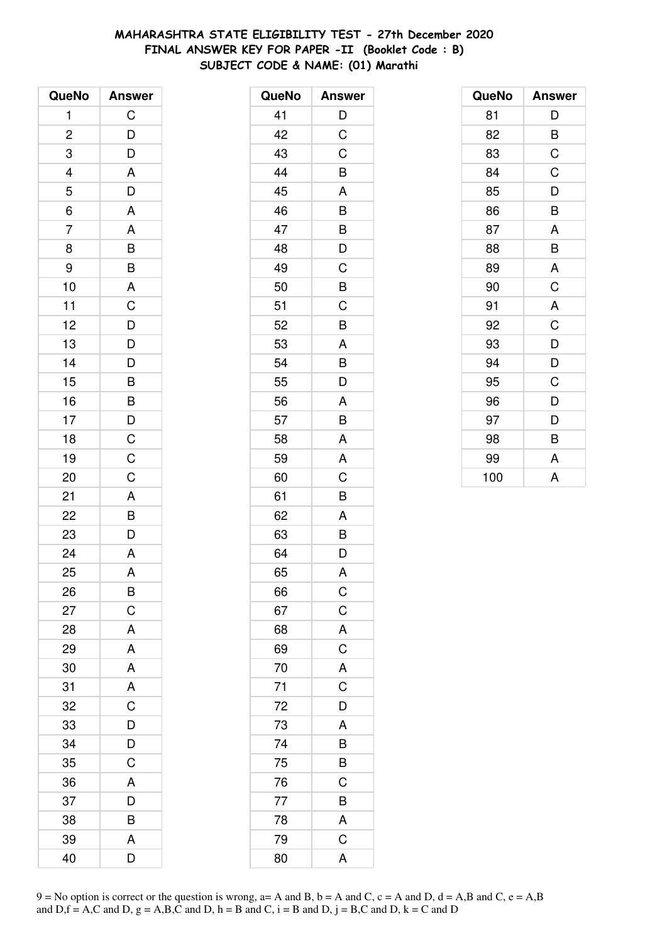# **MAHARASHTRA STATE ELIGIBILITY TEST - 27th December 2020 FINAL ANSWER KEY FOR PAPER -II (Booklet Code : B) SUBJECT CODE & NAME: (01) Marathi**

| QueNo          | <b>Answer</b>                                                                             |
|----------------|-------------------------------------------------------------------------------------------|
| 1              | $\mathsf C$                                                                               |
| $\overline{c}$ |                                                                                           |
| 3              |                                                                                           |
|                |                                                                                           |
| $\frac{4}{5}$  | $\begin{array}{c} \mathsf{D}\ \mathsf{D}\ \mathsf{A}\ \mathsf{D}\ \mathsf{A} \end{array}$ |
| $\frac{6}{5}$  |                                                                                           |
| $\overline{7}$ |                                                                                           |
| 8              |                                                                                           |
| 9              |                                                                                           |
| 10             |                                                                                           |
| 11             |                                                                                           |
| 12             |                                                                                           |
| 13             | A B B A C D D                                                                             |
| 14             |                                                                                           |
| 15             | $\begin{array}{c c} D & B & B \\ \hline B & D & C \\ \hline C & C \end{array}$            |
| 16             |                                                                                           |
| 17             |                                                                                           |
| 18             |                                                                                           |
| 19             |                                                                                           |
| 20             |                                                                                           |
| 21             |                                                                                           |
| 22             | $\frac{A}{B}$ $\frac{B}{D}$                                                               |
| 23             |                                                                                           |
| 24             | $\overline{A}$                                                                            |
| 25             | A                                                                                         |
| 26             | B                                                                                         |
| 27             | $\mathsf C$                                                                               |
| 28             | A                                                                                         |
| 29             | A                                                                                         |
| 30             | A                                                                                         |
| 31             | A                                                                                         |
| 32             | $\overline{\text{c}}$                                                                     |
| 33             | D                                                                                         |
| 34             | D                                                                                         |
| 35             | $\overline{\text{c}}$                                                                     |
| 36             | A                                                                                         |
| 37             | D                                                                                         |
| 38             | B                                                                                         |
| 39             | A                                                                                         |
| 40             | D                                                                                         |

| QueNo | <b>Answer</b>  |
|-------|----------------|
| 41    | D              |
| 42    | C              |
| 43    | C              |
| 44    | B              |
| 45    | A              |
| 46    | B              |
| 47    | B              |
| 48    | D              |
| 49    | C              |
| 50    | B              |
| 51    | C              |
| 52    | B              |
| 53    | A              |
| 54    | B              |
| 55    | D              |
| 56    | A              |
| 57    | B              |
| 58    | A              |
| 59    | A              |
| 60    | C              |
| 61    | B              |
| 62    | A              |
| 63    | B              |
| 64    | D              |
| 65    | A              |
| 66    | $\mathsf C$    |
| 67    | $\mathsf C$    |
| 68    | A              |
| 69    | $\mathsf C$    |
| 70    | A              |
| 71    | $\overline{C}$ |
| 72    | D              |
| 73    | A              |
| 74    | B              |
| 75    | B              |
| 76    | $\mathsf C$    |
| 77    | $\overline{B}$ |
| 78    | A              |
| 79    | $\mathsf C$    |
| 80    | A              |

| QueNo | <b>Answer</b> |
|-------|---------------|
| 81    | D             |
| 82    | B             |
| 83    | C             |
| 84    | C             |
| 85    | D             |
| 86    | B             |
| 87    | A             |
| 88    | B             |
| 89    | A             |
| 90    | $\mathsf C$   |
| 91    | A             |
| 92    | C             |
| 93    | D             |
| 94    | D             |
| 95    | C             |
| 96    | D             |
| 97    | D             |
| 98    | B             |
| 99    | A             |
| 100   | A             |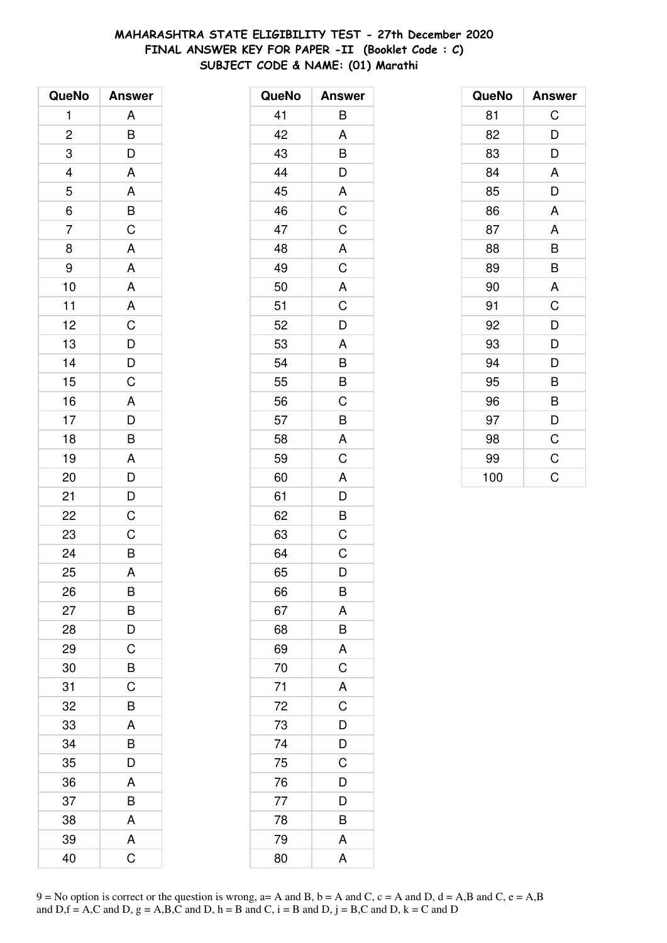# **MAHARASHTRA STATE ELIGIBILITY TEST - 27th December 2020 FINAL ANSWER KEY FOR PAPER -II (Booklet Code : C) SUBJECT CODE & NAME: (01) Marathi**

| QueNo                    | <b>Answer</b>                                |
|--------------------------|----------------------------------------------|
| 1                        | A                                            |
| $\overline{c}$           |                                              |
| 3                        | $\frac{B}{D}$                                |
| $\overline{\mathcal{L}}$ | $\overline{A}$                               |
| 5                        |                                              |
| $\overline{6}$           |                                              |
| $\overline{7}$           | $\frac{A}{B}$                                |
| 8                        | A                                            |
| 9                        | A                                            |
| 10                       | $\overline{A}$                               |
| 11                       | $\overline{A}$                               |
| 12                       |                                              |
| 13                       | $\frac{C}{D}$                                |
| 14                       |                                              |
| 15                       | $\frac{D}{C}$                                |
| 16                       |                                              |
| 17                       |                                              |
| 18                       | $\begin{array}{c}\nA \\ D \\ B\n\end{array}$ |
| 19                       |                                              |
| 20                       | $rac{A}{D}$                                  |
| 21                       |                                              |
| 22                       | $\frac{D}{C}$                                |
| 23                       | $\overline{C}$                               |
| 24                       | $\overline{B}$                               |
| 25                       | A                                            |
| 26                       | B                                            |
| 27                       | B                                            |
| 28                       | D                                            |
| 29                       | $\mathsf C$                                  |
| 30                       | B                                            |
| 31                       | C                                            |
| 32                       | B                                            |
| 33                       | A                                            |
| 34                       | B                                            |
| 35                       | D                                            |
| 36                       | A                                            |
| 37                       | B                                            |
| 38                       | A                                            |
| 39                       | A                                            |
| 40                       | Ć                                            |

| QueNo | <b>Answer</b>           |
|-------|-------------------------|
| 41    | B                       |
| 42    | A                       |
| 43    | B                       |
| 44    | $\overline{\mathsf{D}}$ |
| 45    | $\overline{A}$          |
| 46    | $\frac{1}{C}$           |
| 47    | $\mathsf C$             |
| 48    | A                       |
| 49    | $\mathsf C$             |
| 50    | $\overline{A}$          |
| 51    | $\frac{1}{C}$           |
| 52    | D                       |
| 53    | A                       |
| 54    | B                       |
| 55    | B                       |
| 56    | $\mathsf C$             |
| 57    | $\overline{B}$          |
| 58    | A                       |
| 59    | C                       |
| 60    | A                       |
| 61    | $\overline{D}$          |
| 62    | $\overline{B}$          |
| 63    | C                       |
| 64    | $\overline{C}$          |
| 65    | D                       |
| 66    | Β                       |
| 67    | A                       |
| 68    | $rac{B}{A}$             |
| 69    |                         |
| 70    | $\overline{C}$          |
| 71    | $rac{A}{C}$             |
| 72    |                         |
| 73    | $\overline{D}$          |
| 74    | $\frac{D}{C}$           |
| 75    |                         |
| 76    | $\overline{D}$          |
| 77    | D                       |
| 78    | B                       |
| 79    | Α                       |
| 80    | A                       |

| QueNo | <b>Answer</b> |
|-------|---------------|
| 81    | C             |
| 82    | D             |
| 83    | D             |
| 84    | A             |
| 85    | D             |
| 86    | A             |
| 87    | A             |
| 88    | B             |
| 89    | B             |
| 90    | A             |
| 91    | C             |
| 92    | D             |
| 93    | D             |
| 94    | D             |
| 95    | B             |
| 96    | B             |
| 97    | D             |
| 98    | $\mathsf C$   |
| 99    | C             |
| 100   | Ċ             |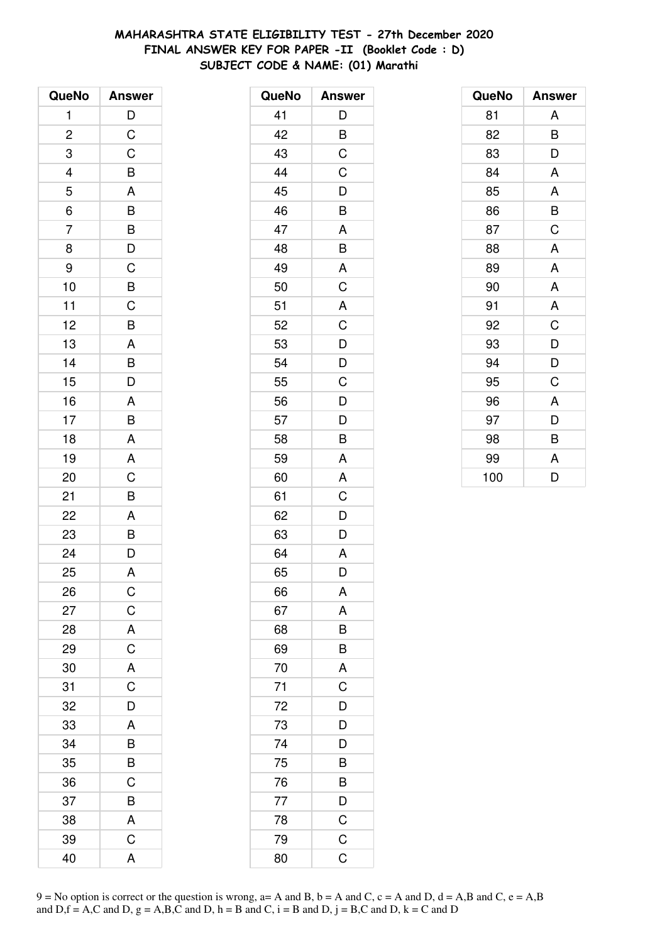# **MAHARASHTRA STATE ELIGIBILITY TEST - 27th December 2020 FINAL ANSWER KEY FOR PAPER -II (Booklet Code : D) SUBJECT CODE & NAME: (01) Marathi**

| QueNo                    | <b>Answer</b>                                                                         |
|--------------------------|---------------------------------------------------------------------------------------|
| $\mathbf{1}$             | D                                                                                     |
| $\overline{\mathbf{c}}$  | $\mathsf C$                                                                           |
| 3                        | $\overline{C}$                                                                        |
| $\overline{\mathcal{L}}$ | B                                                                                     |
| $\overline{5}$           | A                                                                                     |
| $\overline{6}$           | $\overline{B}$                                                                        |
| $\overline{7}$           |                                                                                       |
| 8                        | $\begin{array}{c}\n\mathbf{B} \\ \mathbf{D} \\ \mathbf{C} \\ \mathbf{B}\n\end{array}$ |
| 9                        |                                                                                       |
| 10                       |                                                                                       |
| 11                       | $\frac{1}{C}$                                                                         |
| 12                       | $\frac{1}{B}$                                                                         |
| 13                       |                                                                                       |
| 14                       | $\overline{AB}$<br>$\overline{B}$<br>$\overline{D}$                                   |
| 15                       |                                                                                       |
| 16                       |                                                                                       |
| 17                       | $rac{A}{B}$                                                                           |
| 18                       | A                                                                                     |
| 19                       | $rac{A}{C}$                                                                           |
| 20                       |                                                                                       |
| 21                       | B                                                                                     |
| 22                       | A                                                                                     |
| 23                       | $\frac{B}{D}$                                                                         |
| 24                       |                                                                                       |
| 25                       | A                                                                                     |
| 26                       | C                                                                                     |
| 27                       | $\mathsf C$                                                                           |
| 28                       | A                                                                                     |
| 29                       | $\overline{C}$                                                                        |
| 30                       | $\overline{A}$                                                                        |
| 31                       | $\overline{\mathrm{C}}$                                                               |
| 32                       | D                                                                                     |
| 33                       | A                                                                                     |
| 34                       | B                                                                                     |
| 35                       | $\frac{1}{B}$                                                                         |
| 36                       | C                                                                                     |
| 37                       | B                                                                                     |
| 38                       | A                                                                                     |
| 39                       | C                                                                                     |
| 40                       | A                                                                                     |

| QueNo | <b>Answer</b>           |
|-------|-------------------------|
| 41    | D                       |
| 42    | B                       |
| 43    | $\overline{C}$          |
| 44    | $\mathsf C$             |
| 45    | D                       |
| 46    | B                       |
| 47    | A                       |
| 48    | B                       |
| 49    | A                       |
| 50    | C                       |
| 51    | A                       |
| 52    | $\overline{\mathrm{C}}$ |
| 53    | $\overline{D}$          |
| 54    | D                       |
| 55    | C                       |
| 56    | D                       |
| 57    | $\overline{D}$          |
| 58    | $\overline{\mathsf{B}}$ |
| 59    | A                       |
| 60    | A                       |
| 61    | C                       |
| 62    | D                       |
| 63    | D                       |
| 64    | A                       |
| 65    | D                       |
| 66    | Α                       |
| 67    | A                       |
| 68    | B                       |
| 69    | B                       |
| 70    | $\overline{A}$          |
| 71    | $\overline{C}$          |
| 72    | $\frac{D}{D}$           |
| 73    |                         |
| 74    | D                       |
| 75    | $\overline{B}$          |
| 76    | $\overline{B}$          |
| 77    | $\frac{D}{C}$           |
| 78    |                         |
| 79    | $\mathsf C$             |
| 80    | $\overline{C}$          |

| QueNo | <b>Answer</b> |
|-------|---------------|
| 81    | A             |
| 82    | B             |
| 83    | D             |
| 84    | A             |
| 85    | A             |
| 86    | B             |
| 87    | C             |
| 88    | A             |
| 89    | A             |
| 90    | A             |
| 91    | A             |
| 92    | C             |
| 93    | D             |
| 94    | D             |
| 95    | C             |
| 96    | A             |
| 97    | D             |
| 98    | B             |
| 99    | A             |
| 100   | D             |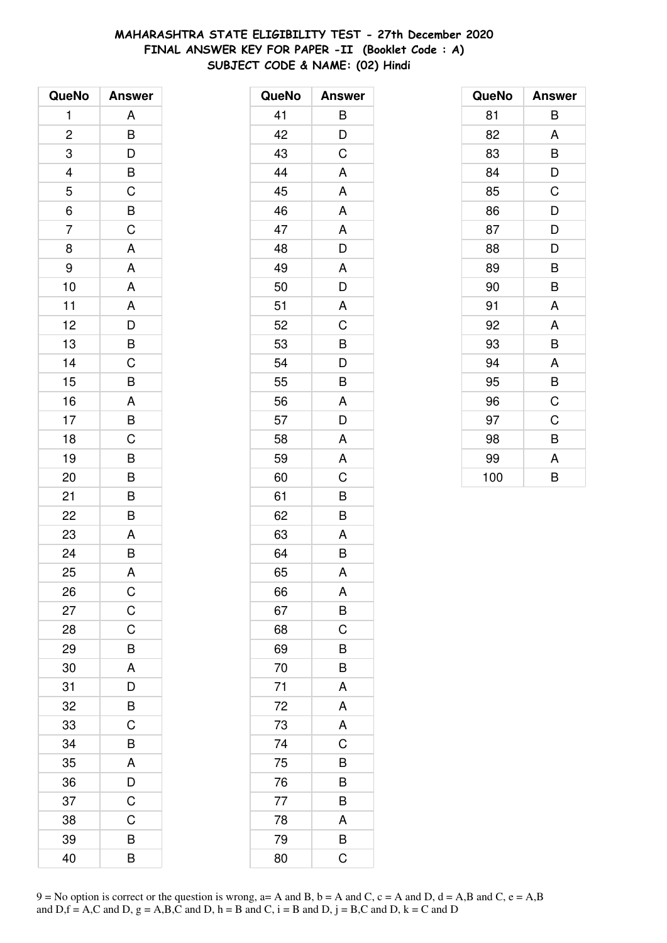# **MAHARASHTRA STATE ELIGIBILITY TEST - 27th December 2020 FINAL ANSWER KEY FOR PAPER -II (Booklet Code : A) SUBJECT CODE & NAME: (02) Hindi**

| QueNo                   | <b>Answer</b>  |
|-------------------------|----------------|
| 1                       | A              |
| $\overline{\mathbf{c}}$ | B              |
| 3                       | D              |
|                         | $\overline{B}$ |
| $\frac{4}{5}$           | $\overline{C}$ |
| 6                       | $\overline{B}$ |
| $\overline{7}$          | $\overline{C}$ |
| 8                       | A              |
| 9                       | A              |
| 10                      | A              |
| 11                      | A              |
| 12                      | $\overline{D}$ |
| 13                      | B              |
| 14                      | C              |
| 15                      | B              |
| 16                      | $rac{A}{B}$    |
| 17                      |                |
| 18                      | $\overline{C}$ |
| 19                      | B              |
| 20                      | B              |
| 21                      | B              |
| 22                      | $\bar{B}$      |
| 23                      | A              |
| 24                      | $\overline{B}$ |
| 25                      | A              |
| 26                      | C              |
| 27                      | $\mathsf C$    |
| 28                      | C              |
| 29                      | B              |
| 30                      | A              |
| 31                      | D              |
| 32                      | B              |
| 33                      | C              |
| 34                      | B              |
| 35                      | A              |
| 36                      | D              |
| 37                      | $\mathsf C$    |
| 38                      | C              |
| 39                      | В              |
| 40                      | B              |

| QueNo | <b>Answer</b> |
|-------|---------------|
| 41    | B             |
| 42    | D             |
| 43    | C             |
| 44    | A             |
| 45    | A             |
| 46    | A             |
| 47    | A             |
| 48    | D             |
| 49    | A             |
| 50    | D             |
| 51    | A             |
| 52    | C             |
| 53    | B             |
| 54    | D             |
| 55    | B             |
| 56    | A             |
| 57    | D             |
| 58    | A             |
| 59    | A             |
| 60    | C             |
| 61    | B             |
| 62    | B             |
| 63    | A             |
| 64    | B             |
| 65    | A             |
| 66    | A             |
| 67    | B             |
| 68    | C             |
| 69    | B             |
| 70    | B             |
| 71    | A             |
| 72    | A             |
| 73    | A             |
| 74    | C             |
| 75    | B             |
| 76    | B             |
| 77    | B             |
| 78    | A             |
| 79    | B             |
| 80    | C             |

| QueNo | <b>Answer</b> |
|-------|---------------|
| 81    | B             |
| 82    | A             |
| 83    | B             |
| 84    | D             |
| 85    | C             |
| 86    | D             |
| 87    | D             |
| 88    | D             |
| 89    | B             |
| 90    | B             |
| 91    | A             |
| 92    | A             |
| 93    | B             |
| 94    | A             |
| 95    | B             |
| 96    | C             |
| 97    | C             |
| 98    | B             |
| 99    | A             |
| 100   | B             |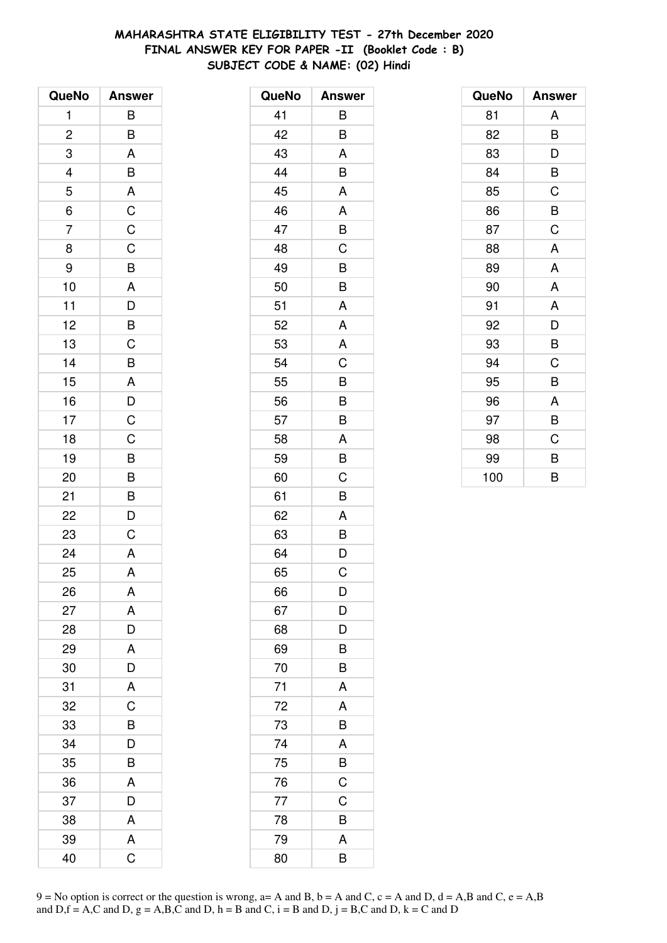# **MAHARASHTRA STATE ELIGIBILITY TEST - 27th December 2020 FINAL ANSWER KEY FOR PAPER -II (Booklet Code : B) SUBJECT CODE & NAME: (02) Hindi**

| QueNo                   | <b>Answer</b>                                               |
|-------------------------|-------------------------------------------------------------|
| 1                       | B                                                           |
| $\overline{\mathbf{c}}$ | B                                                           |
| 3                       | A                                                           |
|                         |                                                             |
| $\frac{4}{5}$           | $\overline{B}$ $\overline{A}$ $\overline{C}$ $\overline{C}$ |
| $\overline{6}$          |                                                             |
| 7                       |                                                             |
| 8                       | $\overline{C}$                                              |
| 9                       |                                                             |
| 10                      | B A D B C                                                   |
| 11                      |                                                             |
| 12                      |                                                             |
| 13                      |                                                             |
| 14                      | B                                                           |
| 15                      | A                                                           |
| 16                      | $\frac{D}{C}$                                               |
| 17                      |                                                             |
| 18                      | $\frac{1}{C}$                                               |
| 19                      |                                                             |
| 20                      | $\overline{B}$ $\overline{B}$ $\overline{D}$                |
| 21                      |                                                             |
| 22                      |                                                             |
| 23                      | C                                                           |
| 24                      | A                                                           |
| 25                      | A                                                           |
| 26                      | A                                                           |
| 27                      | A                                                           |
| 28                      | D                                                           |
| 29                      | A                                                           |
| 30                      | D                                                           |
| 31                      | A                                                           |
| 32                      | C                                                           |
| 33                      | B                                                           |
| 34                      | D                                                           |
| 35                      | B                                                           |
| 36                      | A                                                           |
| 37                      | D                                                           |
| 38                      | A                                                           |
| 39                      | Α                                                           |
| 40                      | Ć                                                           |

| QueNo | <b>Answer</b> |
|-------|---------------|
| 41    | B             |
| 42    | B             |
| 43    | A             |
| 44    | B             |
| 45    | A             |
| 46    | A             |
| 47    | B             |
| 48    | C             |
| 49    | B             |
| 50    | B             |
| 51    | A             |
| 52    | A             |
| 53    | A             |
| 54    | C             |
| 55    | B             |
| 56    | B             |
| 57    | B             |
| 58    | A             |
| 59    | B             |
| 60    | C             |
| 61    | B             |
| 62    | A             |
| 63    | B             |
| 64    | D             |
| 65    | Ć             |
| 66    | D             |
| 67    | D             |
| 68    | D             |
| 69    | B             |
| 70    | B             |
| 71    | A             |
| 72    | A             |
| 73    | B             |
| 74    | A             |
| 75    | B             |
| 76    | C             |
| 77    | C             |
| 78    | B             |
| 79    | A             |
| 80    | B             |

| QueNo | <b>Answer</b> |
|-------|---------------|
| 81    | A             |
| 82    | B             |
| 83    | D             |
| 84    | B             |
| 85    | C             |
| 86    | B             |
| 87    | C             |
| 88    | A             |
| 89    | A             |
| 90    | A             |
| 91    | A             |
| 92    | D             |
| 93    | B             |
| 94    | C             |
| 95    | B             |
| 96    | A             |
| 97    | B             |
| 98    | C             |
| 99    | B             |
| 100   | B             |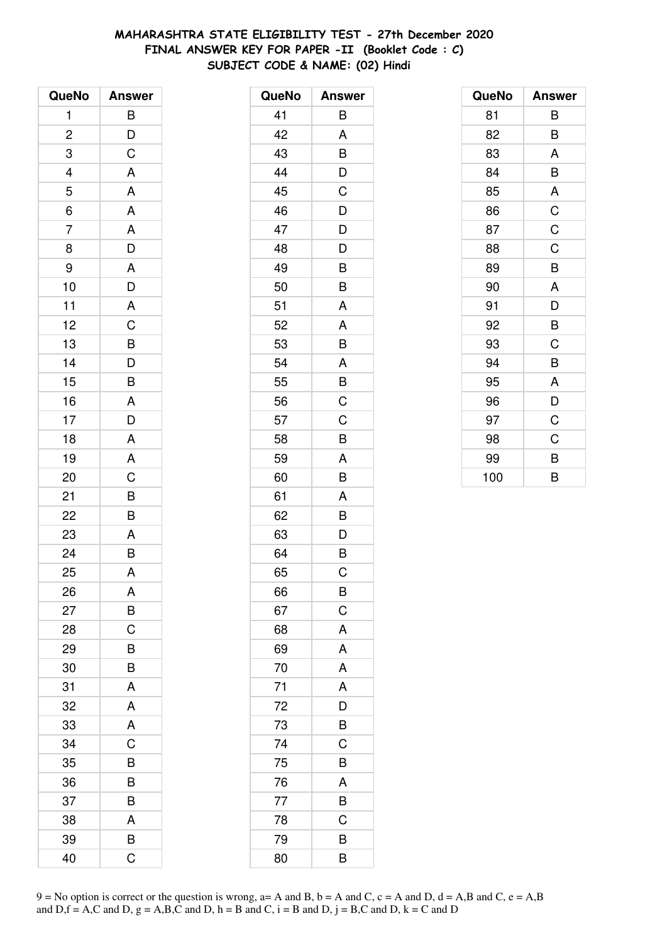# **MAHARASHTRA STATE ELIGIBILITY TEST - 27th December 2020 FINAL ANSWER KEY FOR PAPER -II (Booklet Code : C) SUBJECT CODE & NAME: (02) Hindi**

| QueNo          | <b>Answer</b>  |
|----------------|----------------|
| 1              | $\overline{B}$ |
| $\overline{c}$ | $\frac{D}{C}$  |
| 3              |                |
|                | $\overline{A}$ |
| $\frac{4}{5}$  | A              |
| $\overline{6}$ | A              |
| $\overline{7}$ | A              |
| 8              | $\overline{D}$ |
| 9              | A              |
| 10             | $\overline{D}$ |
| 11             | $\overline{A}$ |
| 12             | $\overline{C}$ |
| 13             | $\frac{1}{B}$  |
| 14             | $\overline{D}$ |
| 15             | B              |
| 16             | A              |
| 17             | $\frac{1}{D}$  |
| 18             | A              |
| 19             | A              |
| 20             | $\overline{C}$ |
| 21             | $\frac{B}{B}$  |
| 22             |                |
| 23             | A              |
| 24             | $\overline{B}$ |
| 25             | A              |
| 26             | A              |
| 27             | B              |
| 28             | C              |
| 29             | B              |
| 30             | B              |
| 31             | A              |
| 32             | A              |
| 33             | A              |
| 34             | C              |
| 35             | B              |
| 36             | B              |
| 37             | B              |
| 38             | A              |
| 39             | B              |
| 40             | Ć              |

| QueNo | <b>Answer</b>           |
|-------|-------------------------|
| 41    | B                       |
| 42    | A                       |
| 43    | B                       |
| 44    | D                       |
| 45    | C                       |
| 46    | D                       |
| 47    | D                       |
| 48    | D                       |
| 49    | B                       |
| 50    | B                       |
| 51    | A                       |
| 52    | A                       |
| 53    | B                       |
| 54    | A                       |
| 55    | B                       |
| 56    | C                       |
| 57    | C                       |
| 58    | B                       |
| 59    | A                       |
| 60    | B                       |
| 61    | A                       |
| 62    | B                       |
| 63    | D                       |
| 64    | B                       |
| 65    | Ć                       |
| 66    | B                       |
| 67    | $\mathsf C$             |
| 68    | A                       |
| 69    | A                       |
| 70    | $\overline{\mathsf{A}}$ |
| 71    | A                       |
| 72    | D                       |
| 73    | B                       |
| 74    | C                       |
| 75    | B                       |
| 76    | A                       |
| 77    | B                       |
| 78    | C                       |
| 79    | B                       |
| 80    | B                       |

| QueNo | <b>Answer</b> |
|-------|---------------|
| 81    | В             |
| 82    | B             |
| 83    | A             |
| 84    | B             |
| 85    | A             |
| 86    | $\mathsf C$   |
| 87    | C             |
| 88    | C             |
| 89    | B             |
| 90    | A             |
| 91    | D             |
| 92    | B             |
| 93    | C             |
| 94    | B             |
| 95    | A             |
| 96    | D             |
| 97    | C             |
| 98    | C             |
| 99    | B             |
| 100   | B             |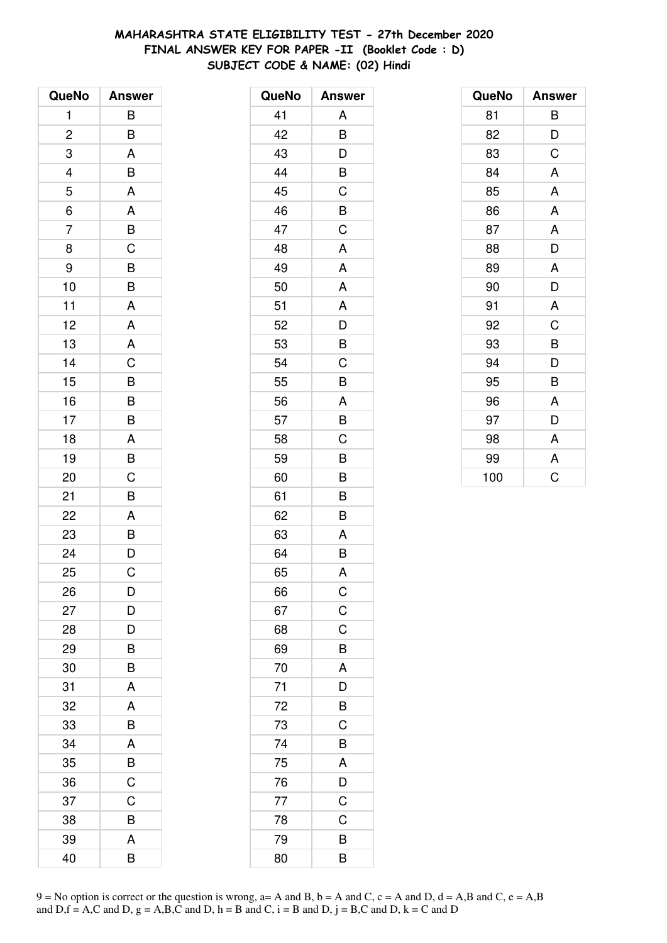# **MAHARASHTRA STATE ELIGIBILITY TEST - 27th December 2020 FINAL ANSWER KEY FOR PAPER -II (Booklet Code : D) SUBJECT CODE & NAME: (02) Hindi**

| QueNo          | <b>Answer</b>           |
|----------------|-------------------------|
| 1              | B                       |
| $\overline{c}$ | B                       |
| 3              | A                       |
|                | B                       |
| $\frac{4}{5}$  | $\overline{\mathsf{A}}$ |
| $\overline{6}$ | A                       |
| $\overline{7}$ | $\frac{B}{C}$           |
| 8              |                         |
| 9              | B                       |
| 10             | $\overline{B}$          |
| 11             | A                       |
| 12             | A                       |
| 13             | $rac{A}{C}$             |
| 14             |                         |
| 15             |                         |
| 16             | $\frac{B}{B}$           |
| 17             |                         |
| 18             | A                       |
| 19             | $\overline{B}$          |
| 20             | C                       |
| 21             | B                       |
| 22             | A                       |
| 23             | $\overline{B}$          |
| 24             | $\overline{D}$          |
| 25             | C                       |
| 26             | D                       |
| 27             | D                       |
| 28             | D                       |
| 29             | B                       |
| 30             | B                       |
| 31             | A                       |
| 32             | A                       |
| 33             | B                       |
| 34             | A                       |
| 35             | B                       |
| 36             | C                       |
| 37             | C                       |
| 38             | B                       |
| 39             | A                       |
| 40             | B                       |

| QueNo | <b>Answer</b>           |
|-------|-------------------------|
| 41    | A                       |
| 42    | B                       |
| 43    | D                       |
| 44    | B                       |
| 45    | C                       |
| 46    | B                       |
| 47    | C                       |
| 48    | A                       |
| 49    | A                       |
| 50    | A                       |
| 51    | A                       |
| 52    | D                       |
| 53    | B                       |
| 54    | C                       |
| 55    | B                       |
| 56    | A                       |
| 57    | B                       |
| 58    | C                       |
| 59    | B                       |
| 60    | B                       |
| 61    | B                       |
| 62    | B                       |
| 63    | A                       |
| 64    | B                       |
| 65    | A                       |
| 66    | $\mathsf C$             |
| 67    | $\mathsf C$             |
| 68    | C                       |
| 69    | B                       |
| 70    | A                       |
| 71    | $\overline{\mathsf{D}}$ |
| 72    | B                       |
| 73    | C                       |
| 74    | B                       |
| 75    | A                       |
| 76    | $\frac{D}{C}$           |
| 77    |                         |
| 78    | C                       |
| 79    | B                       |
| 80    | B                       |

| QueNo | <b>Answer</b> |
|-------|---------------|
| 81    | В             |
| 82    | D             |
| 83    | C             |
| 84    | A             |
| 85    | A             |
| 86    | A             |
| 87    | A             |
| 88    | D             |
| 89    | A             |
| 90    | D             |
| 91    | A             |
| 92    | C             |
| 93    | B             |
| 94    | D             |
| 95    | B             |
| 96    | A             |
| 97    | D             |
| 98    | A             |
| 99    | A             |
| 100   | Ć             |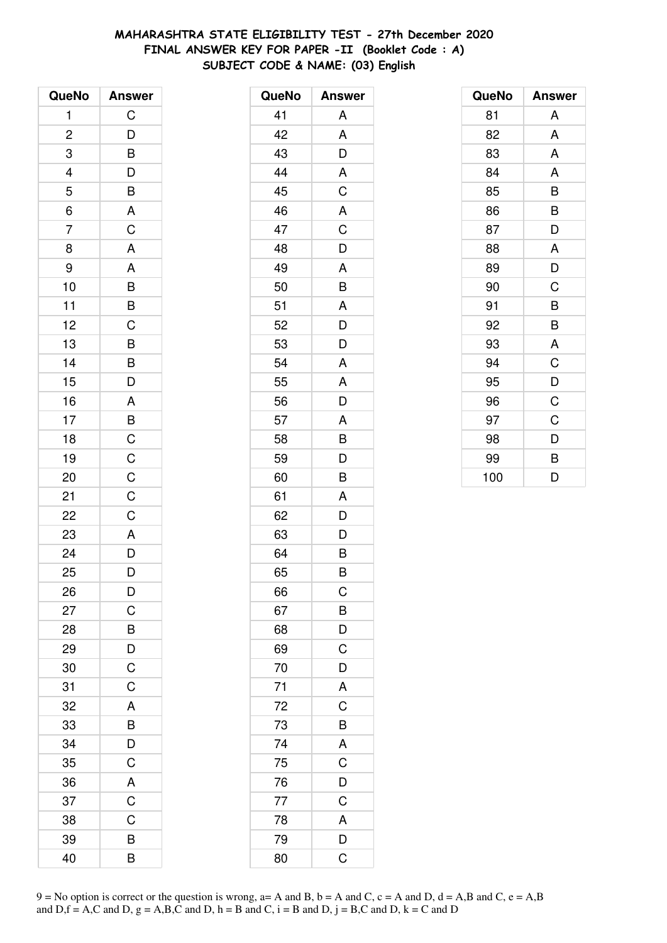# **MAHARASHTRA STATE ELIGIBILITY TEST - 27th December 2020 FINAL ANSWER KEY FOR PAPER -II (Booklet Code : A) SUBJECT CODE & NAME: (03) English**

| QueNo                          | <b>Answer</b>                                                                                              |
|--------------------------------|------------------------------------------------------------------------------------------------------------|
| 1                              | C                                                                                                          |
| $\overline{\mathbf{c}}$        |                                                                                                            |
| 3                              |                                                                                                            |
|                                |                                                                                                            |
| $\frac{4}{5}$<br>$\frac{1}{6}$ |                                                                                                            |
|                                |                                                                                                            |
| $\overline{7}$                 | $\begin{array}{c} \mathsf{D} \ \mathsf{B} \ \mathsf{D} \ \mathsf{B} \ \mathsf{A} \ \mathsf{C} \end{array}$ |
| 8                              | $\overline{\mathsf{A}}$                                                                                    |
| 9                              | $\overline{A}$                                                                                             |
| 10                             |                                                                                                            |
| 11                             |                                                                                                            |
| 12                             |                                                                                                            |
| 13                             | BBCBBD                                                                                                     |
| 14                             |                                                                                                            |
| 15                             |                                                                                                            |
| 16                             |                                                                                                            |
| 17                             |                                                                                                            |
| 18                             |                                                                                                            |
| 19                             |                                                                                                            |
| 20                             | $A$ $B$ $C$ $C$ $C$                                                                                        |
| 21                             |                                                                                                            |
| 22                             | $C$<br>$A$<br>$D$                                                                                          |
| 23                             |                                                                                                            |
| 24                             |                                                                                                            |
| 25                             | D                                                                                                          |
| 26                             | D                                                                                                          |
| 27                             | C                                                                                                          |
| 28                             | B                                                                                                          |
| 29                             | $\frac{D}{C}$                                                                                              |
| 30                             |                                                                                                            |
| 31                             | $\overline{C}$                                                                                             |
| 32                             | A                                                                                                          |
| 33                             | B                                                                                                          |
| 34                             | D                                                                                                          |
| 35                             | $\overline{C}$                                                                                             |
| 36                             | $\mathsf{A}$                                                                                               |
| 37                             | $\overline{C}$                                                                                             |
| 38                             | C                                                                                                          |
| 39                             | B                                                                                                          |
| 40                             | B                                                                                                          |

| QueNo | <b>Answer</b>           |
|-------|-------------------------|
| 41    | A                       |
| 42    | A                       |
| 43    | D                       |
| 44    | A                       |
| 45    | $\overline{C}$          |
| 46    | A                       |
| 47    | C                       |
| 48    | D                       |
| 49    | A                       |
| 50    | B                       |
| 51    | A                       |
| 52    | D                       |
| 53    | D                       |
| 54    | A                       |
| 55    | A                       |
| 56    | D                       |
| 57    | A                       |
| 58    | B                       |
| 59    | D                       |
| 60    | B                       |
| 61    | A                       |
| 62    | D                       |
| 63    | D                       |
| 64    | B                       |
| 65    | B                       |
| 66    | $\mathsf{C}$            |
| 67    | B                       |
| 68    | $\overline{D}$          |
| 69    | $\overline{\text{C}}$   |
| 70    | $\overline{D}$          |
| 71    | $\overline{\mathsf{A}}$ |
| 72    | $\overline{\mathsf{C}}$ |
| 73    | B                       |
| 74    | A                       |
| 75    | $\overline{C}$          |
| 76    | $\frac{1}{\sqrt{2}}$    |
| 77    | $\overline{C}$          |
| 78    | A                       |
| 79    | D                       |
| 80    | $\overline{\mathsf{C}}$ |

| QueNo | <b>Answer</b> |
|-------|---------------|
| 81    | A             |
| 82    | A             |
| 83    | A             |
| 84    | A             |
| 85    | B             |
| 86    | B             |
| 87    | D             |
| 88    | A             |
| 89    | D             |
| 90    | C             |
| 91    | B             |
| 92    | B             |
| 93    | A             |
| 94    | C             |
| 95    | D             |
| 96    | C             |
| 97    | C             |
| 98    | D             |
| 99    | B             |
| 100   | D             |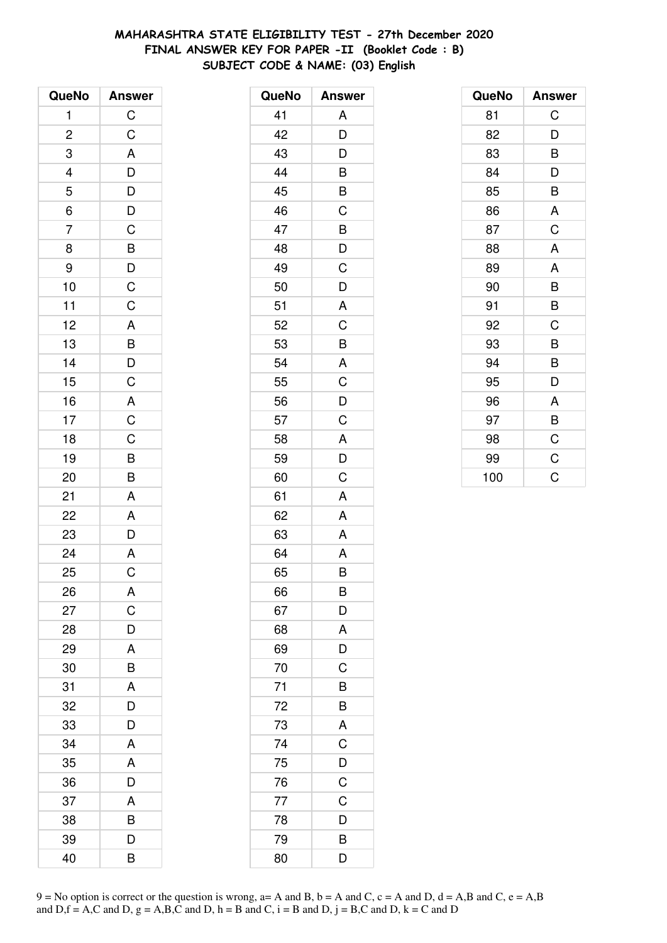# **MAHARASHTRA STATE ELIGIBILITY TEST - 27th December 2020 FINAL ANSWER KEY FOR PAPER -II (Booklet Code : B) SUBJECT CODE & NAME: (03) English**

| QueNo                          | <b>Answer</b>                     |
|--------------------------------|-----------------------------------|
| 1                              | $\overline{C}$                    |
| $\overline{\mathbf{c}}$        | $\overline{C}$                    |
| 3                              |                                   |
|                                |                                   |
|                                |                                   |
| $\frac{4}{5}$<br>$\frac{1}{6}$ |                                   |
| $\overline{7}$                 |                                   |
| 8                              |                                   |
| 9                              |                                   |
| 10                             | ADDDCBDCC                         |
| 11                             |                                   |
| 12                             |                                   |
| 13                             |                                   |
| 14                             | $\frac{A}{B}$<br>$\frac{B}{C}$    |
| 15                             |                                   |
| 16                             |                                   |
| 17                             |                                   |
| 18                             | $\overline{AC}$<br>$\overline{C}$ |
| 19                             | $\frac{B}{B}$                     |
| 20                             |                                   |
| 21                             | A                                 |
| 22                             | A                                 |
| 23                             | $\bar{D}$                         |
| 24                             | $\overline{A}$                    |
| 25                             | $\overline{\text{c}}$             |
| 26                             | A                                 |
| 27                             | C                                 |
| 28                             | D                                 |
| 29                             | A                                 |
| 30                             | B                                 |
| 31                             | A                                 |
| 32                             | D                                 |
| 33                             | D                                 |
| 34                             | Α                                 |
| 35                             | A                                 |
| 36                             | D                                 |
| 37                             | A                                 |
| 38                             | B                                 |
| 39                             | D                                 |
| 40                             | B                                 |

| QueNo | <b>Answer</b> |
|-------|---------------|
| 41    | A             |
| 42    | D             |
| 43    | D             |
| 44    | B             |
| 45    | B             |
| 46    | C             |
| 47    | B             |
| 48    | D             |
| 49    | C             |
| 50    | D             |
| 51    | A             |
| 52    | C             |
| 53    | B             |
| 54    | A             |
| 55    | C             |
| 56    | D             |
| 57    | C             |
| 58    | A             |
| 59    | D             |
| 60    | C             |
| 61    | A             |
| 62    | A             |
| 63    | A             |
| 64    | A             |
| 65    | B             |
| 66    | B             |
| 67    | D             |
| 68    | A             |
| 69    | D             |
| 70    | C             |
| 71    | B             |
| 72    | B             |
| 73    | A             |
| 74    | C             |
| 75    | D             |
| 76    | C             |
| 77    | $\mathsf C$   |
| 78    | D             |
| 79    | B             |
| 80    | D             |

| QueNo | <b>Answer</b> |
|-------|---------------|
| 81    | C             |
| 82    | D             |
| 83    | B             |
| 84    | D             |
| 85    | B             |
| 86    | A             |
| 87    | C             |
| 88    | A             |
| 89    | A             |
| 90    | B             |
| 91    | B             |
| 92    | C             |
| 93    | B             |
| 94    | B             |
| 95    | D             |
| 96    | A             |
| 97    | B             |
| 98    | $\mathsf C$   |
| 99    | C             |
| 100   | C             |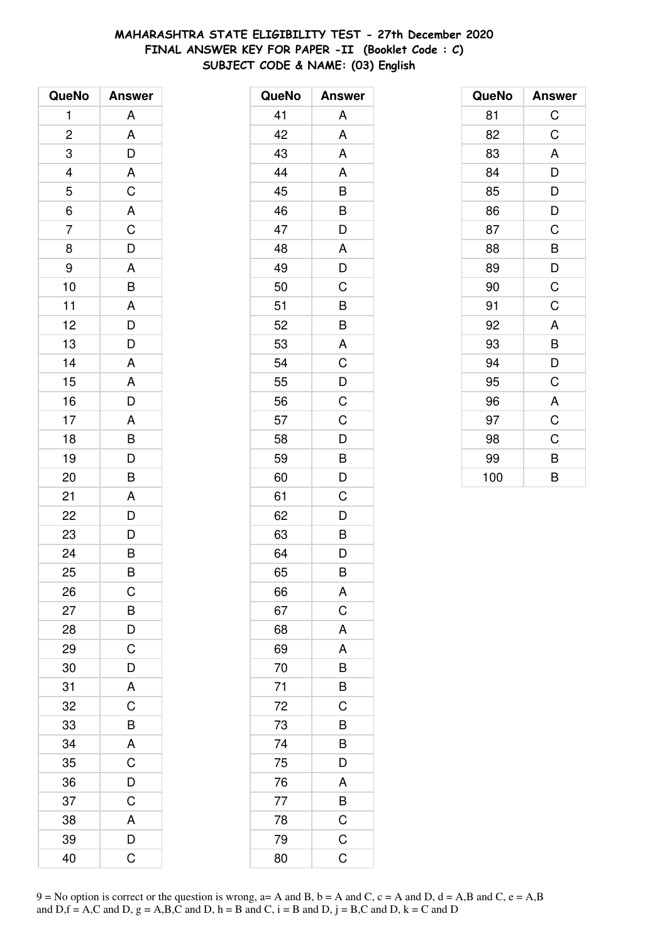# **MAHARASHTRA STATE ELIGIBILITY TEST - 27th December 2020 FINAL ANSWER KEY FOR PAPER -II (Booklet Code : C) SUBJECT CODE & NAME: (03) English**

| QueNo                   | <b>Answer</b>         |
|-------------------------|-----------------------|
| 1                       | A                     |
| $\overline{\mathbf{c}}$ | A                     |
| 3                       | $\bar{D}$             |
| $\overline{a}$          |                       |
| 5                       | $rac{A}{C}$           |
| $\overline{6}$          | $rac{A}{C}$           |
| $\overline{7}$          |                       |
| 8                       | $\overline{D}$        |
| 9                       |                       |
| 10                      | $rac{A}{B}$           |
| 11                      | $\overline{A}$        |
| 12                      | $\frac{D}{D}$         |
| 13                      |                       |
| 14                      | A                     |
| 15                      | A                     |
| 16                      | D                     |
| 17                      |                       |
| 18                      | $\frac{A}{B}$         |
| 19                      | $\overline{D}$        |
| 20                      | B                     |
| 21                      | A                     |
| 22                      | D                     |
| 23                      | $\frac{D}{B}$         |
| 24                      |                       |
| 25                      | B                     |
| 26                      | С                     |
| 27                      | $\overline{B}$        |
| 28                      | $\frac{D}{C}$         |
| 29                      |                       |
| 30                      | $\overline{D}$        |
| 31                      | A                     |
| 32                      | $\overline{\text{c}}$ |
| 33                      | B                     |
| 34                      | A                     |
| 35                      | $\overline{C}$        |
| 36                      | $\overline{D}$        |
| 37                      | C                     |
| 38                      | A                     |
| 39                      | D                     |
| 40                      | Ć                     |

| QueNo | <b>Answer</b>           |
|-------|-------------------------|
| 41    | A                       |
| 42    | A                       |
| 43    | A                       |
| 44    | A                       |
| 45    | B                       |
| 46    | B                       |
| 47    | D                       |
| 48    | A                       |
| 49    | D                       |
| 50    | C                       |
| 51    | $\overline{B}$          |
| 52    | $\overline{B}$          |
| 53    | A                       |
| 54    | C                       |
| 55    | D                       |
| 56    | $\mathsf C$             |
| 57    | $\mathsf C$             |
| 58    | D                       |
| 59    | B                       |
| 60    | D                       |
| 61    | C                       |
| 62    | D                       |
| 63    | B                       |
| 64    | D                       |
| 65    | B                       |
| 66    | A                       |
| 67    | $\mathsf C$             |
| 68    | A                       |
| 69    | A                       |
| 70    | B                       |
| 71    | B                       |
| 72    | C                       |
| 73    | B                       |
| 74    | B                       |
| 75    | $\overline{\mathsf{D}}$ |
| 76    | A                       |
| 77    | $rac{B}{C}$             |
| 78    |                         |
| 79    | $\mathsf C$             |
| 80    | C                       |

| QueNo | <b>Answer</b> |
|-------|---------------|
| 81    | $\mathsf C$   |
| 82    | C             |
| 83    | A             |
| 84    | D             |
| 85    | D             |
| 86    | D             |
| 87    | C             |
| 88    | B             |
| 89    | D             |
| 90    | C             |
| 91    | C             |
| 92    | A             |
| 93    | B             |
| 94    | D             |
| 95    | C             |
| 96    | A             |
| 97    | C             |
| 98    | C             |
| 99    | B             |
| 100   | B             |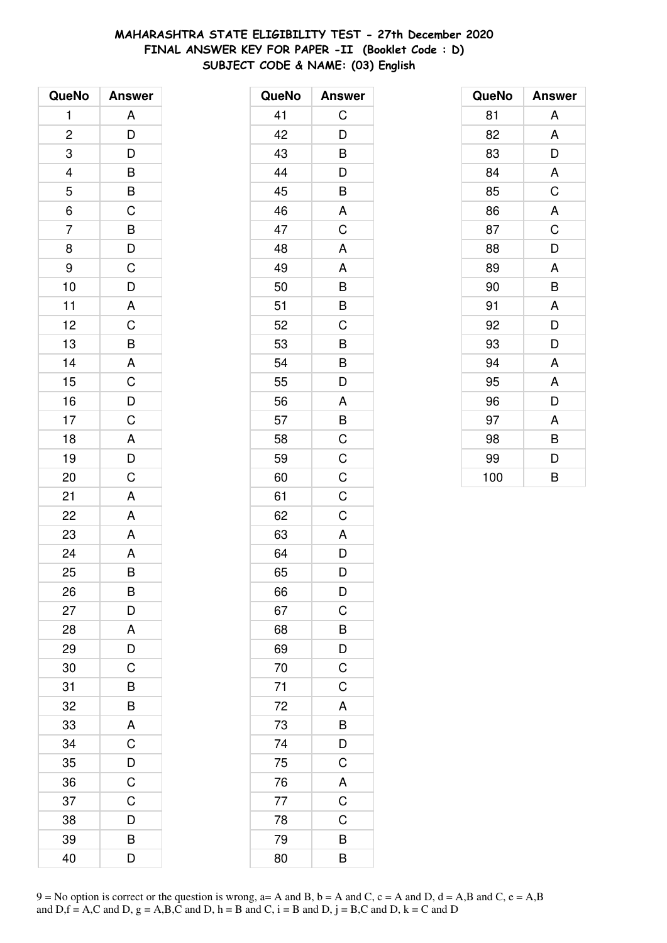# **MAHARASHTRA STATE ELIGIBILITY TEST - 27th December 2020 FINAL ANSWER KEY FOR PAPER -II (Booklet Code : D) SUBJECT CODE & NAME: (03) English**

| QueNo          | <b>Answer</b>           |
|----------------|-------------------------|
| 1              | A                       |
| $\overline{c}$ | D                       |
| 3              | D                       |
|                |                         |
| $\frac{4}{5}$  | $\frac{B}{C}$           |
| $\overline{6}$ |                         |
| $\overline{7}$ |                         |
| 8              | $\frac{B}{D}$           |
| 9              | $\mathsf C$             |
| 10             | $\overline{D}$          |
| 11             | A                       |
| 12             | $\overline{C}$          |
| 13             | B                       |
| 14             | $\overline{A}$          |
| 15             | $\overline{C}$          |
| 16             |                         |
| 17             | $\frac{D}{C}$           |
| 18             | $\overline{\mathsf{A}}$ |
| 19             | $\overline{D}$<br>C     |
| 20             |                         |
| 21             | A                       |
| 22             | A                       |
| 23             | A                       |
| 24             | A                       |
| 25             | B                       |
| 26             | B                       |
| 27             | D                       |
| 28             | A                       |
| 29             | D                       |
| 30             | $\overline{C}$          |
| 31             | B                       |
| 32             | B                       |
| 33             | A                       |
| 34             | C                       |
| 35             | D                       |
| 36             | C                       |
| 37             | C                       |
| 38             | D                       |
| 39             | В                       |
| 40             | D                       |

| QueNo | <b>Answer</b>  |
|-------|----------------|
| 41    | C              |
| 42    | D              |
| 43    | B              |
| 44    | D              |
| 45    | B              |
| 46    | A              |
| 47    | C              |
| 48    | A              |
| 49    | A              |
| 50    | B              |
| 51    | B              |
| 52    | C              |
| 53    | B              |
| 54    | B              |
| 55    | D              |
| 56    | A              |
| 57    | B              |
| 58    | C              |
| 59    | $\mathsf C$    |
| 60    | $\mathsf{C}$   |
| 61    | C              |
| 62    | C              |
| 63    | A              |
| 64    | D              |
| 65    | D              |
| 66    | D              |
| 67    | $\overline{C}$ |
| 68    | B              |
| 69    | D              |
| 70    | $\overline{C}$ |
| 71    | C              |
| 72    | A              |
| 73    | B              |
| 74    | D              |
| 75    | C              |
| 76    | A              |
| 77    | $\mathsf C$    |
| 78    | C              |
| 79    | B              |
| 80    | B              |

| QueNo | <b>Answer</b> |
|-------|---------------|
| 81    | A             |
| 82    | A             |
| 83    | D             |
| 84    | A             |
| 85    | C             |
| 86    | A             |
| 87    | C             |
| 88    | D             |
| 89    | A             |
| 90    | B             |
| 91    | A             |
| 92    | D             |
| 93    | D             |
| 94    | A             |
| 95    | A             |
| 96    | D             |
| 97    | A             |
| 98    | B             |
| 99    | D             |
| 100   | B             |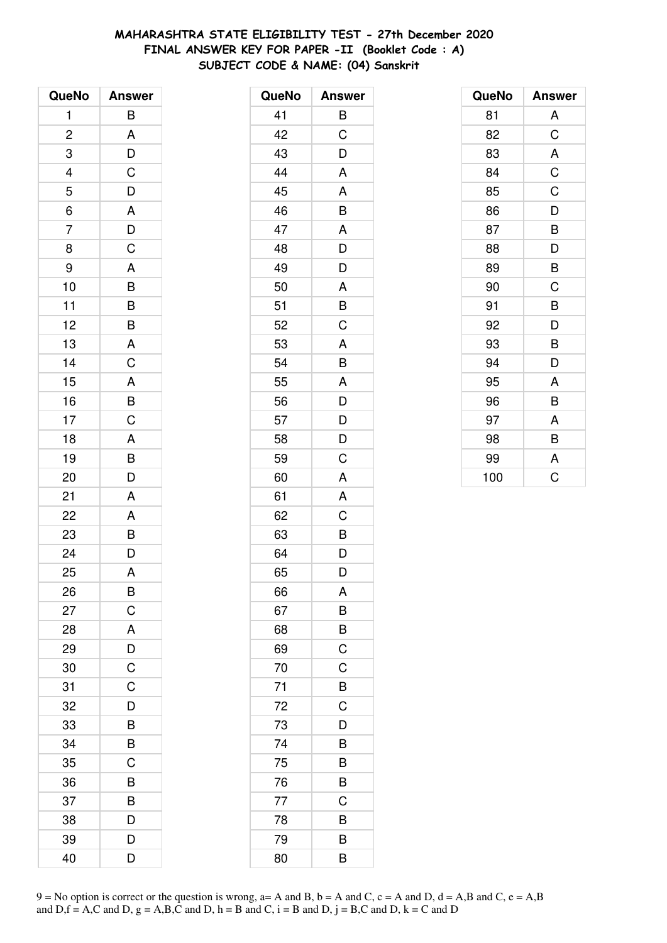# **MAHARASHTRA STATE ELIGIBILITY TEST - 27th December 2020 FINAL ANSWER KEY FOR PAPER -II (Booklet Code : A) SUBJECT CODE & NAME: (04) Sanskrit**

| QueNo                    | <b>Answer</b>           |
|--------------------------|-------------------------|
| 1                        | B                       |
| $\overline{c}$           | A                       |
| 3                        |                         |
| $\overline{\mathcal{L}}$ | $\frac{D}{C}$           |
| 5                        | $\frac{D}{A}$           |
| $\overline{6}$           |                         |
| $\overline{7}$           | $\frac{D}{C}$           |
| 8                        |                         |
| 9                        |                         |
| 10                       |                         |
| 11                       |                         |
| 12                       |                         |
| 13                       | $A$ $B$ $B$ $B$ $A$ $C$ |
| 14                       |                         |
| 15                       |                         |
| 16                       | $\frac{A}{B}$           |
| 17                       |                         |
| 18                       | $\overline{A}$          |
| 19                       | $\frac{B}{D}$           |
| 20                       |                         |
| 21                       | A                       |
| 22                       |                         |
| 23                       | $\frac{A}{B}$           |
| 24                       |                         |
| 25                       | A                       |
| 26                       | B                       |
| 27                       | $\mathsf C$             |
| 28                       | A                       |
| 29                       | $\frac{D}{C}$           |
| 30                       |                         |
| 31                       | C                       |
| 32                       | D                       |
| 33                       | B                       |
| 34                       | B                       |
| 35                       | $\overline{C}$          |
| 36                       | B                       |
| 37                       | B                       |
| 38                       | D                       |
| 39                       | D                       |
| 40                       | D                       |

| QueNo | <b>Answer</b>           |
|-------|-------------------------|
| 41    | B                       |
| 42    | C                       |
| 43    | D                       |
| 44    | A                       |
| 45    | A                       |
| 46    | B                       |
| 47    | A                       |
| 48    | D                       |
| 49    | D                       |
| 50    | A                       |
| 51    | $\overline{B}$          |
| 52    | $\overline{\mathrm{C}}$ |
| 53    | A                       |
| 54    | B                       |
| 55    | A                       |
| 56    | $\mathsf{D}$            |
| 57    | $\frac{D}{D}$           |
| 58    |                         |
| 59    | C                       |
| 60    | A                       |
| 61    | Α                       |
| 62    | C                       |
| 63    | $\overline{B}$          |
| 64    | $\overline{\mathsf{D}}$ |
| 65    | D                       |
| 66    | A                       |
| 67    | B                       |
| 68    | $\overline{B}$          |
| 69    | $\overline{\mathsf{C}}$ |
| 70    | $\mathsf C$             |
| 71    | $\overline{B}$          |
| 72    | $\mathsf C$             |
| 73    | D                       |
| 74    | B                       |
| 75    | B                       |
| 76    | B                       |
| 77    | C                       |
| 78    | B                       |
| 79    | B                       |
| 80    | B                       |

| QueNo | <b>Answer</b> |
|-------|---------------|
| 81    | A             |
| 82    | C             |
| 83    | A             |
| 84    | $\mathsf C$   |
| 85    | C             |
| 86    | D             |
| 87    | B             |
| 88    | D             |
| 89    | B             |
| 90    | C             |
| 91    | B             |
| 92    | D             |
| 93    | B             |
| 94    | D             |
| 95    | A             |
| 96    | B             |
| 97    | A             |
| 98    | B             |
| 99    | A             |
| 100   | Ć             |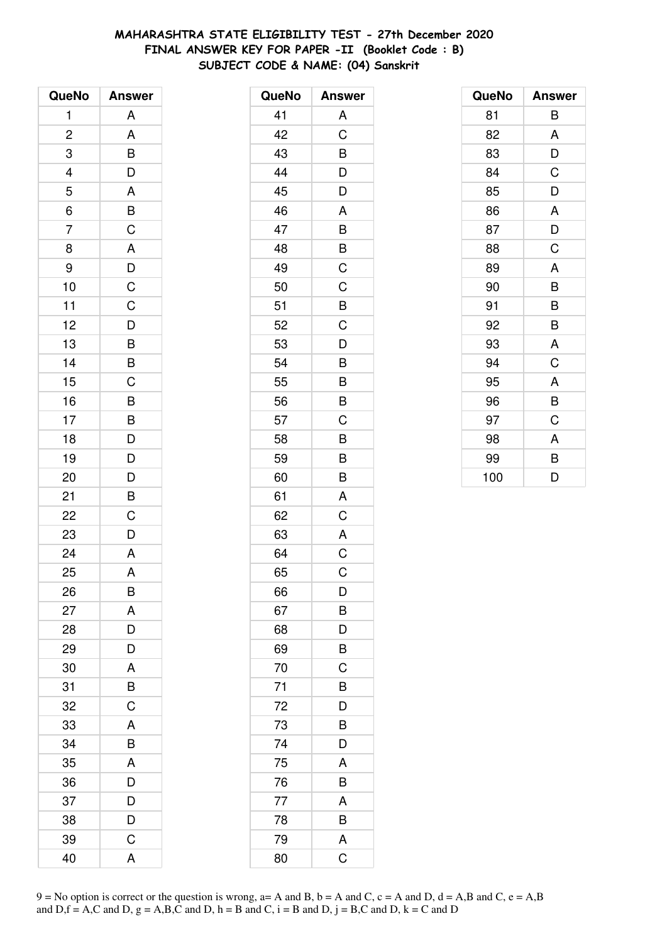# **MAHARASHTRA STATE ELIGIBILITY TEST - 27th December 2020 FINAL ANSWER KEY FOR PAPER -II (Booklet Code : B) SUBJECT CODE & NAME: (04) Sanskrit**

| QueNo          | <b>Answer</b>                    |
|----------------|----------------------------------|
| 1              | A                                |
| $\overline{c}$ | A                                |
| 3              | B                                |
|                | D                                |
| $\frac{4}{5}$  | A                                |
| $\overline{6}$ | $\overline{B}$                   |
| $\overline{7}$ | $\mathsf C$                      |
| 8              | A                                |
| 9              | $\frac{D}{C}$                    |
| 10             |                                  |
| 11             | $\overline{C}$                   |
| 12             | $\overline{D}$                   |
| 13             | $\overline{B}$                   |
| 14             | $\overline{B}$                   |
| 15             | C                                |
| 16             |                                  |
| 17             |                                  |
| 18             | $\overline{B}$<br>$\overline{D}$ |
| 19             | $\overline{D}$                   |
| 20             | D                                |
| 21             | $\mathsf{B}$                     |
| 22             | C                                |
| 23             | D                                |
| 24             | A                                |
| 25             | A                                |
| 26             | B                                |
| 27             | A                                |
| 28             | D                                |
| 29             | D                                |
| 30             | A                                |
| 31             | B                                |
| 32             | C                                |
| 33             | A                                |
| 34             | B                                |
| 35             | A                                |
| 36             | D                                |
| 37             | D                                |
| 38             | D                                |
| 39             | C                                |
| 40             | Α                                |

| QueNo | <b>Answer</b> |
|-------|---------------|
| 41    | A             |
| 42    | C             |
| 43    | B             |
| 44    | D             |
| 45    | D             |
| 46    | A             |
| 47    | B             |
| 48    | B             |
| 49    | C             |
| 50    | C             |
| 51    | B             |
| 52    | C             |
| 53    | D             |
| 54    | B             |
| 55    | B             |
| 56    | B             |
| 57    | C             |
| 58    | B             |
| 59    | B             |
| 60    | B             |
| 61    | A             |
| 62    | C             |
| 63    | A             |
| 64    | C             |
| 65    | C             |
| 66    | D             |
| 67    | B             |
| 68    | D             |
| 69    | B             |
| 70    | C             |
| 71    | B             |
| 72    | D             |
| 73    | B             |
| 74    | D             |
| 75    | A             |
| 76    | B             |
| 77    | A             |
| 78    | B             |
| 79    | A             |
| 80    | $\mathsf C$   |

| QueNo | <b>Answer</b> |
|-------|---------------|
| 81    | B             |
| 82    | A             |
| 83    | D             |
| 84    | C             |
| 85    | D             |
| 86    | A             |
| 87    | D             |
| 88    | C             |
| 89    | A             |
| 90    | B             |
| 91    | B             |
| 92    | B             |
| 93    | A             |
| 94    | C             |
| 95    | A             |
| 96    | B             |
| 97    | C             |
| 98    | A             |
| 99    | B             |
| 100   | D             |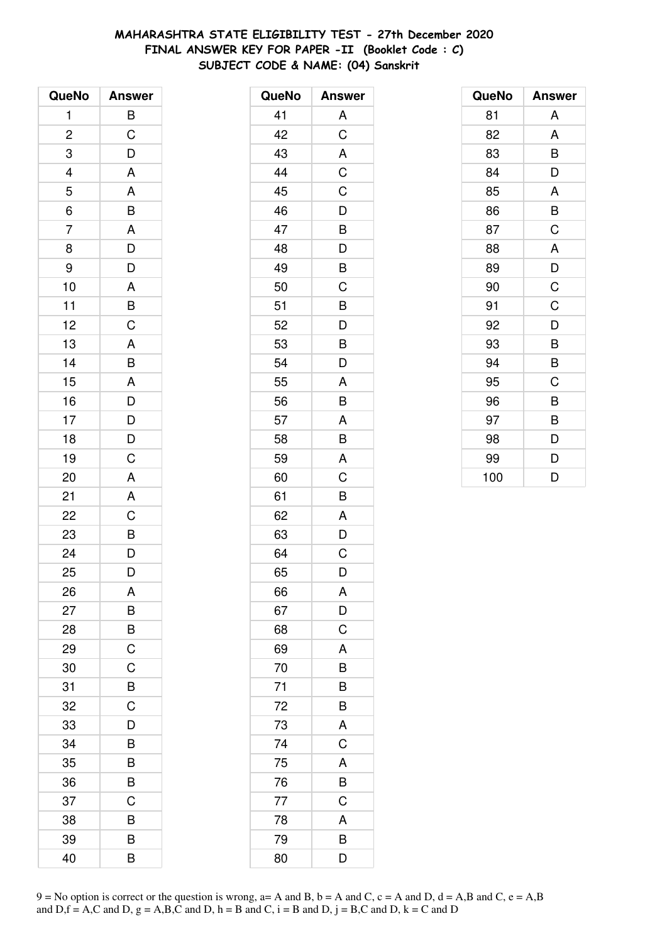# **MAHARASHTRA STATE ELIGIBILITY TEST - 27th December 2020 FINAL ANSWER KEY FOR PAPER -II (Booklet Code : C) SUBJECT CODE & NAME: (04) Sanskrit**

| QueNo                   | <b>Answer</b>                              |
|-------------------------|--------------------------------------------|
| 1                       | B                                          |
| $\overline{\mathbf{c}}$ | $\mathsf C$                                |
| 3                       | D                                          |
|                         | $\overline{\mathsf{A}}$                    |
| $\frac{4}{5}$           | A                                          |
| $\overline{6}$          | $\overline{B}$                             |
| $\overline{7}$          |                                            |
| 8                       | $rac{A}{D}$                                |
| 9                       | D                                          |
| 10                      |                                            |
| 11                      | $\frac{A}{B}$                              |
| 12                      |                                            |
| 13                      |                                            |
| 14                      | $rac{A}{B}$                                |
| 15                      | A                                          |
| 16                      |                                            |
| 17                      |                                            |
| 18                      | $\begin{array}{c} D \\ D \\ D \end{array}$ |
| 19                      | $\overline{C}$                             |
| 20                      | A                                          |
| 21                      | A                                          |
| 22                      | C                                          |
| 23                      | B<br>D                                     |
| 24                      |                                            |
| 25                      | D                                          |
| 26                      | A                                          |
| 27                      | B                                          |
| 28                      | B                                          |
| 29                      | $\mathsf C$                                |
| 30                      | $\mathsf C$                                |
| 31                      | B                                          |
| 32                      | C                                          |
| 33                      | D                                          |
| 34                      | B                                          |
| 35                      | B                                          |
| 36                      | B                                          |
| 37                      | C                                          |
| 38                      | B                                          |
| 39                      | B                                          |
| 40                      | B                                          |

| QueNo | <b>Answer</b> |
|-------|---------------|
| 41    | Α             |
| 42    | C             |
| 43    | A             |
| 44    | $\mathsf C$   |
| 45    | $\mathsf C$   |
| 46    | D             |
| 47    | B             |
| 48    | D             |
| 49    | B             |
| 50    | C             |
| 51    | B             |
| 52    | D             |
| 53    | B             |
| 54    | D             |
| 55    | A             |
| 56    | B             |
| 57    | A             |
| 58    | B             |
| 59    | A             |
| 60    | C             |
| 61    | B             |
| 62    | A             |
| 63    | D             |
| 64    | C             |
| 65    | D             |
| 66    | Α             |
| 67    | D             |
| 68    | C             |
| 69    | A             |
| 70    | B             |
| 71    | B             |
| 72    | B             |
| 73    | A             |
| 74    | C             |
| 75    | A             |
| 76    | B             |
| 77    | C             |
| 78    | A             |
| 79    | B             |
| 80    | D             |

| QueNo | <b>Answer</b> |
|-------|---------------|
| 81    | A             |
| 82    | A             |
| 83    | B             |
| 84    | D             |
| 85    | A             |
| 86    | B             |
| 87    | C             |
| 88    | A             |
| 89    | D             |
| 90    | C             |
| 91    | C             |
| 92    | D             |
| 93    | B             |
| 94    | B             |
| 95    | C             |
| 96    | B             |
| 97    | B             |
| 98    | D             |
| 99    | D             |
| 100   | D             |

 $9 = No$  option is correct or the question is wrong,  $a = A$  and B,  $b = A$  and C,  $c = A$  and D,  $d = A$ ,B and C,  $e = A$ ,B and  $D,f = A,C$  and  $D, g = A,B,C$  and  $D, h = B$  and  $C, i = B$  and  $D, j = B,C$  and  $D, k = C$  and  $D$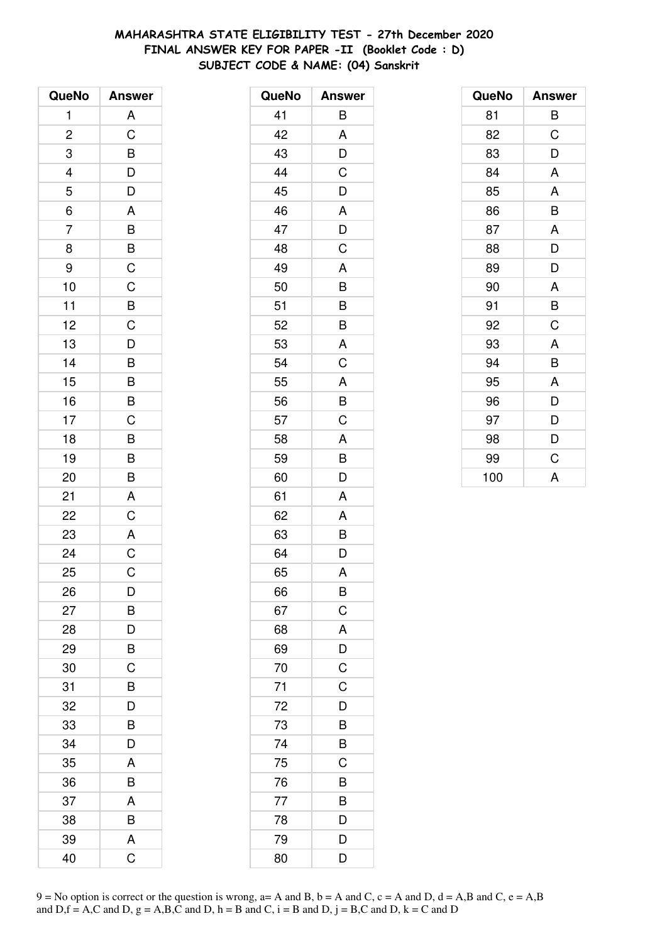# **MAHARASHTRA STATE ELIGIBILITY TEST - 27th December 2020 FINAL ANSWER KEY FOR PAPER -II (Booklet Code : D) SUBJECT CODE & NAME: (04) Sanskrit**

| QueNo          | <b>Answer</b>           |
|----------------|-------------------------|
| 1              | A                       |
| $\overline{c}$ | $\overline{C}$          |
| 3              | B                       |
|                |                         |
| $\frac{4}{5}$  | $\frac{D}{D}$           |
| $\overline{6}$ | A                       |
| $\overline{7}$ | B                       |
| 8              | B                       |
| 9              | $\mathsf C$             |
| 10             | $\overline{C}$          |
| 11             |                         |
| 12             | $rac{B}{C}$             |
| 13             | $\overline{\mathsf{D}}$ |
| 14             | $\overline{B}$          |
| 15             |                         |
| 16             | $\frac{B}{B}$           |
| 17             | $\mathsf C$             |
| 18             |                         |
| 19             | $\frac{B}{B}$           |
| 20             | B                       |
| 21             | A                       |
| 22             | $\overline{C}$          |
| 23             | A                       |
| 24             | $\overline{C}$          |
| 25             | C                       |
| 26             | D                       |
| 27             | В                       |
| 28             | D                       |
| 29             | B                       |
| 30             | C                       |
| 31             | B                       |
| 32             | D                       |
| 33             | B                       |
| 34             | D                       |
| 35             | A                       |
| 36             | B                       |
| 37             | A                       |
| 38             | B                       |
| 39             | A                       |
| 40             | Ć                       |

| QueNo           | <b>Answer</b>  |
|-----------------|----------------|
| 41              | B              |
| 42              | A              |
| 43              | D              |
| 44              | C              |
| 45              | D              |
| 46              | A              |
| 47              | D              |
| 48              | C              |
| 49              | A              |
| 50              | B              |
| 51              | B              |
| 52              | B              |
| 53              | A              |
| 54              | C              |
| 55              | A              |
| 56              | B              |
| 57              | C              |
| 58              | A              |
| 59              | B              |
| 60              | D              |
| 61              | A              |
| 62              | A              |
| 63              | B              |
| 64              | D              |
| 65              | A              |
| 66              | B              |
| 67              | $\mathsf C$    |
| 68              | A              |
| 69              | D              |
| 70              | $\mathsf C$    |
| $\overline{71}$ | $\overline{C}$ |
| 72              | D              |
| 73              | B              |
| 74              | B              |
| 75              | C              |
| 76              | B              |
| 77              | B              |
| 78              | D              |
| 79              | D              |
| 80              | D              |

| QueNo | <b>Answer</b> |
|-------|---------------|
| 81    | В             |
| 82    | C             |
| 83    | D             |
| 84    | A             |
| 85    | A             |
| 86    | B             |
| 87    | A             |
| 88    | D             |
| 89    | D             |
| 90    | A             |
| 91    | B             |
| 92    | C             |
| 93    | A             |
| 94    | B             |
| 95    | A             |
| 96    | D             |
| 97    | D             |
| 98    | D             |
| 99    | C             |
| 100   | A             |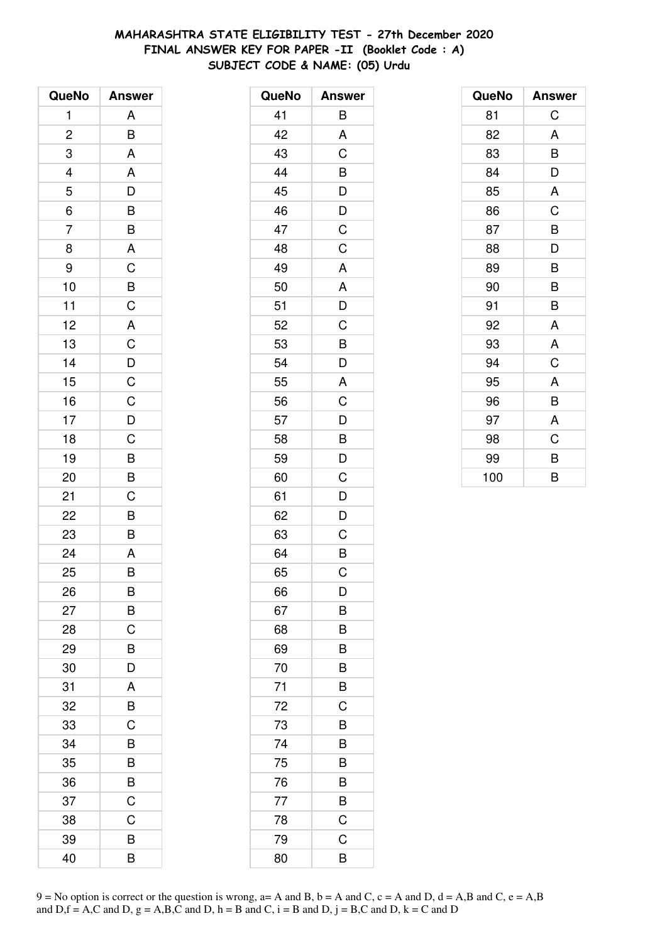# **MAHARASHTRA STATE ELIGIBILITY TEST - 27th December 2020 FINAL ANSWER KEY FOR PAPER -II (Booklet Code : A) SUBJECT CODE & NAME: (05) Urdu**

| QueNo          | <b>Answer</b>  |
|----------------|----------------|
| 1              | A              |
| $\overline{c}$ | B              |
| 3              | A              |
|                | A              |
| $\frac{4}{5}$  | $\frac{1}{D}$  |
| $\overline{6}$ | $\overline{B}$ |
| $\overline{7}$ | B              |
| 8              | A              |
| 9              | $\mathsf C$    |
| 10             | $\overline{B}$ |
| 11             | $\overline{C}$ |
| 12             | $\overline{A}$ |
| 13             | $\overline{C}$ |
| 14             |                |
| 15             | $\frac{D}{C}$  |
| 16             |                |
| 17             | $\frac{C}{D}$  |
| 18             | $\overline{C}$ |
| 19             | $\overline{B}$ |
| 20             | B              |
| 21             | C              |
| 22             | B              |
| 23             | B              |
| 24             | A              |
| 25             | B              |
| 26             | B              |
| 27             | B              |
| 28             | C              |
| 29             | B              |
| 30             | D              |
| 31             | A              |
| 32             | B              |
| 33             | C              |
| 34             | B              |
| 35             | B              |
| 36             | B              |
| 37             | C              |
| 38             | C              |
| 39             | B              |
| 40             | B              |

| QueNo | <b>Answer</b> |
|-------|---------------|
| 41    | В             |
| 42    | A             |
| 43    | C             |
| 44    | B             |
| 45    | D             |
| 46    | D             |
| 47    | C             |
| 48    | C             |
| 49    | A             |
| 50    | A             |
| 51    | D             |
| 52    | C             |
| 53    | B             |
| 54    | D             |
| 55    | A             |
| 56    | C             |
| 57    | D             |
| 58    | B             |
| 59    | D             |
| 60    | C             |
| 61    | D             |
| 62    | D             |
| 63    | C             |
| 64    | B             |
| 65    | C             |
| 66    | D             |
| 67    | B             |
| 68    | B             |
| 69    | B             |
| 70    | B             |
| 71    | B             |
| 72    | C             |
| 73    | B             |
| 74    | B             |
| 75    | B             |
| 76    | B             |
| 77    | B             |
| 78    | $\mathsf C$   |
| 79    | C             |
| 80    | B             |

| QueNo | <b>Answer</b> |
|-------|---------------|
| 81    | C             |
| 82    | A             |
| 83    | В             |
| 84    | D             |
| 85    | A             |
| 86    | C             |
| 87    | B             |
| 88    | D             |
| 89    | B             |
| 90    | B             |
| 91    | B             |
| 92    | A             |
| 93    | A             |
| 94    | $\mathsf C$   |
| 95    | A             |
| 96    | B             |
| 97    | A             |
| 98    | C             |
| 99    | B             |
| 100   | B             |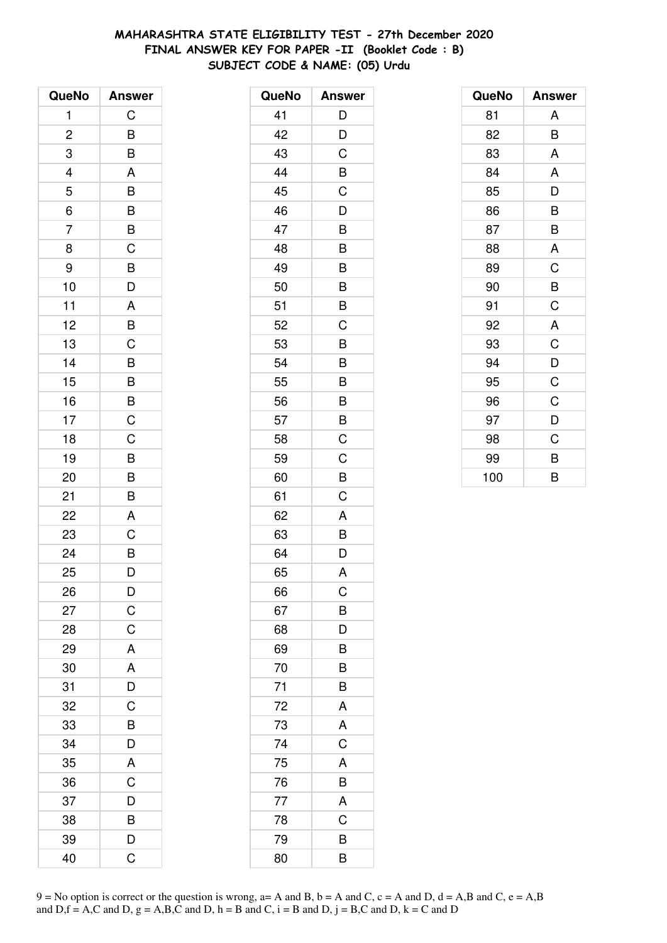# **MAHARASHTRA STATE ELIGIBILITY TEST - 27th December 2020 FINAL ANSWER KEY FOR PAPER -II (Booklet Code : B) SUBJECT CODE & NAME: (05) Urdu**

| QueNo                   | <b>Answer</b>            |
|-------------------------|--------------------------|
| 1                       | $\mathsf C$              |
| $\overline{\mathbf{c}}$ | B                        |
| 3                       | $\overline{\mathsf{B}}$  |
|                         | $\mathsf{A}$             |
| $\frac{4}{5}$           |                          |
| $\overline{6}$          | $\overline{B}$<br>$B$    |
| $\overline{7}$          | $rac{B}{C}$              |
| 8                       |                          |
| 9                       |                          |
| 10                      | B<br>D                   |
| 11                      | $\overline{A}$           |
| 12                      | $\frac{1}{\overline{B}}$ |
| 13                      | $\overline{\text{c}}$    |
| 14                      | B                        |
| 15                      | $\overline{B}$           |
| 16                      | $\frac{B}{C}$            |
| 17                      |                          |
| 18                      | $\overline{C}$           |
| 19                      | B                        |
| 20                      | B                        |
| 21                      | B                        |
| 22                      | A                        |
| 23                      | $\mathsf C$              |
| 24                      | B                        |
| 25                      | D                        |
| 26                      | D                        |
| 27                      | $\mathsf C$              |
| 28                      | C                        |
| 29                      | A                        |
| 30                      | A                        |
| 31                      | D                        |
| 32                      | C                        |
| 33                      | B                        |
| 34                      | D                        |
| 35                      | A                        |
| 36                      | C                        |
| 37                      | D                        |
| 38                      | B                        |
| 39                      | D                        |
| 40                      | Ć                        |

| QueNo | <b>Answer</b> |
|-------|---------------|
| 41    | D             |
| 42    | D             |
| 43    | C             |
| 44    | B             |
| 45    | C             |
| 46    | D             |
| 47    | B             |
| 48    | B             |
| 49    | B             |
| 50    | B             |
| 51    | B             |
| 52    | C             |
| 53    | B             |
| 54    | B             |
| 55    | B             |
| 56    | B             |
| 57    | B             |
| 58    | C             |
| 59    | C             |
| 60    | B             |
| 61    | C             |
| 62    | A             |
| 63    | B             |
| 64    | D             |
| 65    | A             |
| 66    | C             |
| 67    | B             |
| 68    | D             |
| 69    | B             |
| 70    | B             |
| 71    | B             |
| 72    | A             |
| 73    | A             |
| 74    | $\mathsf C$   |
| 75    | A             |
| 76    | B             |
| 77    | $\mathsf{A}$  |
| 78    | C             |
| 79    | B             |
| 80    | B             |

| QueNo | <b>Answer</b> |
|-------|---------------|
| 81    | A             |
| 82    | B             |
| 83    | A             |
| 84    | A             |
| 85    | D             |
| 86    | B             |
| 87    | B             |
| 88    | A             |
| 89    | C             |
| 90    | B             |
| 91    | C             |
| 92    | A             |
| 93    | C             |
| 94    | D             |
| 95    | C             |
| 96    | C             |
| 97    | D             |
| 98    | C             |
| 99    | B             |
| 100   | B             |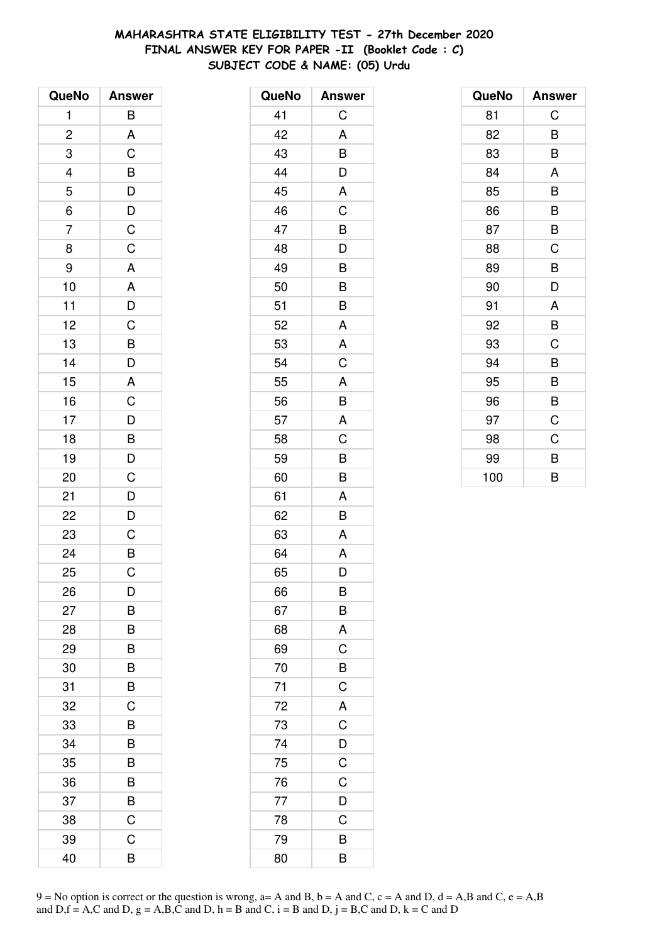# **MAHARASHTRA STATE ELIGIBILITY TEST - 27th December 2020 FINAL ANSWER KEY FOR PAPER -II (Booklet Code : C) SUBJECT CODE & NAME: (05) Urdu**

| QueNo          | <b>Answer</b>                                                                                                 |
|----------------|---------------------------------------------------------------------------------------------------------------|
| 1              | B                                                                                                             |
| $\overline{c}$ | A                                                                                                             |
| 3              | C                                                                                                             |
|                |                                                                                                               |
| $\frac{4}{5}$  |                                                                                                               |
| $\overline{6}$ |                                                                                                               |
| $\overline{7}$ | $\begin{array}{c}\n\mathbf{B} \\ \hline\n\mathbf{D} \\ \hline\n\mathbf{C} \\ \hline\n\mathbf{C}\n\end{array}$ |
| 8              |                                                                                                               |
| 9              | A                                                                                                             |
| 10             |                                                                                                               |
| 11             | $\frac{A}{D}$                                                                                                 |
| 12             |                                                                                                               |
| 13             | $\overline{B}$                                                                                                |
| 14             | D                                                                                                             |
| 15             | A                                                                                                             |
| 16             | $\mathsf C$                                                                                                   |
| 17             |                                                                                                               |
| 18             | $\overline{D}$<br>B                                                                                           |
| 19             |                                                                                                               |
| 20             | $\overline{D}$<br>C                                                                                           |
| 21             | D                                                                                                             |
| 22             | $\overline{D}$                                                                                                |
| 23             | $\mathsf C$                                                                                                   |
| 24             | $\overline{B}$                                                                                                |
| 25             | C                                                                                                             |
| 26             | D                                                                                                             |
| 27             | B                                                                                                             |
| 28             | B                                                                                                             |
| 29             | B                                                                                                             |
| 30             | B                                                                                                             |
| 31             | B                                                                                                             |
| 32             | C                                                                                                             |
| 33             | B                                                                                                             |
| 34             | B                                                                                                             |
| 35             | B                                                                                                             |
| 36             | B                                                                                                             |
| 37             | B                                                                                                             |
| 38             | C                                                                                                             |
| 39             | C                                                                                                             |
| 40             | B                                                                                                             |

| QueNo | <b>Answer</b>  |
|-------|----------------|
| 41    | C              |
| 42    | A              |
| 43    | B              |
| 44    | D              |
| 45    | A              |
| 46    | C              |
| 47    | B              |
| 48    | D              |
| 49    | B              |
| 50    | B              |
| 51    | B              |
| 52    | A              |
| 53    | A              |
| 54    | C              |
| 55    | A              |
| 56    | B              |
| 57    | A              |
| 58    | C              |
| 59    | B              |
| 60    | B              |
| 61    | A              |
| 62    | B              |
| 63    | A              |
| 64    | A              |
| 65    | D              |
| 66    | B              |
| 67    | B              |
| 68    | A              |
| 69    | C              |
| 70    | B              |
| 71    | $\mathsf C$    |
| 72    | $\overline{A}$ |
| 73    | $\overline{C}$ |
| 74    | $\mathsf{D}$   |
| 75    | C              |
| 76    | $\mathsf C$    |
| 77    | D              |
| 78    | C              |
| 79    | B              |
| 80    | B              |

| QueNo | <b>Answer</b> |
|-------|---------------|
| 81    | C             |
| 82    | B             |
| 83    | B             |
| 84    | A             |
| 85    | B             |
| 86    | B             |
| 87    | B             |
| 88    | C             |
| 89    | B             |
| 90    | D             |
| 91    | A             |
| 92    | B             |
| 93    | C             |
| 94    | B             |
| 95    | B             |
| 96    | B             |
| 97    | C             |
| 98    | C             |
| 99    | B             |
| 100   | B             |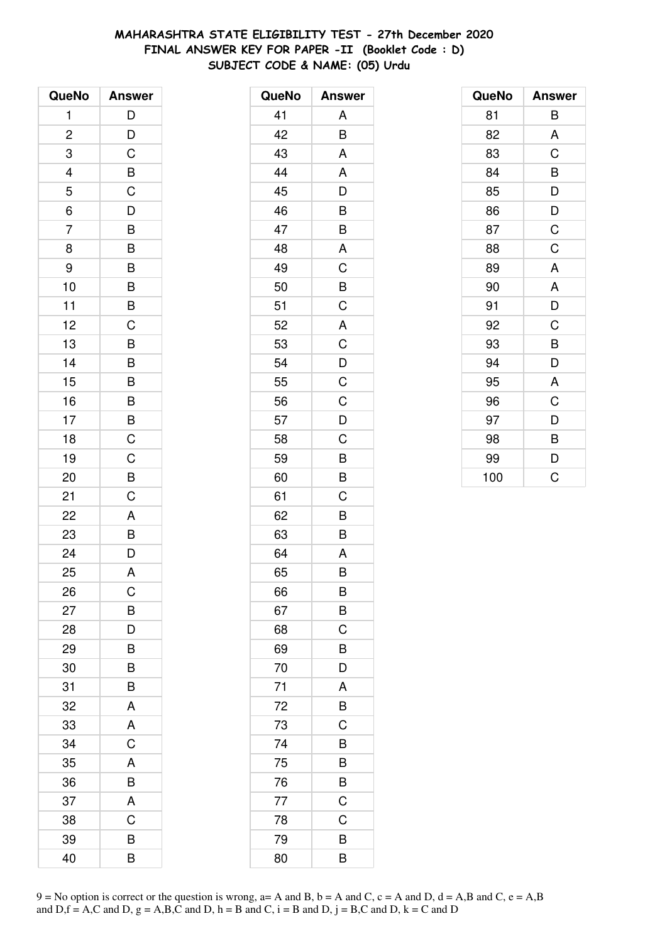# **MAHARASHTRA STATE ELIGIBILITY TEST - 27th December 2020 FINAL ANSWER KEY FOR PAPER -II (Booklet Code : D) SUBJECT CODE & NAME: (05) Urdu**

| QueNo          | <b>Answer</b>  |
|----------------|----------------|
| 1              | D              |
| $\overline{c}$ | D              |
| 3              | C              |
|                |                |
| $\frac{4}{5}$  | $rac{B}{C}$    |
| $\overline{6}$ | $\overline{D}$ |
| $\overline{7}$ | B              |
| 8              | B              |
| 9              | B              |
| 10             | B              |
| 11             | $\overline{B}$ |
| 12             | $\overline{C}$ |
| 13             | B              |
| 14             | B              |
| 15             | B              |
| 16             |                |
| 17             | $\frac{B}{B}$  |
| 18             | $\overline{C}$ |
| 19             | C              |
| 20             | B              |
| 21             | C              |
| 22             | A              |
| 23             | B              |
| 24             | $\overline{D}$ |
| 25             | A              |
| 26             | C              |
| 27             | B              |
| 28             | D              |
| 29             | B              |
| 30             | B              |
| 31             | B              |
| 32             | A              |
| 33             | A              |
| 34             | C              |
| 35             | A              |
| 36             | B              |
| 37             | A              |
| 38             | C              |
| 39             | B              |
| 40             | В              |

| QueNo | <b>Answer</b>  |
|-------|----------------|
| 41    | A              |
| 42    | B              |
| 43    | A              |
| 44    | A              |
| 45    | D              |
| 46    | B              |
| 47    | B              |
| 48    | A              |
| 49    | C              |
| 50    | B              |
| 51    | C              |
| 52    | A              |
| 53    | $\mathsf C$    |
| 54    | $\overline{D}$ |
| 55    | C              |
| 56    | C              |
| 57    | D              |
| 58    | C              |
| 59    | B              |
| 60    | B              |
| 61    | C              |
| 62    | B              |
| 63    | B              |
| 64    | A              |
| 65    | B              |
| 66    | B              |
| 67    | B              |
| 68    | C              |
| 69    | B              |
| 70    | D              |
| 71    | A              |
| 72    | B              |
| 73    | C              |
| 74    | B              |
| 75    | B              |
| 76    | B              |
| 77    | $\overline{C}$ |
| 78    | C              |
| 79    | B              |
| 80    | B              |

| QueNo | <b>Answer</b> |
|-------|---------------|
| 81    | В             |
| 82    | A             |
| 83    | C             |
| 84    | B             |
| 85    | D             |
| 86    | D             |
| 87    | C             |
| 88    | C             |
| 89    | A             |
| 90    | A             |
| 91    | D             |
| 92    | C             |
| 93    | B             |
| 94    | D             |
| 95    | A             |
| 96    | C             |
| 97    | D             |
| 98    | B             |
| 99    | D             |
| 100   | C             |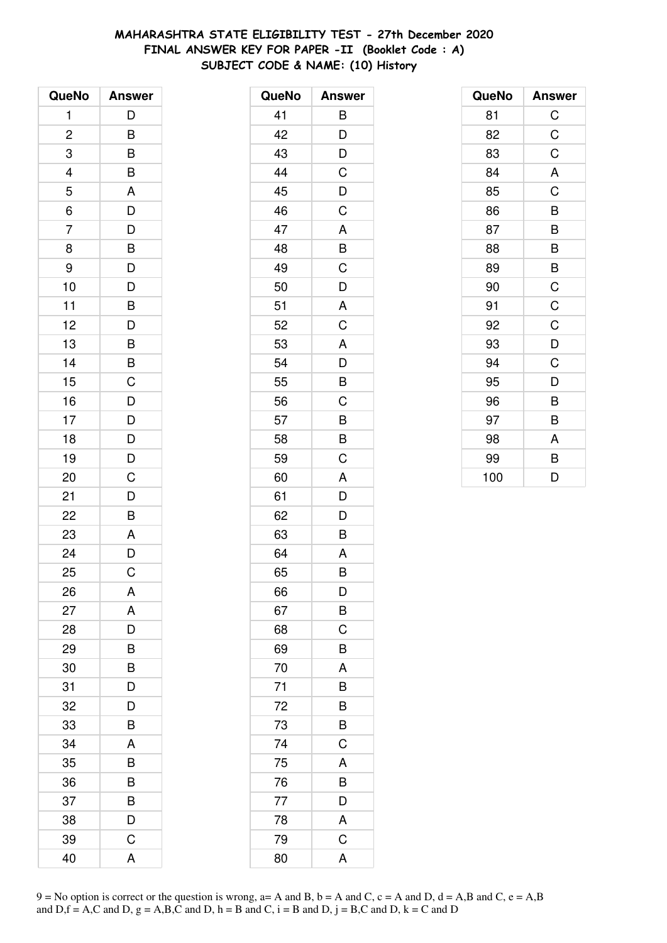# **MAHARASHTRA STATE ELIGIBILITY TEST - 27th December 2020 FINAL ANSWER KEY FOR PAPER -II (Booklet Code : A) SUBJECT CODE & NAME: (10) History**

| QueNo                   | <b>Answer</b>  |
|-------------------------|----------------|
| 1                       | D              |
| $\overline{\mathbf{c}}$ | B              |
| 3                       | B              |
| $\overline{a}$          | B              |
| $\overline{5}$          | A              |
| 6                       | $\overline{D}$ |
| $\overline{7}$          | D              |
| 8                       |                |
| 9                       | $\frac{B}{D}$  |
| 10                      | $\overline{D}$ |
| 11                      | B              |
| 12                      | $\overline{D}$ |
| 13                      | B              |
| 14                      | B              |
| 15                      | C              |
| 16                      | $\overline{D}$ |
| 17                      |                |
| 18                      | $\frac{D}{D}$  |
| 19                      | D              |
| 20                      | C              |
| 21                      | D              |
| 22                      | B              |
| 23                      | A              |
| 24                      | $\overline{D}$ |
| 25                      | C              |
| 26                      | A              |
| 27                      | A              |
| 28                      | D              |
| 29                      | B              |
| 30                      | B              |
| 31                      | D              |
| 32                      | D              |
| 33                      | B              |
| 34                      | A              |
| 35                      | B              |
| 36                      | B              |
| 37                      | B              |
| 38                      | D              |
| 39                      | C              |
| 40                      | Α              |

| QueNo | <b>Answer</b>  |
|-------|----------------|
| 41    | B              |
| 42    | D              |
| 43    | D              |
| 44    | C              |
| 45    | D              |
| 46    | C              |
| 47    | A              |
| 48    | B              |
| 49    | C              |
| 50    | D              |
| 51    | A              |
| 52    | C              |
| 53    | A              |
| 54    | D              |
| 55    | B              |
| 56    | C              |
| 57    | B              |
| 58    | B              |
| 59    | C              |
| 60    | A              |
| 61    | D              |
| 62    | D              |
| 63    | B              |
| 64    | A              |
| 65    | B              |
| 66    | D              |
| 67    | B              |
| 68    | C              |
| 69    | B              |
| 70    | A              |
| 71    | B              |
| 72    | B              |
| 73    | B              |
| 74    | C              |
| 75    | A              |
| 76    | B              |
| 77    | D              |
| 78    | A              |
| 79    | $\overline{C}$ |
| 80    | A              |

| QueNo | <b>Answer</b> |
|-------|---------------|
| 81    | $\mathsf C$   |
| 82    | C             |
| 83    | C             |
| 84    | A             |
| 85    | C             |
| 86    | B             |
| 87    | B             |
| 88    | B             |
| 89    | B             |
| 90    | C             |
| 91    | C             |
| 92    | C             |
| 93    | D             |
| 94    | C             |
| 95    | D             |
| 96    | B             |
| 97    | B             |
| 98    | A             |
| 99    | B             |
| 100   | D             |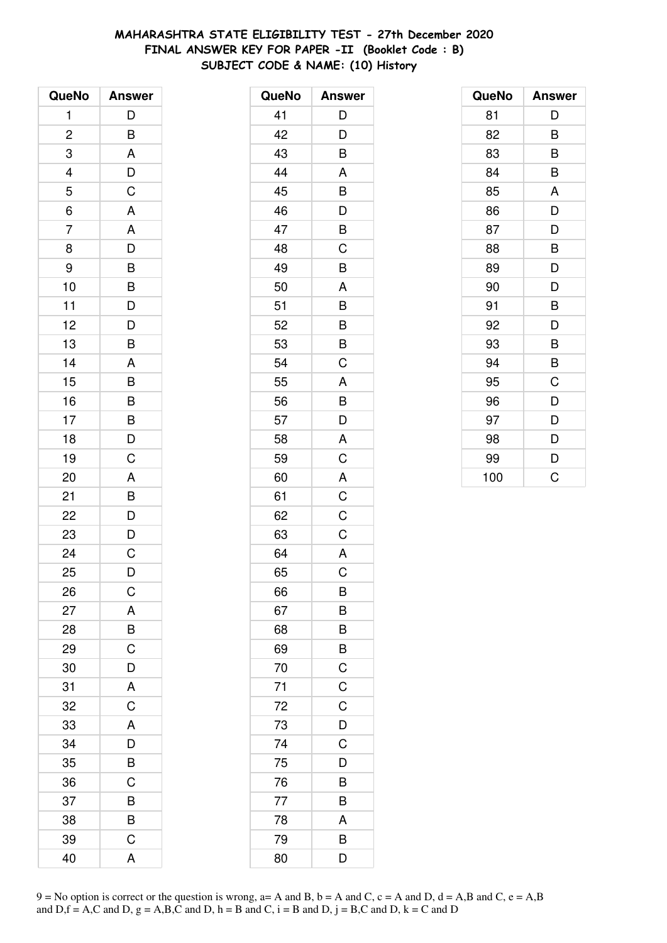# **MAHARASHTRA STATE ELIGIBILITY TEST - 27th December 2020 FINAL ANSWER KEY FOR PAPER -II (Booklet Code : B) SUBJECT CODE & NAME: (10) History**

| QueNo                   | <b>Answer</b>                                      |
|-------------------------|----------------------------------------------------|
| 1                       | D                                                  |
| $\overline{\mathbf{c}}$ | B                                                  |
| 3                       | A                                                  |
|                         |                                                    |
| $\frac{4}{5}$           | $\frac{D}{C}$                                      |
| $\overline{6}$          | A                                                  |
| $\overline{7}$          |                                                    |
| 8                       | $\frac{A}{D}$                                      |
| 9                       | $\overline{B}$                                     |
| 10                      |                                                    |
| 11                      | $\overline{B}$<br>$\overline{D}$<br>$\overline{D}$ |
| 12                      |                                                    |
| 13                      | B                                                  |
| 14                      | A                                                  |
| 15                      | B                                                  |
| 16                      |                                                    |
| 17                      | $\begin{array}{c}\nB \\ B \\ D\n\end{array}$       |
| 18                      |                                                    |
| 19                      | $\overline{C}$                                     |
| 20                      | A                                                  |
| 21                      |                                                    |
| 22                      | B<br>D<br>D<br>C                                   |
| 23                      |                                                    |
| 24                      |                                                    |
| 25                      | D                                                  |
| 26                      | $\mathsf C$                                        |
| 27                      | A                                                  |
| 28                      | B                                                  |
| 29                      | $\overline{C}$                                     |
| 30                      | D                                                  |
| 31                      | A                                                  |
| 32                      | $\overline{C}$                                     |
| 33                      | A                                                  |
| 34                      | D                                                  |
| 35                      | $\overline{\mathsf{B}}$                            |
| 36                      | C                                                  |
| 37                      | B                                                  |
| 38                      | B                                                  |
| 39                      | C                                                  |
| 40                      | A                                                  |

| QueNo | <b>Answer</b>           |
|-------|-------------------------|
| 41    | D                       |
| 42    | D                       |
| 43    | B                       |
| 44    | A                       |
| 45    | B                       |
| 46    | D                       |
| 47    | B                       |
| 48    | C                       |
| 49    | B                       |
| 50    | A                       |
| 51    | B                       |
| 52    | B                       |
| 53    | B                       |
| 54    | C                       |
| 55    | A                       |
| 56    | B                       |
| 57    | $\overline{\mathsf{D}}$ |
| 58    | A                       |
| 59    | C                       |
| 60    | A                       |
| 61    | C                       |
| 62    | C                       |
| 63    | C                       |
| 64    | A                       |
| 65    | C                       |
| 66    | B                       |
| 67    | B                       |
| 68    | B                       |
| 69    | B                       |
| 70    | $\overline{C}$          |
| 71    | $\overline{C}$          |
| 72    | C                       |
| 73    | D                       |
| 74    | C                       |
| 75    | D                       |
| 76    | B                       |
| 77    | B                       |
| 78    | A                       |
| 79    | B                       |
| 80    | D                       |

| QueNo | <b>Answer</b> |
|-------|---------------|
| 81    | D             |
| 82    | B             |
| 83    | B             |
| 84    | B             |
| 85    | A             |
| 86    | D             |
| 87    | D             |
| 88    | B             |
| 89    | D             |
| 90    | D             |
| 91    | B             |
| 92    | D             |
| 93    | B             |
| 94    | B             |
| 95    | C             |
| 96    | D             |
| 97    | D             |
| 98    | D             |
| 99    | D             |
| 100   | Ć             |

 $9 = No$  option is correct or the question is wrong,  $a = A$  and B,  $b = A$  and C,  $c = A$  and D,  $d = A$ ,B and C,  $e = A$ ,B and  $D,f = A,C$  and  $D, g = A,B,C$  and  $D, h = B$  and  $C, i = B$  and  $D, j = B,C$  and  $D, k = C$  and  $D$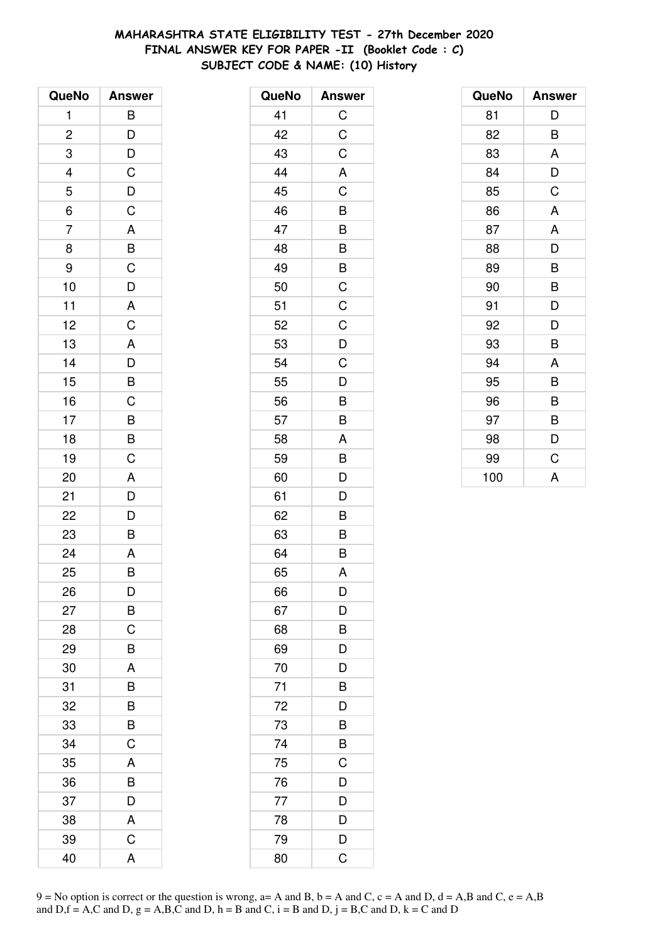# **MAHARASHTRA STATE ELIGIBILITY TEST - 27th December 2020 FINAL ANSWER KEY FOR PAPER -II (Booklet Code : C) SUBJECT CODE & NAME: (10) History**

| QueNo                   | <b>Answer</b>                                      |
|-------------------------|----------------------------------------------------|
| 1                       | B                                                  |
| $\overline{\mathbf{c}}$ |                                                    |
| 3                       | $\frac{D}{D}$                                      |
|                         |                                                    |
| $\frac{4}{5}$           | $\overline{C}$<br>$\overline{D}$<br>$\overline{C}$ |
| $\overline{6}$          |                                                    |
| $\overline{7}$          |                                                    |
| 8                       | $rac{A}{B}$                                        |
| 9                       | $\mathsf C$                                        |
| 10                      | $\overline{D}$                                     |
| 11                      | $rac{A}{C}$                                        |
| 12                      |                                                    |
| 13                      |                                                    |
| 14                      |                                                    |
| 15                      | $\begin{array}{c}\nA \\ D \\ B\n\end{array}$       |
| 16                      |                                                    |
| 17                      |                                                    |
| 18                      | $\overline{B}$<br>$\overline{B}$                   |
| 19                      | $\overline{C}$                                     |
| 20                      | A                                                  |
| 21                      | D                                                  |
| 22                      | $\overline{D}$                                     |
| 23                      | B                                                  |
| 24                      | $\overline{A}$                                     |
| 25                      | B                                                  |
| 26                      | D                                                  |
| 27                      | Β                                                  |
| 28                      | C                                                  |
| 29                      | B                                                  |
| 30                      | A                                                  |
| 31                      | B                                                  |
| 32                      | B                                                  |
| 33                      | B                                                  |
| 34                      | C                                                  |
| 35                      | A                                                  |
| 36                      | B                                                  |
| 37                      | D                                                  |
| 38                      | A                                                  |
| 39                      | $\mathsf C$                                        |
| 40                      | A                                                  |

| QueNo | <b>Answer</b>  |
|-------|----------------|
| 41    | C              |
| 42    | $\mathsf{C}$   |
| 43    | C              |
| 44    | A              |
| 45    | $\overline{C}$ |
| 46    | B              |
| 47    | B              |
| 48    | B              |
| 49    | B              |
| 50    | C              |
| 51    | $\mathsf C$    |
| 52    | $\mathsf C$    |
| 53    | D              |
| 54    | C              |
| 55    | D              |
| 56    | B              |
| 57    | B              |
| 58    | A              |
| 59    | B              |
| 60    | D              |
| 61    | D              |
| 62    | B              |
| 63    | B              |
| 64    | B              |
| 65    | A              |
| 66    | D              |
| 67    | D              |
| 68    | B              |
| 69    | D              |
| 70    | D              |
| 71    | $\bar{B}$      |
| 72    | D              |
| 73    | B              |
| 74    | B              |
| 75    | C              |
| 76    | D              |
| 77    | D              |
| 78    | D              |
| 79    | D              |
| 80    | C              |

| QueNo | <b>Answer</b> |
|-------|---------------|
| 81    | D             |
| 82    | B             |
| 83    | A             |
| 84    | D             |
| 85    | C             |
| 86    | A             |
| 87    | A             |
| 88    | D             |
| 89    | B             |
| 90    | B             |
| 91    | D             |
| 92    | D             |
| 93    | B             |
| 94    | A             |
| 95    | B             |
| 96    | B             |
| 97    | B             |
| 98    | D             |
| 99    | C             |
| 100   | A             |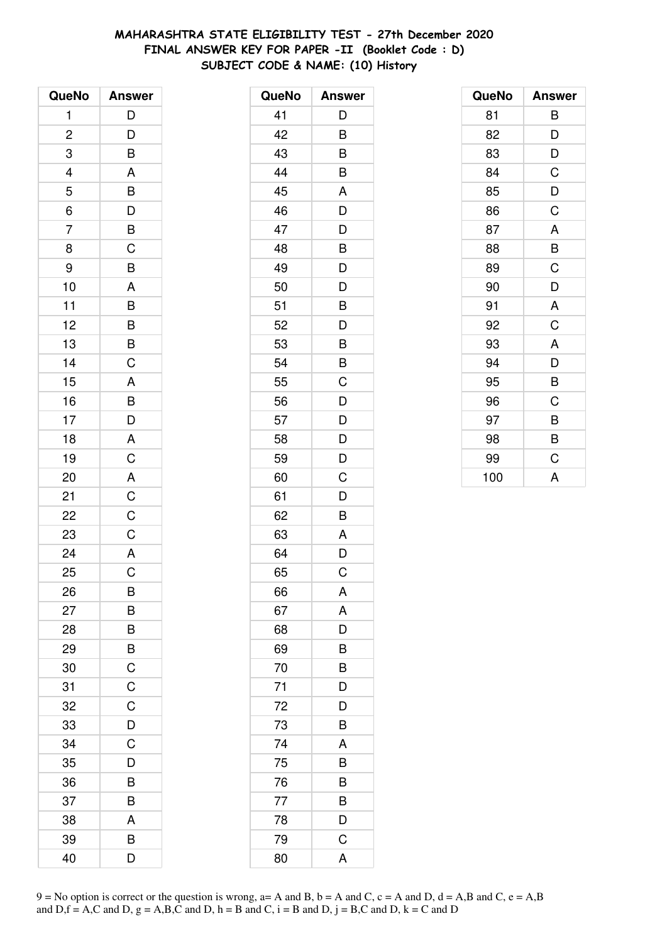# **MAHARASHTRA STATE ELIGIBILITY TEST - 27th December 2020 FINAL ANSWER KEY FOR PAPER -II (Booklet Code : D) SUBJECT CODE & NAME: (10) History**

| QueNo          | <b>Answer</b>                                      |
|----------------|----------------------------------------------------|
| 1              | D                                                  |
| $\overline{c}$ |                                                    |
| 3              | $\frac{D}{B}$                                      |
|                |                                                    |
| $\frac{4}{5}$  | $\frac{A}{B}$                                      |
| $\overline{6}$ |                                                    |
| $\overline{7}$ |                                                    |
| 8              | $\frac{B}{C}$                                      |
| 9              | $\overline{B}$                                     |
| 10             | A                                                  |
| 11             |                                                    |
| 12             | $\overline{B}$<br>$B$                              |
| 13             | $\frac{1}{\overline{B}}$                           |
| 14             | $\overline{c}$                                     |
| 15             | $\mathsf{A}$                                       |
| 16             |                                                    |
| 17             |                                                    |
| 18             | $\overline{D}$<br>$\overline{A}$<br>$\overline{C}$ |
| 19             |                                                    |
| 20             | $\overline{A}$                                     |
| 21             | $\overline{C}$                                     |
| 22             | $\overline{C}$                                     |
| 23             | $\overline{C}$                                     |
| 24             | $\overline{A}$                                     |
| 25             | $\overline{\text{c}}$                              |
| 26             | В                                                  |
| 27             | B                                                  |
| 28             | B                                                  |
| 29             | B                                                  |
| 30             | $\mathsf C$                                        |
| 31             | C                                                  |
| 32             | C                                                  |
| 33             | D                                                  |
| 34             | C                                                  |
| 35             | D                                                  |
| 36             | B                                                  |
| 37             | B                                                  |
| 38             | A                                                  |
| 39             | B                                                  |
| 40             | D                                                  |

| QueNo | <b>Answer</b> |
|-------|---------------|
| 41    | D             |
| 42    | B             |
| 43    | B             |
| 44    | B             |
| 45    | A             |
| 46    | D             |
| 47    | D             |
| 48    | B             |
| 49    | D             |
| 50    | D             |
| 51    | B             |
| 52    | D             |
| 53    | B             |
| 54    | B             |
| 55    | C             |
| 56    | D             |
| 57    | D             |
| 58    | D             |
| 59    | D             |
| 60    | Ċ             |
| 61    | D             |
| 62    | B             |
| 63    | A             |
| 64    | D             |
| 65    | C             |
| 66    | A             |
| 67    | A             |
| 68    | D             |
| 69    | B             |
| 70    | B             |
| 71    | D             |
| 72    | D             |
| 73    | B             |
| 74    | A             |
| 75    | B             |
| 76    | B             |
| 77    | B             |
| 78    | D             |
| 79    | C             |
| 80    | A             |

| QueNo | <b>Answer</b> |
|-------|---------------|
| 81    | В             |
| 82    | D             |
| 83    | D             |
| 84    | C             |
| 85    | D             |
| 86    | C             |
| 87    | A             |
| 88    | B             |
| 89    | C             |
| 90    | D             |
| 91    | A             |
| 92    | C             |
| 93    | A             |
| 94    | D             |
| 95    | B             |
| 96    | C             |
| 97    | B             |
| 98    | B             |
| 99    | C             |
| 100   | A             |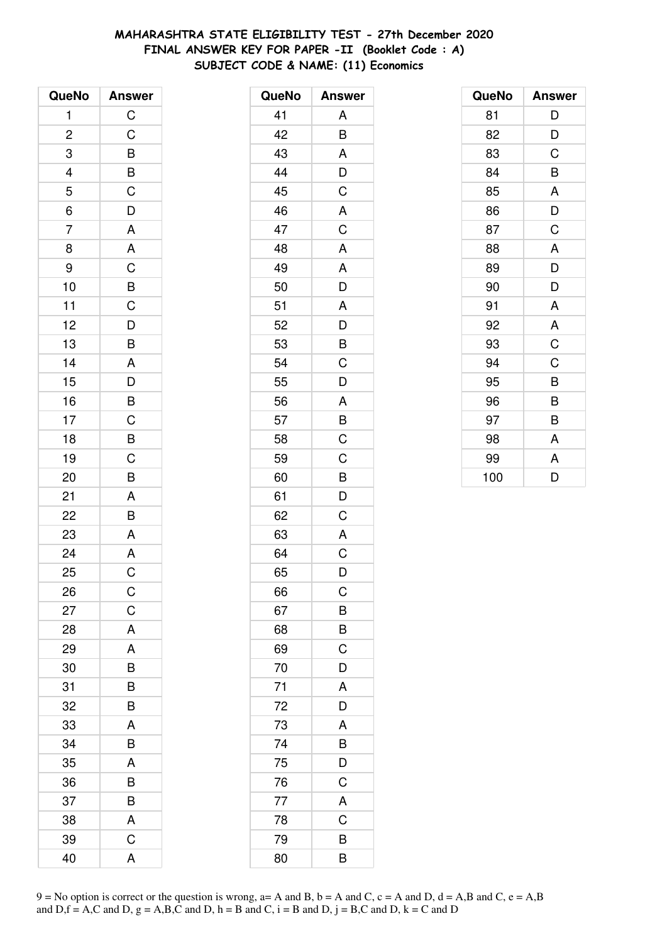# **MAHARASHTRA STATE ELIGIBILITY TEST - 27th December 2020 FINAL ANSWER KEY FOR PAPER -II (Booklet Code : A) SUBJECT CODE & NAME: (11) Economics**

| QueNo          | <b>Answer</b>                                      |
|----------------|----------------------------------------------------|
| 1              | $\mathsf C$                                        |
| $\overline{c}$ | $\mathsf C$                                        |
| 3              | $\overline{B}$                                     |
|                | $\overline{B}$                                     |
| $\frac{4}{5}$  |                                                    |
| $\overline{6}$ | $\overline{D}$                                     |
| $\overline{7}$ | $\overline{A}$                                     |
| 8              | $\overline{\mathsf{A}}$                            |
| 9              |                                                    |
| 10             | $\overline{C}$<br>$\overline{D}$<br>$\overline{D}$ |
| 11             |                                                    |
| 12             |                                                    |
| 13             | B                                                  |
| 14             | A                                                  |
| 15             | $\overline{D}$                                     |
| 16             | $\overline{B}$                                     |
| 17             |                                                    |
| 18             | $rac{C}{B}$                                        |
| 19             |                                                    |
| 20             | B                                                  |
| 21             | A                                                  |
| 22             | B                                                  |
| 23             | A                                                  |
| 24             | $\overline{A}$                                     |
| 25             | $\overline{C}$                                     |
| 26             | C                                                  |
| 27             | $\mathsf C$                                        |
| 28             | A                                                  |
| 29             | A                                                  |
| 30             | B                                                  |
| 31             | B                                                  |
| 32             | B                                                  |
| 33             | A                                                  |
| 34             | B                                                  |
| 35             | A                                                  |
| 36             | B                                                  |
| 37             | B                                                  |
| 38             | A                                                  |
| 39             | C                                                  |
| 40             | A                                                  |

| QueNo | <b>Answer</b>  |
|-------|----------------|
| 41    | A              |
| 42    | B              |
| 43    | A              |
| 44    | D              |
| 45    | C              |
| 46    | A              |
| 47    | $\mathsf C$    |
| 48    | A              |
| 49    | A              |
| 50    | D              |
| 51    | A              |
| 52    | D              |
| 53    | B              |
| 54    | $\overline{C}$ |
| 55    | D              |
| 56    | A              |
| 57    | B              |
| 58    | C              |
| 59    | $\mathsf C$    |
| 60    | B              |
| 61    | D              |
| 62    | C              |
| 63    | A              |
| 64    | C              |
| 65    | D              |
| 66    | C              |
| 67    | B              |
| 68    | B              |
| 69    | $\mathsf C$    |
| 70    | D              |
| 71    | A              |
| 72    | D              |
| 73    | A              |
| 74    | B              |
| 75    | D              |
| 76    | C              |
| 77    | A              |
| 78    | C              |
| 79    | B              |
| 80    | B              |

| QueNo | <b>Answer</b> |
|-------|---------------|
| 81    | D             |
| 82    | D             |
| 83    | C             |
| 84    | B             |
| 85    | A             |
| 86    | D             |
| 87    | C             |
| 88    | A             |
| 89    | D             |
| 90    | D             |
| 91    | A             |
| 92    | A             |
| 93    | C             |
| 94    | C             |
| 95    | B             |
| 96    | B             |
| 97    | B             |
| 98    | A             |
| 99    | A             |
| 100   | D             |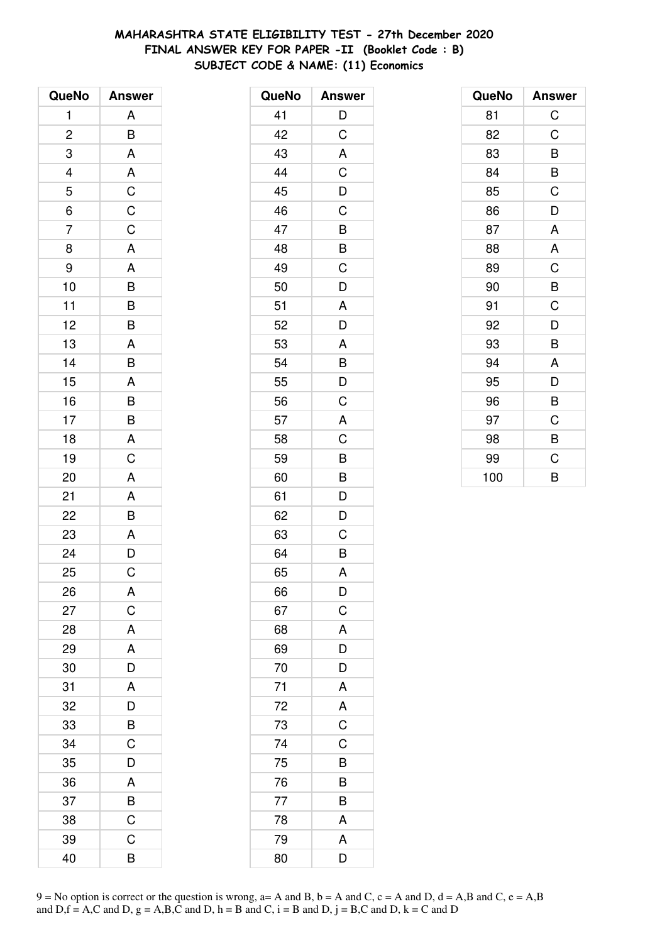# **MAHARASHTRA STATE ELIGIBILITY TEST - 27th December 2020 FINAL ANSWER KEY FOR PAPER -II (Booklet Code : B) SUBJECT CODE & NAME: (11) Economics**

| QueNo                    | <b>Answer</b>  |
|--------------------------|----------------|
| 1                        | A              |
| $\overline{c}$           | B              |
| 3                        | A              |
| $\overline{\mathcal{L}}$ | A              |
| 5                        | $\mathsf C$    |
| $\overline{6}$           | $\overline{C}$ |
| $\overline{7}$           | $\overline{C}$ |
| 8                        | $\overline{A}$ |
| 9                        | A              |
| 10                       | B              |
| 11                       | $\frac{B}{B}$  |
| 12                       |                |
| 13                       | A              |
| 14                       | B              |
| 15                       | A              |
| 16                       | B              |
| 17                       | $\overline{B}$ |
| 18                       | A              |
| 19                       | $\overline{C}$ |
| 20                       | A              |
| 21                       | A              |
| 22                       | $\frac{1}{B}$  |
| 23                       | A              |
| 24                       | $\overline{D}$ |
| 25                       | C              |
| 26                       | A              |
| 27                       | $\mathsf C$    |
| 28                       | A              |
| 29                       | A              |
| 30                       | $\overline{D}$ |
| 31                       | A              |
| 32                       | D              |
| 33                       | B              |
| 34                       | C              |
| 35                       | D              |
| 36                       | A              |
| 37                       | $\overline{B}$ |
| 38                       | $\overline{C}$ |
| 39                       | C              |
| 40                       | B              |

| QueNo | <b>Answer</b>  |
|-------|----------------|
| 41    | D              |
| 42    | $\mathsf C$    |
| 43    | A              |
| 44    | C              |
| 45    | D              |
| 46    | C              |
| 47    | B              |
| 48    | B              |
| 49    | C              |
| 50    | D              |
| 51    | A              |
| 52    | D              |
| 53    | A              |
| 54    | B              |
| 55    | D              |
| 56    | C              |
| 57    | A              |
| 58    | C              |
| 59    | B              |
| 60    | B              |
| 61    | D              |
| 62    | D              |
| 63    | C              |
| 64    | B              |
| 65    | A              |
| 66    | D              |
| 67    | $\mathsf C$    |
| 68    | A              |
| 69    | D              |
| 70    | D              |
| 71    | A              |
| 72    | A              |
| 73    | $\overline{C}$ |
| 74    | C              |
| 75    | B              |
| 76    | B              |
| 77    | B              |
| 78    | A              |
| 79    | A              |
| 80    | D              |

| QueNo | <b>Answer</b> |
|-------|---------------|
| 81    | $\mathsf C$   |
| 82    | C             |
| 83    | B             |
| 84    | B             |
| 85    | C             |
| 86    | D             |
| 87    | A             |
| 88    | A             |
| 89    | C             |
| 90    | B             |
| 91    | C             |
| 92    | D             |
| 93    | B             |
| 94    | A             |
| 95    | D             |
| 96    | B             |
| 97    | C             |
| 98    | B             |
| 99    | C             |
| 100   | B             |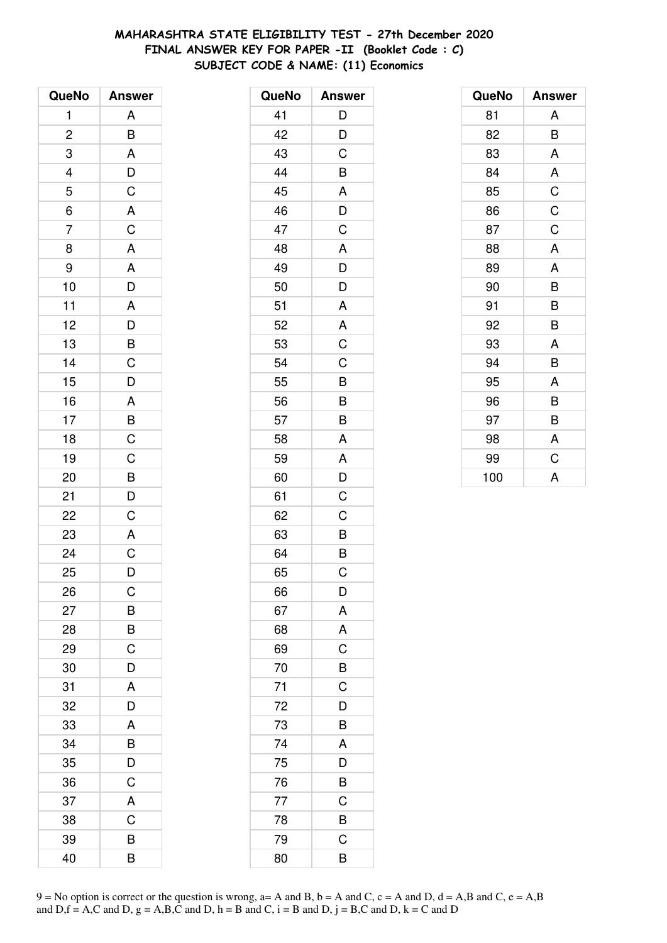# **MAHARASHTRA STATE ELIGIBILITY TEST - 27th December 2020 FINAL ANSWER KEY FOR PAPER -II (Booklet Code : C) SUBJECT CODE & NAME: (11) Economics**

| QueNo          | <b>Answer</b>                                     |
|----------------|---------------------------------------------------|
| 1              | A                                                 |
| $\overline{c}$ | B                                                 |
| 3              | $\overline{\mathsf{A}}$                           |
|                |                                                   |
| $\frac{4}{5}$  | $\frac{D}{C}$                                     |
| $\overline{6}$ |                                                   |
| $\overline{7}$ | A C A A D                                         |
| 8              |                                                   |
| 9              |                                                   |
| 10             |                                                   |
| 11             |                                                   |
| 12             |                                                   |
| 13             | $\begin{array}{c}\nA \\ D \\ B \\ C\n\end{array}$ |
| 14             |                                                   |
| 15             | $\overline{D}$                                    |
| 16             |                                                   |
| 17             |                                                   |
| 18             | $\frac{A}{B}$                                     |
| 19             | $\frac{1}{C}$                                     |
| 20             |                                                   |
| 21             | $\frac{B}{D}$                                     |
| 22             |                                                   |
| 23             | A                                                 |
| 24             | $\overline{C}$                                    |
| 25             | D                                                 |
| 26             | $\mathsf C$                                       |
| 27             | B                                                 |
| 28             | B                                                 |
| 29             | $\mathsf C$                                       |
| 30             | D                                                 |
| 31             | A                                                 |
| 32             | D                                                 |
| 33             | A                                                 |
| 34             | B                                                 |
| 35             | D                                                 |
| 36             | $\mathsf C$                                       |
| 37             | A                                                 |
| 38             | C                                                 |
| 39             | B                                                 |
| 40             | B                                                 |

| QueNo | <b>Answer</b>  |
|-------|----------------|
| 41    | D              |
| 42    | D              |
| 43    | C              |
| 44    | B              |
| 45    | A              |
| 46    | D              |
| 47    | C              |
| 48    | A              |
| 49    | D              |
| 50    | D              |
| 51    | A              |
| 52    | A              |
| 53    | C              |
| 54    | C              |
| 55    | B              |
| 56    | B              |
| 57    | B              |
| 58    | A              |
| 59    | A              |
| 60    | D              |
| 61    | C              |
| 62    | C              |
| 63    |                |
| 64    | $\frac{B}{B}$  |
| 65    | C              |
| 66    | D              |
| 67    | A              |
| 68    | A              |
| 69    | $\overline{C}$ |
| 70    | $\overline{B}$ |
| 71    | $\overline{C}$ |
| 72    | D              |
| 73    | B              |
| 74    | A              |
| 75    | D              |
| 76    | B              |
| 77    | C              |
| 78    | B              |
| 79    | C              |
| 80    | В              |

| QueNo | <b>Answer</b> |
|-------|---------------|
| 81    | A             |
| 82    | B             |
| 83    | A             |
| 84    | A             |
| 85    | C             |
| 86    | C             |
| 87    | C             |
| 88    | A             |
| 89    | A             |
| 90    | B             |
| 91    | B             |
| 92    | B             |
| 93    | A             |
| 94    | B             |
| 95    | A             |
| 96    | B             |
| 97    | B             |
| 98    | A             |
| 99    | C             |
| 100   | A             |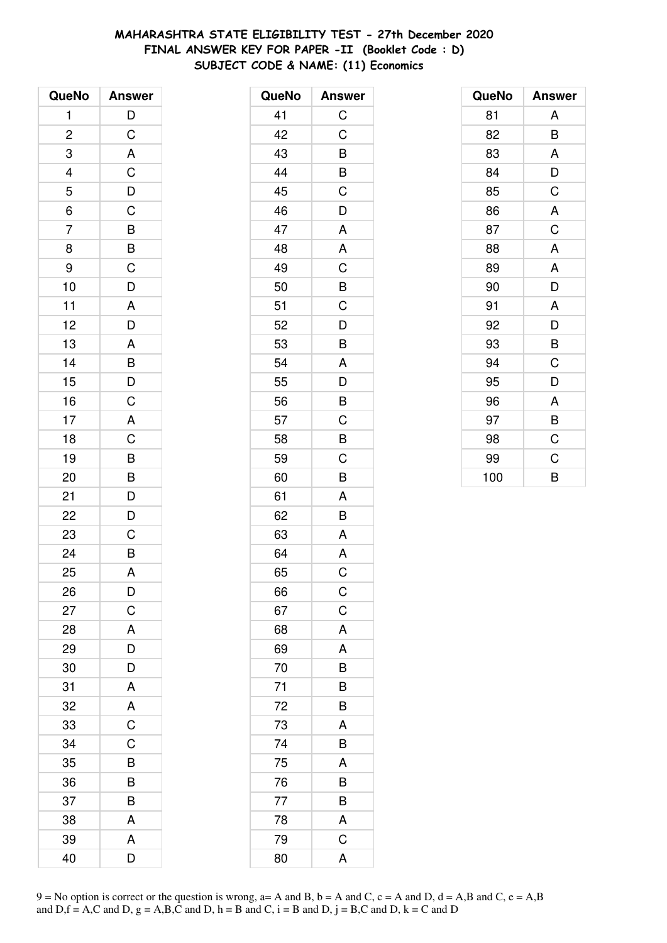# **MAHARASHTRA STATE ELIGIBILITY TEST - 27th December 2020 FINAL ANSWER KEY FOR PAPER -II (Booklet Code : D) SUBJECT CODE & NAME: (11) Economics**

| QueNo          | <b>Answer</b>           |
|----------------|-------------------------|
| 1              | $\mathsf{D}$            |
| $\overline{c}$ | $\mathsf C$             |
| 3              | $\overline{\mathsf{A}}$ |
| 4              | $\mathsf C$             |
| 5              | $\overline{D}$          |
| $\overline{6}$ | $\overline{C}$          |
| $\overline{7}$ | $\overline{B}$          |
| 8              | $\overline{B}$          |
| 9              | $\mathsf C$             |
| 10             | D                       |
| 11             | $\mathsf{A}$            |
| 12             | $\overline{D}$          |
| 13             | A                       |
| 14             | $\overline{B}$          |
| 15             | $\overline{D}$          |
| 16             | $\mathsf C$             |
| 17             | A                       |
| 18             | $\overline{C}$          |
| 19             | B                       |
| 20             | $\overline{B}$          |
| 21             | D                       |
| 22             | $\overline{D}$          |
| 23             | C                       |
| 24             | $\overline{\mathsf{B}}$ |
| 25             | A                       |
| 26             | D                       |
| 27             | C                       |
| 28             | A                       |
| 29             | D                       |
| 30             | $\overline{D}$          |
| 31             | A                       |
| 32             | A                       |
| 33             | $\overline{C}$          |
| 34             | C                       |
| 35             | B                       |
| 36             | B                       |
| 37             | B                       |
| 38             | A                       |
| 39             | A                       |
| 40             | D                       |

| QueNo | <b>Answer</b>  |
|-------|----------------|
| 41    | $\mathsf C$    |
| 42    | C              |
| 43    | B              |
| 44    | B              |
| 45    | C              |
| 46    | D              |
| 47    | A              |
| 48    | A              |
| 49    | C              |
| 50    | B              |
| 51    | C              |
| 52    | D              |
| 53    | B              |
| 54    | A              |
| 55    | D              |
| 56    | B              |
| 57    | C              |
| 58    | B              |
| 59    | C              |
| 60    | B              |
| 61    | A              |
| 62    | B              |
| 63    | A              |
| 64    | A              |
| 65    | C              |
| 66    | $\mathsf C$    |
| 67    | $\mathsf{C}$   |
| 68    | A              |
| 69    | A              |
| 70    | B              |
| 71    | B              |
| 72    | B              |
| 73    | A              |
| 74    | B              |
| 75    | A              |
| 76    | B              |
| 77    | B              |
| 78    | A              |
| 79    | $\overline{C}$ |
| 80    | A              |

| QueNo | <b>Answer</b> |
|-------|---------------|
| 81    | A             |
| 82    | B             |
| 83    | A             |
| 84    | D             |
| 85    | C             |
| 86    | A             |
| 87    | C             |
| 88    | A             |
| 89    | A             |
| 90    | D             |
| 91    | A             |
| 92    | D             |
| 93    | B             |
| 94    | C             |
| 95    | D             |
| 96    | A             |
| 97    | B             |
| 98    | C             |
| 99    | C             |
| 100   | B             |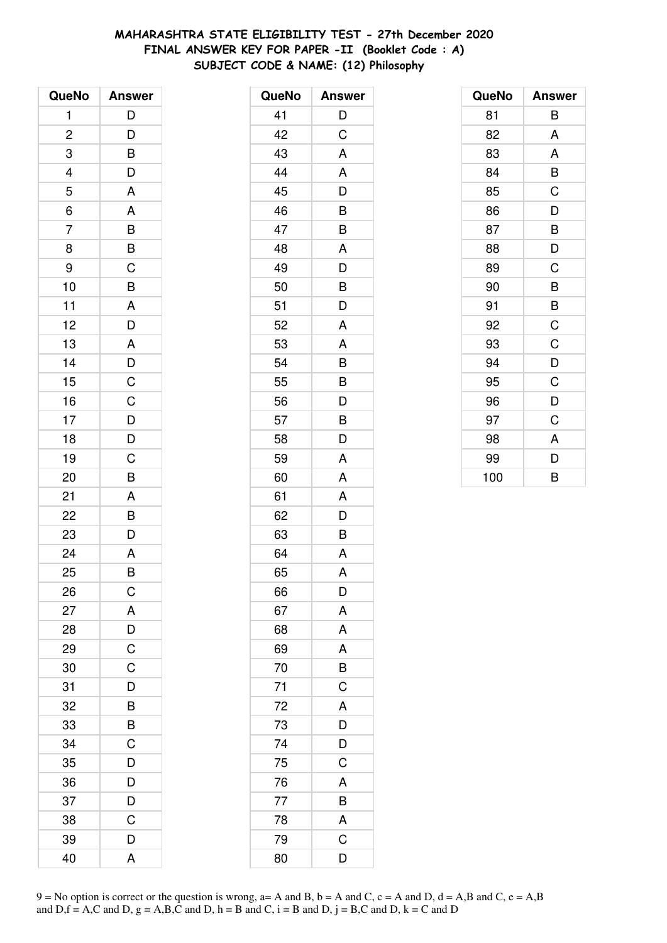# **MAHARASHTRA STATE ELIGIBILITY TEST - 27th December 2020 FINAL ANSWER KEY FOR PAPER -II (Booklet Code : A) SUBJECT CODE & NAME: (12) Philosophy**

| QueNo          | <b>Answer</b>           |
|----------------|-------------------------|
| 1              | D                       |
| $\overline{c}$ |                         |
| 3              | $\frac{D}{B}$           |
|                | $\frac{1}{D}$           |
| $\frac{4}{5}$  | A                       |
| $\frac{1}{6}$  | A                       |
| $\overline{7}$ |                         |
| 8              | $\frac{B}{C}$           |
| 9              |                         |
| 10             | $\overline{\mathsf{B}}$ |
| 11             | A                       |
| 12             | $\overline{D}$          |
| 13             | A                       |
| 14             | $\frac{D}{C}$           |
| 15             |                         |
| 16             |                         |
| 17             | $\frac{D}{D}$           |
| 18             |                         |
| 19             | $\overline{C}$          |
| 20             | B                       |
| 21             | A                       |
| 22             | $\bar{B}$               |
| 23             | D                       |
| 24             | $\overline{A}$          |
| 25             | B                       |
| 26             | $\mathsf C$             |
| 27             | A                       |
| 28             | D                       |
| 29             | $\mathsf C$             |
| 30             | $\overline{C}$          |
| 31             | D                       |
| 32             | B                       |
| 33             | B                       |
| 34             | C                       |
| 35             | D                       |
| 36             | $\overline{D}$          |
| 37             | $\overline{D}$          |
| 38             | C                       |
| 39             | D                       |
| 40             | A                       |

| QueNo | <b>Answer</b>  |
|-------|----------------|
| 41    | D              |
| 42    | $\overline{C}$ |
| 43    | A              |
| 44    | A              |
| 45    | D              |
| 46    | B              |
| 47    | B              |
| 48    | A              |
| 49    | D              |
| 50    | B              |
| 51    | D              |
| 52    | A              |
| 53    | A              |
| 54    | B              |
| 55    | B              |
| 56    | D              |
| 57    | B              |
| 58    | D              |
| 59    | A              |
| 60    | A              |
| 61    | A              |
| 62    | D              |
| 63    | B              |
| 64    | A              |
| 65    | A              |
| 66    | D              |
| 67    | A              |
| 68    | A              |
| 69    | A              |
| 70    | B              |
| 71    | $\mathsf C$    |
| 72    | A              |
| 73    | $\overline{D}$ |
| 74    | $\overline{D}$ |
| 75    | C              |
| 76    | A              |
| 77    | $\overline{B}$ |
| 78    | A              |
| 79    | $\overline{C}$ |
| 80    | D              |

| QueNo | <b>Answer</b> |
|-------|---------------|
| 81    | B             |
| 82    | A             |
| 83    | A             |
| 84    | B             |
| 85    | C             |
| 86    | D             |
| 87    | B             |
| 88    | D             |
| 89    | C             |
| 90    | B             |
| 91    | B             |
| 92    | C             |
| 93    | C             |
| 94    | D             |
| 95    | C             |
| 96    | D             |
| 97    | C             |
| 98    | A             |
| 99    | D             |
| 100   | B             |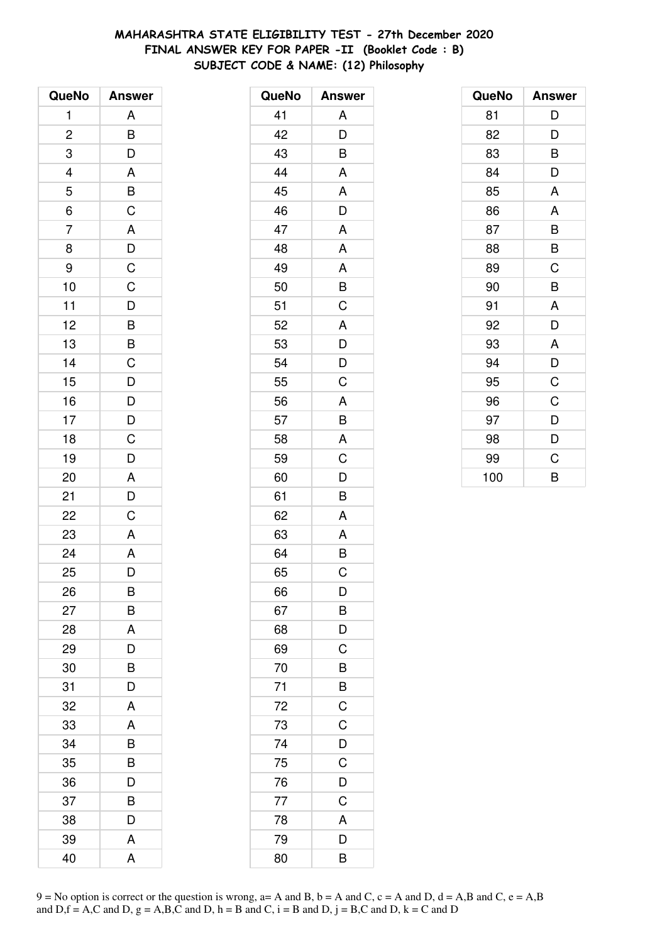# **MAHARASHTRA STATE ELIGIBILITY TEST - 27th December 2020 FINAL ANSWER KEY FOR PAPER -II (Booklet Code : B) SUBJECT CODE & NAME: (12) Philosophy**

| QueNo          | <b>Answer</b>                                         |
|----------------|-------------------------------------------------------|
| 1              | A                                                     |
| $\overline{c}$ |                                                       |
| 3              | $\frac{B}{D}$                                         |
|                |                                                       |
| $\frac{4}{5}$  |                                                       |
| 6              |                                                       |
| $\overline{7}$ | $\frac{A}{B}$ $\frac{B}{C}$ $\frac{C}{A}$ $D$ $C$ $C$ |
| 8              |                                                       |
| 9              |                                                       |
| 10             |                                                       |
| 11             |                                                       |
| 12             |                                                       |
| 13             | $\overline{D}$<br>$\overline{B}$<br>$\overline{B}$    |
| 14             | $\mathsf C$                                           |
| 15             | $\overline{D}$                                        |
| 16             |                                                       |
| 17             |                                                       |
| 18             | $\overline{D}$<br>$\overline{D}$<br>$\overline{C}$    |
| 19             | D                                                     |
| 20             | A                                                     |
| 21             | D                                                     |
| 22             | $\overline{C}$                                        |
| 23             | A                                                     |
| 24             | A                                                     |
| 25             | D                                                     |
| 26             | В                                                     |
| 27             | B                                                     |
| 28             | A                                                     |
| 29             | D                                                     |
| 30             | B                                                     |
| 31             | D                                                     |
| 32             | A                                                     |
| 33             | A                                                     |
| 34             | B                                                     |
| 35             | B                                                     |
| 36             | D                                                     |
| 37             | B                                                     |
| 38             | D                                                     |
| 39             | Α                                                     |
| 40             | Α                                                     |

| QueNo | <b>Answer</b>      |
|-------|--------------------|
| 41    | A                  |
| 42    | D                  |
| 43    | B                  |
| 44    | A                  |
| 45    | A                  |
| 46    | D                  |
| 47    | A                  |
| 48    | A                  |
| 49    | A                  |
| 50    | B                  |
| 51    | C                  |
| 52    | A                  |
| 53    | D                  |
| 54    | D                  |
| 55    | C                  |
| 56    | A                  |
| 57    | B                  |
| 58    | A                  |
| 59    | C                  |
| 60    | $\bar{\mathsf{D}}$ |
| 61    | B                  |
| 62    | A                  |
| 63    | A                  |
| 64    | B                  |
| 65    | C                  |
| 66    | D                  |
| 67    | B                  |
| 68    | D                  |
| 69    | C                  |
| 70    | B                  |
| 71    | B                  |
| 72    | $\overline{C}$     |
| 73    | C                  |
| 74    | D                  |
| 75    | C                  |
| 76    | D                  |
| 77    | $\mathsf C$        |
| 78    | A                  |
| 79    | D                  |
| 80    | B                  |

| QueNo | <b>Answer</b> |
|-------|---------------|
| 81    | D             |
| 82    | D             |
| 83    | B             |
| 84    | D             |
| 85    | A             |
| 86    | A             |
| 87    | B             |
| 88    | B             |
| 89    | C             |
| 90    | B             |
| 91    | A             |
| 92    | D             |
| 93    | A             |
| 94    | D             |
| 95    | $\mathsf C$   |
| 96    | C             |
| 97    | D             |
| 98    | D             |
| 99    | C             |
| 100   | B             |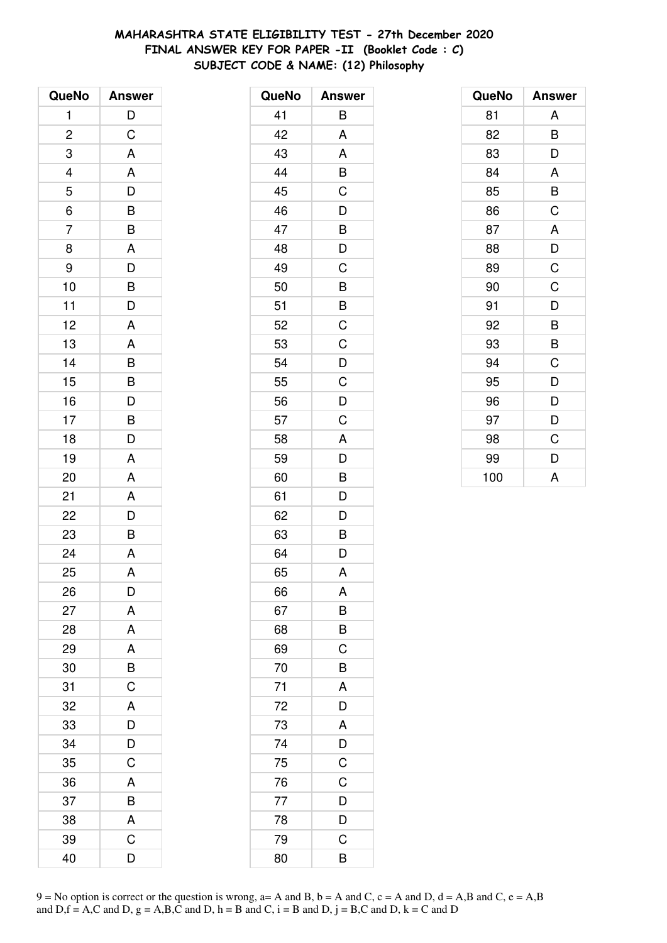# **MAHARASHTRA STATE ELIGIBILITY TEST - 27th December 2020 FINAL ANSWER KEY FOR PAPER -II (Booklet Code : C) SUBJECT CODE & NAME: (12) Philosophy**

| QueNo                   | <b>Answer</b>                                      |
|-------------------------|----------------------------------------------------|
| 1                       | D                                                  |
| $\overline{\mathbf{c}}$ | $\mathsf C$                                        |
| 3                       | $\mathsf{A}$                                       |
| $\overline{a}$          | A                                                  |
| 5                       |                                                    |
| $\overline{6}$          | $\frac{D}{B}$                                      |
| $\overline{7}$          | B                                                  |
| 8                       | A                                                  |
| 9                       | D                                                  |
| 10                      | B                                                  |
| 11                      | $\overline{\mathsf{D}}$                            |
| 12                      | A                                                  |
| 13                      | A                                                  |
| 14                      | B                                                  |
| 15                      | B                                                  |
| 16                      |                                                    |
| 17                      | $\overline{D}$<br>$\overline{B}$<br>$\overline{D}$ |
| 18                      |                                                    |
| 19                      | A                                                  |
| 20                      | A                                                  |
| 21                      | A                                                  |
| 22                      | D                                                  |
| 23                      | B                                                  |
| 24                      | A                                                  |
| 25                      | A                                                  |
| 26                      | D                                                  |
| 27                      | A                                                  |
| 28                      | A                                                  |
| 29                      | A                                                  |
| 30                      | B                                                  |
| 31                      | $\overline{\text{c}}$                              |
| 32                      | A                                                  |
| 33                      | D                                                  |
| 34                      | D                                                  |
| 35                      | $\mathsf C$                                        |
| 36                      | A                                                  |
| 37                      | B                                                  |
| 38                      | A                                                  |
| 39                      | C                                                  |
| 40                      | D                                                  |

| QueNo | <b>Answer</b>  |
|-------|----------------|
| 41    | B              |
| 42    | A              |
| 43    | A              |
| 44    | B              |
| 45    | $\overline{C}$ |
| 46    | D              |
| 47    | B              |
| 48    | D              |
| 49    | C              |
| 50    | B              |
| 51    |                |
| 52    | $\frac{B}{C}$  |
| 53    | C              |
| 54    | D              |
| 55    | C              |
| 56    | D              |
| 57    | $\overline{C}$ |
| 58    | A              |
| 59    | D              |
| 60    | B              |
| 61    | D              |
| 62    | D              |
| 63    | $\overline{B}$ |
| 64    | D              |
| 65    | A              |
| 66    | A              |
| 67    | B              |
| 68    | $\overline{B}$ |
| 69    | $\overline{C}$ |
| 70    | $\overline{B}$ |
| 71    | A              |
| 72    | D              |
| 73    | A              |
| 74    | $\frac{D}{C}$  |
| 75    |                |
| 76    | $\overline{C}$ |
| 77    | $\overline{D}$ |
| 78    | D              |
| 79    | C              |
| 80    | B              |

| QueNo | <b>Answer</b> |
|-------|---------------|
| 81    | A             |
| 82    | B             |
| 83    | D             |
| 84    | A             |
| 85    | B             |
| 86    | C             |
| 87    | A             |
| 88    | D             |
| 89    | C             |
| 90    | C             |
| 91    | D             |
| 92    | B             |
| 93    | B             |
| 94    | C             |
| 95    | D             |
| 96    | D             |
| 97    | D             |
| 98    | C             |
| 99    | D             |
| 100   | A             |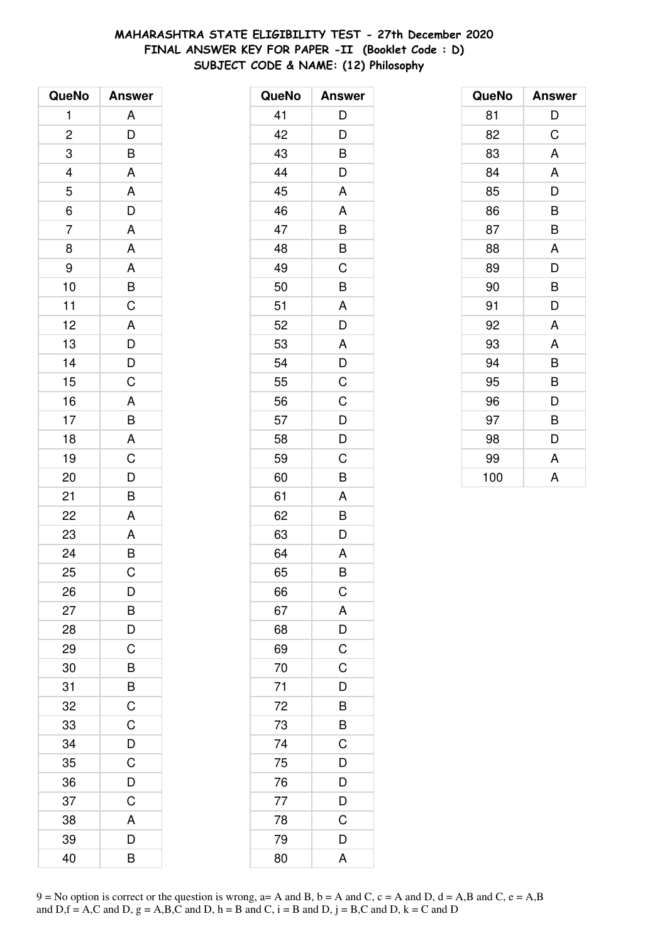# **MAHARASHTRA STATE ELIGIBILITY TEST - 27th December 2020 FINAL ANSWER KEY FOR PAPER -II (Booklet Code : D) SUBJECT CODE & NAME: (12) Philosophy**

| QueNo          | <b>Answer</b>                                     |
|----------------|---------------------------------------------------|
| 1              | A                                                 |
| $\overline{c}$ | $\overline{D}$                                    |
| 3              | B                                                 |
|                | A                                                 |
| $\frac{4}{5}$  |                                                   |
| $\overline{6}$ | $rac{A}{D}$                                       |
| $\overline{7}$ | A                                                 |
| 8              | A                                                 |
| 9              | $\overline{A}$                                    |
| 10             | $\frac{B}{C}$                                     |
| 11             |                                                   |
| 12             |                                                   |
| 13             |                                                   |
| 14             | $\begin{array}{c}\nA \\ D \\ D \\ C\n\end{array}$ |
| 15             |                                                   |
| 16             |                                                   |
| 17             | $\frac{A}{B}$                                     |
| 18             |                                                   |
| 19             |                                                   |
| 20             | $\frac{C}{D}$                                     |
| 21             | B                                                 |
| 22             | A                                                 |
| 23             |                                                   |
| 24             | $rac{A}{B}$                                       |
| 25             | $\overline{C}$                                    |
| 26             | D                                                 |
| 27             | B                                                 |
| 28             | D                                                 |
| 29             | $\mathsf C$                                       |
| 30             | $\overline{B}$                                    |
| 31             | $\overline{B}$                                    |
| 32             | $\mathsf{C}$                                      |
| 33             | $\overline{C}$                                    |
| 34             | D                                                 |
| 35             | C                                                 |
| 36             | D                                                 |
| 37             | C                                                 |
| 38             | A                                                 |
| 39             | D                                                 |
| 40             | B                                                 |

| QueNo | <b>Answer</b>           |
|-------|-------------------------|
| 41    | D                       |
| 42    | D                       |
| 43    | B                       |
| 44    | D                       |
| 45    | A                       |
| 46    | A                       |
| 47    | B                       |
| 48    | B                       |
| 49    | C                       |
| 50    | B                       |
| 51    | A                       |
| 52    | D                       |
| 53    | A                       |
| 54    | D                       |
| 55    | C                       |
| 56    | $\mathsf C$             |
| 57    | $\frac{D}{D}$           |
| 58    |                         |
| 59    | C                       |
| 60    | B                       |
| 61    | A                       |
| 62    | B                       |
| 63    | D                       |
| 64    | A                       |
| 65    | B                       |
| 66    | $\mathsf C$             |
| 67    | A                       |
| 68    | $\frac{D}{C}$           |
| 69    |                         |
| 70    | $\overline{C}$          |
| 71    | D                       |
| 72    | B                       |
| 73    | B                       |
| 74    | $\mathsf C$             |
| 75    | $\frac{1}{D}$           |
| 76    | $\overline{D}$          |
| 77    | $\frac{D}{C}$           |
| 78    |                         |
| 79    | D                       |
| 80    | $\overline{\mathsf{A}}$ |

| QueNo | <b>Answer</b> |
|-------|---------------|
| 81    | D             |
| 82    | C             |
| 83    | A             |
| 84    | A             |
| 85    | D             |
| 86    | B             |
| 87    | B             |
| 88    | A             |
| 89    | D             |
| 90    | B             |
| 91    | D             |
| 92    | A             |
| 93    | A             |
| 94    | B             |
| 95    | B             |
| 96    | D             |
| 97    | B             |
| 98    | D             |
| 99    | A             |
| 100   | A             |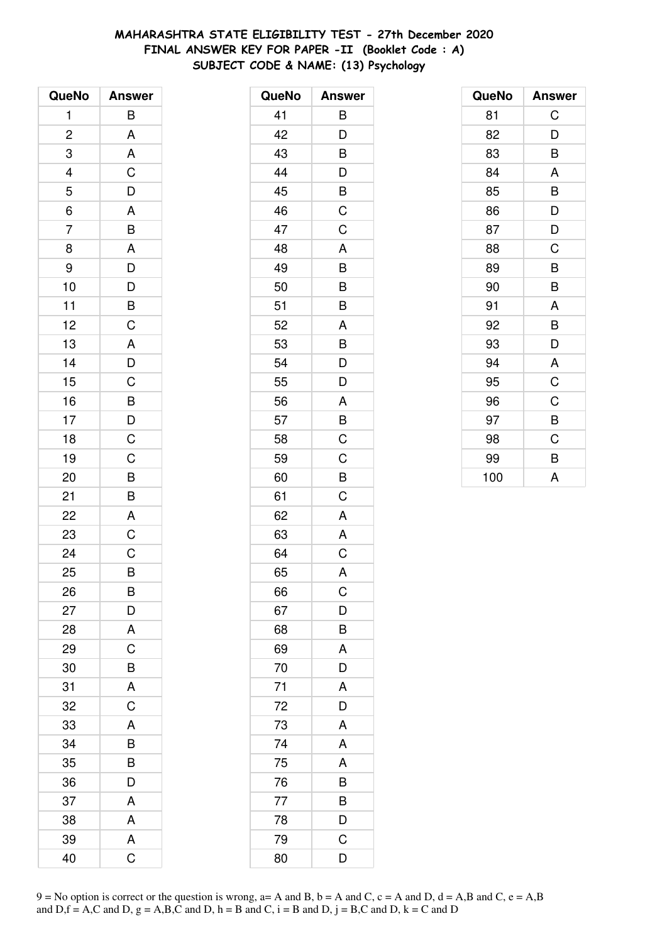# **MAHARASHTRA STATE ELIGIBILITY TEST - 27th December 2020 FINAL ANSWER KEY FOR PAPER -II (Booklet Code : A) SUBJECT CODE & NAME: (13) Psychology**

| QueNo          | <b>Answer</b>                                      |
|----------------|----------------------------------------------------|
| 1              | B                                                  |
| $\overline{c}$ | A                                                  |
| 3              | A                                                  |
|                | $\mathsf{C}$                                       |
| $\frac{4}{5}$  | $\frac{1}{D}$                                      |
| $\frac{1}{6}$  | $\overline{A}$                                     |
| $\overline{7}$ |                                                    |
| 8              | $\frac{B}{A}$                                      |
| 9              | D                                                  |
| 10             |                                                    |
| 11             | $\overline{D}$<br>$\overline{B}$<br>$\overline{C}$ |
| 12             |                                                    |
| 13             |                                                    |
| 14             | $\frac{A}{D}$                                      |
| 15             |                                                    |
| 16             |                                                    |
| 17             |                                                    |
| 18             | $\overline{B}$<br>$\overline{D}$<br>$\overline{C}$ |
| 19             | $\overline{C}$                                     |
| 20             | B                                                  |
| 21             | B                                                  |
| 22             | A                                                  |
| 23             | $\mathsf C$                                        |
| 24             | $\overline{C}$                                     |
| 25             | B                                                  |
| 26             | B                                                  |
| 27             | D                                                  |
| 28             | A                                                  |
| 29             | $\mathsf C$                                        |
| 30             | $\overline{B}$                                     |
| 31             | $\overline{\mathsf{A}}$                            |
| 32             | $\mathsf C$                                        |
| 33             | A                                                  |
| 34             | B                                                  |
| 35             | B                                                  |
| 36             | D                                                  |
| 37             | A                                                  |
| 38             | A                                                  |
| 39             | A                                                  |
| 40             | Ć                                                  |

| QueNo | <b>Answer</b>  |
|-------|----------------|
| 41    | B              |
| 42    | D              |
| 43    | В              |
| 44    | D              |
| 45    | $\overline{B}$ |
| 46    | C              |
| 47    | $\mathsf C$    |
| 48    | A              |
| 49    | B              |
| 50    | B              |
| 51    | B              |
| 52    | A              |
| 53    | B              |
| 54    | D              |
| 55    | D              |
| 56    | A              |
| 57    | $\overline{B}$ |
| 58    | $\mathsf C$    |
| 59    | C              |
| 60    | B              |
| 61    | C              |
| 62    | A              |
| 63    | A              |
| 64    | C              |
| 65    | A              |
| 66    | C              |
| 67    | D              |
| 68    | B              |
| 69    | $\overline{A}$ |
| 70    | D              |
| 71    | A              |
| 72    | D              |
| 73    | A              |
| 74    | A              |
| 75    | A              |
| 76    | B              |
| 77    | B              |
| 78    | D              |
| 79    | C              |
| 80    | D              |

| QueNo | <b>Answer</b> |
|-------|---------------|
| 81    | C             |
| 82    | D             |
| 83    | B             |
| 84    | A             |
| 85    | B             |
| 86    | D             |
| 87    | D             |
| 88    | C             |
| 89    | B             |
| 90    | B             |
| 91    | A             |
| 92    | B             |
| 93    | D             |
| 94    | A             |
| 95    | C             |
| 96    | C             |
| 97    | B             |
| 98    | C             |
| 99    | B             |
| 100   | A             |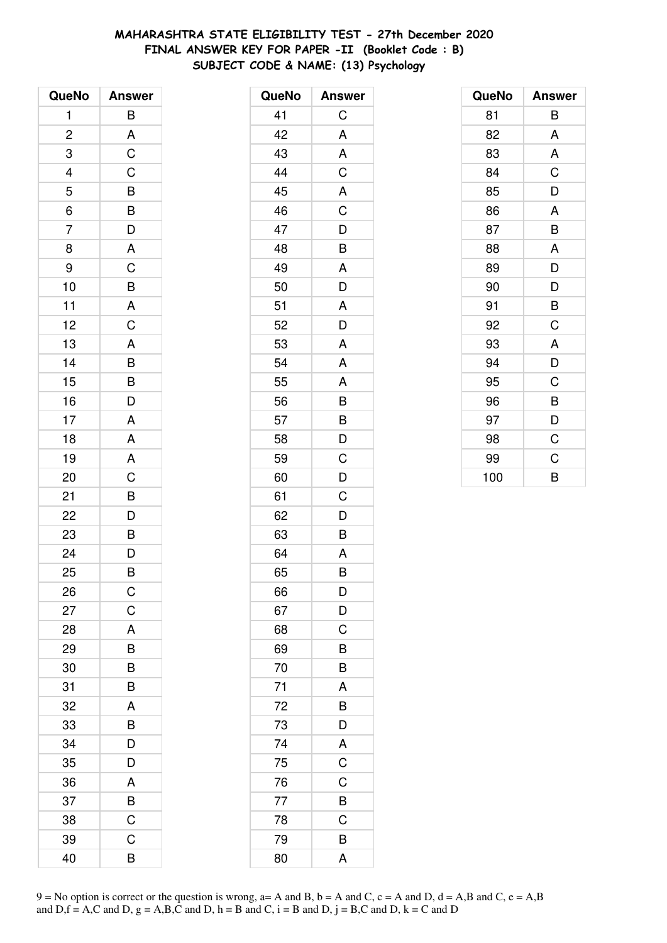# **MAHARASHTRA STATE ELIGIBILITY TEST - 27th December 2020 FINAL ANSWER KEY FOR PAPER -II (Booklet Code : B) SUBJECT CODE & NAME: (13) Psychology**

| QueNo                    | <b>Answer</b>                                      |
|--------------------------|----------------------------------------------------|
| 1                        | B                                                  |
| $\overline{\mathbf{c}}$  | A                                                  |
| 3                        | $\overline{C}$                                     |
| $\overline{\mathcal{L}}$ | $\mathsf{C}$                                       |
| 5                        |                                                    |
| $\overline{6}$           | $\overline{B}$<br>$\overline{B}$                   |
| $\overline{7}$           | $\overline{D}$                                     |
| 8                        | $\overline{\mathsf{A}}$                            |
| 9                        | $\mathsf C$                                        |
| 10                       | B                                                  |
| 11                       | $\overline{A}$                                     |
| 12                       | $\overline{C}$                                     |
| 13                       | $\overline{A}$                                     |
| 14                       | $\frac{1}{P}$                                      |
| 15                       | B                                                  |
| 16                       | $\overline{D}$                                     |
| 17                       | A                                                  |
| 18                       | A                                                  |
| 19                       |                                                    |
| 20                       | $rac{A}{C}$                                        |
| 21                       | B                                                  |
| 22                       |                                                    |
| 23                       | $\overline{D}$<br>$\overline{B}$<br>$\overline{D}$ |
| 24                       |                                                    |
| 25                       | B                                                  |
| 26                       | $\mathsf C$                                        |
| 27                       | C                                                  |
| 28                       | A                                                  |
| 29                       | B                                                  |
| 30                       | B                                                  |
| 31                       | B                                                  |
| 32                       | A                                                  |
| 33                       | B                                                  |
| 34                       | D                                                  |
| 35                       | D                                                  |
| 36                       | A                                                  |
| 37                       | $\overline{B}$                                     |
| 38                       | C                                                  |
| 39                       | C                                                  |
| 40                       | B                                                  |

| QueNo | <b>Answer</b>                                                     |
|-------|-------------------------------------------------------------------|
| 41    | C                                                                 |
| 42    | A                                                                 |
| 43    | A                                                                 |
| 44    | $\mathsf C$                                                       |
| 45    | $\overline{\mathsf{A}}$                                           |
| 46    | $\overline{\mathrm{C}}$                                           |
| 47    | D                                                                 |
| 48    | B                                                                 |
| 49    | A                                                                 |
| 50    | D                                                                 |
| 51    | A                                                                 |
| 52    | D                                                                 |
| 53    | A                                                                 |
| 54    | A                                                                 |
| 55    | A                                                                 |
| 56    |                                                                   |
| 57    | $\begin{array}{c} \mathsf{B}\ \mathsf{B}\ \mathsf{D} \end{array}$ |
| 58    |                                                                   |
| 59    | C                                                                 |
| 60    | D                                                                 |
| 61    | C                                                                 |
| 62    | D                                                                 |
| 63    | B                                                                 |
| 64    | A                                                                 |
| 65    | B                                                                 |
| 66    | D                                                                 |
| 67    | D                                                                 |
| 68    | C                                                                 |
| 69    | $\frac{1}{B}$                                                     |
| 70    | $\overline{B}$                                                    |
| 71    | A                                                                 |
| 72    | B                                                                 |
| 73    | $\overline{D}$                                                    |
| 74    | A                                                                 |
| 75    | $\overline{C}$                                                    |
| 76    | $\overline{C}$                                                    |
| 77    | $rac{B}{C}$                                                       |
| 78    |                                                                   |
| 79    | B                                                                 |
| 80    | A                                                                 |

| QueNo | <b>Answer</b> |
|-------|---------------|
| 81    | B             |
| 82    | A             |
| 83    | A             |
| 84    | C             |
| 85    | D             |
| 86    | A             |
| 87    | B             |
| 88    | A             |
| 89    | D             |
| 90    | D             |
| 91    | B             |
| 92    | C             |
| 93    | A             |
| 94    | D             |
| 95    | C             |
| 96    | B             |
| 97    | D             |
| 98    | C             |
| 99    | C             |
| 100   | B             |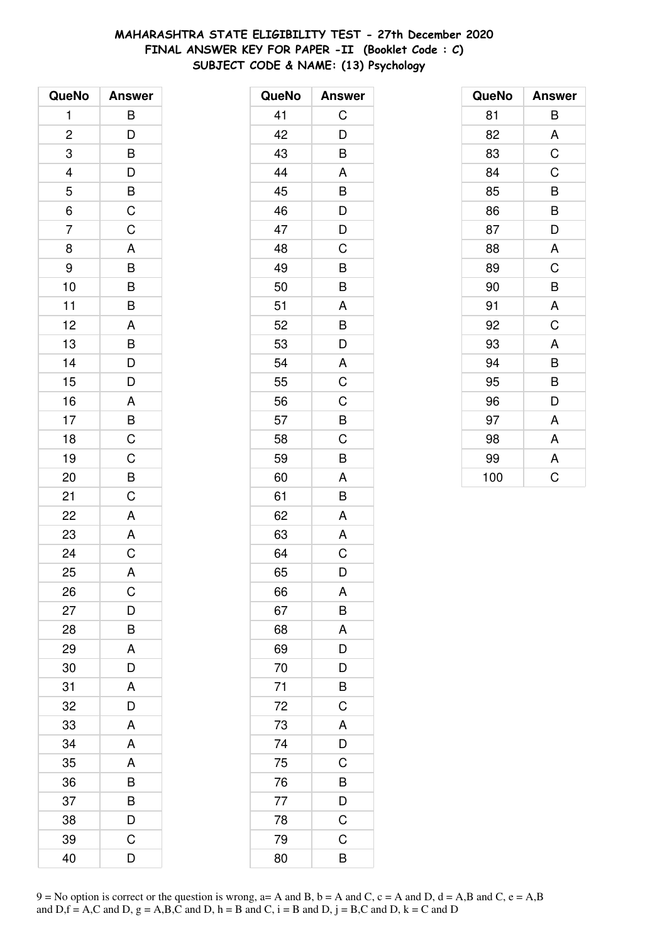# **MAHARASHTRA STATE ELIGIBILITY TEST - 27th December 2020 FINAL ANSWER KEY FOR PAPER -II (Booklet Code : C) SUBJECT CODE & NAME: (13) Psychology**

| QueNo                    | <b>Answer</b>            |
|--------------------------|--------------------------|
| 1                        | B                        |
| $\overline{c}$           | $\overline{D}$           |
| 3                        | B                        |
| $\overline{\mathcal{L}}$ |                          |
| 5                        | $\frac{D}{B}$            |
| $\overline{6}$           | $\overline{C}$           |
| $\overline{7}$           | $\overline{C}$           |
| 8                        | $\overline{A}$           |
| 9                        | $\frac{1}{\overline{B}}$ |
| 10                       | B                        |
| 11                       | B                        |
| 12                       | A                        |
| 13                       | $\overline{B}$           |
| 14                       | D                        |
| 15                       | D                        |
| 16                       | A                        |
| 17                       | B                        |
| 18                       | $\overline{C}$           |
| 19                       | $\overline{C}$           |
| 20                       | $\overline{B}$           |
| 21                       | $\mathsf C$              |
| 22                       | $\mathsf{A}$             |
| 23                       | A                        |
| 24                       | $\overline{C}$           |
| 25                       | A                        |
| 26                       | C                        |
| 27                       | D                        |
| 28                       | B                        |
| 29                       | A                        |
| 30                       | D                        |
| 31                       | A                        |
| 32                       | D                        |
| 33                       | A                        |
| 34                       | A                        |
| 35                       | A                        |
| 36                       | B                        |
| 37                       | B                        |
| 38                       | D                        |
| 39                       | C                        |
| 40                       | D                        |

| QueNo | <b>Answer</b> |
|-------|---------------|
| 41    | C             |
| 42    | D             |
| 43    | B             |
| 44    | A             |
| 45    | B             |
| 46    | D             |
| 47    | D             |
| 48    | C             |
| 49    | B             |
| 50    | B             |
| 51    | A             |
| 52    | B             |
| 53    | D             |
| 54    | A             |
| 55    | C             |
| 56    | $\mathsf C$   |
| 57    | B             |
| 58    | C             |
| 59    | B             |
| 60    | A             |
| 61    | B             |
| 62    | A             |
| 63    | A             |
| 64    | C             |
| 65    | D             |
| 66    | A             |
| 67    | B             |
| 68    | A             |
| 69    | D             |
| 70    | D             |
| 71    | B             |
| 72    | $\mathsf C$   |
| 73    | A             |
| 74    | D             |
| 75    | C             |
| 76    | B             |
| 77    | D             |
| 78    | $\mathsf C$   |
| 79    | C             |
| 80    | B             |

| QueNo | <b>Answer</b> |
|-------|---------------|
| 81    | В             |
| 82    | A             |
| 83    | C             |
| 84    | C             |
| 85    | B             |
| 86    | B             |
| 87    | D             |
| 88    | A             |
| 89    | C             |
| 90    | B             |
| 91    | A             |
| 92    | C             |
| 93    | A             |
| 94    | B             |
| 95    | B             |
| 96    | D             |
| 97    | A             |
| 98    | A             |
| 99    | A             |
| 100   | C             |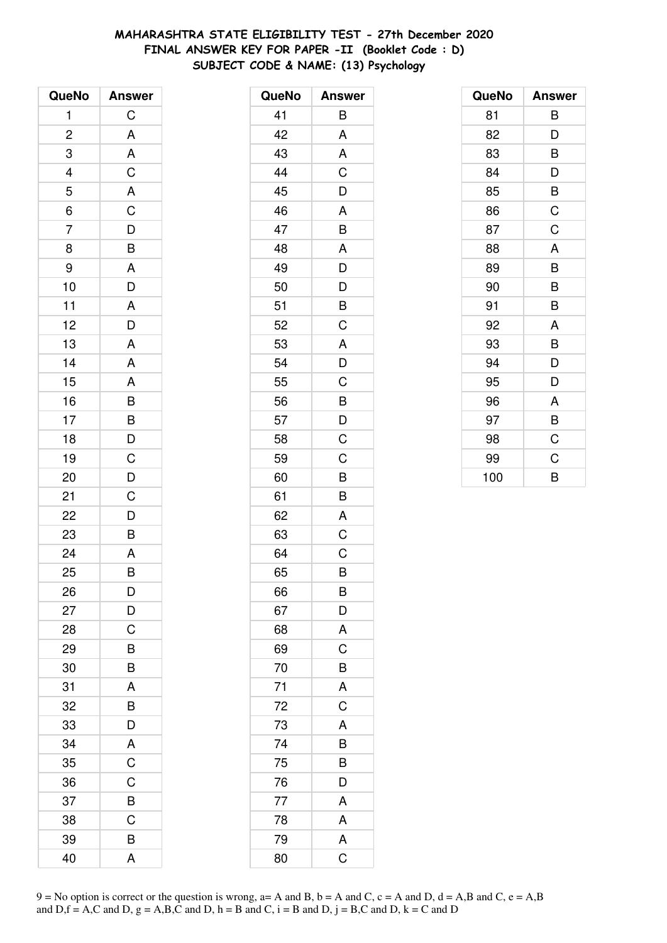# **MAHARASHTRA STATE ELIGIBILITY TEST - 27th December 2020 FINAL ANSWER KEY FOR PAPER -II (Booklet Code : D) SUBJECT CODE & NAME: (13) Psychology**

| QueNo                   | <b>Answer</b>           |
|-------------------------|-------------------------|
| 1                       | C                       |
| $\overline{\mathbf{c}}$ | A                       |
| 3                       | A                       |
| 4                       | C                       |
| 5                       | A                       |
| $\overline{6}$          |                         |
| $\overline{7}$          | $rac{C}{D}$             |
| 8                       | B                       |
| 9                       | A                       |
| 10                      | $\overline{\mathsf{D}}$ |
| 11                      | A                       |
| 12                      | $\overline{D}$          |
| 13                      | A                       |
| 14                      | A                       |
| 15                      | A                       |
| 16                      | $\overline{B}$          |
| 17                      |                         |
| 18                      |                         |
| 19                      |                         |
| 20                      | B<br>D<br>C<br>D<br>D   |
| 21                      | $\overline{C}$          |
| 22                      | $\overline{\mathsf{D}}$ |
| 23                      | B                       |
| 24                      | A                       |
| 25                      | B                       |
| 26                      | D                       |
| 27                      | D                       |
| 28                      | C                       |
| 29                      | B                       |
| 30                      | B                       |
| 31                      | A                       |
| 32                      | B                       |
| 33                      | D                       |
| 34                      | A                       |
| 35                      | $\overline{C}$          |
| 36                      | $\mathsf C$             |
| 37                      | $\overline{B}$          |
| 38                      | $\overline{C}$          |
| 39                      | B                       |
| 40                      | A                       |

| QueNo          | <b>Answer</b>           |
|----------------|-------------------------|
| 41             | Β                       |
| 42             | A                       |
| 43             | A                       |
| 44             | C                       |
| 45             | D                       |
| 46             | A                       |
| 47             | B                       |
| 48             | A                       |
| 49             | $\overline{\mathsf{D}}$ |
| 50             | D                       |
| 51             | B                       |
| 52             | C                       |
| 53             | A                       |
| 54             | D                       |
| 55             | $\mathsf C$             |
| 56             | B                       |
| 57             | D                       |
| 58             | C                       |
| 59             | C                       |
| 60             | B                       |
| 61             | B                       |
| 62             | A                       |
| 63             | $\overline{C}$          |
| 64             | C                       |
| 65             | B                       |
| 66             | В                       |
| 67             | $\overline{D}$          |
| 68             | $\overline{A}$          |
| 69             | $\frac{1}{C}$           |
| 70             | $\overline{B}$          |
| 71             | A                       |
| $\frac{72}{ }$ | $\mathsf C$             |
| 73             | A                       |
| 74             | $\frac{1}{B}$           |
| 75             | $\overline{B}$          |
| 76             | D                       |
| 77             | A                       |
| 78             | $rac{A}{C}$             |
| 79             |                         |
| 80             |                         |

| QueNo | <b>Answer</b> |
|-------|---------------|
| 81    | B             |
| 82    | D             |
| 83    | B             |
| 84    | D             |
| 85    | B             |
| 86    | C             |
| 87    | C             |
| 88    | A             |
| 89    | B             |
| 90    | B             |
| 91    | B             |
| 92    | A             |
| 93    | B             |
| 94    | D             |
| 95    | D             |
| 96    | A             |
| 97    | B             |
| 98    | C             |
| 99    | C             |
| 100   | B             |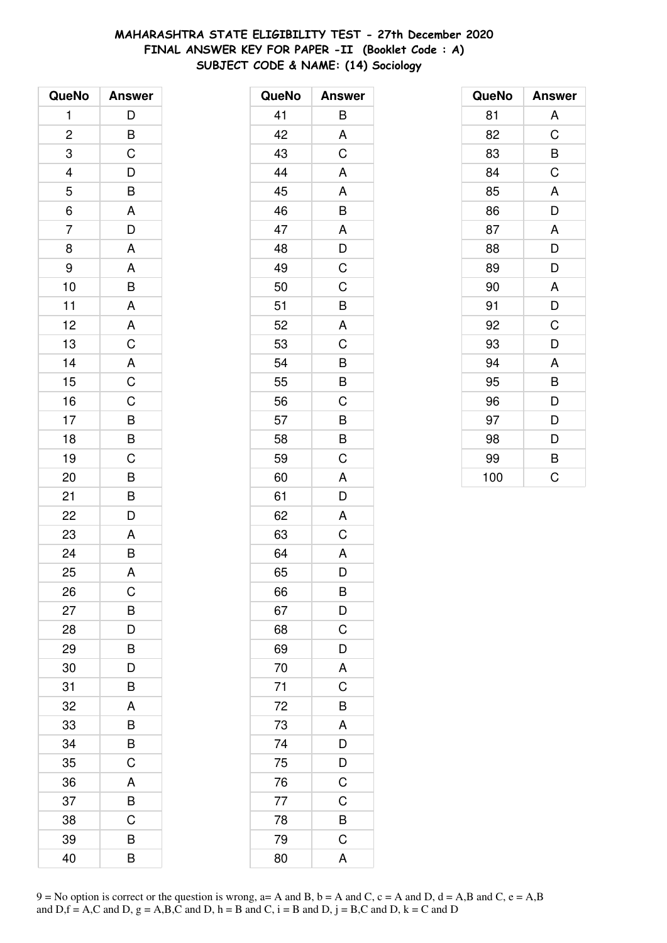# **MAHARASHTRA STATE ELIGIBILITY TEST - 27th December 2020 FINAL ANSWER KEY FOR PAPER -II (Booklet Code : A) SUBJECT CODE & NAME: (14) Sociology**

| QueNo                   | <b>Answer</b>                                |
|-------------------------|----------------------------------------------|
| $\mathbf{1}$            | D                                            |
| $\overline{\mathbf{c}}$ | $\overline{B}$                               |
| 3                       | C                                            |
|                         | $\overline{D}$                               |
| $\frac{4}{5}$           | $\overline{B}$                               |
| $\overline{6}$          | $\mathsf{A}$                                 |
| $\overline{7}$          | $\overline{D}$                               |
| 8                       | A                                            |
| 9                       | A                                            |
| 10                      | B                                            |
| 11                      | $\overline{A}$                               |
| 12                      |                                              |
| 13                      | $rac{A}{C}$                                  |
| 14                      |                                              |
| 15                      | $rac{A}{C}$                                  |
| 16                      |                                              |
| 17                      | $\overline{B}$ $\overline{B}$ $\overline{C}$ |
| 18                      |                                              |
| 19                      |                                              |
| 20                      | $\overline{B}$                               |
| 21                      | $\frac{B}{D}$                                |
| 22                      |                                              |
| 23                      | A                                            |
| 24                      | $\overline{\mathsf{B}}$                      |
| 25                      | A                                            |
| 26                      | C                                            |
| 27                      | B                                            |
| 28                      | D                                            |
| 29                      | B                                            |
| 30                      | D                                            |
| 31                      | B                                            |
| 32                      | A                                            |
| 33                      | B                                            |
| 34                      | B                                            |
| 35                      | C                                            |
| 36                      | A                                            |
| 37                      | B                                            |
| 38                      | C                                            |
| 39                      | B                                            |
| 40                      | B                                            |

| QueNo | <b>Answer</b>           |
|-------|-------------------------|
| 41    | B                       |
| 42    | A                       |
| 43    | C                       |
| 44    | A                       |
| 45    | A                       |
| 46    | B                       |
| 47    | A                       |
| 48    | D                       |
| 49    | C                       |
| 50    | C                       |
| 51    | B                       |
| 52    | A                       |
| 53    | $\overline{C}$          |
| 54    | B                       |
| 55    | B                       |
| 56    | C                       |
| 57    | B                       |
| 58    | B                       |
| 59    | $\overline{C}$          |
| 60    | A                       |
| 61    | D                       |
| 62    | A                       |
| 63    | C                       |
| 64    | A                       |
| 65    | D                       |
| 66    | B                       |
| 67    | $\overline{D}$          |
| 68    | $\mathsf C$             |
| 69    | D                       |
| 70    | A                       |
| 71    | $\overline{C}$          |
| 72    | $\frac{1}{B}$           |
| 73    | $\overline{\mathsf{A}}$ |
| 74    | $\overline{D}$          |
| 75    | D                       |
| 76    | $\mathsf C$             |
| 77    | $\mathsf C$             |
| 78    | $\overline{B}$          |
| 79    | $\overline{C}$          |
| 80    | A                       |

| QueNo | <b>Answer</b> |
|-------|---------------|
| 81    | A             |
| 82    | C             |
| 83    | B             |
| 84    | C             |
| 85    | A             |
| 86    | D             |
| 87    | A             |
| 88    | D             |
| 89    | D             |
| 90    | A             |
| 91    | D             |
| 92    | C             |
| 93    | D             |
| 94    | A             |
| 95    | B             |
| 96    | D             |
| 97    | D             |
| 98    | D             |
| 99    | B             |
| 100   | C             |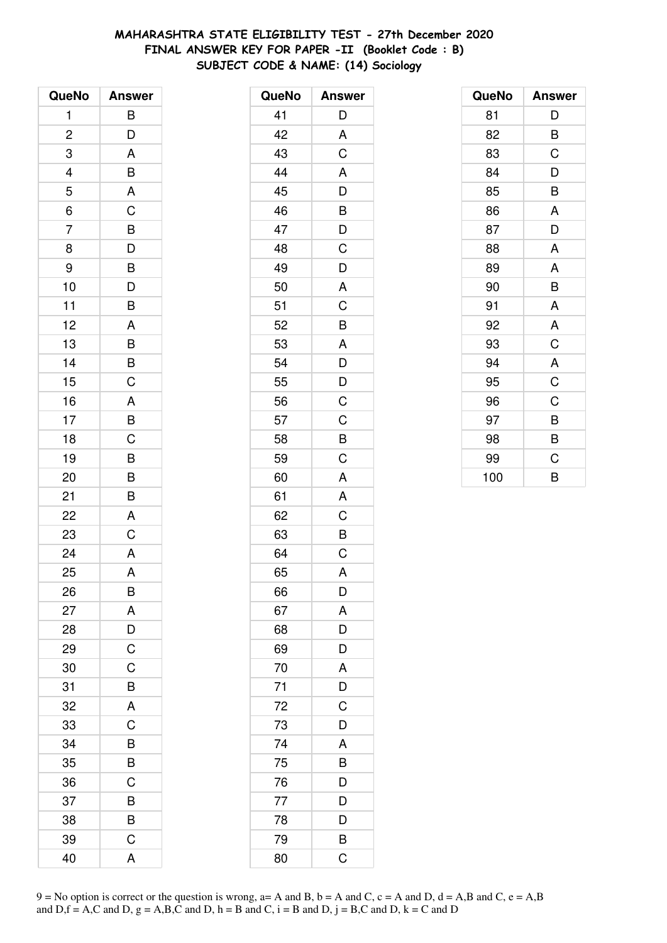# **MAHARASHTRA STATE ELIGIBILITY TEST - 27th December 2020 FINAL ANSWER KEY FOR PAPER -II (Booklet Code : B) SUBJECT CODE & NAME: (14) Sociology**

| QueNo          | <b>Answer</b>           |
|----------------|-------------------------|
| 1              | B                       |
| $\overline{c}$ | D                       |
| 3              | A                       |
| 4              | B                       |
| 5              | A                       |
| $\overline{6}$ | $\overline{C}$          |
| $\overline{7}$ | $\overline{B}$          |
| 8              | $\overline{D}$          |
| 9              | B                       |
| 10             | $\overline{D}$          |
| 11             | B                       |
| 12             | A                       |
| 13             | $\overline{B}$          |
| 14             | B                       |
| 15             | $\overline{C}$          |
| 16             | A                       |
| 17             | B                       |
| 18             | $\overline{C}$          |
| 19             | $\overline{B}$          |
| 20             | B                       |
| 21             | B                       |
| 22             | A                       |
| 23             | C                       |
| 24             | $\overline{\mathsf{A}}$ |
| 25             | A                       |
| 26             | B                       |
| 27             | A                       |
| 28             | D                       |
| 29             | C                       |
| 30             | $\mathsf C$             |
| 31             | B                       |
| 32             | A                       |
| 33             | C                       |
| 34             | B                       |
| 35             | B                       |
| 36             | C                       |
| 37             | B                       |
| 38             | B                       |
| 39             | C                       |
| 40             | A                       |

| QueNo | <b>Answer</b>           |
|-------|-------------------------|
| 41    | D                       |
| 42    | A                       |
| 43    | C                       |
| 44    | A                       |
| 45    | D                       |
| 46    | $\overline{B}$          |
| 47    | $\overline{D}$          |
| 48    | C                       |
| 49    | D                       |
| 50    | A                       |
| 51    | C                       |
| 52    | B                       |
| 53    | A                       |
| 54    | D                       |
| 55    | D                       |
| 56    | C                       |
| 57    | C                       |
| 58    | B                       |
| 59    | C                       |
| 60    | A                       |
| 61    | A                       |
| 62    | C                       |
| 63    | B                       |
| 64    | C                       |
| 65    | A                       |
| 66    | D                       |
| 67    | A                       |
| 68    | D                       |
| 69    | D                       |
| 70    | A                       |
| 71    | $\overline{D}$          |
| 72    | $\overline{\mathrm{C}}$ |
| 73    | D                       |
| 74    | A                       |
| 75    | B                       |
| 76    | D                       |
| 77    | D                       |
| 78    | D                       |
| 79    | B                       |
| 80    | C                       |

| QueNo | <b>Answer</b> |
|-------|---------------|
| 81    | D             |
| 82    | B             |
| 83    | C             |
| 84    | D             |
| 85    | B             |
| 86    | A             |
| 87    | D             |
| 88    | A             |
| 89    | A             |
| 90    | B             |
| 91    | A             |
| 92    | A             |
| 93    | C             |
| 94    | A             |
| 95    | C             |
| 96    | C             |
| 97    | B             |
| 98    | B             |
| 99    | C             |
| 100   | B             |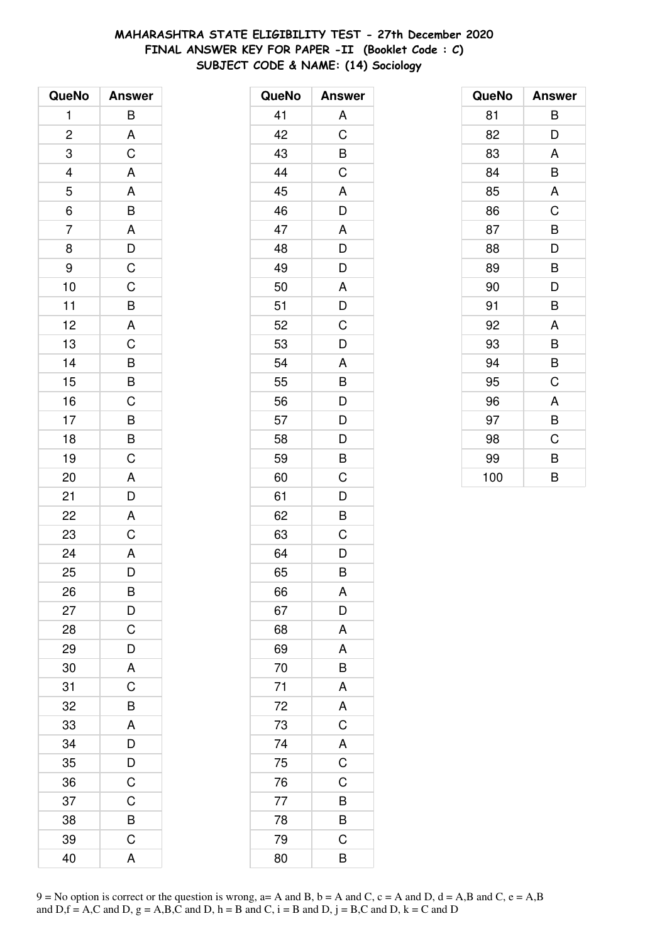# **MAHARASHTRA STATE ELIGIBILITY TEST - 27th December 2020 FINAL ANSWER KEY FOR PAPER -II (Booklet Code : C) SUBJECT CODE & NAME: (14) Sociology**

| QueNo          | <b>Answer</b>           |
|----------------|-------------------------|
| 1              | B                       |
| $\overline{c}$ | A                       |
| 3              | $\overline{c}$          |
|                | A                       |
| $\frac{4}{5}$  | $\overline{A}$          |
| $\frac{1}{6}$  | $\overline{B}$          |
| $\overline{7}$ | $\overline{\mathsf{A}}$ |
| 8              | $\frac{D}{C}$           |
| 9              |                         |
| 10             | $\overline{C}$          |
| 11             | $\overline{\mathsf{B}}$ |
| 12             |                         |
| 13             | $rac{A}{C}$             |
| 14             | BBCBBC                  |
| 15             |                         |
| 16             |                         |
| 17             |                         |
| 18             |                         |
| 19             |                         |
| 20             | A                       |
| 21             | D                       |
| 22             | $\overline{A}$          |
| 23             | $\mathsf C$             |
| 24             | $\overline{A}$          |
| 25             | D                       |
| 26             | B                       |
| 27             | D                       |
| 28             | C                       |
| 29             | D                       |
| 30             | A                       |
| 31             | C                       |
| 32             | B                       |
| 33             | A                       |
| 34             | D                       |
| 35             | D                       |
| 36             | $\mathsf C$             |
| 37             | $\mathsf C$             |
| 38             | B                       |
| 39             | $\mathsf C$             |
| 40             | A                       |

| QueNo | <b>Answer</b>  |
|-------|----------------|
| 41    | A              |
| 42    | C              |
| 43    | B              |
| 44    | $\mathsf C$    |
| 45    | A              |
| 46    | D              |
| 47    | A              |
| 48    | D              |
| 49    | D              |
| 50    | A              |
| 51    | D              |
| 52    | C              |
| 53    | D              |
| 54    | A              |
| 55    | B              |
| 56    | $\frac{D}{D}$  |
| 57    |                |
| 58    | D              |
| 59    | B              |
| 60    | C              |
| 61    | D              |
| 62    | B              |
| 63    | C              |
| 64    | D              |
| 65    | B              |
| 66    | A              |
| 67    | D              |
| 68    | A              |
| 69    | A              |
| 70    | $\overline{B}$ |
| 71    | A              |
| 72    | A              |
| 73    | $\overline{C}$ |
| 74    | $rac{A}{C}$    |
| 75    |                |
| 76    | $\overline{C}$ |
| 77    | $\overline{B}$ |
| 78    | B              |
| 79    | C              |
| 80    | B              |

| QueNo | <b>Answer</b> |
|-------|---------------|
| 81    | B             |
| 82    | D             |
| 83    | A             |
| 84    | B             |
| 85    | A             |
| 86    | C             |
| 87    | B             |
| 88    | D             |
| 89    | B             |
| 90    | D             |
| 91    | B             |
| 92    | A             |
| 93    | B             |
| 94    | B             |
| 95    | C             |
| 96    | A             |
| 97    | B             |
| 98    | C             |
| 99    | B             |
| 100   | B             |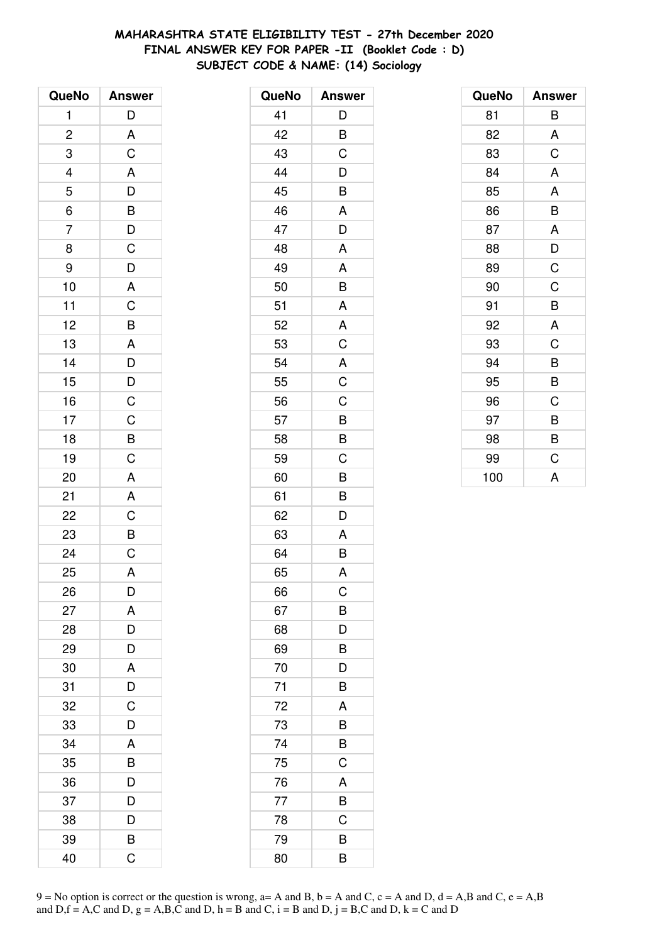# **MAHARASHTRA STATE ELIGIBILITY TEST - 27th December 2020 FINAL ANSWER KEY FOR PAPER -II (Booklet Code : D) SUBJECT CODE & NAME: (14) Sociology**

| QueNo          | <b>Answer</b>           |
|----------------|-------------------------|
| 1              | D                       |
| $\overline{c}$ |                         |
| 3              | $rac{A}{C}$             |
| $\overline{4}$ |                         |
| 5              |                         |
| $\overline{6}$ |                         |
| $\overline{7}$ | A D B D C               |
| 8              |                         |
| 9              | D                       |
| 10             | $\overline{\mathsf{A}}$ |
| 11             |                         |
| 12             |                         |
| 13             | $rac{C}{A}$             |
| 14             | $\frac{D}{D}$           |
| 15             |                         |
| 16             | $\overline{C}$          |
| 17             |                         |
| 18             | $rac{C}{B}$             |
| 19             |                         |
| 20             | A                       |
| 21             | A                       |
| 22             | $\overline{\text{c}}$   |
| 23             |                         |
| 24             | $rac{B}{C}$             |
| 25             | A                       |
| 26             | D                       |
| 27             | A                       |
| 28             | D                       |
| 29             | D                       |
| 30             | A                       |
| 31             | D                       |
| 32             | C                       |
| 33             | D                       |
| 34             | A                       |
| 35             | B                       |
| 36             | D                       |
| 37             | D                       |
| 38             | D                       |
| 39             | B                       |
| 40             | Ć                       |

| QueNo | <b>Answer</b>  |
|-------|----------------|
| 41    | D              |
| 42    | B              |
| 43    | C              |
| 44    | D              |
| 45    | B              |
| 46    | A              |
| 47    | D              |
| 48    | A              |
| 49    | A              |
| 50    | B              |
| 51    | A              |
| 52    | A              |
| 53    | $\mathsf C$    |
| 54    | $\overline{A}$ |
| 55    | $\overline{C}$ |
| 56    | C              |
| 57    | B              |
| 58    | B              |
| 59    | C              |
| 60    | B              |
| 61    | B              |
| 62    | D              |
| 63    | A              |
| 64    | B              |
| 65    | A              |
| 66    | $\mathsf C$    |
| 67    | B              |
| 68    | D              |
| 69    | B              |
| 70    | D              |
| 71    | B              |
| 72    | A              |
| 73    | B              |
| 74    | B              |
| 75    | C              |
| 76    | A              |
| 77    | B              |
| 78    | C              |
| 79    | $\overline{B}$ |
| 80    | B              |

| QueNo | <b>Answer</b> |
|-------|---------------|
| 81    | В             |
| 82    | A             |
| 83    | C             |
| 84    | A             |
| 85    | A             |
| 86    | B             |
| 87    | A             |
| 88    | D             |
| 89    | $\mathsf C$   |
| 90    | C             |
| 91    | B             |
| 92    | A             |
| 93    | C             |
| 94    | B             |
| 95    | B             |
| 96    | C             |
| 97    | В             |
| 98    | B             |
| 99    | C             |
| 100   | A             |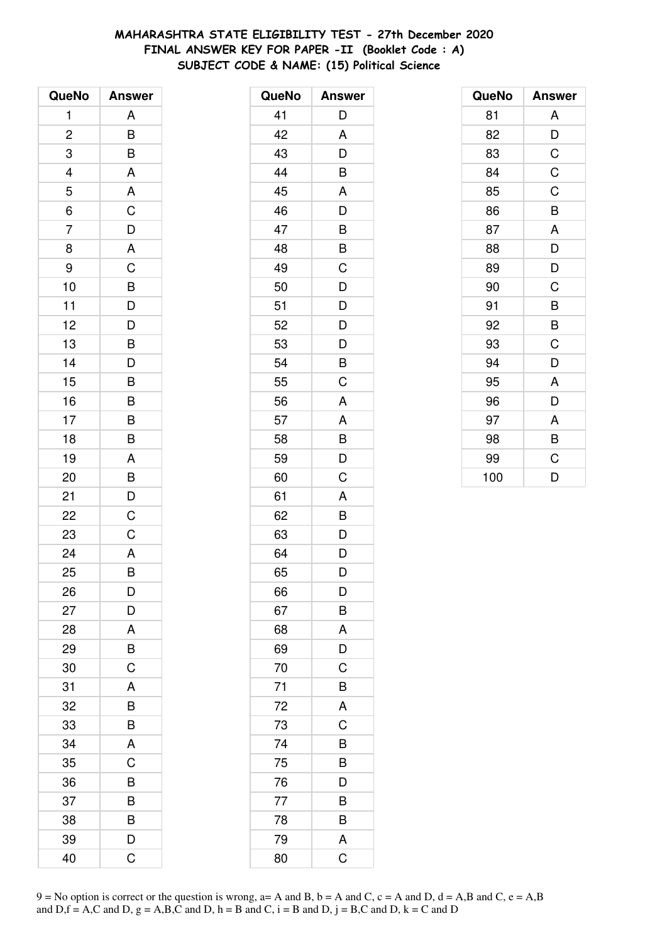# **MAHARASHTRA STATE ELIGIBILITY TEST - 27th December 2020 FINAL ANSWER KEY FOR PAPER -II (Booklet Code : A) SUBJECT CODE & NAME: (15) Political Science**

| QueNo          | <b>Answer</b>             |
|----------------|---------------------------|
| 1              | Α                         |
| $\overline{c}$ | B                         |
| 3              | B                         |
| 4              | A                         |
| 5              | A                         |
| $\overline{6}$ | $\overline{\overline{C}}$ |
| $\overline{7}$ | $\overline{D}$            |
| 8              | $\overline{\mathsf{A}}$   |
| 9              | C                         |
| 10             | B                         |
| 11             | $\overline{\mathsf{D}}$   |
| 12             | $\overline{D}$            |
| 13             | $\overline{B}$            |
| 14             | D                         |
| 15             | B                         |
| 16             | B                         |
| 17             | B                         |
| 18             | B                         |
| 19             | A                         |
| 20             | B                         |
| 21             | D                         |
| 22             | C                         |
| 23             | C                         |
| 24             | A                         |
| 25             | B                         |
| 26             | D                         |
| 27             | D                         |
| 28             | A                         |
| 29             | B                         |
| 30             | C                         |
| 31             | A                         |
| 32             | B                         |
| 33             | B                         |
| 34             | A                         |
| 35             | C                         |
| 36             | B                         |
| 37             | B                         |
| 38             | B                         |
| 39             | D                         |
| 40             | C                         |

| QueNo | <b>Answer</b>           |
|-------|-------------------------|
| 41    | D                       |
| 42    | A                       |
| 43    | D                       |
| 44    | B                       |
| 45    | A                       |
| 46    | D                       |
| 47    | B                       |
| 48    | B                       |
| 49    | C                       |
| 50    | D                       |
| 51    | D                       |
| 52    | D                       |
| 53    | D                       |
| 54    | $\overline{B}$          |
| 55    | C                       |
| 56    | A                       |
| 57    | A                       |
| 58    | B                       |
| 59    | D                       |
| 60    | Ċ                       |
| 61    | A                       |
| 62    | B                       |
| 63    | D                       |
| 64    | D                       |
| 65    | D                       |
| 66    | D                       |
| 67    | B                       |
| 68    | A                       |
| 69    | D                       |
| 70    | C                       |
| 71    | B                       |
| 72    | A                       |
| 73    | C                       |
| 74    | B                       |
| 75    | B                       |
| 76    | D                       |
| 77    | B                       |
| 78    | B                       |
| 79    | A                       |
| 80    | $\overline{\mathrm{C}}$ |

| QueNo | <b>Answer</b> |
|-------|---------------|
| 81    | A             |
| 82    | D             |
| 83    | C             |
| 84    | $\mathsf C$   |
| 85    | C             |
| 86    | B             |
| 87    | A             |
| 88    | D             |
| 89    | D             |
| 90    | C             |
| 91    | B             |
| 92    | B             |
| 93    | C             |
| 94    | D             |
| 95    | A             |
| 96    | D             |
| 97    | A             |
| 98    | B             |
| 99    | C             |
| 100   | D             |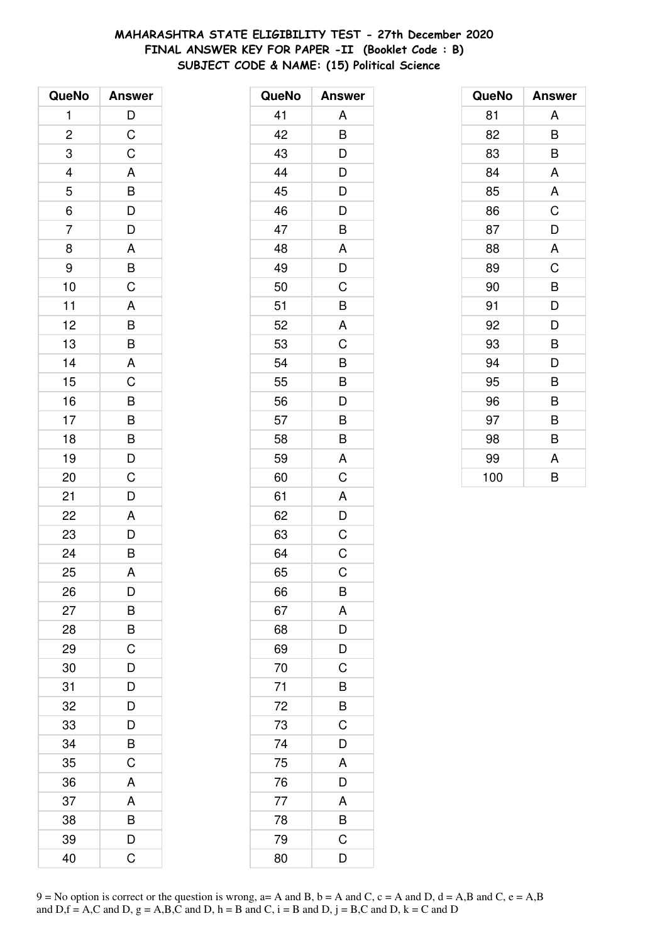# **MAHARASHTRA STATE ELIGIBILITY TEST - 27th December 2020 FINAL ANSWER KEY FOR PAPER -II (Booklet Code : B) SUBJECT CODE & NAME: (15) Political Science**

| QueNo          | <b>Answer</b>           |
|----------------|-------------------------|
| 1              | $\mathsf{D}$            |
| $\overline{c}$ | $\mathsf C$             |
| 3              | C                       |
| 4              | A                       |
| 5              | $\overline{B}$          |
| $\overline{6}$ |                         |
| $\overline{7}$ | $\overline{D}$<br>$D$   |
| 8              | $\overline{\mathsf{A}}$ |
| 9              | $rac{B}{C}$             |
| 10             |                         |
| 11             | A                       |
| 12             |                         |
| 13             | $\frac{B}{B}$           |
| 14             | $\overline{\mathsf{A}}$ |
| 15             | $\overline{C}$          |
| 16             | B                       |
| 17             | B                       |
| 18             | $\frac{B}{D}$           |
| 19             |                         |
| 20             | $\overline{C}$          |
| 21             | D                       |
| 22             | A                       |
| 23             | $\overline{D}$          |
| 24             | $\overline{B}$          |
| 25             | A                       |
| 26             | D                       |
| 27             | В                       |
| 28             | B                       |
| 29             | C                       |
| 30             | D                       |
| 31             | D                       |
| 32             | D                       |
| 33             | D                       |
| 34             | B                       |
| 35             | C                       |
| 36             | $\overline{\mathsf{A}}$ |
| 37             | A                       |
| 38             | B                       |
| 39             | D                       |
| 40             | C                       |

| QueNo | <b>Answer</b> |
|-------|---------------|
| 41    | A             |
| 42    | B             |
| 43    | D             |
| 44    | D             |
| 45    | D             |
| 46    | D             |
| 47    | B             |
| 48    | A             |
| 49    | D             |
| 50    | C             |
| 51    | B             |
| 52    | A             |
| 53    | C             |
| 54    | B             |
| 55    | B             |
| 56    | D             |
| 57    | B             |
| 58    | B             |
| 59    | A             |
| 60    | C             |
| 61    | A             |
| 62    | D             |
| 63    | C             |
| 64    | C             |
| 65    | $\mathsf C$   |
| 66    | B             |
| 67    | A             |
| 68    | D             |
| 69    | D             |
| 70    | C             |
| 71    | B             |
| 72    | B             |
| 73    | C             |
| 74    | D             |
| 75    | A             |
| 76    | D             |
| 77    | A             |
| 78    | B             |
| 79    | C             |
| 80    | D             |

| QueNo | <b>Answer</b> |
|-------|---------------|
| 81    | A             |
| 82    | B             |
| 83    | B             |
| 84    | A             |
| 85    | A             |
| 86    | C             |
| 87    | D             |
| 88    | A             |
| 89    | C             |
| 90    | B             |
| 91    | D             |
| 92    | D             |
| 93    | B             |
| 94    | D             |
| 95    | B             |
| 96    | B             |
| 97    | В             |
| 98    | B             |
| 99    | A             |
| 100   | B             |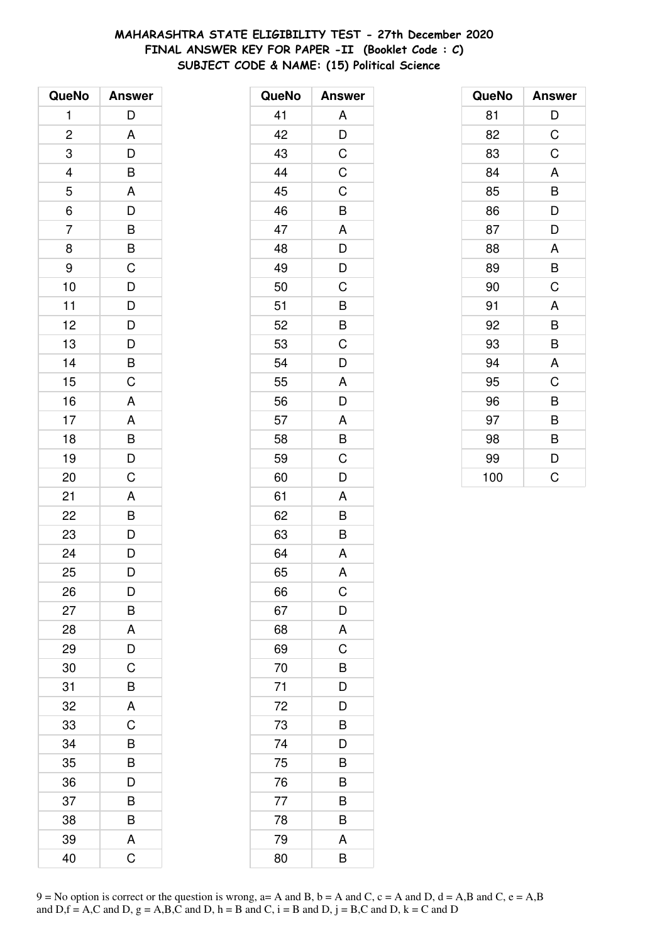# **MAHARASHTRA STATE ELIGIBILITY TEST - 27th December 2020 FINAL ANSWER KEY FOR PAPER -II (Booklet Code : C) SUBJECT CODE & NAME: (15) Political Science**

| QueNo          | <b>Answer</b>  |
|----------------|----------------|
| 1              | D              |
| $\overline{c}$ | A              |
| 3              | D              |
| 4              | B              |
| 5              | A              |
| $\overline{6}$ | $\overline{D}$ |
| $\overline{7}$ | $\overline{B}$ |
| 8              | B              |
| 9              | C              |
| 10             | D              |
| 11             | $\overline{D}$ |
| 12             |                |
| 13             | $\frac{D}{D}$  |
| 14             | B              |
| 15             | $\overline{C}$ |
| 16             | A              |
| 17             | A              |
| 18             | $\frac{B}{D}$  |
| 19             |                |
| 20             | $\overline{C}$ |
| 21             | A              |
| 22             | $\overline{B}$ |
| 23             | $\frac{D}{D}$  |
| 24             |                |
| 25             | D              |
| 26             | D              |
| 27             | В              |
| 28             | A              |
| 29             | D              |
| 30             | $\overline{C}$ |
| 31             | B              |
| 32             | A              |
| 33             | C              |
| 34             | B              |
| 35             | B              |
| 36             | D              |
| 37             | B              |
| 38             | B              |
| 39             | A              |
| 40             | C              |

| QueNo | <b>Answer</b>  |
|-------|----------------|
| 41    | Α              |
| 42    | $\overline{D}$ |
| 43    | $\overline{C}$ |
| 44    | $\mathsf C$    |
| 45    | C              |
| 46    | B              |
| 47    | A              |
| 48    | D              |
| 49    | D              |
| 50    | C              |
| 51    | B              |
| 52    | B              |
| 53    | C              |
| 54    | D              |
| 55    | A              |
| 56    | D              |
| 57    | A              |
| 58    | B              |
| 59    | C              |
| 60    | D              |
| 61    | A              |
| 62    | B              |
| 63    | B              |
| 64    | A              |
| 65    | A              |
| 66    | Ç              |
| 67    | D              |
| 68    | A              |
| 69    | C              |
| 70    | B              |
| 71    | D              |
| 72    | D              |
| 73    | B              |
| 74    | D              |
| 75    | B              |
| 76    | B              |
| 77    | B              |
| 78    | B              |
| 79    | A              |
| 80    | B              |
|       |                |

| QueNo | <b>Answer</b> |
|-------|---------------|
| 81    | D             |
| 82    | C             |
| 83    | C             |
| 84    | A             |
| 85    | B             |
| 86    | D             |
| 87    | D             |
| 88    | A             |
| 89    | B             |
| 90    | C             |
| 91    | A             |
| 92    | B             |
| 93    | B             |
| 94    | A             |
| 95    | C             |
| 96    | B             |
| 97    | B             |
| 98    | B             |
| 99    | D             |
| 100   | Ć             |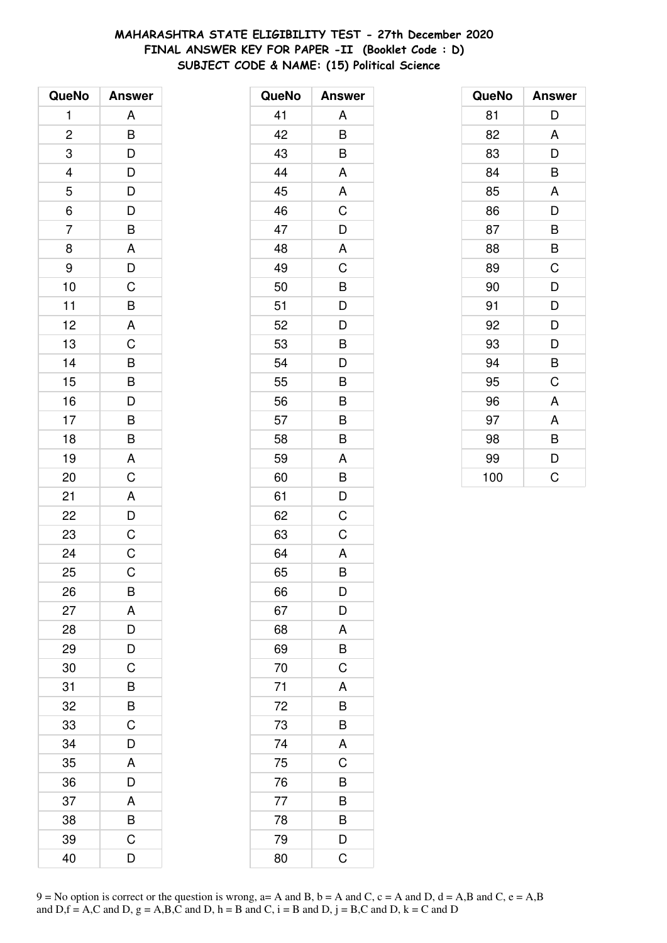# **MAHARASHTRA STATE ELIGIBILITY TEST - 27th December 2020 FINAL ANSWER KEY FOR PAPER -II (Booklet Code : D) SUBJECT CODE & NAME: (15) Political Science**

| QueNo                   | <b>Answer</b>  |
|-------------------------|----------------|
| 1                       | A              |
| $\overline{\mathbf{c}}$ | B              |
| 3                       | D              |
|                         | $\overline{D}$ |
| $\frac{4}{5}$           | $\frac{1}{D}$  |
| $\overline{6}$          | $\overline{D}$ |
| $\overline{7}$          | B              |
| 8                       | A              |
| 9                       | D              |
| 10                      | C              |
| 11                      | $\overline{B}$ |
| 12                      | A              |
| 13                      | C              |
| 14                      | $\overline{B}$ |
| 15                      | B              |
| 16                      | $\overline{D}$ |
| 17                      | $\overline{B}$ |
| 18                      | $\overline{B}$ |
| 19                      | A              |
| 20                      | $\overline{C}$ |
| 21                      | A              |
| 22                      | $\overline{D}$ |
| 23                      | $\overline{C}$ |
| 24                      | $\mathsf C$    |
| 25                      | C              |
| 26                      | B              |
| 27                      | A              |
| 28                      | D              |
| 29                      | D              |
| 30                      | C              |
| 31                      | B              |
| 32                      | B              |
| 33                      | C              |
| 34                      | D              |
| 35                      | A              |
| 36                      | D              |
| 37                      | A              |
| 38                      | B              |
| 39                      | C              |
| 40                      | D              |

| QueNo | <b>Answer</b> |
|-------|---------------|
| 41    | A             |
| 42    | B             |
| 43    | B             |
| 44    | A             |
| 45    | A             |
| 46    | C             |
| 47    | D             |
| 48    | A             |
| 49    | C             |
| 50    | B             |
| 51    | D             |
| 52    | D             |
| 53    | B             |
| 54    | D             |
| 55    | B             |
| 56    | В             |
| 57    | B             |
| 58    | B             |
| 59    | A             |
| 60    | B             |
| 61    | D             |
| 62    | C             |
| 63    | C             |
| 64    | A             |
| 65    | B             |
| 66    | D             |
| 67    | D             |
| 68    | A             |
| 69    | B             |
| 70    | $\mathsf C$   |
| 71    | A             |
| 72    | B             |
| 73    | B             |
| 74    | A             |
| 75    | C             |
| 76    | B             |
| 77    | B             |
| 78    | B             |
| 79    | D             |
| 80    | C             |

| QueNo | <b>Answer</b> |
|-------|---------------|
| 81    | D             |
| 82    | A             |
| 83    | D             |
| 84    | B             |
| 85    | A             |
| 86    | D             |
| 87    | B             |
| 88    | B             |
| 89    | C             |
| 90    | D             |
| 91    | D             |
| 92    | D             |
| 93    | D             |
| 94    | B             |
| 95    | C             |
| 96    | A             |
| 97    | A             |
| 98    | B             |
| 99    | D             |
| 100   | Ć             |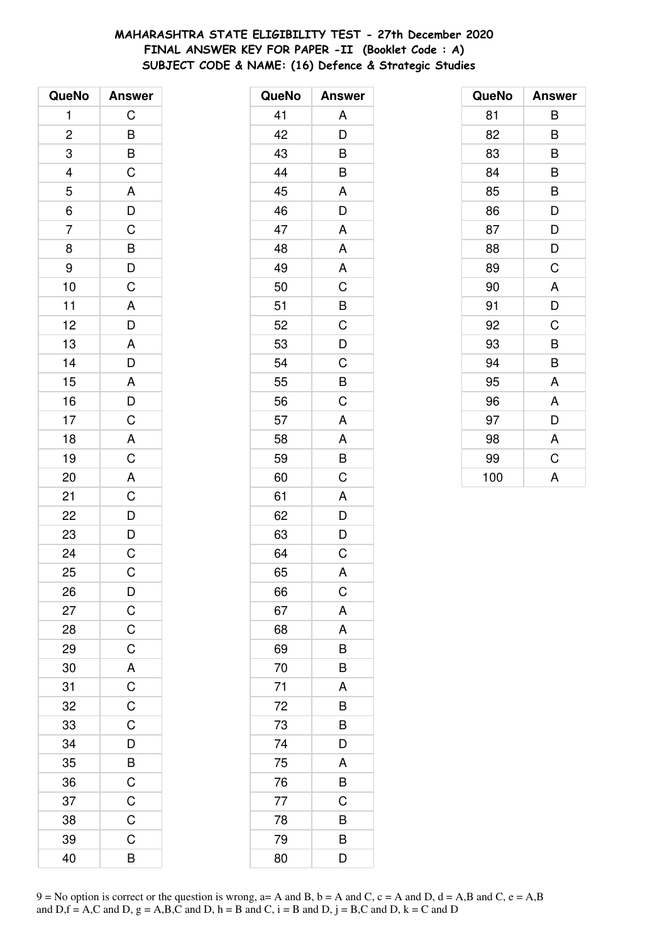# **MAHARASHTRA STATE ELIGIBILITY TEST - 27th December 2020 FINAL ANSWER KEY FOR PAPER -II (Booklet Code : A) SUBJECT CODE & NAME: (16) Defence & Strategic Studies**

| QueNo                   | <b>Answer</b>                                                        |
|-------------------------|----------------------------------------------------------------------|
| 1                       | C                                                                    |
| $\overline{\mathbf{c}}$ | $\overline{B}$                                                       |
| 3                       | $\frac{B}{C}$                                                        |
| $\overline{4}$          |                                                                      |
| 5                       |                                                                      |
| 6                       | $\frac{A}{D}$                                                        |
| $\overline{7}$          |                                                                      |
| 8                       |                                                                      |
| 9                       | $\overline{B}$<br>$\overline{D}$<br>$\overline{C}$<br>$\overline{A}$ |
| 10                      |                                                                      |
| 11                      |                                                                      |
| 12                      | $\frac{D}{A}$                                                        |
| 13                      |                                                                      |
| 14                      | $\overline{D}$                                                       |
| 15                      | A D C A C A                                                          |
| 16                      |                                                                      |
| 17                      |                                                                      |
| 18                      |                                                                      |
| 19                      |                                                                      |
| 20                      |                                                                      |
| 21                      | $\begin{array}{c}\nC \\ D \\ D\n\end{array}$                         |
| 22                      |                                                                      |
| 23                      |                                                                      |
| 24                      | $\overline{C}$                                                       |
| 25                      | C                                                                    |
| 26                      | $\mathsf{D}$                                                         |
| 27                      |                                                                      |
| 28                      | $\frac{C}{C}$                                                        |
| 29                      |                                                                      |
| 30                      |                                                                      |
| 31                      | $A$ $C$ $C$ $C$                                                      |
| 32                      |                                                                      |
| 33                      |                                                                      |
| 34                      | $\frac{1}{D}$                                                        |
| 35                      | B                                                                    |
| 36                      | $\overline{C}$                                                       |
| 37                      | $\frac{C}{C}$                                                        |
| 38                      |                                                                      |
| 39                      | C                                                                    |
| 40                      | B                                                                    |

| QueNo | <b>Answer</b>           |
|-------|-------------------------|
| 41    | A                       |
| 42    | D                       |
| 43    | B                       |
| 44    | B                       |
| 45    | A                       |
| 46    | D                       |
| 47    | A                       |
| 48    | A                       |
| 49    | A                       |
| 50    | C                       |
| 51    | B                       |
| 52    | C                       |
| 53    | $\overline{D}$          |
| 54    | $\overline{C}$          |
| 55    | B                       |
| 56    | C                       |
| 57    | A                       |
| 58    | A                       |
| 59    | $\overline{\mathsf{B}}$ |
| 60    | C                       |
| 61    | A                       |
| 62    | D                       |
| 63    | D                       |
| 64    | C                       |
| 65    | A                       |
| 66    | $\mathsf C$             |
| 67    | A                       |
| 68    | A                       |
| 69    | B                       |
| 70    | B                       |
| 71    | A                       |
| 72    | B                       |
| 73    | B                       |
| 74    | D                       |
| 75    | A                       |
| 76    | B                       |
| 77    | $\mathsf C$             |
| 78    | B                       |
| 79    | B                       |
| 80    | D                       |

| QueNo | <b>Answer</b> |
|-------|---------------|
| 81    | В             |
| 82    | B             |
| 83    | B             |
| 84    | B             |
| 85    | B             |
| 86    | D             |
| 87    | D             |
| 88    | D             |
| 89    | C             |
| 90    | A             |
| 91    | D             |
| 92    | C             |
| 93    | B             |
| 94    | B             |
| 95    | A             |
| 96    | A             |
| 97    | D             |
| 98    | A             |
| 99    | C             |
| 100   | A             |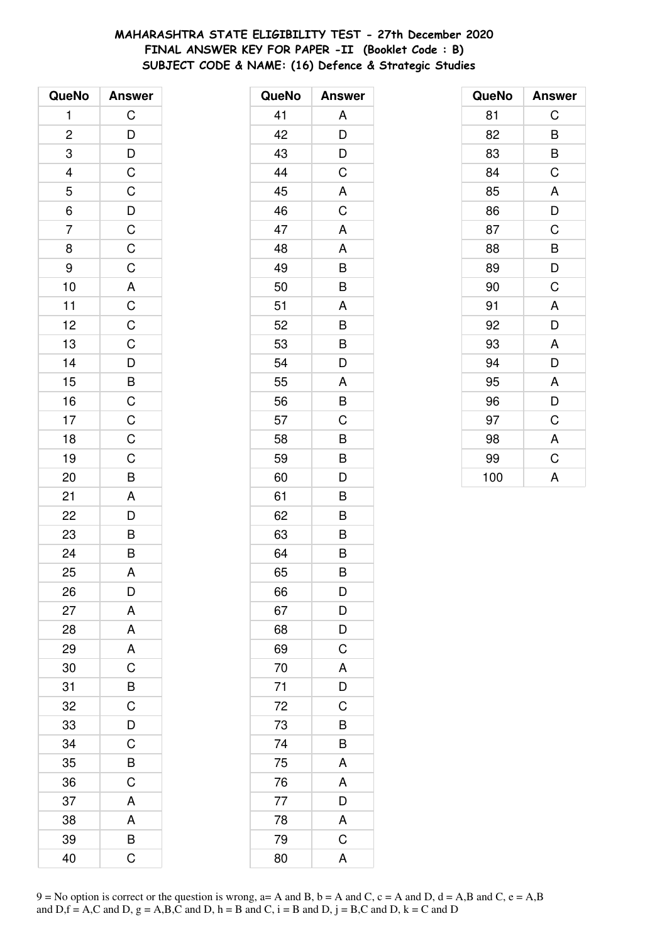# MAHARASHTRA STATE ELIGIBILITY TEST - 27th December 2020 FINAL ANSWER KEY FOR PAPER -II (Booklet Code: B) SUBJECT CODE & NAME: (16) Defence & Strategic Studies

| QueNo                   | <b>Answer</b>                                |
|-------------------------|----------------------------------------------|
| 1                       | $\overline{C}$                               |
| $\overline{\mathbf{c}}$ |                                              |
| $\overline{3}$          |                                              |
|                         |                                              |
| $\frac{4}{5}$           |                                              |
|                         |                                              |
| $\frac{6}{7}$           |                                              |
| 8                       |                                              |
| 9                       |                                              |
| 10                      |                                              |
| 11                      |                                              |
| 12                      |                                              |
| 13                      |                                              |
| 14                      |                                              |
| 15                      | DDCCDCCCACCDBCCCB                            |
| 16                      |                                              |
| 17                      |                                              |
| 18                      |                                              |
| 19                      |                                              |
| 20                      |                                              |
| 21                      |                                              |
| 22                      |                                              |
| 23                      | $\begin{array}{c}\nA \\ D \\ B\n\end{array}$ |
| 24                      |                                              |
| 25                      | A                                            |
| 26                      | D                                            |
| 27                      | A                                            |
| 28                      | A                                            |
| 29                      | A                                            |
| 30                      | $\overline{C}$                               |
| 31                      | B                                            |
| 32                      | $\mathsf C$                                  |
| 33                      | $\overline{\mathsf{D}}$                      |
| 34                      | $\mathsf{C}$                                 |
| 35                      | $\overline{B}$                               |
| 36                      | C                                            |
| 37                      | A                                            |
| 38                      | A                                            |
| 39                      | B                                            |
| 40                      | Ć                                            |

| QueNo | <b>Answer</b>           |
|-------|-------------------------|
| 41    | A                       |
| 42    | D                       |
| 43    | D                       |
| 44    | C                       |
| 45    | A                       |
| 46    | C                       |
| 47    | A                       |
| 48    | A                       |
| 49    | B                       |
| 50    | B                       |
| 51    | A                       |
| 52    | B                       |
| 53    | B                       |
| 54    | D                       |
| 55    | A                       |
| 56    | B                       |
| 57    | C                       |
| 58    | B                       |
| 59    | B                       |
| 60    | D                       |
| 61    | B                       |
| 62    | B                       |
| 63    | B                       |
| 64    | B                       |
| 65    | B                       |
| 66    | D                       |
| 67    | D                       |
| 68    | D                       |
| 69    | C                       |
| 70    | A                       |
| 71    | D                       |
| 72    | C                       |
| 73    | B                       |
| 74    | B                       |
| 75    | A                       |
| 76    | A                       |
| 77    | $\overline{D}$          |
| 78    | $\overline{\mathsf{A}}$ |
| 79    | $\overline{\mathsf{C}}$ |
| 80    | A                       |

| QueNo | <b>Answer</b> |
|-------|---------------|
| 81    | C             |
| 82    | B             |
| 83    | B             |
| 84    | C             |
| 85    | A             |
| 86    | D             |
| 87    | C             |
| 88    | B             |
| 89    | D             |
| 90    | C             |
| 91    | A             |
| 92    | D             |
| 93    | A             |
| 94    | D             |
| 95    | A             |
| 96    | D             |
| 97    | C             |
| 98    | A             |
| 99    | C             |
| 100   | A             |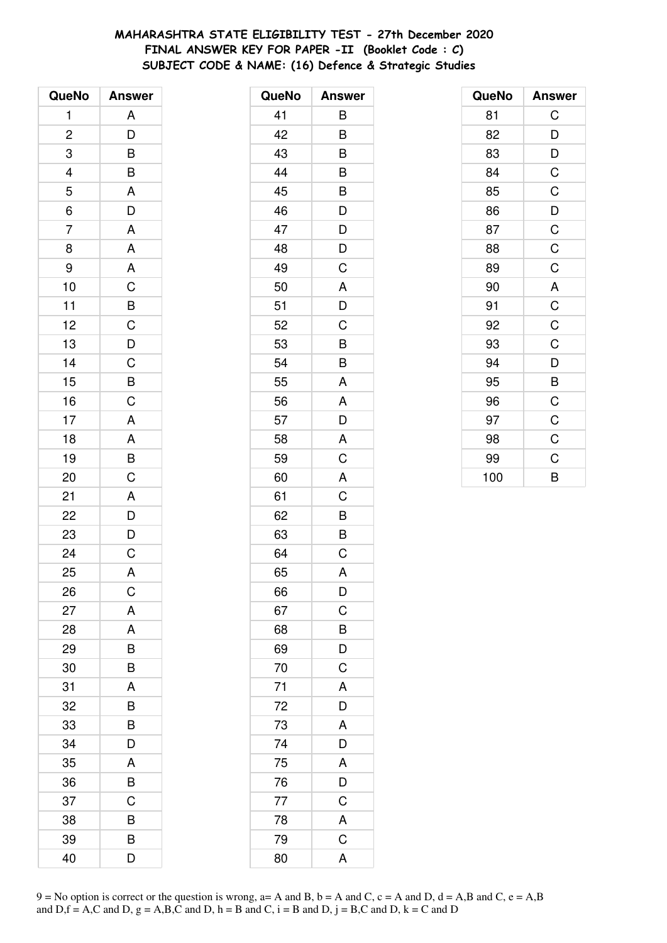# MAHARASHTRA STATE ELIGIBILITY TEST - 27th December 2020 FINAL ANSWER KEY FOR PAPER -II (Booklet Code : C) SUBJECT CODE & NAME: (16) Defence & Strategic Studies

| QueNo                   | <b>Answer</b>                                       |
|-------------------------|-----------------------------------------------------|
| 1                       | Α                                                   |
| $\overline{\mathbf{c}}$ | D                                                   |
| 3                       | B                                                   |
| $\frac{4}{1}$           | $\overline{B}$                                      |
| 5                       | $\overline{A}$                                      |
| 6                       | $\overline{D}$                                      |
| $\overline{7}$          | A                                                   |
| 8                       | A                                                   |
| 9                       |                                                     |
| 10                      |                                                     |
| 11                      |                                                     |
| 12                      |                                                     |
| 13                      | $\begin{array}{c}\nA \\ C\nB\nC\nD\nC\n\end{array}$ |
| 14                      |                                                     |
| 15                      | $\frac{B}{C}$                                       |
| 16                      |                                                     |
| 17                      | A                                                   |
| 18                      | $\overline{A}$                                      |
| 19                      | $\frac{B}{C}$                                       |
| 20                      |                                                     |
| 21                      |                                                     |
| 22                      | $\begin{array}{c}\nA \\ D \\ D\n\end{array}$        |
| 23                      |                                                     |
| 24                      | $\overline{C}$                                      |
| 25                      | A                                                   |
| 26                      | C                                                   |
| 27                      | A                                                   |
| 28                      | A                                                   |
| 29                      | B                                                   |
| 30                      | B                                                   |
| 31                      | A                                                   |
| 32                      | B                                                   |
| 33                      | B                                                   |
| 34                      | D                                                   |
| 35                      | A                                                   |
| 36                      | B                                                   |
| 37                      | C                                                   |
| 38                      | B                                                   |
| 39                      | B                                                   |
| 40                      | D                                                   |

| QueNo | <b>Answer</b>  |
|-------|----------------|
| 41    | В              |
| 42    | B              |
| 43    | B              |
| 44    | B              |
| 45    | B              |
| 46    | D              |
| 47    | D              |
| 48    | D              |
| 49    | C              |
| 50    | A              |
| 51    | D              |
| 52    | C              |
| 53    | B              |
| 54    | B              |
| 55    | A              |
| 56    | A              |
| 57    | D              |
| 58    | A              |
| 59    | C              |
| 60    | A              |
| 61    | C              |
| 62    | B              |
| 63    | B              |
| 64    | C              |
| 65    | A              |
| 66    | D              |
| 67    | $\overline{C}$ |
| 68    | $\frac{1}{B}$  |
| 69    | $\overline{D}$ |
| 70    | $\mathsf C$    |
| 71    | A              |
| 72    | D              |
| 73    | A              |
| 74    | $\overline{D}$ |
| 75    | $\overline{A}$ |
| 76    | $\bar{D}$      |
| 77    | $\mathsf C$    |
| 78    | A              |
| 79    | $\overline{C}$ |
| 80    | A              |

| QueNo | <b>Answer</b> |
|-------|---------------|
| 81    | C             |
| 82    | D             |
| 83    | D             |
| 84    | C             |
| 85    | C             |
| 86    | D             |
| 87    | C             |
| 88    | $\mathsf C$   |
| 89    | C             |
| 90    | A             |
| 91    | $\mathsf C$   |
| 92    | C             |
| 93    | C             |
| 94    | D             |
| 95    | B             |
| 96    | C             |
| 97    | C             |
| 98    | $\mathsf C$   |
| 99    | C             |
| 100   | B             |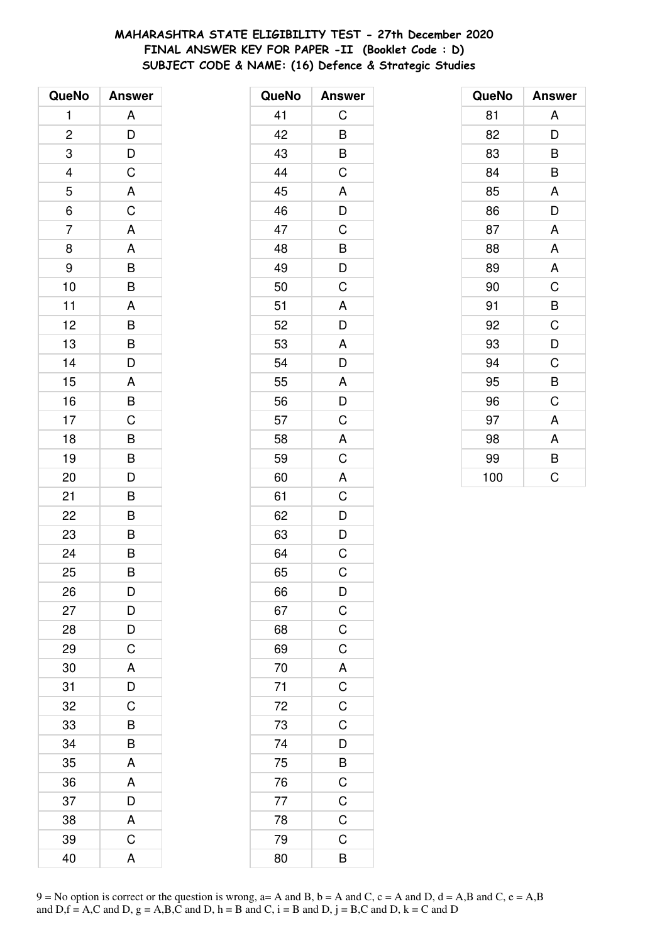# **MAHARASHTRA STATE ELIGIBILITY TEST - 27th December 2020 FINAL ANSWER KEY FOR PAPER -II (Booklet Code : D) SUBJECT CODE & NAME: (16) Defence & Strategic Studies**

| QueNo                   | <b>Answer</b>           |
|-------------------------|-------------------------|
| 1                       | Α                       |
| $\overline{\mathbf{c}}$ |                         |
| 3                       |                         |
| 4                       | $\frac{D}{D}$           |
| 5                       | $\overline{A}$          |
| 6                       | $\overline{C}$          |
| 7                       | A                       |
| 8                       | A                       |
| 9                       |                         |
| 10                      | $\frac{B}{B}$           |
| 11                      | A                       |
| 12                      | B                       |
| 13                      | B                       |
| 14                      | D                       |
| 15                      | A                       |
| 16                      | $\overline{B}$ C        |
| 17                      |                         |
| 18                      | B                       |
| 19                      | B                       |
| 20                      | D                       |
| 21                      | B                       |
| 22                      | $\overline{\mathsf{B}}$ |
| 23                      | $\overline{B}$          |
| 24                      | B                       |
| 25                      | B                       |
| 26                      | D                       |
| 27                      |                         |
| 28                      | $\frac{D}{C}$           |
| 29                      |                         |
| 30                      | $rac{A}{D}$             |
| 31                      |                         |
| 32                      | C                       |
| 33                      | B                       |
| 34                      | B                       |
| 35                      | A                       |
| 36                      | A                       |
| 37                      | D                       |
| 38                      | A                       |
| 39                      | $\mathsf C$             |
| 40                      | A                       |

| QueNo           | <b>Answer</b>                                      |
|-----------------|----------------------------------------------------|
| 41              | С                                                  |
| 42              | B                                                  |
| 43              | $\overline{B}$                                     |
| 44              | $\overline{\mathrm{C}}$                            |
| 45              | A                                                  |
| 46              | D                                                  |
| 47              | C                                                  |
| 48              | B                                                  |
| 49              | $\frac{1}{D}$                                      |
| 50              | C                                                  |
| 51              | A                                                  |
| 52              | D                                                  |
| 53              | A                                                  |
| 54              | D                                                  |
| 55              | A                                                  |
| 56              | $\overline{D}$                                     |
| 57              | C                                                  |
| 58              | A                                                  |
| 59              | C                                                  |
| 60              | A                                                  |
| 61              | $\overline{\overline{C}}$                          |
| 62              | $\overline{D}$                                     |
| 63              | D                                                  |
| 64              | $\mathsf C$                                        |
| 65              | C                                                  |
| 66              | $\mathsf{D}$                                       |
| 67              |                                                    |
| 68              | $rac{C}{C}$                                        |
| 69              | $\overline{C}$                                     |
| 70              |                                                    |
| $\overline{71}$ | $A$ $C$ $C$ $C$                                    |
|                 |                                                    |
| 72<br>73<br>74  |                                                    |
|                 | $\frac{1}{D}$                                      |
| 75              |                                                    |
| $\overline{76}$ |                                                    |
| 77              | $\overline{C}$<br>$\overline{C}$<br>$\overline{C}$ |
| 78              |                                                    |
| 79              | C                                                  |
| 80              | $\overline{\mathsf{B}}$                            |

| QueNo | <b>Answer</b> |
|-------|---------------|
| 81    | A             |
| 82    | D             |
| 83    | B             |
| 84    | B             |
| 85    | A             |
| 86    | D             |
| 87    | A             |
| 88    | A             |
| 89    | A             |
| 90    | C             |
| 91    | B             |
| 92    | C             |
| 93    | D             |
| 94    | C             |
| 95    | B             |
| 96    | C             |
| 97    | A             |
| 98    | A             |
| 99    | B             |
| 100   | C             |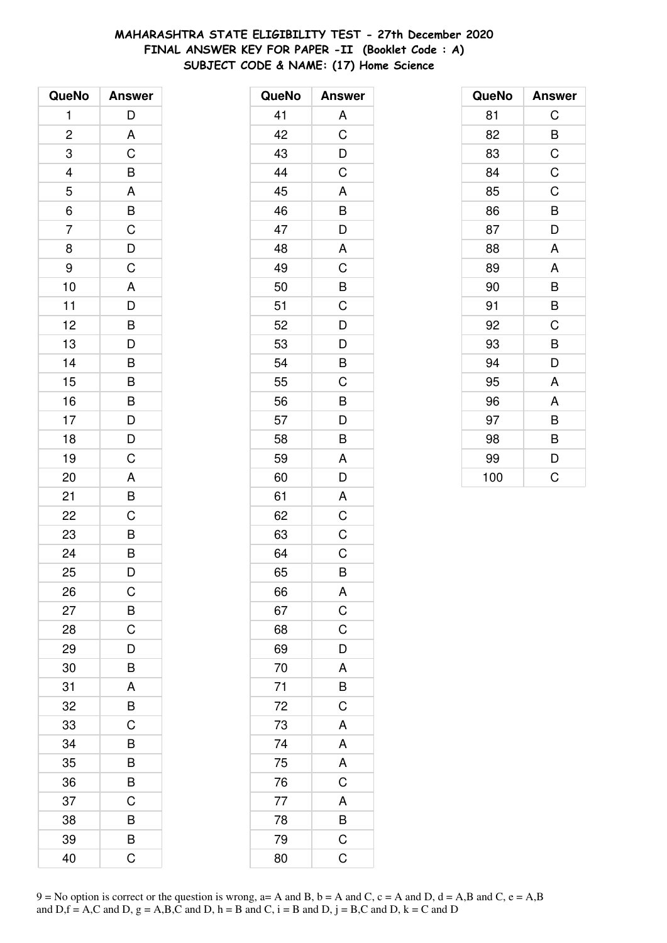# **MAHARASHTRA STATE ELIGIBILITY TEST - 27th December 2020 FINAL ANSWER KEY FOR PAPER -II (Booklet Code : A) SUBJECT CODE & NAME: (17) Home Science**

| QueNo                   | <b>Answer</b>           |
|-------------------------|-------------------------|
| 1                       | D                       |
| $\overline{\mathbf{c}}$ | A                       |
| 3                       | $\overline{C}$          |
| 4                       | B                       |
| 5                       | A                       |
| $\overline{6}$          | $\overline{B}$          |
| $\overline{7}$          | $\overline{C}$          |
| 8                       | $\overline{D}$          |
| 9                       | $\mathsf C$             |
| 10                      | A                       |
| 11                      | $\overline{D}$          |
| 12                      |                         |
| 13                      | $\frac{B}{D}$           |
| 14                      | B                       |
| 15                      | B                       |
| 16                      | B                       |
| 17                      | $\frac{D}{D}$           |
| 18                      |                         |
| 19                      | $\overline{C}$          |
| 20                      | A                       |
| 21                      | B                       |
| 22                      | C                       |
| 23                      | B                       |
| 24                      | $\overline{\mathsf{B}}$ |
| 25                      | D                       |
| 26                      | C                       |
| 27                      | B                       |
| 28                      | C                       |
| 29                      | D                       |
| 30                      | B                       |
| 31                      | A                       |
| 32                      | B                       |
| 33                      | C                       |
| 34                      | B                       |
| 35                      | B                       |
| 36                      | B                       |
| 37                      | C                       |
| 38                      | B                       |
| 39                      | B                       |
| 40                      | Ć                       |

| QueNo | <b>Answer</b>           |
|-------|-------------------------|
| 41    | A                       |
| 42    | C                       |
| 43    | D                       |
| 44    | C                       |
| 45    | A                       |
| 46    | B                       |
| 47    | D                       |
| 48    | A                       |
| 49    | C                       |
| 50    | B                       |
| 51    | C                       |
| 52    | D                       |
| 53    | D                       |
| 54    | B                       |
| 55    | C                       |
| 56    | B                       |
| 57    | D                       |
| 58    | B                       |
| 59    | A                       |
| 60    | D                       |
| 61    | A                       |
| 62    | C                       |
| 63    | C                       |
| 64    | C                       |
| 65    | B                       |
| 66    | A                       |
| 67    | $\overline{C}$          |
| 68    | C                       |
| 69    | D                       |
| 70    | A                       |
| 71    | $\overline{B}$          |
| 72    | $\overline{C}$          |
| 73    | A                       |
| 74    | A                       |
| 75    | A                       |
| 76    | $\overline{\mathbf{C}}$ |
| 77    | $\overline{A}$          |
| 78    | $\overline{B}$          |
| 79    | $\mathsf C$             |
| 80    | C                       |

| QueNo | <b>Answer</b> |
|-------|---------------|
| 81    | C             |
| 82    | B             |
| 83    | C             |
| 84    | $\mathsf C$   |
| 85    | C             |
| 86    | B             |
| 87    | D             |
| 88    | A             |
| 89    | A             |
| 90    | B             |
| 91    | B             |
| 92    | C             |
| 93    | B             |
| 94    | D             |
| 95    | A             |
| 96    | A             |
| 97    | B             |
| 98    | B             |
| 99    | D             |
| 100   | C             |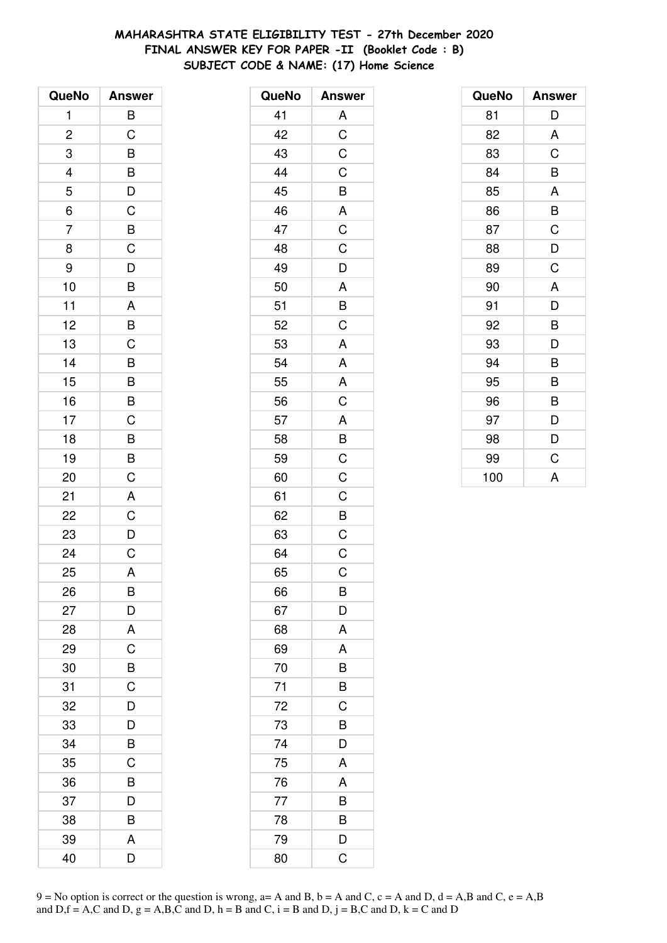# **MAHARASHTRA STATE ELIGIBILITY TEST - 27th December 2020 FINAL ANSWER KEY FOR PAPER -II (Booklet Code : B) SUBJECT CODE & NAME: (17) Home Science**

| QueNo                   | <b>Answer</b>           |
|-------------------------|-------------------------|
| 1                       | B                       |
| $\overline{\mathbf{c}}$ | C                       |
| 3                       | B                       |
|                         | $\overline{B}$          |
| $\frac{4}{5}$           |                         |
| $\overline{6}$          | $\frac{D}{C}$           |
| $\overline{7}$          | $\overline{B}$          |
| 8                       | $\overline{\mathsf{C}}$ |
| 9                       | $\overline{D}$          |
| 10                      | B                       |
| 11                      | $\overline{A}$          |
| 12                      | $\overline{B}$          |
| 13                      | $\overline{C}$          |
| 14                      | B                       |
| 15                      | $\overline{B}$          |
| 16                      | $\overline{B}$          |
| 17                      | $\overline{C}$          |
| 18                      | $\overline{B}$          |
| 19                      | $\overline{B}$          |
| 20                      | C                       |
| 21                      | A                       |
| 22                      | $\mathsf{C}$            |
| 23                      | $\frac{D}{C}$           |
| 24                      |                         |
| 25                      | A                       |
| 26                      | B                       |
| 27                      | D                       |
| 28                      | A                       |
| 29                      | $\mathsf C$             |
| 30                      | B                       |
| 31                      | C                       |
| 32                      | D                       |
| 33                      | D                       |
| 34                      | B                       |
| 35                      | C                       |
| 36                      | B                       |
| 37                      | D                       |
| 38                      | B                       |
| 39                      | A                       |
| 40                      | D                       |

| QueNo | <b>Answer</b>           |
|-------|-------------------------|
| 41    | A                       |
| 42    | $\overline{C}$          |
| 43    | $\mathsf C$             |
| 44    | $\overline{C}$          |
| 45    | B                       |
| 46    | A                       |
| 47    | $\overline{C}$          |
| 48    | C                       |
| 49    | D                       |
| 50    | A                       |
| 51    | B                       |
| 52    | C                       |
| 53    | $\overline{A}$          |
| 54    | A                       |
| 55    | A                       |
| 56    | $\overline{\mathrm{C}}$ |
| 57    | A                       |
| 58    |                         |
| 59    | $rac{B}{C}$             |
| 60    | $\mathsf C$             |
| 61    | $\mathsf C$             |
| 62    | B                       |
| 63    | $\mathsf C$             |
| 64    | C                       |
| 65    | C                       |
| 66    | B                       |
| 67    | D                       |
| 68    | A                       |
| 69    | A                       |
| 70    | B                       |
| 71    | B                       |
| 72    | $\mathsf C$             |
| 73    | B                       |
| 74    | D                       |
| 75    | A                       |
| 76    | A                       |
| 77    | B                       |
| 78    | B                       |
| 79    | D                       |
| 80    | C                       |

| QueNo | <b>Answer</b> |
|-------|---------------|
| 81    | D             |
| 82    | A             |
| 83    | C             |
| 84    | B             |
| 85    | A             |
| 86    | B             |
| 87    | C             |
| 88    | D             |
| 89    | C             |
| 90    | A             |
| 91    | D             |
| 92    | B             |
| 93    | D             |
| 94    | B             |
| 95    | B             |
| 96    | B             |
| 97    | D             |
| 98    | D             |
| 99    | C             |
| 100   | A             |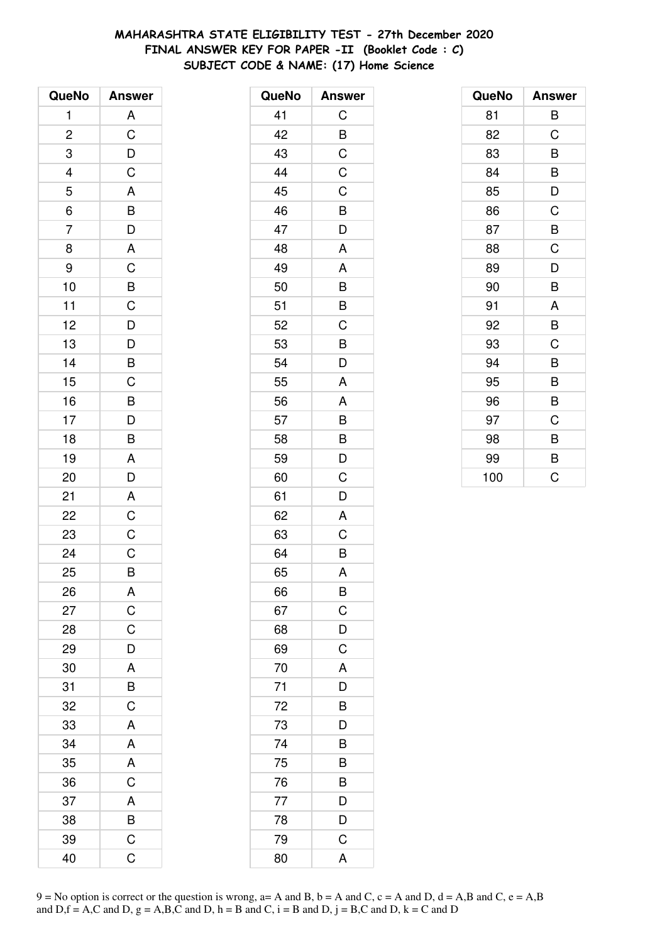# **MAHARASHTRA STATE ELIGIBILITY TEST - 27th December 2020 FINAL ANSWER KEY FOR PAPER -II (Booklet Code : C) SUBJECT CODE & NAME: (17) Home Science**

| QueNo          | <b>Answer</b>                                      |
|----------------|----------------------------------------------------|
| 1              | A                                                  |
| $\overline{c}$ | $\overline{\mathbf{C}}$                            |
| 3              | $\overline{D}$<br>C                                |
|                |                                                    |
| $\frac{4}{5}$  |                                                    |
| $\overline{6}$ |                                                    |
| $\overline{7}$ | A<br>B<br>D<br>A<br>C                              |
| 8              |                                                    |
| 9              |                                                    |
| 10             |                                                    |
| 11             |                                                    |
| 12             |                                                    |
| 13             | BCDDBC                                             |
| 14             |                                                    |
| 15             |                                                    |
| 16             |                                                    |
| 17             | $\overline{B}$<br>$\overline{D}$<br>$\overline{B}$ |
| 18             |                                                    |
| 19             | A                                                  |
| 20             | $\overline{D}$                                     |
| 21             | A                                                  |
| 22             | $\overline{\text{c}}$                              |
| 23             | $\mathsf C$                                        |
| 24             | $\overline{C}$                                     |
| 25             | B                                                  |
| 26             | A                                                  |
| 27             | $\overline{C}$                                     |
| 28             | $\mathsf C$                                        |
| 29             | D                                                  |
| 30             | A                                                  |
| 31             | $\overline{B}$                                     |
| 32             | C                                                  |
| 33             | A                                                  |
| 34             | A                                                  |
| 35             | A                                                  |
| 36             | $\overline{C}$                                     |
| 37             | A                                                  |
| 38             | B                                                  |
| 39             | C                                                  |
| 40             | Ć                                                  |

| QueNo | <b>Answer</b>           |
|-------|-------------------------|
| 41    | С                       |
| 42    | B                       |
| 43    | $\overline{C}$          |
| 44    | $\mathsf C$             |
| 45    | C                       |
| 46    | B                       |
| 47    | D                       |
| 48    | A                       |
| 49    | A                       |
| 50    | B                       |
| 51    | B                       |
| 52    | C                       |
| 53    | B                       |
| 54    | D                       |
| 55    | A                       |
| 56    | A                       |
| 57    | B                       |
| 58    | B                       |
| 59    | D                       |
| 60    | C                       |
| 61    | D                       |
| 62    | A                       |
| 63    | C                       |
| 64    | B                       |
| 65    | A                       |
| 66    | B                       |
| 67    |                         |
| 68    | $\frac{C}{D}$           |
| 69    | $\overline{C}$          |
| 70    | A                       |
| 71    | D                       |
| 72    | B                       |
| 73    | $\overline{\mathsf{D}}$ |
| 74    | B                       |
| 75    | B                       |
| 76    | B                       |
| 77    | D                       |
| 78    | $\overline{\mathsf{D}}$ |
| 79    | $\overline{C}$          |
| 80    | A                       |

| QueNo | <b>Answer</b> |
|-------|---------------|
| 81    | В             |
| 82    | C             |
| 83    | B             |
| 84    | B             |
| 85    | D             |
| 86    | C             |
| 87    | B             |
| 88    | C             |
| 89    | D             |
| 90    | B             |
| 91    | A             |
| 92    | B             |
| 93    | C             |
| 94    | B             |
| 95    | B             |
| 96    | B             |
| 97    | C             |
| 98    | B             |
| 99    | B             |
| 100   | Ć             |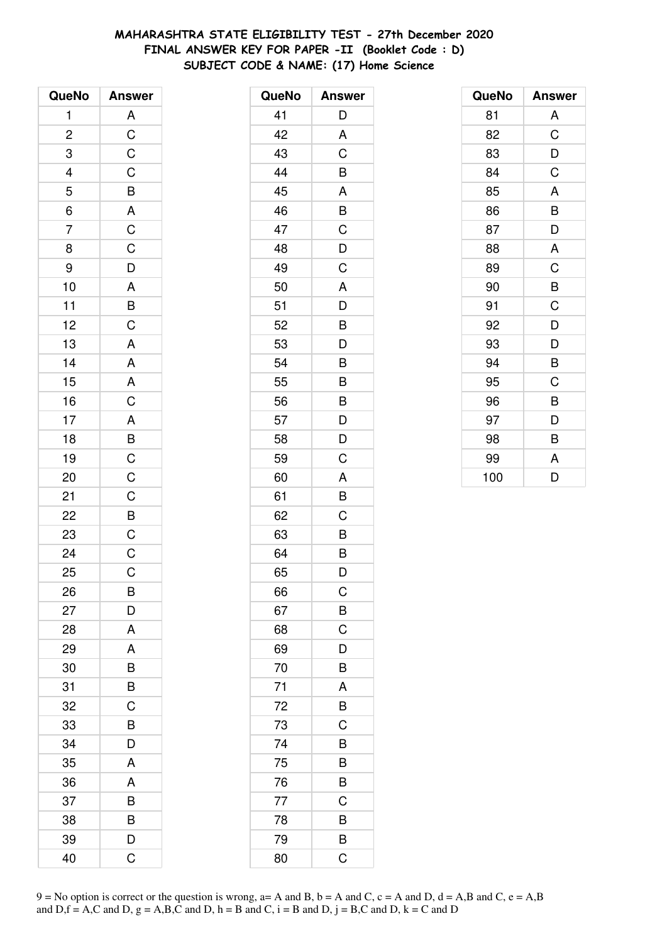# **MAHARASHTRA STATE ELIGIBILITY TEST - 27th December 2020 FINAL ANSWER KEY FOR PAPER -II (Booklet Code : D) SUBJECT CODE & NAME: (17) Home Science**

| QueNo          | <b>Answer</b>    |
|----------------|------------------|
| $\mathbf{1}$   |                  |
| $\overline{c}$ | ACCCBACCDA       |
| 3              |                  |
|                |                  |
| $\frac{4}{5}$  |                  |
| $\frac{1}{6}$  |                  |
| $\overline{7}$ |                  |
| 8              |                  |
| 9              |                  |
| 10             |                  |
| 11             | $\overline{B}$ C |
| 12             |                  |
| 13             | $\overline{A}$   |
| 14             | $rac{A}{A}$      |
| 15             |                  |
| 16             | $\mathsf C$      |
| 17             |                  |
| 18             |                  |
| 19             |                  |
| 20             | A B C C C B C    |
| 21             |                  |
| 22             |                  |
| 23             |                  |
| 24             | $\overline{C}$   |
| 25             | $\mathsf C$      |
| 26             | B                |
| 27             | D                |
| 28             | A                |
| 29             | A                |
| 30             | B                |
| 31             | B                |
| 32             | C                |
| 33             | B                |
| 34             | D                |
| 35             | A                |
| 36             | A                |
| 37             | B                |
| 38             | B                |
| 39             | D                |
| 40             | Ć                |

| QueNo | <b>Answer</b>  |
|-------|----------------|
| 41    | D              |
| 42    | A              |
| 43    | C              |
| 44    | B              |
| 45    | A              |
| 46    | B              |
| 47    | C              |
| 48    | D              |
| 49    | C              |
| 50    | A              |
| 51    | D              |
| 52    | B              |
| 53    | D              |
| 54    | B              |
| 55    | B              |
| 56    | B              |
| 57    | D              |
| 58    | D              |
| 59    | C              |
| 60    | A              |
| 61    | B              |
| 62    | C              |
| 63    | B              |
| 64    | B              |
| 65    | D              |
| 66    | C              |
| 67    | $\overline{B}$ |
| 68    | C              |
| 69    | D              |
| 70    | B              |
| 71    | A              |
| 72    | B              |
| 73    | C              |
| 74    | B              |
| 75    | B              |
| 76    | B              |
| 77    | C              |
| 78    | B              |
| 79    | B              |
| 80    | C              |

| QueNo | <b>Answer</b> |
|-------|---------------|
| 81    | A             |
| 82    | C             |
| 83    | D             |
| 84    | C             |
| 85    | A             |
| 86    | B             |
| 87    | D             |
| 88    | A             |
| 89    | C             |
| 90    | B             |
| 91    | C             |
| 92    | D             |
| 93    | D             |
| 94    | B             |
| 95    | C             |
| 96    | B             |
| 97    | D             |
| 98    | B             |
| 99    | A             |
| 100   | D             |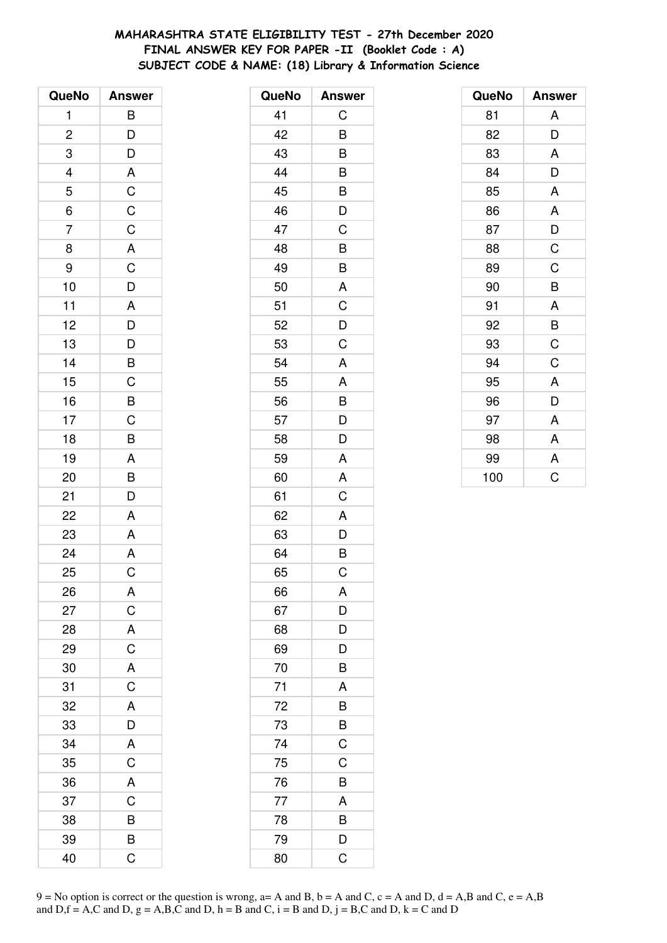# MAHARASHTRA STATE ELIGIBILITY TEST - 27th December 2020 FINAL ANSWER KEY FOR PAPER -II (Booklet Code: A) SUBJECT CODE & NAME: (18) Library & Information Science

| QueNo          | <b>Answer</b>                                      |
|----------------|----------------------------------------------------|
| 1              | B                                                  |
| $\overline{c}$ |                                                    |
| 3              | $\frac{D}{D}$                                      |
|                |                                                    |
| $\frac{4}{5}$  |                                                    |
| $\overline{6}$ |                                                    |
| 7              |                                                    |
| 8              |                                                    |
| 9              |                                                    |
| 10             |                                                    |
| 11             |                                                    |
| 12             |                                                    |
| 13             | A C C C A C D A D D B C                            |
| 14             |                                                    |
| 15             |                                                    |
| 16             | $\overline{B}$<br>$\overline{C}$<br>$\overline{B}$ |
| 17             |                                                    |
| 18             |                                                    |
| 19             | $\frac{A}{B}$                                      |
| 20             |                                                    |
| 21             | D                                                  |
| 22             | A                                                  |
| 23             | A                                                  |
| 24             | $\overline{A}$                                     |
| 25             | $\overline{\text{c}}$                              |
| 26             | Α                                                  |
| 27             | $\mathsf C$                                        |
| 28             | A                                                  |
| 29             | $\overline{C}$                                     |
| 30             | A                                                  |
| 31             | $\overline{C}$                                     |
| 32             | A                                                  |
| 33             | $\overline{D}$                                     |
| 34             | A                                                  |
| 35             | $\overline{C}$                                     |
| 36             | $\overline{A}$                                     |
| 37             | $\overline{\mathrm{C}}$                            |
| 38             | B                                                  |
| 39             | B                                                  |
| 40             | Ć                                                  |

| QueNo | <b>Answer</b>  |
|-------|----------------|
| 41    | C              |
| 42    | B              |
| 43    | B              |
| 44    | B              |
| 45    | B              |
| 46    | D              |
| 47    | C              |
| 48    | B              |
| 49    | B              |
| 50    | A              |
| 51    | C              |
| 52    | D              |
| 53    | C              |
| 54    | A              |
| 55    | A              |
| 56    | B              |
| 57    | D              |
| 58    | D              |
| 59    | A              |
| 60    | A              |
| 61    | C              |
| 62    | A              |
| 63    | D              |
| 64    | B              |
| 65    | $\mathsf C$    |
| 66    | A              |
| 67    | D              |
| 68    | D              |
| 69    | D              |
| 70    | B              |
| 71    | A              |
| 72    | B              |
| 73    | B              |
| 74    | C              |
| 75    | C              |
| 76    | B              |
| 77    | A              |
| 78    | B              |
| 79    | D              |
| 80    | $\overline{C}$ |

| QueNo | <b>Answer</b> |
|-------|---------------|
| 81    | Α             |
| 82    | D             |
| 83    | A             |
| 84    | D             |
| 85    | A             |
| 86    | A             |
| 87    | D             |
| 88    | $\mathsf C$   |
| 89    | C             |
| 90    | B             |
| 91    | A             |
| 92    | B             |
| 93    | C             |
| 94    | C             |
| 95    | A             |
| 96    | D             |
| 97    | A             |
| 98    | A             |
| 99    | A             |
| 100   | Ċ             |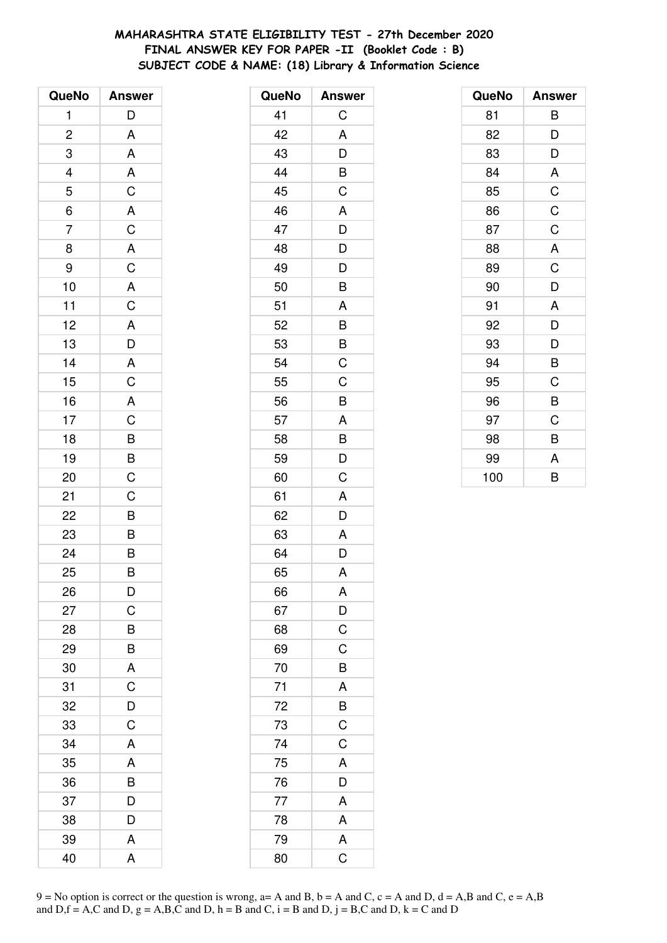# MAHARASHTRA STATE ELIGIBILITY TEST - 27th December 2020 FINAL ANSWER KEY FOR PAPER -II (Booklet Code: B) SUBJECT CODE & NAME: (18) Library & Information Science

| QueNo          | <b>Answer</b>                    |
|----------------|----------------------------------|
| 1              | D                                |
| $\overline{c}$ | A                                |
| 3              | A                                |
| $\frac{4}{5}$  |                                  |
|                |                                  |
| $\overline{6}$ | A C A C A C                      |
| $\overline{7}$ |                                  |
| 8              |                                  |
| 9              |                                  |
| 10             |                                  |
| 11             | $rac{A}{C}$                      |
| 12             |                                  |
| 13             | $\frac{A}{D}$                    |
| 14             |                                  |
| 15             | $rac{A}{C}$                      |
| 16             |                                  |
| 17             |                                  |
| 18             |                                  |
| 19             |                                  |
| 20             | A<br>C<br>B<br>B<br>C            |
| 21             | $\mathsf C$                      |
| 22             |                                  |
| 23             | $\overline{B}$<br>$\overline{B}$ |
| 24             |                                  |
| 25             | B                                |
| 26             | D                                |
| 27             | C                                |
| 28             | B                                |
| 29             | B                                |
| 30             | A                                |
| 31             | $\overline{C}$                   |
| 32             | D                                |
| 33             | C                                |
| 34             | A                                |
| 35             | A                                |
| 36             | $\overline{B}$                   |
| 37             | D                                |
| 38             | D                                |
| 39             | Α                                |
| 40             | A                                |

| QueNo | <b>Answer</b>           |
|-------|-------------------------|
| 41    | C                       |
| 42    | A                       |
| 43    | D                       |
| 44    | B                       |
| 45    | C                       |
| 46    | A                       |
| 47    | D                       |
| 48    | D                       |
| 49    | D                       |
| 50    | B                       |
| 51    | A                       |
| 52    | B                       |
| 53    | B                       |
| 54    | $\overline{C}$          |
| 55    | C                       |
| 56    | B                       |
| 57    | A                       |
| 58    | B                       |
| 59    | D                       |
| 60    | C                       |
| 61    | A                       |
| 62    | D                       |
| 63    | Α                       |
| 64    | D                       |
| 65    | A                       |
| 66    | A                       |
| 67    | $\mathsf{D}$            |
| 68    | $\overline{C}$          |
| 69    | C                       |
| 70    | B                       |
| 71    | A                       |
| 72    | $\overline{B}$          |
| 73    | $\overline{C}$          |
| 74    | $\overline{\mathsf{C}}$ |
| 75    | A                       |
| 76    | D                       |
| 77    | $\overline{A}$          |
| 78    | A                       |
| 79    | A                       |
| 80    | $\overline{C}$          |

| QueNo | <b>Answer</b> |
|-------|---------------|
| 81    | В             |
| 82    | D             |
| 83    | D             |
| 84    | A             |
| 85    | C             |
| 86    | C             |
| 87    | C             |
| 88    | A             |
| 89    | C             |
| 90    | D             |
| 91    | A             |
| 92    | D             |
| 93    | D             |
| 94    | B             |
| 95    | C             |
| 96    | B             |
| 97    | C             |
| 98    | B             |
| 99    | A             |
| 100   | B             |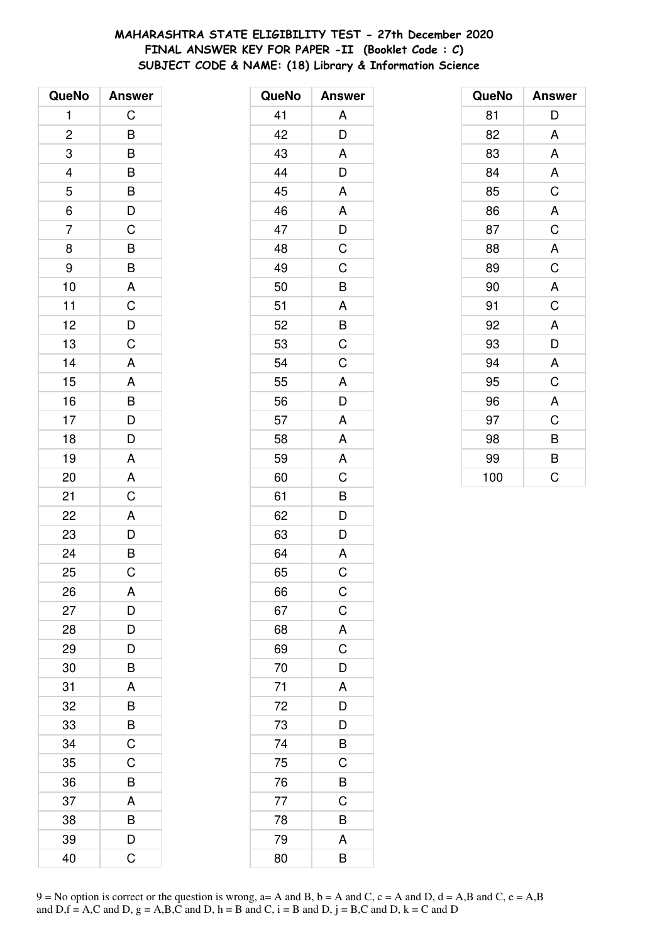# MAHARASHTRA STATE ELIGIBILITY TEST - 27th December 2020 FINAL ANSWER KEY FOR PAPER -II (Booklet Code : C) SUBJECT CODE & NAME: (18) Library & Information Science

| QueNo          | <b>Answer</b>                                |
|----------------|----------------------------------------------|
| 1              | C                                            |
| $\overline{c}$ |                                              |
| 3              | $\frac{B}{B}$                                |
|                |                                              |
| $\frac{4}{5}$  |                                              |
| $\overline{6}$ |                                              |
| 7              |                                              |
| 8              |                                              |
| 9              |                                              |
| 10             |                                              |
| 11             | BBDCBBACDC                                   |
| 12             |                                              |
| 13             |                                              |
| 14             | $\overline{A}$                               |
| 15             | $\overline{A}$                               |
| 16             |                                              |
| 17             | $\begin{array}{c}\nB \\ D \\ D\n\end{array}$ |
| 18             |                                              |
| 19             | $\overline{A}$                               |
| 20             | A                                            |
| 21             | C                                            |
| 22             |                                              |
| 23             | $\begin{array}{c}\nA \\ D \\ B\n\end{array}$ |
| 24             |                                              |
| 25             | $\overline{\text{c}}$                        |
| 26             | Α                                            |
| 27             | D                                            |
| 28             | D                                            |
| 29             | D                                            |
| 30             | B                                            |
| 31             | A                                            |
| 32             | B                                            |
| 33             | B                                            |
| 34             | C                                            |
| 35             | C                                            |
| 36             | B                                            |
| 37             | A                                            |
| 38             | B                                            |
| 39             | D                                            |
| 40             | Ć                                            |

| QueNo | <b>Answer</b>           |
|-------|-------------------------|
| 41    | Α                       |
| 42    | D                       |
| 43    | A                       |
| 44    | D                       |
| 45    | A                       |
| 46    | A                       |
| 47    | $\overline{D}$          |
| 48    | $\overline{\mathrm{C}}$ |
| 49    | C                       |
| 50    | B                       |
| 51    |                         |
| 52    | $\frac{A}{B}$           |
| 53    | $\overline{C}$          |
| 54    | C                       |
| 55    | A                       |
| 56    | D                       |
| 57    | A                       |
| 58    | A                       |
| 59    | A                       |
| 60    | C                       |
| 61    | B                       |
| 62    | D                       |
| 63    | D                       |
| 64    | $\mathsf{A}$            |
| 65    | C                       |
| 66    | $\mathsf C$             |
| 67    | $\mathsf C$             |
| 68    | A                       |
| 69    | $\mathsf C$             |
| 70    | D                       |
| 71    | A                       |
| 72    | D                       |
| 73    | D                       |
| 74    | B                       |
| 75    | C                       |
| 76    | B                       |
| 77    | C                       |
| 78    | B                       |
| 79    | A                       |
| 80    | B                       |

| QueNo | <b>Answer</b> |
|-------|---------------|
| 81    | D             |
| 82    | A             |
| 83    | A             |
| 84    | A             |
| 85    | C             |
| 86    | A             |
| 87    | C             |
| 88    | A             |
| 89    | C             |
| 90    | A             |
| 91    | C             |
| 92    | A             |
| 93    | D             |
| 94    | A             |
| 95    | C             |
| 96    | A             |
| 97    | C             |
| 98    | B             |
| 99    | B             |
| 100   | C             |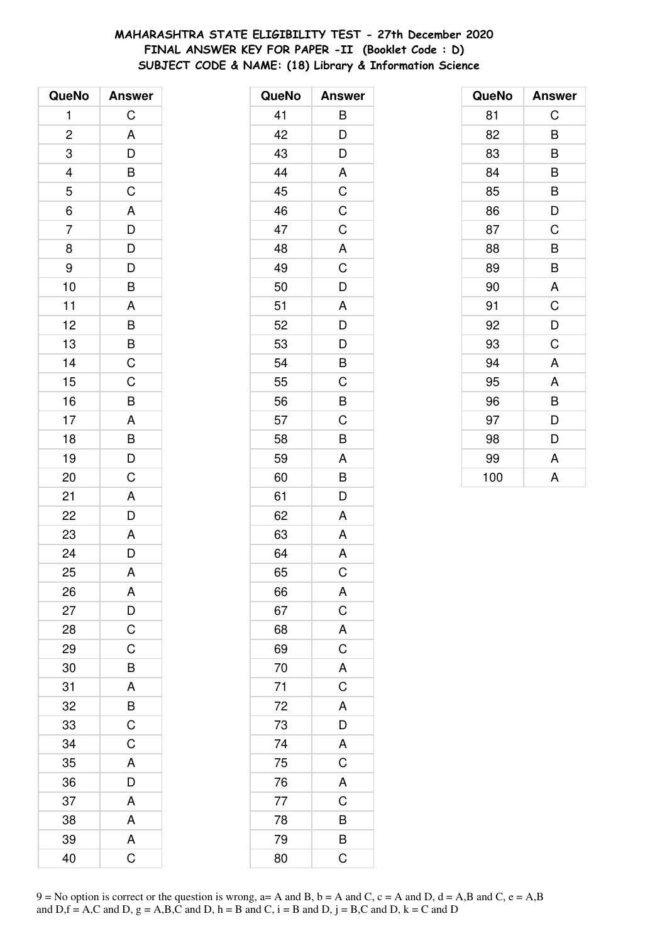# MAHARASHTRA STATE ELIGIBILITY TEST - 27th December 2020 FINAL ANSWER KEY FOR PAPER -II (Booklet Code: D) SUBJECT CODE & NAME: (18) Library & Information Science

| QueNo                   | <b>Answer</b>  |
|-------------------------|----------------|
| 1                       | $\mathsf C$    |
| $\overline{\mathbf{c}}$ | A              |
| 3                       | $\overline{D}$ |
| $\overline{a}$          |                |
| $\overline{5}$          | $rac{B}{C}$    |
| $\overline{6}$          | A              |
| $\overline{7}$          |                |
| 8                       | $\frac{D}{D}$  |
| 9                       | $\mathsf{D}$   |
| 10                      | B              |
| 11                      | A              |
| 12                      | $\overline{B}$ |
| 13                      | $\frac{B}{C}$  |
| 14                      |                |
| 15                      | C              |
| 16                      | B              |
| 17                      |                |
| 18                      | $\frac{A}{B}$  |
| 19                      | $\frac{1}{D}$  |
| 20                      | C              |
| 21                      | A              |
| 22                      | $\bar{D}$      |
| 23                      | A              |
| 24                      | $\overline{D}$ |
| 25                      | A              |
| 26                      | A              |
| 27                      | D              |
| 28                      | $\overline{C}$ |
| 29                      | $\mathsf C$    |
| 30                      | B              |
| 31                      | A              |
| 32                      | $rac{B}{C}$    |
| 33                      |                |
| 34                      | $\mathsf C$    |
| 35                      | A              |
| 36                      | D              |
| 37                      | A              |
| 38                      | A              |
| 39                      | A              |
| 40                      | Ć              |

| QueNo | <b>Answer</b>  |
|-------|----------------|
| 41    | B              |
| 42    | D              |
| 43    | D              |
| 44    | A              |
| 45    | $\overline{C}$ |
| 46    | $\mathsf C$    |
| 47    | $\mathsf C$    |
| 48    | A              |
| 49    | C              |
| 50    | D              |
| 51    | Α              |
| 52    | D              |
| 53    | D              |
| 54    | B              |
| 55    | C              |
| 56    | B              |
| 57    | C              |
| 58    | B              |
| 59    | A              |
| 60    | B              |
| 61    | D              |
| 62    | A              |
| 63    | A              |
| 64    | A              |
| 65    | C              |
| 66    | A              |
| 67    | $\mathsf C$    |
| 68    | A              |
| 69    | $\overline{C}$ |
| 70    | A              |
| 71    | $\overline{C}$ |
| 72    | A              |
| 73    | D              |
| 74    | A              |
| 75    | $\overline{C}$ |
| 76    | A              |
| 77    | $\overline{C}$ |
| 78    | B              |
| 79    | B              |
| 80    | C              |

| QueNo | <b>Answer</b> |
|-------|---------------|
| 81    | C             |
| 82    | B             |
| 83    | B             |
| 84    | B             |
| 85    | B             |
| 86    | D             |
| 87    | C             |
| 88    | B             |
| 89    | B             |
| 90    | A             |
| 91    | C             |
| 92    | D             |
| 93    | C             |
| 94    | A             |
| 95    | A             |
| 96    | B             |
| 97    | D             |
| 98    | D             |
| 99    | A             |
| 100   | A             |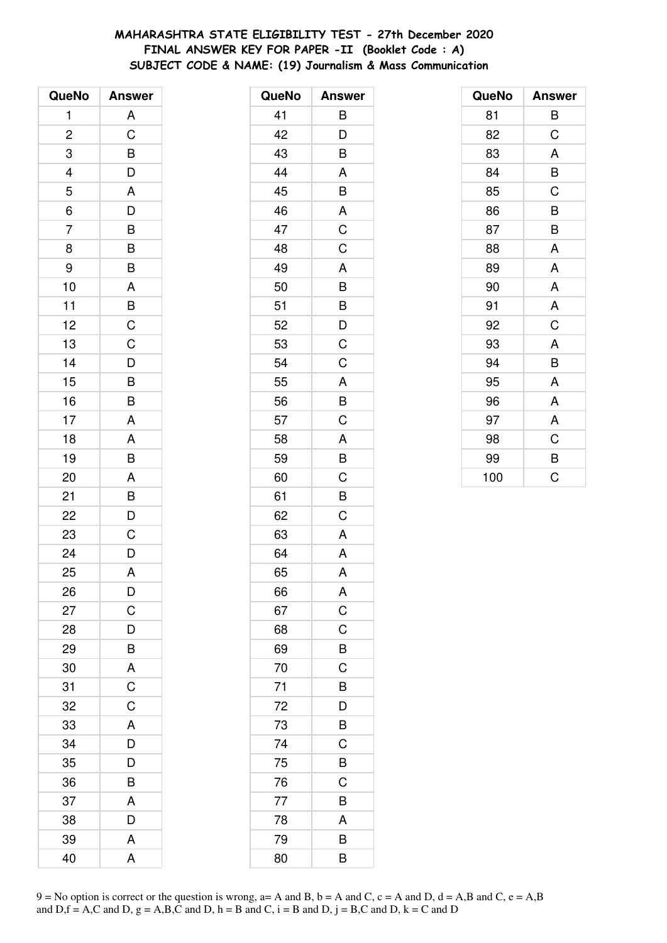# **MAHARASHTRA STATE ELIGIBILITY TEST - 27th December 2020 FINAL ANSWER KEY FOR PAPER -II (Booklet Code : A) SUBJECT CODE & NAME: (19) Journalism & Mass Communication**

| QueNo                    | <b>Answer</b>                                     |
|--------------------------|---------------------------------------------------|
| 1                        | A                                                 |
| $\overline{\mathbf{c}}$  | $\mathsf C$                                       |
| 3                        | $\overline{B}$                                    |
| $\overline{\mathcal{L}}$ | $\overline{D}$                                    |
| 5                        | A                                                 |
| $\overline{6}$           | $\overline{D}$                                    |
| $\overline{7}$           |                                                   |
| 8                        | $\frac{B}{B}$                                     |
| 9                        | B                                                 |
| 10                       |                                                   |
| 11                       |                                                   |
| 12                       |                                                   |
| 13                       | $\begin{array}{c}\nA \\ B \\ C \\ C\n\end{array}$ |
| 14                       | D                                                 |
| 15                       | $\overline{\mathsf{B}}$                           |
| 16                       | B                                                 |
| 17                       | A                                                 |
| 18                       | A                                                 |
| 19                       | B                                                 |
| 20                       | A                                                 |
| 21                       |                                                   |
| 22                       | $\frac{B}{D}$                                     |
| 23                       | $\overline{C}$                                    |
| 24                       | $\overline{D}$                                    |
| 25                       | A                                                 |
| 26                       | D                                                 |
| 27                       | $\mathsf C$                                       |
| 28                       | D                                                 |
| 29                       | B                                                 |
| 30                       | A                                                 |
| 31                       | $\overline{C}$                                    |
| 32                       | C                                                 |
| 33                       | A                                                 |
| 34                       | D                                                 |
| 35                       | $\overline{D}$                                    |
| 36                       | $\overline{\mathsf{B}}$                           |
| 37                       | A                                                 |
| 38                       | D                                                 |
| 39                       | Α                                                 |
| 40                       | A                                                 |

| QueNo | <b>Answer</b>  |
|-------|----------------|
| 41    | B              |
| 42    | D              |
| 43    | B              |
| 44    | A              |
| 45    | B              |
| 46    | A              |
| 47    | C              |
| 48    | C              |
| 49    | A              |
| 50    | B              |
| 51    | $\overline{B}$ |
| 52    | $\overline{D}$ |
| 53    | C              |
| 54    | C              |
| 55    | A              |
| 56    | B              |
| 57    | $\overline{C}$ |
| 58    | A              |
| 59    | B              |
| 60    | C              |
| 61    | B              |
| 62    | C              |
| 63    | A              |
| 64    | A              |
| 65    | A              |
| 66    | A              |
| 67    | C              |
| 68    | C              |
| 69    | B              |
| 70    | $\mathsf C$    |
| 71    | B              |
| 72    | D              |
| 73    | B              |
| 74    | C              |
| 75    | B              |
| 76    | C              |
| 77    | B              |
| 78    | A              |
| 79    | B              |
| 80    | B              |

| QueNo | <b>Answer</b> |
|-------|---------------|
| 81    | В             |
| 82    | C             |
| 83    | A             |
| 84    | B             |
| 85    | C             |
| 86    | B             |
| 87    | B             |
| 88    | A             |
| 89    | A             |
| 90    | A             |
| 91    | A             |
| 92    | $\mathsf C$   |
| 93    | A             |
| 94    | B             |
| 95    | A             |
| 96    | A             |
| 97    | A             |
| 98    | $\mathsf C$   |
| 99    | B             |
| 100   | C             |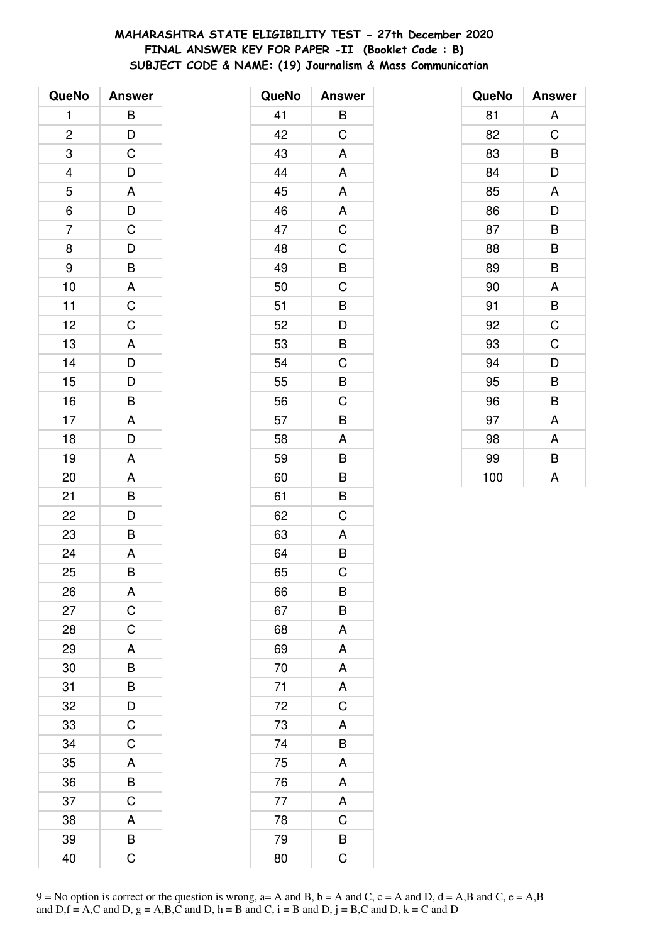# **MAHARASHTRA STATE ELIGIBILITY TEST - 27th December 2020 FINAL ANSWER KEY FOR PAPER -II (Booklet Code : B) SUBJECT CODE & NAME: (19) Journalism & Mass Communication**

| QueNo                   | <b>Answer</b>                                      |
|-------------------------|----------------------------------------------------|
| 1                       | B                                                  |
| $\overline{\mathbf{c}}$ |                                                    |
| 3                       | $\frac{D}{C}$                                      |
|                         | D                                                  |
| $\frac{4}{5}$           |                                                    |
| $\overline{6}$          | $\frac{A}{D}$                                      |
| $\overline{7}$          |                                                    |
| 8                       |                                                    |
| 9                       | $\overline{C}$<br>$\overline{D}$<br>$\overline{B}$ |
| 10                      |                                                    |
| 11                      | $\frac{A}{C}$                                      |
| 12                      |                                                    |
| 13                      |                                                    |
| 14                      |                                                    |
| 15                      | $\frac{A}{D}$                                      |
| 16                      | B                                                  |
| 17                      | A                                                  |
| 18                      | $\overline{D}$                                     |
| 19                      | A                                                  |
| 20                      | A                                                  |
| 21                      | B                                                  |
| 22                      | $\overline{\mathsf{D}}$                            |
| 23                      | B                                                  |
| 24                      | A                                                  |
| 25                      | B                                                  |
| 26                      | A                                                  |
| 27                      | $\mathsf C$                                        |
| 28                      | C                                                  |
| 29                      | A                                                  |
| 30                      | $\overline{B}$                                     |
| 31                      | $\overline{B}$                                     |
| 32                      | $\frac{D}{C}$                                      |
| 33                      |                                                    |
| 34                      | $\mathsf C$                                        |
| 35                      | A                                                  |
| 36                      | $\overline{B}$                                     |
| 37                      | $\overline{C}$                                     |
| 38                      | A                                                  |
| 39                      | B                                                  |
| 40                      | Ć                                                  |

| QueNo | <b>Answer</b>           |
|-------|-------------------------|
| 41    | B                       |
| 42    | C                       |
| 43    | A                       |
| 44    | A                       |
| 45    | A                       |
| 46    | A                       |
| 47    | $\overline{C}$          |
| 48    | C                       |
| 49    | B                       |
| 50    | $\mathsf C$             |
| 51    | B                       |
| 52    | D                       |
| 53    | B                       |
| 54    | C                       |
| 55    | B                       |
| 56    | C                       |
| 57    | B                       |
| 58    | A                       |
| 59    | B                       |
| 60    | B                       |
| 61    | B                       |
| 62    | C                       |
| 63    | A                       |
| 64    | B                       |
| 65    | C                       |
| 66    | в                       |
| 67    | B                       |
| 68    | A                       |
| 69    | A                       |
| 70    | A                       |
| 71    | A                       |
| 72    | $\mathsf C$             |
| 73    | A                       |
| 74    | B                       |
| 75    | A                       |
| 76    | A                       |
| 77    | A                       |
| 78    | C                       |
| 79    | B                       |
| 80    | $\overline{\mathrm{C}}$ |

| QueNo | <b>Answer</b> |
|-------|---------------|
| 81    | A             |
| 82    | C             |
| 83    | B             |
| 84    | D             |
| 85    | A             |
| 86    | D             |
| 87    | B             |
| 88    | B             |
| 89    | B             |
| 90    | A             |
| 91    | B             |
| 92    | C             |
| 93    | C             |
| 94    | D             |
| 95    | B             |
| 96    | B             |
| 97    | A             |
| 98    | A             |
| 99    | B             |
| 100   | A             |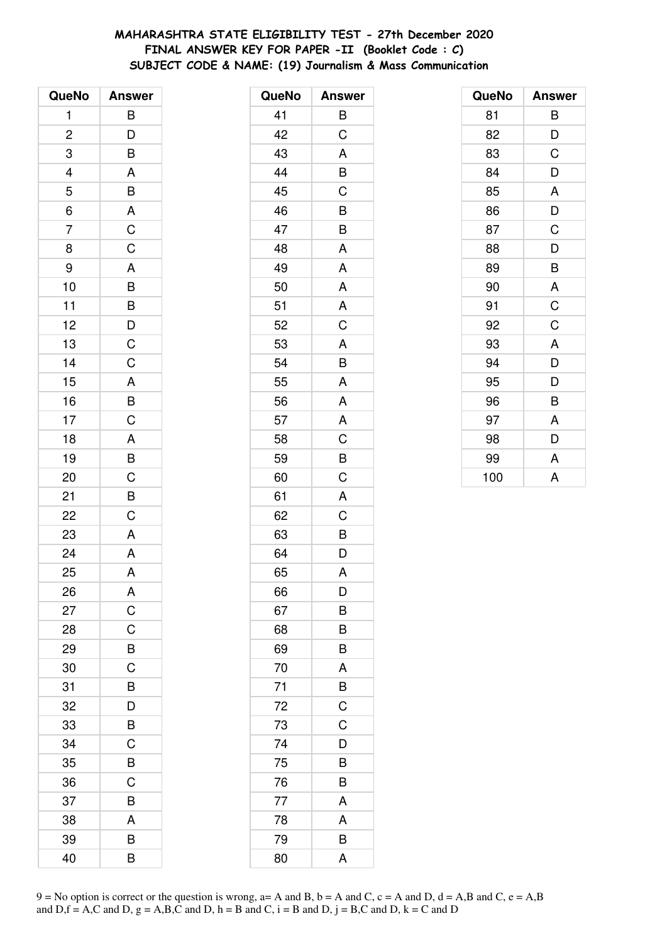# **MAHARASHTRA STATE ELIGIBILITY TEST - 27th December 2020 FINAL ANSWER KEY FOR PAPER -II (Booklet Code : C) SUBJECT CODE & NAME: (19) Journalism & Mass Communication**

| QueNo                   | <b>Answer</b>                                         |
|-------------------------|-------------------------------------------------------|
| 1                       | B                                                     |
| $\overline{\mathbf{c}}$ |                                                       |
| 3                       | $\frac{D}{B}$                                         |
|                         |                                                       |
| $\frac{4}{5}$           |                                                       |
| $\overline{6}$          | $\frac{A}{B}$                                         |
| $\overline{7}$          | $\frac{C}{C}$                                         |
| 8                       |                                                       |
| 9                       |                                                       |
| 10                      |                                                       |
| 11                      |                                                       |
| 12                      |                                                       |
| 13                      | $\begin{array}{c}\nA \\ B \\ B\nD\nC\nC\n\end{array}$ |
| 14                      |                                                       |
| 15                      | $\overline{A}$                                        |
| 16                      | $\frac{B}{C}$                                         |
| 17                      |                                                       |
| 18                      | $\overline{A}$                                        |
| 19                      | $rac{B}{C}$                                           |
| 20                      |                                                       |
| 21                      | B                                                     |
| 22                      | $\overline{\mathrm{c}}$                               |
| 23                      | A                                                     |
| 24                      | $\overline{A}$                                        |
| 25                      | A                                                     |
| 26                      | A                                                     |
| 27                      | $\mathsf C$                                           |
| 28                      | C                                                     |
| 29                      | B                                                     |
| 30                      | $\overline{C}$                                        |
| 31                      | B                                                     |
| 32                      | D                                                     |
| 33                      | B                                                     |
| 34                      | $\mathsf C$                                           |
| 35                      | B                                                     |
| 36                      | C                                                     |
| 37                      | B                                                     |
| 38                      | A                                                     |
| 39                      | B                                                     |
| 40                      | B                                                     |

| QueNo | <b>Answer</b>  |
|-------|----------------|
| 41    | B              |
| 42    | C              |
| 43    | A              |
| 44    | B              |
| 45    | $\overline{C}$ |
| 46    | B              |
| 47    | B              |
| 48    | A              |
| 49    | A              |
| 50    | A              |
| 51    | A              |
| 52    | C              |
| 53    | A              |
| 54    | B              |
| 55    | A              |
| 56    | A              |
| 57    | A              |
| 58    | C              |
| 59    | B              |
| 60    | C              |
| 61    | A              |
| 62    | $\mathsf C$    |
| 63    | B              |
| 64    | D              |
| 65    | A              |
| 66    | D              |
| 67    | B              |
| 68    | B              |
| 69    | B              |
| 70    | A              |
| 71    | B              |
| 72    | $\mathsf C$    |
| 73    | C              |
| 74    | D              |
| 75    | B              |
| 76    | B              |
| 77    | A              |
| 78    | A              |
| 79    | B              |
| 80    | A              |

| QueNo | <b>Answer</b> |
|-------|---------------|
| 81    | В             |
| 82    | D             |
| 83    | C             |
| 84    | D             |
| 85    | A             |
| 86    | D             |
| 87    | C             |
| 88    | D             |
| 89    | B             |
| 90    | A             |
| 91    | C             |
| 92    | C             |
| 93    | A             |
| 94    | D             |
| 95    | D             |
| 96    | B             |
| 97    | A             |
| 98    | D             |
| 99    | A             |
| 100   | A             |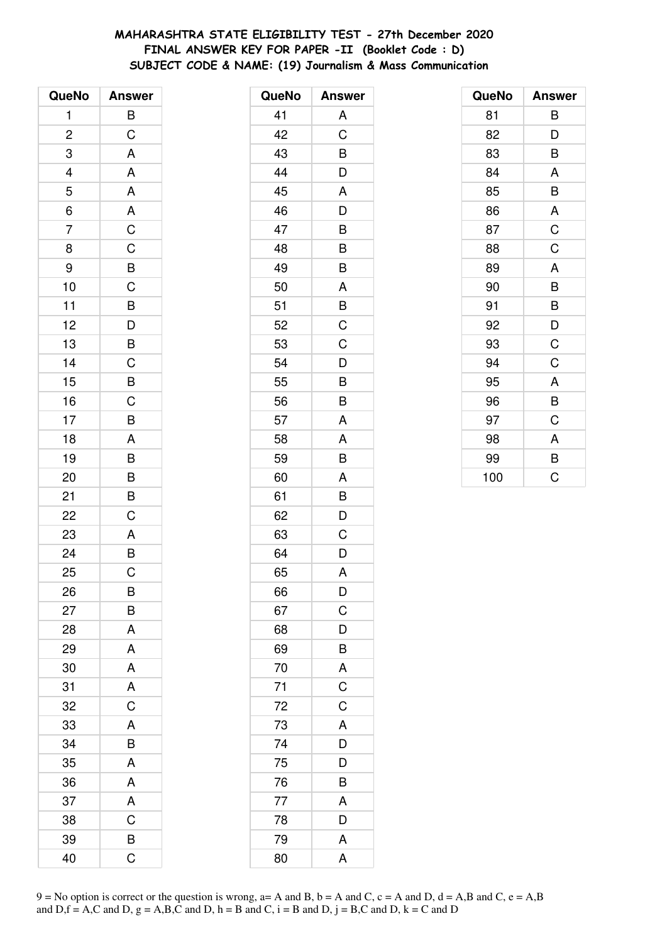# **MAHARASHTRA STATE ELIGIBILITY TEST - 27th December 2020 FINAL ANSWER KEY FOR PAPER -II (Booklet Code : D) SUBJECT CODE & NAME: (19) Journalism & Mass Communication**

| QueNo                    | <b>Answer</b>                                      |
|--------------------------|----------------------------------------------------|
| 1                        | B                                                  |
| $\overline{\mathbf{c}}$  | $\mathsf C$                                        |
| 3                        | A                                                  |
| $\overline{\mathcal{L}}$ | A                                                  |
| $\overline{5}$           | $\overline{A}$                                     |
| $\overline{6}$           | $rac{A}{C}$                                        |
| $\overline{7}$           |                                                    |
| 8                        | $\overline{C}$                                     |
| 9                        | $\overline{B}$ C                                   |
| 10                       |                                                    |
| 11                       | $\overline{B}$<br>$\overline{D}$<br>$\overline{B}$ |
| 12                       |                                                    |
| 13                       |                                                    |
| 14                       | $\mathsf C$                                        |
| 15                       | $\frac{1}{\overline{B}}$                           |
| 16                       | $\frac{C}{B}$                                      |
| 17                       |                                                    |
| 18                       | $\overline{\mathsf{A}}$                            |
| 19                       | B                                                  |
| 20                       | $\frac{B}{B}$                                      |
| 21                       |                                                    |
| 22                       | $\overline{C}$                                     |
| 23                       |                                                    |
| 24                       | $rac{A}{B}$                                        |
| 25                       | $\overline{C}$                                     |
| 26                       | В                                                  |
| 27                       | B                                                  |
| 28                       | A                                                  |
| 29                       | A                                                  |
| 30                       | A                                                  |
| 31                       | A                                                  |
| 32                       | $\overline{C}$                                     |
| 33                       | A                                                  |
| 34                       | B                                                  |
| 35                       | A                                                  |
| 36                       | A                                                  |
| 37                       | A                                                  |
| 38                       | $\overline{C}$                                     |
| 39                       | B                                                  |
| 40                       | Ć                                                  |

| QueNo | <b>Answer</b>  |
|-------|----------------|
| 41    | A              |
| 42    | C              |
| 43    | B              |
| 44    | D              |
| 45    | A              |
| 46    | D              |
| 47    | B              |
| 48    | B              |
| 49    | B              |
| 50    | A              |
| 51    | B              |
| 52    | $\overline{C}$ |
| 53    | C              |
| 54    | D              |
| 55    | B              |
| 56    | B              |
| 57    | A              |
| 58    | A              |
| 59    | B              |
| 60    | A              |
| 61    | B              |
| 62    | D              |
| 63    | C              |
| 64    | D              |
| 65    | A              |
| 66    | D              |
| 67    | C              |
| 68    | D              |
| 69    | B              |
| 70    | A              |
| 71    | $\overline{C}$ |
| 72    | $\mathsf C$    |
| 73    | A              |
| 74    | D              |
| 75    | D              |
| 76    | B              |
| 77    | A              |
| 78    | D              |
| 79    | A              |
| 80    | A              |

| QueNo | <b>Answer</b> |
|-------|---------------|
| 81    | В             |
| 82    | D             |
| 83    | B             |
| 84    | A             |
| 85    | B             |
| 86    | A             |
| 87    | C             |
| 88    | $\mathsf C$   |
| 89    | A             |
| 90    | B             |
| 91    | B             |
| 92    | D             |
| 93    | C             |
| 94    | C             |
| 95    | A             |
| 96    | B             |
| 97    | C             |
| 98    | A             |
| 99    | B             |
| 100   | C             |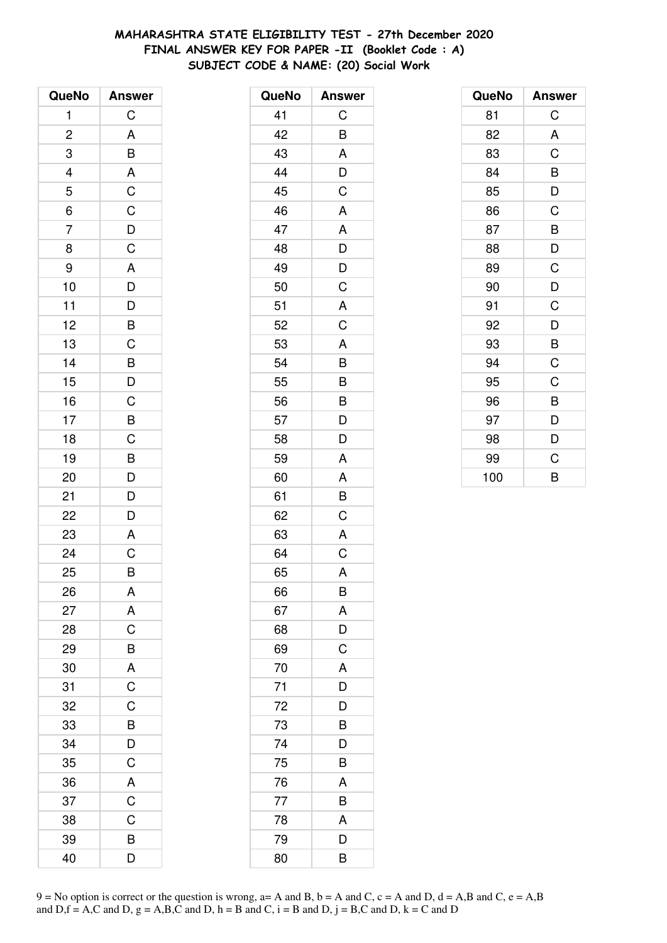# MAHARASHTRA STATE ELIGIBILITY TEST - 27th December 2020 FINAL ANSWER KEY FOR PAPER -II (Booklet Code: A) SUBJECT CODE & NAME: (20) Social Work

| QueNo          | <b>Answer</b>           |
|----------------|-------------------------|
| 1              | $\mathsf C$             |
| $\overline{c}$ | A                       |
| 3              |                         |
|                |                         |
| $\frac{4}{5}$  |                         |
| $\overline{6}$ |                         |
| $\overline{7}$ | B A C C D C             |
| 8              |                         |
| 9              |                         |
| 10             |                         |
| 11             |                         |
| 12             |                         |
| 13             |                         |
| 14             |                         |
| 15             | A D D B C B D C B C B D |
| 16             |                         |
| 17             |                         |
| 18             |                         |
| 19             |                         |
| 20             |                         |
| 21             |                         |
| 22             | $\frac{D}{D}$           |
| 23             | A                       |
| 24             | $\overline{C}$          |
| 25             | B                       |
| 26             | Α                       |
| 27             | A                       |
| 28             | C                       |
| 29             | B                       |
| 30             | A                       |
| 31             | $\overline{C}$          |
| 32             | $\mathsf C$             |
| 33             | B                       |
| 34             | $\frac{D}{C}$           |
| 35             |                         |
| 36             | A                       |
| 37             | $\overline{C}$          |
| 38             | C                       |
| 39             | B                       |
| 40             | D                       |

| QueNo | <b>Answer</b> |
|-------|---------------|
| 41    | C             |
| 42    | B             |
| 43    | A             |
| 44    | D             |
| 45    | C             |
| 46    | A             |
| 47    | A             |
| 48    | D             |
| 49    | D             |
| 50    | C             |
| 51    | A             |
| 52    | C             |
| 53    | A             |
| 54    | B             |
| 55    | B             |
| 56    | B             |
| 57    | D             |
| 58    | D             |
| 59    | A             |
| 60    | A             |
| 61    | B             |
| 62    | $\mathsf C$   |
| 63    | A             |
| 64    | C             |
| 65    | A             |
| 66    | B             |
| 67    | A             |
| 68    | D             |
| 69    | C             |
| 70    | A             |
| 71    | D             |
| 72    | D             |
| 73    | B             |
| 74    | D             |
| 75    | B             |
| 76    | A             |
| 77    | B             |
| 78    | A             |
| 79    | D             |
| 80    | B             |

| QueNo | <b>Answer</b> |
|-------|---------------|
| 81    | C             |
| 82    | A             |
| 83    | C             |
| 84    | B             |
| 85    | D             |
| 86    | C             |
| 87    | B             |
| 88    | D             |
| 89    | C             |
| 90    | D             |
| 91    | C             |
| 92    | D             |
| 93    | B             |
| 94    | $\mathsf C$   |
| 95    | C             |
| 96    | B             |
| 97    | D             |
| 98    | D             |
| 99    | C             |
| 100   | B             |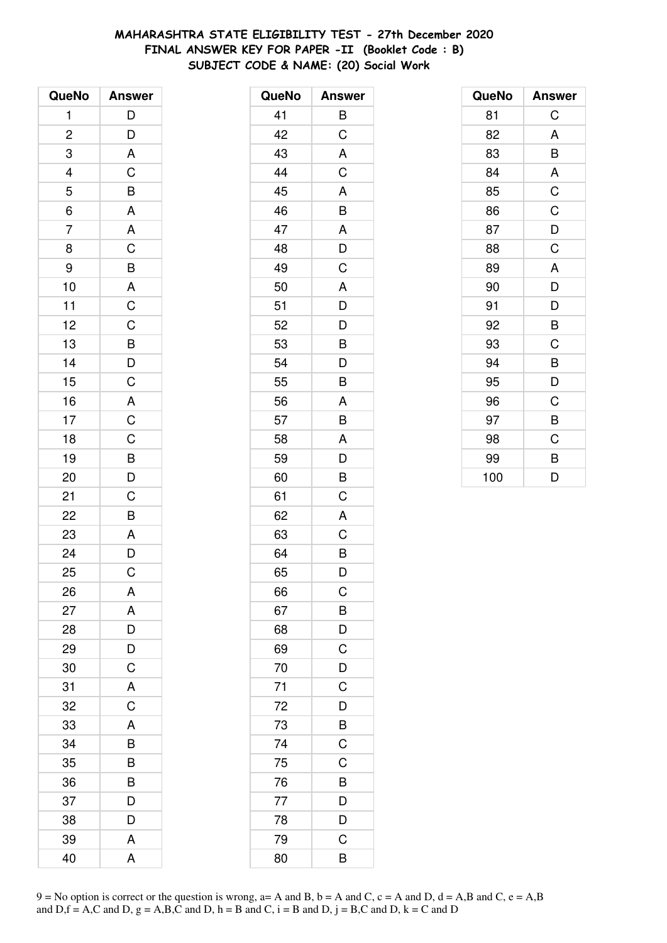# **MAHARASHTRA STATE ELIGIBILITY TEST - 27th December 2020 FINAL ANSWER KEY FOR PAPER -II (Booklet Code : B) SUBJECT CODE & NAME: (20) Social Work**

| QueNo                          | <b>Answer</b>  |
|--------------------------------|----------------|
| 1                              | $\overline{D}$ |
| $\overline{\mathbf{c}}$        | $\frac{D}{A}$  |
| 3                              |                |
|                                |                |
| $\frac{4}{5}$<br>$\frac{1}{6}$ | $rac{C}{A}$    |
|                                |                |
| $\overline{7}$                 |                |
| 8                              |                |
| 9                              |                |
| 10                             |                |
| 11                             |                |
| 12                             |                |
| 13                             |                |
| 14                             | ACBACCBDC      |
| 15                             |                |
| 16                             |                |
| 17                             |                |
| 18                             |                |
| 19                             |                |
| 20                             | A C C B D C    |
| 21                             |                |
| 22                             | $\frac{1}{B}$  |
| 23                             |                |
| 24                             | $rac{A}{D}$    |
| 25                             | $\overline{C}$ |
| 26                             | A              |
| 27                             | A              |
| 28                             | D              |
| 29                             | D              |
| 30                             | C              |
| 31                             | A              |
| 32                             | C              |
| 33                             | A              |
| 34                             | B              |
| 35                             | B              |
| 36                             | B              |
| 37                             | D              |
| 38                             | D              |
| 39                             | A              |
| 40                             | A              |

| QueNo | <b>Answer</b>  |
|-------|----------------|
| 41    | B              |
| 42    | C              |
| 43    | A              |
| 44    | C              |
| 45    | A              |
| 46    | B              |
| 47    | A              |
| 48    | D              |
| 49    | C              |
| 50    | A              |
| 51    | $\frac{1}{D}$  |
| 52    | $\overline{D}$ |
| 53    | B              |
| 54    | D              |
| 55    | B              |
| 56    | A              |
| 57    | $\overline{B}$ |
| 58    | A              |
| 59    | D              |
| 60    | B              |
| 61    | C              |
| 62    | A              |
| 63    | C              |
| 64    | B              |
| 65    | D              |
| 66    | C              |
| 67    | B              |
| 68    | $\frac{D}{C}$  |
| 69    |                |
| 70    | $\overline{D}$ |
| 71    | $\overline{C}$ |
| 72    | D              |
| 73    | B              |
| 74    | $\mathsf C$    |
| 75    | $\overline{C}$ |
| 76    | $\overline{B}$ |
| 77    | $\frac{D}{D}$  |
| 78    |                |
| 79    | C              |
| 80    | B              |

| QueNo | <b>Answer</b> |
|-------|---------------|
| 81    | C             |
| 82    | A             |
| 83    | B             |
| 84    | A             |
| 85    | C             |
| 86    | C             |
| 87    | D             |
| 88    | C             |
| 89    | A             |
| 90    | D             |
| 91    | D             |
| 92    | B             |
| 93    | C             |
| 94    | B             |
| 95    | D             |
| 96    | C             |
| 97    | B             |
| 98    | C             |
| 99    | B             |
| 100   | D             |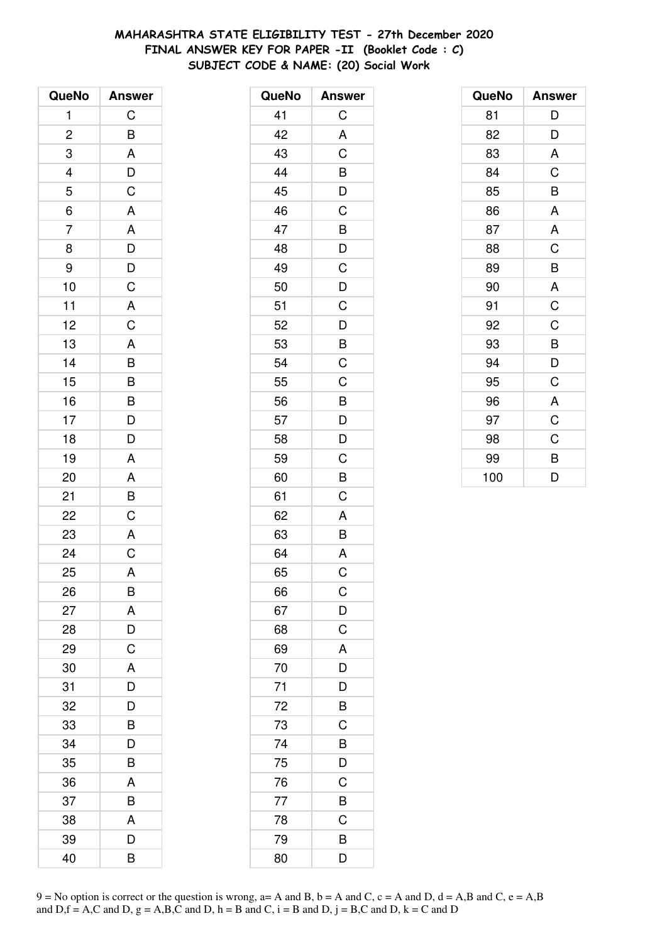# MAHARASHTRA STATE ELIGIBILITY TEST - 27th December 2020 FINAL ANSWER KEY FOR PAPER -II (Booklet Code : C) SUBJECT CODE & NAME: (20) Social Work

| QueNo                       | <b>Answer</b>             |
|-----------------------------|---------------------------|
| 1                           | C                         |
| $\overline{c}$              |                           |
| 3                           | $rac{B}{A}$               |
|                             |                           |
| $\frac{4}{5}$ $\frac{6}{7}$ | $\frac{D}{C}$             |
|                             |                           |
|                             |                           |
| 8                           |                           |
| 9                           |                           |
| 10                          |                           |
| 11                          |                           |
| 12                          |                           |
| 13                          | A A D D C A C A B B B D D |
| 14                          |                           |
| 15                          |                           |
| 16                          |                           |
| 17                          |                           |
| 18                          |                           |
| 19                          |                           |
| 20                          | $A$ $A$ $B$ $C$ $A$ $C$   |
| 21                          |                           |
| 22                          |                           |
| 23                          |                           |
| 24                          |                           |
| 25                          | A                         |
| 26                          | B                         |
| 27                          | A                         |
| 28                          | D                         |
| 29                          | C                         |
| 30                          | A                         |
| 31                          | D                         |
| 32                          | D                         |
| 33                          | B                         |
| 34                          | D                         |
| 35                          | B                         |
| 36                          | A                         |
| 37                          | B                         |
| 38                          | A                         |
| 39                          | D                         |
| 40                          | B                         |

| QueNo | <b>Answer</b>                                                           |
|-------|-------------------------------------------------------------------------|
| 41    | C                                                                       |
| 42    | A                                                                       |
| 43    | C                                                                       |
| 44    |                                                                         |
| 45    | $\frac{B}{D}$                                                           |
| 46    |                                                                         |
| 47    |                                                                         |
| 48    | $\frac{B}{D}$                                                           |
| 49    | $\mathsf C$                                                             |
| 50    | $\frac{1}{D}$                                                           |
| 51    | $\overline{C}$                                                          |
| 52    | $\overline{D}$                                                          |
| 53    | $\overline{B}$                                                          |
| 54    | C                                                                       |
| 55    | C                                                                       |
| 56    |                                                                         |
| 57    |                                                                         |
| 58    | $\begin{array}{c}\n\mathbf{B} \\ \mathbf{D} \\ \mathbf{D}\n\end{array}$ |
| 59    | $\mathsf C$                                                             |
| 60    | B                                                                       |
| 61    | C                                                                       |
| 62    | A                                                                       |
| 63    | B                                                                       |
| 64    | A                                                                       |
| 65    | C                                                                       |
| 66    | $\mathsf C$                                                             |
| 67    | $\mathsf{D}$                                                            |
| 68    | $\overline{C}$                                                          |
| 69    | A                                                                       |
| 70    | $\overline{D}$                                                          |
| 71    | D                                                                       |
| 72    | $\overline{B}$                                                          |
| 73    | C                                                                       |
| 74    |                                                                         |
| 75    | $\frac{B}{D}$                                                           |
| 76    | $\mathsf{C}$                                                            |
| 77    | $\overline{B}$                                                          |
| 78    | C                                                                       |
| 79    | B                                                                       |
| 80    | D                                                                       |

| QueNo | <b>Answer</b> |
|-------|---------------|
| 81    | D             |
| 82    | D             |
| 83    | A             |
| 84    | C             |
| 85    | B             |
| 86    | A             |
| 87    | A             |
| 88    | C             |
| 89    | B             |
| 90    | A             |
| 91    | C             |
| 92    | C             |
| 93    | B             |
| 94    | D             |
| 95    | C             |
| 96    | A             |
| 97    | C             |
| 98    | C             |
| 99    | B             |
| 100   | D             |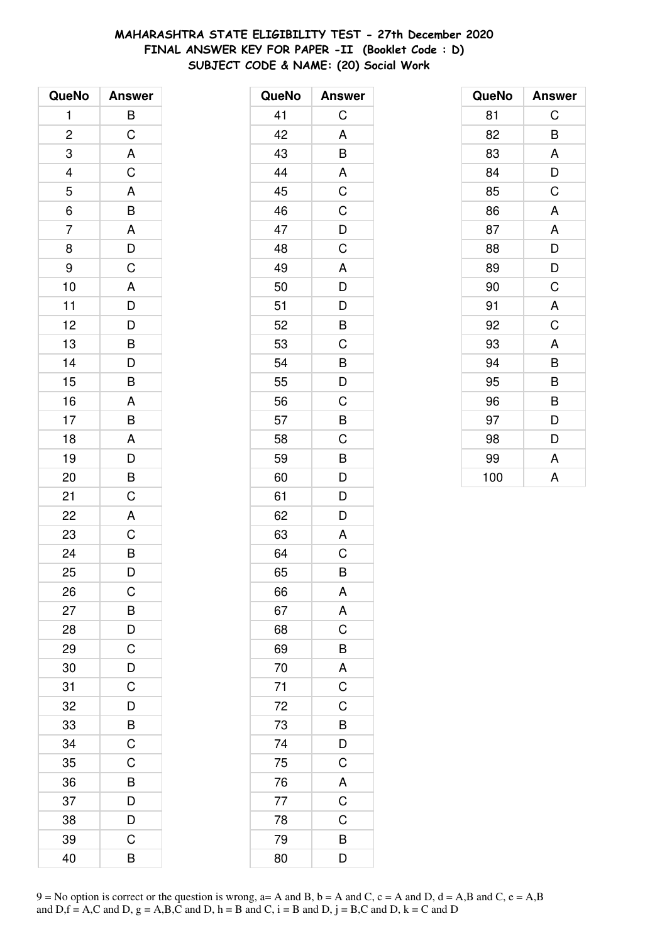# **MAHARASHTRA STATE ELIGIBILITY TEST - 27th December 2020 FINAL ANSWER KEY FOR PAPER -II (Booklet Code : D) SUBJECT CODE & NAME: (20) Social Work**

| QueNo          | <b>Answer</b>                                     |
|----------------|---------------------------------------------------|
| 1              | B                                                 |
| $\overline{c}$ | $\mathsf C$                                       |
| 3              | $\overline{\mathsf{A}}$                           |
|                | $\mathsf C$                                       |
| $\frac{4}{5}$  |                                                   |
| $\overline{6}$ |                                                   |
| $\overline{7}$ | A<br>B<br>A<br>D<br>C                             |
| 8              |                                                   |
| 9              |                                                   |
| 10             |                                                   |
| 11             |                                                   |
| 12             |                                                   |
| 13             | $\begin{array}{c}\nA \\ D \\ D \\ B\n\end{array}$ |
| 14             |                                                   |
| 15             | $\frac{D}{B}$                                     |
| 16             |                                                   |
| 17             | $\frac{A}{B}$                                     |
| 18             |                                                   |
| 19             | $\frac{1}{D}$                                     |
| 20             | $\overline{B}$                                    |
| 21             | $\mathsf C$                                       |
| 22             | A                                                 |
| 23             | $\overline{C}$                                    |
| 24             | $\frac{1}{B}$                                     |
| 25             | D                                                 |
| 26             | С                                                 |
| 27             | B                                                 |
| 28             | $\overline{D}$                                    |
| 29             | $\overline{C}$                                    |
| 30             | $\overline{D}$                                    |
| 31             | $\overline{\mathrm{C}}$                           |
| 32             | D                                                 |
| 33             | B                                                 |
| 34             | $\mathsf C$                                       |
| 35             | C                                                 |
| 36             | $\overline{B}$                                    |
| 37             | D                                                 |
| 38             | D                                                 |
| 39             | C                                                 |
| 40             | B                                                 |

| QueNo | <b>Answer</b>  |
|-------|----------------|
| 41    | $\mathsf C$    |
| 42    | A              |
| 43    | B              |
| 44    | A              |
| 45    | C              |
| 46    | $\mathsf C$    |
| 47    | $\overline{D}$ |
| 48    | C              |
| 49    | A              |
| 50    | D              |
| 51    | D              |
| 52    | B              |
| 53    | $\mathsf C$    |
| 54    | B              |
| 55    | D              |
| 56    | C              |
| 57    | B              |
| 58    | C              |
| 59    | B              |
| 60    | D              |
| 61    | D              |
| 62    | D              |
| 63    | A              |
| 64    | C              |
| 65    | B              |
| 66    | A              |
| 67    | $rac{A}{C}$    |
| 68    |                |
| 69    | B              |
| 70    | $\mathsf{A}$   |
| 71    | $\overline{C}$ |
| 72    | $\overline{C}$ |
| 73    | $\overline{B}$ |
| 74    | $\frac{D}{C}$  |
| 75    |                |
| 76    | $\mathsf{A}$   |
| 77    | $\overline{C}$ |
| 78    | $\overline{C}$ |
| 79    | $\overline{B}$ |
| 80    | D              |

| QueNo | <b>Answer</b> |
|-------|---------------|
| 81    | C             |
| 82    | B             |
| 83    | A             |
| 84    | D             |
| 85    | C             |
| 86    | A             |
| 87    | A             |
| 88    | D             |
| 89    | D             |
| 90    | C             |
| 91    | A             |
| 92    | C             |
| 93    | A             |
| 94    | B             |
| 95    | B             |
| 96    | B             |
| 97    | D             |
| 98    | D             |
| 99    | A             |
| 100   | A             |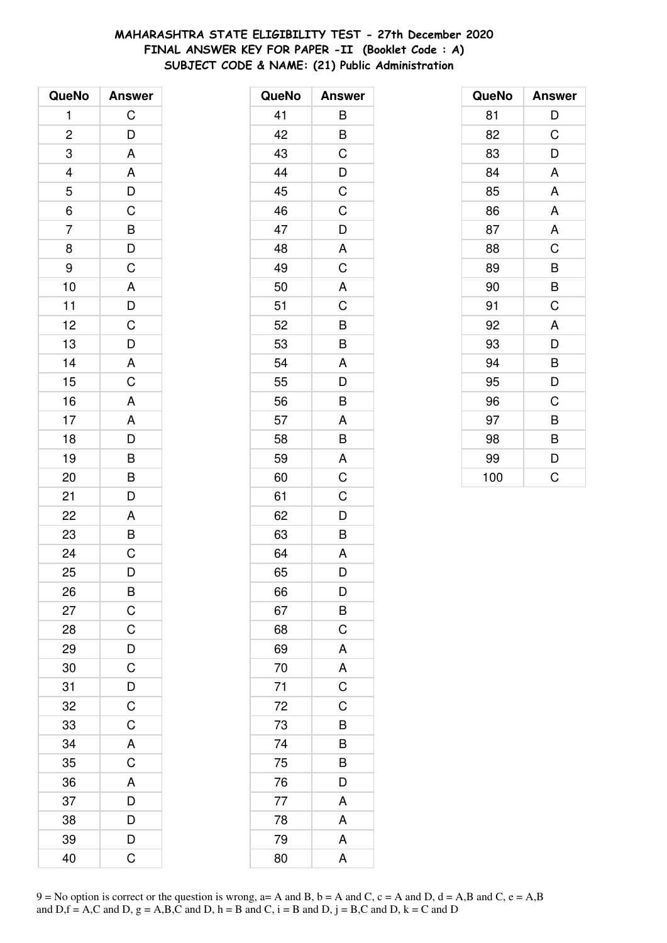# **MAHARASHTRA STATE ELIGIBILITY TEST - 27th December 2020 FINAL ANSWER KEY FOR PAPER -II (Booklet Code : A) SUBJECT CODE & NAME: (21) Public Administration**

| QueNo          | <b>Answer</b>                                      |
|----------------|----------------------------------------------------|
| 1              | $\mathsf C$                                        |
| $\overline{c}$ | D                                                  |
| 3              | A                                                  |
| $\overline{4}$ |                                                    |
| 5              |                                                    |
| $\overline{6}$ | $A$ D C B D                                        |
| $\overline{7}$ |                                                    |
| 8              |                                                    |
| 9              | $\mathsf C$                                        |
| 10             | $\overline{A}$                                     |
| 11             |                                                    |
| 12             | $\overline{D}$<br>$\overline{C}$<br>$\overline{D}$ |
| 13             |                                                    |
| 14             |                                                    |
| 15             | $rac{A}{C}$                                        |
| 16             | $\mathsf{A}$                                       |
| 17             |                                                    |
| 18             |                                                    |
| 19             |                                                    |
| 20             | $\begin{array}{c}\nA \\ D \\ B\n\end{array}$       |
| 21             | D                                                  |
| 22             | A                                                  |
| 23             | $\overline{B}$                                     |
| 24             | $\overline{\text{c}}$                              |
| 25             | D                                                  |
| 26             | B                                                  |
| 27             | $\mathsf C$                                        |
| 28             | $\mathsf C$                                        |
| 29             |                                                    |
| 30             | $\frac{D}{C}$                                      |
| 31             | $\overline{D}$                                     |
| 32             | $\overline{C}$                                     |
| 33             | C                                                  |
| 34             | A                                                  |
| 35             | C                                                  |
| 36             | A                                                  |
| 37             | D                                                  |
| 38             | D                                                  |
| 39             | D                                                  |
| 40             | Ć                                                  |

| QueNo | <b>Answer</b>  |
|-------|----------------|
| 41    | B              |
| 42    | B              |
| 43    | C              |
| 44    | D              |
| 45    | C              |
| 46    | C              |
| 47    | D              |
| 48    | A              |
| 49    | C              |
| 50    | A              |
| 51    | C              |
| 52    | B              |
| 53    | B              |
| 54    | A              |
| 55    | D              |
| 56    | B              |
| 57    | A              |
| 58    | B              |
| 59    | A              |
| 60    | C              |
| 61    | C              |
| 62    | D              |
| 63    | B              |
| 64    | A              |
| 65    | D              |
| 66    | D              |
| 67    | B              |
| 68    | C              |
| 69    | A              |
| 70    | A              |
| 71    | $\overline{C}$ |
| 72    | C              |
| 73    | B              |
| 74    | B              |
| 75    | B              |
| 76    | D              |
| 77    | A              |
| 78    | A              |
| 79    | A              |
| 80    | A              |

| QueNo | <b>Answer</b> |
|-------|---------------|
| 81    | D             |
| 82    | C             |
| 83    | D             |
| 84    | A             |
| 85    | A             |
| 86    | A             |
| 87    | A             |
| 88    | C             |
| 89    | B             |
| 90    | B             |
| 91    | C             |
| 92    | A             |
| 93    | D             |
| 94    | B             |
| 95    | D             |
| 96    | C             |
| 97    | B             |
| 98    | B             |
| 99    | D             |
| 100   | C             |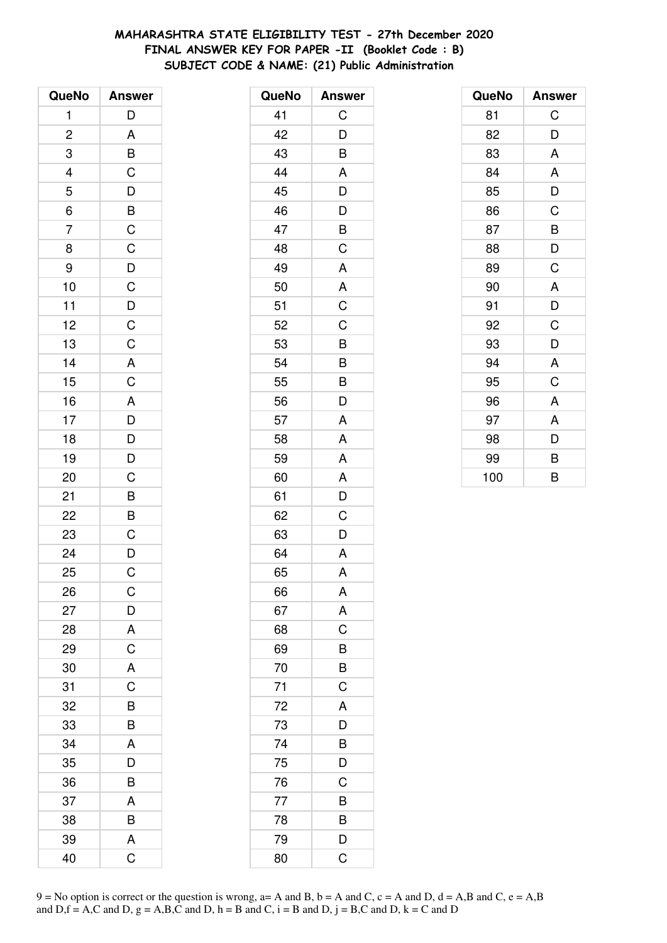# MAHARASHTRA STATE ELIGIBILITY TEST - 27th December 2020 FINAL ANSWER KEY FOR PAPER -II (Booklet Code: B) SUBJECT CODE & NAME: (21) Public Administration

| QueNo          | <b>Answer</b>                                                                        |
|----------------|--------------------------------------------------------------------------------------|
| $\mathbf{1}$   | D                                                                                    |
| $\overline{c}$ |                                                                                      |
| 3              | $\frac{A}{B}$                                                                        |
| $\frac{4}{5}$  |                                                                                      |
|                |                                                                                      |
| $\frac{1}{6}$  |                                                                                      |
| $\overline{7}$ |                                                                                      |
| 8              |                                                                                      |
| 9              |                                                                                      |
| 10             |                                                                                      |
| 11             |                                                                                      |
| 12             |                                                                                      |
| 13             | $\begin{array}{c c} D & B & C & D & C \\ \hline \end{array}$                         |
| 14             |                                                                                      |
| 15             | $rac{A}{C}$                                                                          |
| 16             |                                                                                      |
| 17             |                                                                                      |
| 18             |                                                                                      |
| 19             |                                                                                      |
| 20             | $\begin{array}{c c} A & D & D & C & B \\ \hline B & D & C & B \\ \hline \end{array}$ |
| 21             |                                                                                      |
| 22             |                                                                                      |
| 23             |                                                                                      |
| 24             | $rac{C}{D}$                                                                          |
| 25             | $\mathsf{C}$                                                                         |
| 26             | C                                                                                    |
| 27             | D                                                                                    |
| 28             | A                                                                                    |
| 29             | $\mathsf C$                                                                          |
| 30             | A                                                                                    |
| 31             | $\overline{C}$                                                                       |
| 32             | B                                                                                    |
| 33             | B                                                                                    |
| 34             | A                                                                                    |
| 35             | D                                                                                    |
| 36             | B                                                                                    |
| 37             | A                                                                                    |
| 38             | B                                                                                    |
| 39             | A                                                                                    |
| 40             | C                                                                                    |

| <b>Answer</b>  |
|----------------|
| C              |
| D              |
| B              |
| A              |
| D              |
| D              |
| B              |
| C              |
| A              |
| A              |
| C              |
| C              |
| B              |
| B              |
| B              |
| D              |
| A              |
| A              |
| A              |
| A              |
| D              |
| C              |
| D              |
| Α              |
| A              |
| A              |
| A              |
| $\overline{C}$ |
| B              |
| B              |
| C              |
| A              |
| D              |
| B              |
| D              |
| C              |
| B              |
| B              |
| D              |
| C              |
|                |

| QueNo | <b>Answer</b> |
|-------|---------------|
| 81    | C             |
| 82    | D             |
| 83    | A             |
| 84    | A             |
| 85    | D             |
| 86    | C             |
| 87    | B             |
| 88    | D             |
| 89    | C             |
| 90    | A             |
| 91    | D             |
| 92    | C             |
| 93    | D             |
| 94    | A             |
| 95    | C             |
| 96    | A             |
| 97    | A             |
| 98    | D             |
| 99    | B             |
| 100   | B             |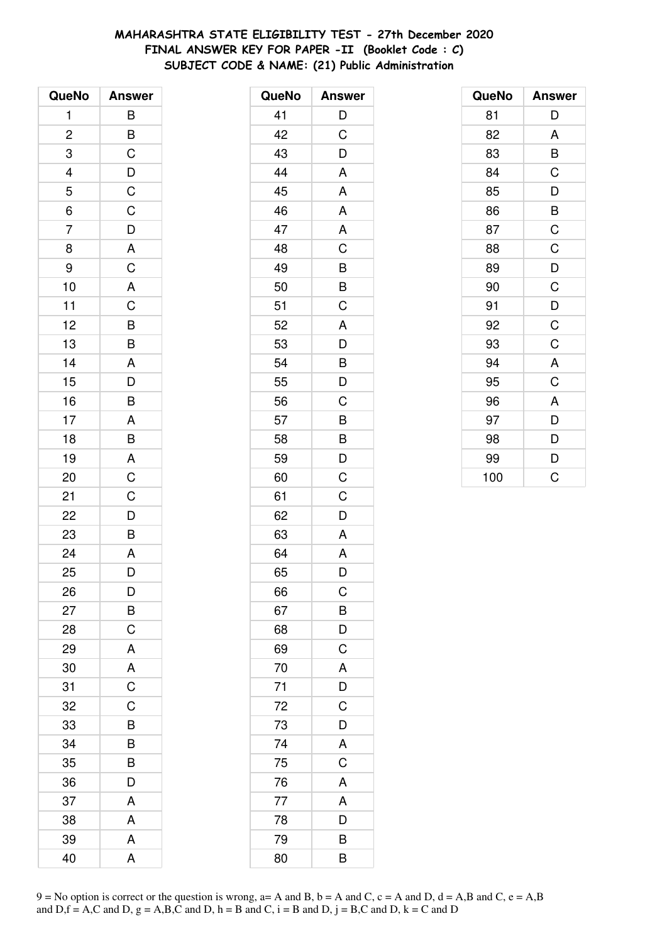# MAHARASHTRA STATE ELIGIBILITY TEST - 27th December 2020 FINAL ANSWER KEY FOR PAPER -II (Booklet Code : C) SUBJECT CODE & NAME: (21) Public Administration

| QueNo          | <b>Answer</b>                                      |
|----------------|----------------------------------------------------|
| 1              | B                                                  |
| $\overline{c}$ |                                                    |
| 3              | $rac{B}{C}$                                        |
|                |                                                    |
| $\frac{4}{5}$  |                                                    |
| $\frac{6}{6}$  | $\overline{D}$<br>$\overline{C}$<br>$\overline{C}$ |
| $\overline{7}$ |                                                    |
| 8              |                                                    |
| 9              | $\overline{D}$<br>$\overline{A}$<br>$\overline{C}$ |
| 10             | A                                                  |
| 11             |                                                    |
| 12             |                                                    |
| 13             |                                                    |
| 14             |                                                    |
| 15             |                                                    |
| 16             | CBBADB                                             |
| 17             |                                                    |
| 18             | $rac{A}{B}$                                        |
| 19             |                                                    |
| 20             | $rac{A}{C}$                                        |
| 21             | $\mathsf C$                                        |
| 22             | $\overline{D}$                                     |
| 23             | B                                                  |
| 24             | $\overline{A}$                                     |
| 25             | D                                                  |
| 26             | D                                                  |
| 27             | B                                                  |
| 28             | C                                                  |
| 29             | A                                                  |
| 30             | A                                                  |
| 31             | $\overline{C}$                                     |
| 32             | C                                                  |
| 33             | B                                                  |
| 34             | B                                                  |
| 35             | B                                                  |
| 36             | D                                                  |
| 37             | A                                                  |
| 38             | A                                                  |
| 39             | A                                                  |
| 40             | A                                                  |

| QueNo | <b>Answer</b>           |
|-------|-------------------------|
| 41    | D                       |
| 42    | C                       |
| 43    | D                       |
| 44    | A                       |
| 45    | A                       |
| 46    | A                       |
| 47    | A                       |
| 48    | C                       |
| 49    |                         |
| 50    | $\frac{B}{B}$           |
| 51    | $\overline{\text{C}}$   |
| 52    | A                       |
| 53    | D                       |
| 54    | B                       |
| 55    | D                       |
| 56    | C                       |
| 57    | B                       |
| 58    | B                       |
| 59    | D                       |
| 60    | C                       |
| 61    | C                       |
| 62    | D                       |
| 63    | A                       |
| 64    | A                       |
| 65    | D                       |
| 66    | C                       |
| 67    | $\overline{B}$          |
| 68    | $\overline{D}$          |
| 69    | $\overline{C}$          |
| 70    | A                       |
| 71    | D                       |
| 72    | $\mathsf C$             |
| 73    | D                       |
| 74    | A                       |
| 75    | $\overline{C}$          |
| 76    | A                       |
| 77    | A                       |
| 78    | D                       |
| 79    | B                       |
| 80    | $\overline{\mathsf{B}}$ |

| QueNo | <b>Answer</b>  |
|-------|----------------|
| 81    | D              |
| 82    | A              |
| 83    | B              |
| 84    | C              |
| 85    | D              |
| 86    | B              |
| 87    | $\mathsf C$    |
| 88    | $\mathsf C$    |
| 89    | $\overline{D}$ |
| 90    | $\mathsf C$    |
| 91    | D              |
| 92    | $\mathsf C$    |
| 93    | C              |
| 94    | A              |
| 95    | C              |
| 96    | A              |
| 97    | D              |
| 98    | D              |
| 99    | D              |
| 100   | Ć              |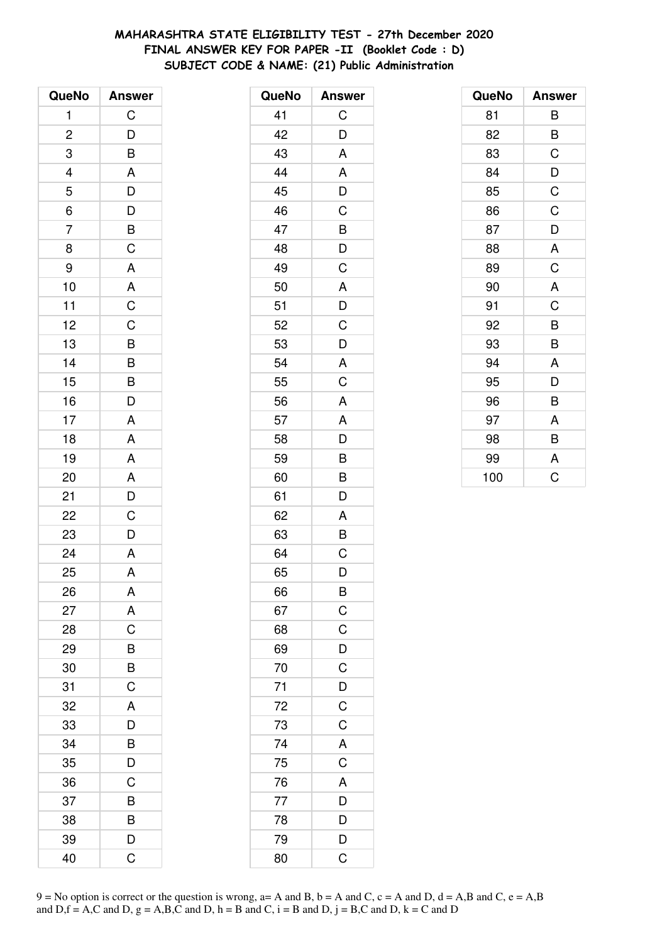# MAHARASHTRA STATE ELIGIBILITY TEST - 27th December 2020 FINAL ANSWER KEY FOR PAPER -II (Booklet Code : D) SUBJECT CODE & NAME: (21) Public Administration

| QueNo                   | <b>Answer</b>        |
|-------------------------|----------------------|
| $\mathbf{1}$            | $\mathsf C$          |
| $\overline{\mathbf{c}}$ | $\overline{D}$       |
| 3                       | B                    |
| $\frac{4}{1}$           |                      |
| 5                       |                      |
| $\overline{6}$          | $A$ $D$ $D$ $B$ $C$  |
| $\overline{7}$          |                      |
| 8                       |                      |
| 9                       | A                    |
| 10                      | A                    |
| 11                      | $\overline{C}$       |
| 12                      |                      |
| 13                      | $\frac{C}{B}$        |
| 14                      | $\frac{1}{B}$        |
| 15                      | $\frac{1}{\epsilon}$ |
| 16                      | D                    |
| 17                      | A                    |
| 18                      | A                    |
| 19                      | $\mathsf{A}$         |
| 20                      | $\overline{A}$       |
| 21                      | $\frac{1}{2}$        |
| 22                      | C                    |
| 23                      | D                    |
| 24                      | $\overline{A}$       |
| 25                      | A                    |
| 26                      | A                    |
| 27                      | A                    |
| 28                      | C                    |
| 29                      | B                    |
| 30                      | $\overline{B}$       |
| 31                      | $\overline{C}$       |
| 32                      | A                    |
| 33                      | D                    |
| 34                      | B                    |
| 35                      | $\overline{D}$       |
| 36                      | C                    |
| 37                      | B                    |
| 38                      | B                    |
| 39                      | D                    |
| 40                      | C                    |

| QueNo           | <b>Answer</b>           |
|-----------------|-------------------------|
| 41              | С                       |
| 42              | D                       |
| 43              | A                       |
| 44              | A                       |
| 45              | D                       |
| 46              | C                       |
| 47              | B                       |
| 48              | D                       |
| 49              | C                       |
| 50              | A                       |
| 51              | D                       |
| 52              | C                       |
| 53              | D                       |
| 54              | A                       |
| 55              | C                       |
| 56              | A                       |
| 57              | A                       |
| 58              | D                       |
| 59              | B                       |
| 60              | B                       |
| 61              | D                       |
| 62              | A                       |
| 63              | B                       |
| 64              | С                       |
| 65              | D                       |
| 66              | B                       |
| 67              |                         |
| 68              | $rac{C}{D}$             |
| 69              |                         |
| 70              | $\mathsf C$             |
| $\overline{71}$ | $\overline{D}$          |
| 72              | $\overline{C}$          |
| 73              | $\overline{C}$          |
| $\overline{74}$ | $rac{A}{C}$             |
| 75              |                         |
| 76              | A                       |
| 77              | $\overline{D}$          |
| 78              | $\frac{1}{D}$           |
| 79              | $\frac{1}{D}$           |
| 80              | $\overline{\mathrm{C}}$ |

| QueNo | <b>Answer</b> |
|-------|---------------|
| 81    | B             |
| 82    | B             |
| 83    | C             |
| 84    | D             |
| 85    | C             |
| 86    | C             |
| 87    | D             |
| 88    | A             |
| 89    | C             |
| 90    | A             |
| 91    | C             |
| 92    | B             |
| 93    | B             |
| 94    | A             |
| 95    | D             |
| 96    | B             |
| 97    | A             |
| 98    | B             |
| 99    | A             |
| 100   | Ċ             |

9 = No option is correct or the question is wrong, a= A and B, b = A and C, c = A and D, d = A,B and C, e = A,B and D, f = A,C and D, g = A,B,C and D, h = B and C, i = B and D, j = B,C and D, k = C and D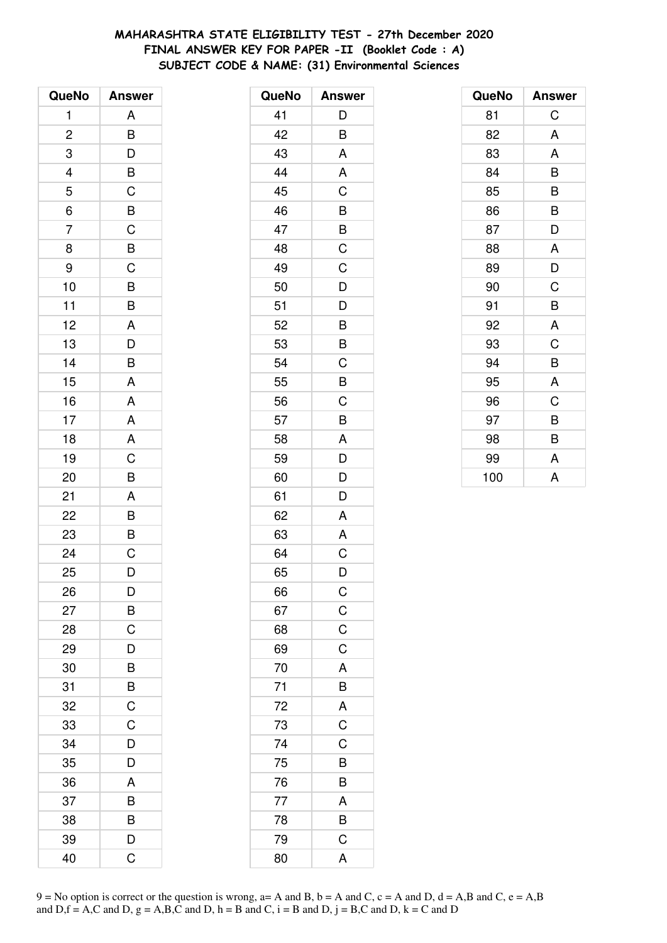# **MAHARASHTRA STATE ELIGIBILITY TEST - 27th December 2020 FINAL ANSWER KEY FOR PAPER -II (Booklet Code : A) SUBJECT CODE & NAME: (31) Environmental Sciences**

| QueNo          | <b>Answer</b>                                      |
|----------------|----------------------------------------------------|
| 1              | A                                                  |
| $\overline{c}$ | B                                                  |
| 3              | D                                                  |
| 4              |                                                    |
| 5              |                                                    |
| $\overline{6}$ | $\overline{B}$ $\overline{C}$ $\overline{B}$       |
| $\overline{7}$ |                                                    |
| 8              |                                                    |
| 9              | $\overline{C}$<br>$\overline{B}$<br>$\overline{C}$ |
| 10             | B                                                  |
| 11             | B                                                  |
| 12             | A                                                  |
| 13             | $\overline{D}$                                     |
| 14             | B                                                  |
| 15             | A                                                  |
| 16             | A                                                  |
| 17             | $\overline{A}$                                     |
| 18             | $\overline{\mathsf{A}}$                            |
| 19             | $\overline{C}$                                     |
| 20             | B                                                  |
| 21             | A                                                  |
| 22             | B                                                  |
| 23             | B                                                  |
| 24             | $\overline{C}$                                     |
| 25             | D                                                  |
| 26             | D                                                  |
| 27             | B                                                  |
| 28             | C                                                  |
| 29             | D                                                  |
| 30             | $\overline{B}$                                     |
| 31             | $\overline{B}$                                     |
| 32             | $\mathsf C$                                        |
| 33             | $\overline{C}$                                     |
| 34             | D                                                  |
| 35             | D                                                  |
| 36             | A                                                  |
| 37             | B                                                  |
| 38             | B                                                  |
| 39             | D                                                  |
| 40             | Ć                                                  |

| QueNo    | <b>Answer</b>  |
|----------|----------------|
| 41       | D              |
| 42       | B              |
| 43       | A              |
| 44       | A              |
| 45       | C              |
| 46       | B              |
| 47       | $\overline{B}$ |
| 48       | $\overline{C}$ |
| 49       | C              |
| 50       | D              |
| 51       | D              |
| 52       | B              |
| 53       | B              |
| 54       | $\mathsf C$    |
| 55       | B              |
| 56       | C              |
| 57       | B              |
| 58       | A              |
| 59       | $\overline{D}$ |
| 60       | $\overline{D}$ |
| 61       | D              |
| 62       | A              |
| 63       | A              |
| 64       | $\mathsf C$    |
| 65       | D              |
| 66       | $\mathsf{C}$   |
| 67       |                |
| 68       | $rac{C}{C}$    |
| 69       |                |
| 70       |                |
| 71<br>72 | A B A C C      |
|          |                |
| 73       |                |
| 74       |                |
| 75       | $\frac{B}{B}$  |
| 76       |                |
| 77       |                |
| 78       | $\frac{A}{B}$  |
| 79       |                |
| 80       | A              |

| QueNo | <b>Answer</b> |
|-------|---------------|
| 81    | С             |
| 82    | A             |
| 83    | A             |
| 84    | B             |
| 85    | B             |
| 86    | B             |
| 87    | D             |
| 88    | A             |
| 89    | D             |
| 90    | C             |
| 91    | B             |
| 92    | A             |
| 93    | C             |
| 94    | B             |
| 95    | A             |
| 96    | C             |
| 97    | B             |
| 98    | B             |
| 99    | A             |
| 100   | A             |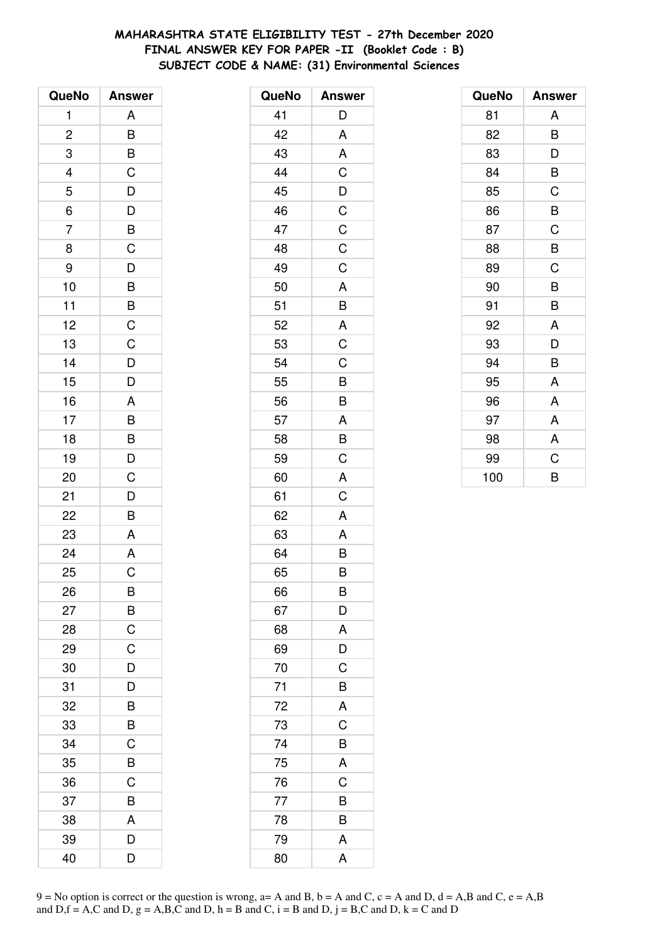# **MAHARASHTRA STATE ELIGIBILITY TEST - 27th December 2020 FINAL ANSWER KEY FOR PAPER -II (Booklet Code : B) SUBJECT CODE & NAME: (31) Environmental Sciences**

| QueNo                    | <b>Answer</b>                                                        |
|--------------------------|----------------------------------------------------------------------|
| 1                        | A                                                                    |
| $\overline{c}$           | B                                                                    |
| 3                        | $rac{B}{C}$                                                          |
| $\overline{\mathcal{L}}$ |                                                                      |
| 5                        |                                                                      |
| $\overline{6}$           | $\overline{D}$<br>$\overline{D}$<br>$\overline{B}$<br>$\overline{C}$ |
| $\overline{7}$           |                                                                      |
| 8                        |                                                                      |
| 9                        |                                                                      |
| 10                       |                                                                      |
| 11                       |                                                                      |
| 12                       |                                                                      |
| 13                       | $D$ B B $C$ C                                                        |
| 14                       |                                                                      |
| 15                       | $\frac{D}{D}$                                                        |
| 16                       | A                                                                    |
| 17                       |                                                                      |
| 18                       |                                                                      |
| 19                       | $\overline{B}$<br>$\overline{D}$                                     |
| 20                       | $\mathsf C$                                                          |
| 21                       |                                                                      |
| 22                       | $\frac{D}{B}$                                                        |
| 23                       | A                                                                    |
| 24                       | $\overline{A}$                                                       |
| 25                       | $\overline{C}$                                                       |
| 26                       | B                                                                    |
| 27                       | $\overline{B}$                                                       |
| 28                       | $\mathsf C$                                                          |
| 29                       | $\mathsf C$                                                          |
| 30                       | $\overline{D}$                                                       |
| 31                       | D                                                                    |
| 32                       | B                                                                    |
| 33                       | B                                                                    |
| 34                       | C                                                                    |
| 35                       | B                                                                    |
| 36                       | C                                                                    |
| 37                       | B                                                                    |
| 38                       | A                                                                    |
| 39                       | D                                                                    |
| 40                       | D                                                                    |

| QueNo | <b>Answer</b>  |
|-------|----------------|
| 41    | D              |
| 42    | A              |
| 43    | A              |
| 44    | C              |
| 45    | $\frac{1}{D}$  |
| 46    | $\frac{1}{C}$  |
| 47    | $\mathsf C$    |
| 48    | C              |
| 49    | C              |
| 50    | A              |
| 51    | B              |
| 52    | A              |
| 53    | $\overline{C}$ |
| 54    | C              |
| 55    | B              |
| 56    | B              |
| 57    | $\overline{A}$ |
| 58    | $\overline{B}$ |
| 59    | $\overline{C}$ |
| 60    | A              |
| 61    | C              |
| 62    | A              |
| 63    | A              |
| 64    | B              |
| 65    | B              |
| 66    | B              |
| 67    | D              |
| 68    | A              |
| 69    | D              |
| 70    | $\overline{C}$ |
| 71    | B              |
| 72    | A              |
| 73    | C              |
| 74    | B              |
| 75    | A              |
| 76    | $\mathsf C$    |
| 77    | B              |
| 78    | B              |
| 79    | A              |
| 80    | A              |

| QueNo | <b>Answer</b> |
|-------|---------------|
| 81    | A             |
| 82    | B             |
| 83    | D             |
| 84    | B             |
| 85    | C             |
| 86    | B             |
| 87    | C             |
| 88    | B             |
| 89    | C             |
| 90    | B             |
| 91    | B             |
| 92    | A             |
| 93    | D             |
| 94    | B             |
| 95    | A             |
| 96    | A             |
| 97    | A             |
| 98    | A             |
| 99    | C             |
| 100   | B             |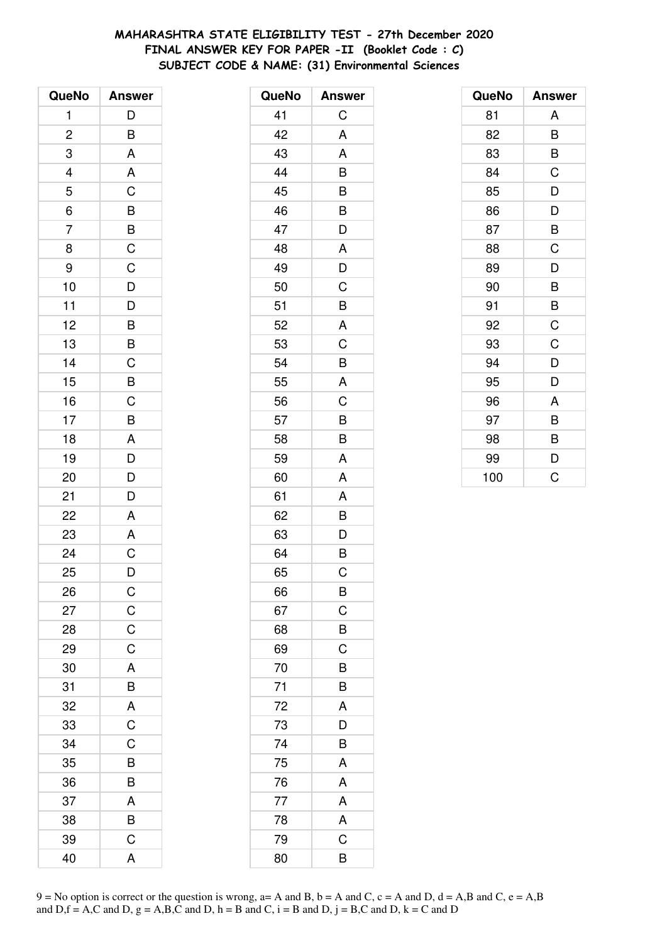# **MAHARASHTRA STATE ELIGIBILITY TEST - 27th December 2020 FINAL ANSWER KEY FOR PAPER -II (Booklet Code : C) SUBJECT CODE & NAME: (31) Environmental Sciences**

| QueNo                   | <b>Answer</b>                                                        |
|-------------------------|----------------------------------------------------------------------|
| $\mathbf{1}$            | D                                                                    |
| $\overline{\mathbf{c}}$ | B                                                                    |
| 3                       | A                                                                    |
| 4                       | A                                                                    |
| 5                       | $\mathsf C$                                                          |
| $\overline{6}$          |                                                                      |
| $\overline{7}$          | $\overline{B}$<br>$\overline{B}$<br>$\overline{C}$<br>$\overline{C}$ |
| 8                       |                                                                      |
| 9                       |                                                                      |
| 10                      | $\overline{D}$                                                       |
| 11                      | $\frac{1}{D}$                                                        |
| 12                      |                                                                      |
| 13                      | $\overline{B}$<br>$\overline{B}$                                     |
| 14                      | $\frac{C}{B}$                                                        |
| 15                      |                                                                      |
| 16                      | $\mathsf C$                                                          |
| 17                      | $\overline{B}$                                                       |
| 18                      | A                                                                    |
| 19                      | $\overline{D}$                                                       |
| 20                      | $\overline{D}$                                                       |
| 21                      | D                                                                    |
| 22                      | A                                                                    |
| 23                      | A                                                                    |
| 24                      | $\overline{C}$                                                       |
| 25                      | D                                                                    |
| 26                      | $\mathsf{C}$                                                         |
| 27                      | $\overline{C}$                                                       |
| 28                      | $\mathsf C$                                                          |
| 29                      | C                                                                    |
| 30                      | A                                                                    |
| 31                      | B                                                                    |
| 32                      |                                                                      |
| 33                      | $rac{A}{C}$                                                          |
| 34                      | C                                                                    |
| 35                      | B                                                                    |
| 36                      | B                                                                    |
| 37                      | A                                                                    |
| 38                      | B                                                                    |
| 39                      | C                                                                    |
| 40                      | A                                                                    |

| QueNo | <b>Answer</b>           |
|-------|-------------------------|
| 41    | C                       |
| 42    | A                       |
| 43    | A                       |
| 44    | B                       |
| 45    | B                       |
| 46    | B                       |
| 47    | D                       |
| 48    | A                       |
| 49    | D                       |
| 50    | C                       |
| 51    | B                       |
| 52    | A                       |
| 53    | C                       |
| 54    | B                       |
| 55    | A                       |
| 56    | C                       |
| 57    | B                       |
| 58    | B                       |
| 59    | A                       |
| 60    | A                       |
| 61    | Α                       |
| 62    | B                       |
| 63    | $\overline{D}$          |
| 64    | $\overline{\mathsf{B}}$ |
| 65    | C                       |
| 66    | B                       |
| 67    | $\mathsf C$             |
| 68    | B                       |
| 69    | $\mathsf C$             |
| 70    | B                       |
| 71    | B                       |
| 72    | A                       |
| 73    | D                       |
| 74    | B                       |
| 75    | A                       |
| 76    | A                       |
| 77    | A                       |
| 78    | A                       |
| 79    | C                       |
| 80    | В                       |

| QueNo | <b>Answer</b> |
|-------|---------------|
| 81    | Α             |
| 82    | B             |
| 83    | B             |
| 84    | C             |
| 85    | D             |
| 86    | D             |
| 87    | B             |
| 88    | C             |
| 89    | D             |
| 90    | B             |
| 91    | B             |
| 92    | C             |
| 93    | C             |
| 94    | D             |
| 95    | D             |
| 96    | A             |
| 97    | B             |
| 98    | B             |
| 99    | D             |
| 100   | Ć             |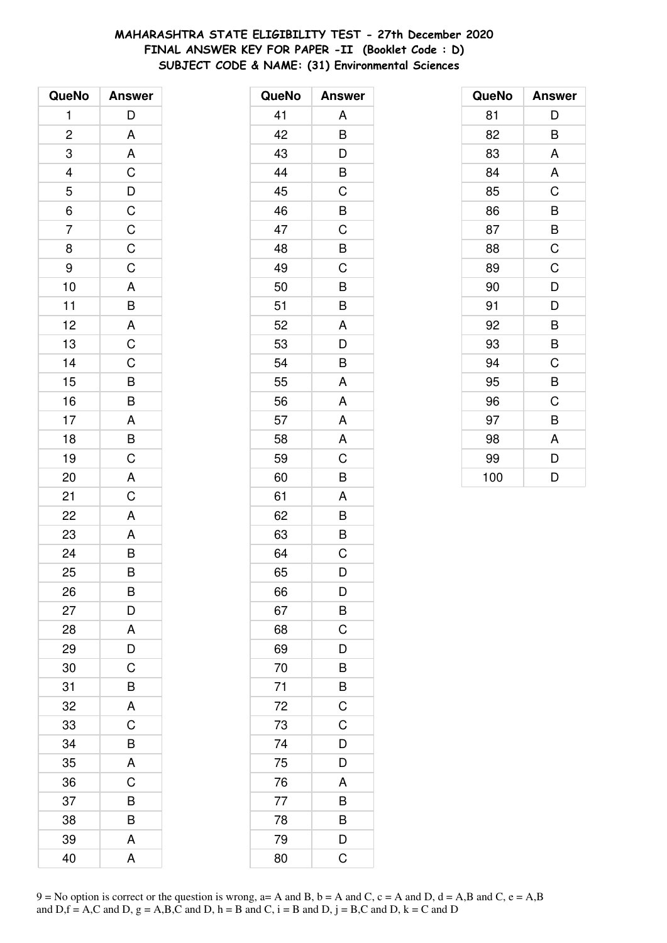# **MAHARASHTRA STATE ELIGIBILITY TEST - 27th December 2020 FINAL ANSWER KEY FOR PAPER -II (Booklet Code : D) SUBJECT CODE & NAME: (31) Environmental Sciences**

| QueNo          | <b>Answer</b>                                       |
|----------------|-----------------------------------------------------|
| $\mathbf{1}$   | D                                                   |
| $\overline{c}$ | A                                                   |
| 3              | A                                                   |
| $\frac{4}{5}$  |                                                     |
|                |                                                     |
| $\overline{6}$ |                                                     |
| $\overline{7}$ | CDCCCCCC                                            |
| 8              |                                                     |
| 9              |                                                     |
| 10             |                                                     |
| 11             | $rac{A}{B}$                                         |
| 12             |                                                     |
| 13             | $rac{A}{C}$                                         |
| 14             | $\frac{C}{B}$                                       |
| 15             |                                                     |
| 16             |                                                     |
| 17             | $\overline{AB}$<br>$\overline{B}$<br>$\overline{C}$ |
| 18             |                                                     |
| 19             |                                                     |
| 20             | $rac{A}{C}$                                         |
| 21             |                                                     |
| 22             | $\overline{A}$                                      |
| 23             |                                                     |
| 24             | $rac{A}{B}$                                         |
| 25             | B                                                   |
| 26             | B                                                   |
| 27             | D                                                   |
| 28             | A                                                   |
| 29             | D                                                   |
| 30             | $\overline{\text{c}}$                               |
| 31             | B                                                   |
| 32             | A                                                   |
| 33             | C                                                   |
| 34             | B                                                   |
| 35             | A                                                   |
| 36             | C                                                   |
| 37             | B                                                   |
| 38             | B                                                   |
| 39             | A                                                   |
| 40             | A                                                   |

| QueNo | <b>Answer</b>  |
|-------|----------------|
| 41    | A              |
| 42    | B              |
| 43    | D              |
| 44    | B              |
| 45    | C              |
| 46    | B              |
| 47    | $\mathsf C$    |
| 48    | B              |
| 49    | C              |
| 50    | B              |
| 51    | B              |
| 52    | A              |
| 53    | D              |
| 54    | B              |
| 55    | A              |
| 56    | A              |
| 57    | A              |
| 58    | A              |
| 59    | C              |
| 60    | B              |
| 61    | A              |
| 62    | B              |
| 63    | B              |
| 64    | C              |
| 65    | D              |
| 66    | D              |
| 67    | B              |
| 68    | C              |
| 69    | D              |
| 70    | B              |
| 71    | B              |
| 72    | $\overline{C}$ |
| 73    | $\overline{C}$ |
| 74    | D              |
| 75    | D              |
| 76    | A              |
| 77    | B              |
| 78    | B              |
| 79    | D              |
| 80    | C              |

| QueNo | <b>Answer</b> |
|-------|---------------|
| 81    | D             |
| 82    | B             |
| 83    | A             |
| 84    | A             |
| 85    | C             |
| 86    | B             |
| 87    | B             |
| 88    | $\mathsf C$   |
| 89    | C             |
| 90    | D             |
| 91    | D             |
| 92    | B             |
| 93    | B             |
| 94    | C             |
| 95    | B             |
| 96    | C             |
| 97    | B             |
| 98    | A             |
| 99    | D             |
| 100   | D             |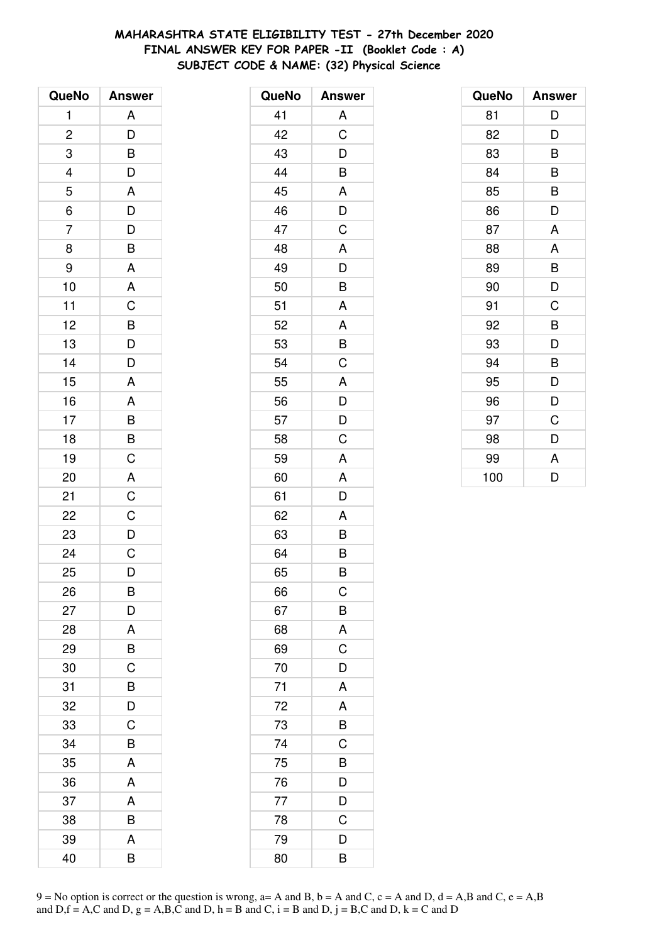# **MAHARASHTRA STATE ELIGIBILITY TEST - 27th December 2020 FINAL ANSWER KEY FOR PAPER -II (Booklet Code : A) SUBJECT CODE & NAME: (32) Physical Science**

| QueNo                   | <b>Answer</b>       |
|-------------------------|---------------------|
| 1                       | A                   |
| $\overline{\mathbf{c}}$ | D                   |
| 3                       | B                   |
|                         | D                   |
| $\frac{4}{5}$           | A                   |
| 6                       | $\overline{D}$      |
| $\overline{7}$          | $\overline{D}$      |
| 8                       | B                   |
| 9                       | A                   |
| 10                      | $\mathsf{A}$        |
| 11                      | $\overline{C}$      |
| 12                      | $\overline{B}$      |
| 13                      | $\overline{D}$      |
| 14                      | D                   |
| 15                      | A                   |
| 16                      | A                   |
| 17                      |                     |
| 18                      | $\overline{B}$<br>B |
| 19                      | $\mathsf C$         |
| 20                      | A                   |
| 21                      | $\mathsf C$         |
| 22                      | $\mathsf C$         |
| 23                      | $\overline{D}$      |
| 24                      | $\overline{C}$      |
| 25                      | D                   |
| 26                      | В                   |
| 27                      | D                   |
| 28                      | A                   |
| 29                      | B                   |
| 30                      | C                   |
| 31                      | B                   |
| 32                      | D                   |
| 33                      | C                   |
| 34                      | B                   |
| 35                      | A                   |
| 36                      | A                   |
| 37                      | A                   |
| 38                      | B                   |
| 39                      | A                   |
| 40                      | B                   |

| QueNo | <b>Answer</b> |
|-------|---------------|
| 41    | A             |
| 42    | C             |
| 43    | D             |
| 44    | B             |
| 45    | A             |
| 46    | D             |
| 47    | C             |
| 48    | A             |
| 49    | D             |
| 50    | B             |
| 51    | A             |
| 52    | A             |
| 53    | B             |
| 54    | C             |
| 55    | A             |
| 56    | D             |
| 57    | D             |
| 58    | C             |
| 59    | A             |
| 60    | A             |
| 61    | D             |
| 62    | A             |
| 63    | B             |
| 64    | B             |
| 65    | B             |
| 66    | C             |
| 67    | B             |
| 68    | A             |
| 69    | C             |
| 70    | D             |
| 71    | A             |
| 72    | A             |
| 73    | B             |
| 74    | C             |
| 75    | B             |
| 76    | D             |
| 77    | D             |
| 78    | C             |
| 79    | D             |
| 80    | B             |

| QueNo | <b>Answer</b> |
|-------|---------------|
| 81    | D             |
| 82    | D             |
| 83    | B             |
| 84    | B             |
| 85    | B             |
| 86    | D             |
| 87    | A             |
| 88    | A             |
| 89    | B             |
| 90    | D             |
| 91    | C             |
| 92    | B             |
| 93    | D             |
| 94    | B             |
| 95    | D             |
| 96    | D             |
| 97    | C             |
| 98    | D             |
| 99    | A             |
| 100   | D             |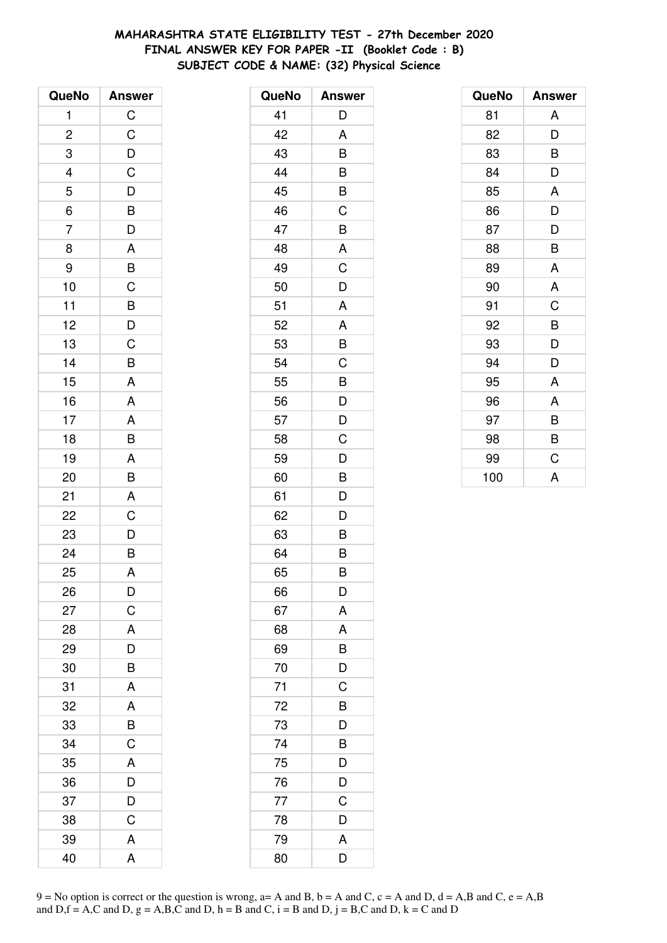# **MAHARASHTRA STATE ELIGIBILITY TEST - 27th December 2020 FINAL ANSWER KEY FOR PAPER -II (Booklet Code : B) SUBJECT CODE & NAME: (32) Physical Science**

| QueNo          | <b>Answer</b>                                      |
|----------------|----------------------------------------------------|
| 1              | $\mathsf C$                                        |
| $\overline{c}$ | $\mathsf C$                                        |
| 3              | $\overline{D}$                                     |
|                | $\mathsf{C}$                                       |
| $\frac{4}{5}$  |                                                    |
| $\overline{6}$ | $\frac{D}{B}$                                      |
| $\overline{7}$ | D                                                  |
| 8              | A                                                  |
| 9              | $\overline{B}$                                     |
| 10             | $\mathsf C$                                        |
| 11             |                                                    |
| 12             |                                                    |
| 13             | $\overline{B}$<br>$\overline{D}$<br>$\overline{C}$ |
| 14             | B                                                  |
| 15             | A                                                  |
| 16             | A                                                  |
| 17             | A                                                  |
| 18             | $\overline{B}$                                     |
| 19             | $\mathsf{A}$                                       |
| 20             | B                                                  |
| 21             | A                                                  |
| 22             | $\mathsf C$                                        |
| 23             | $\frac{D}{B}$                                      |
| 24             |                                                    |
| 25             | A                                                  |
| 26             | D                                                  |
| 27             | $\mathsf C$                                        |
| 28             | A                                                  |
| 29             | D                                                  |
| 30             | B                                                  |
| 31             | A                                                  |
| 32             | A                                                  |
| 33             | B                                                  |
| 34             | C                                                  |
| 35             | A                                                  |
| 36             | D                                                  |
| 37             | D                                                  |
| 38             | C                                                  |
| 39             | A                                                  |
| 40             | A                                                  |

| QueNo | <b>Answer</b> |
|-------|---------------|
| 41    | D             |
| 42    | A             |
| 43    | B             |
| 44    | B             |
| 45    | B             |
| 46    | C             |
| 47    | B             |
| 48    | A             |
| 49    | C             |
| 50    | D             |
| 51    | A             |
| 52    | A             |
| 53    | B             |
| 54    | C             |
| 55    | B             |
| 56    | D             |
| 57    | D             |
| 58    | C             |
| 59    | D             |
| 60    | B             |
| 61    | D             |
| 62    | D             |
| 63    | B             |
| 64    | B             |
| 65    | B             |
| 66    | D             |
| 67    | A             |
| 68    | A             |
| 69    | B             |
| 70    | D             |
| 71    | C             |
| 72    | B             |
| 73    | D             |
| 74    | B             |
| 75    | D             |
| 76    | D             |
| 77    | $\mathsf C$   |
| 78    | D             |
| 79    | A             |
| 80    | D             |

| QueNo | <b>Answer</b> |
|-------|---------------|
| 81    | A             |
| 82    | D             |
| 83    | В             |
| 84    | D             |
| 85    | A             |
| 86    | D             |
| 87    | D             |
| 88    | B             |
| 89    | A             |
| 90    | A             |
| 91    | C             |
| 92    | B             |
| 93    | D             |
| 94    | D             |
| 95    | A             |
| 96    | A             |
| 97    | B             |
| 98    | B             |
| 99    | C             |
| 100   | A             |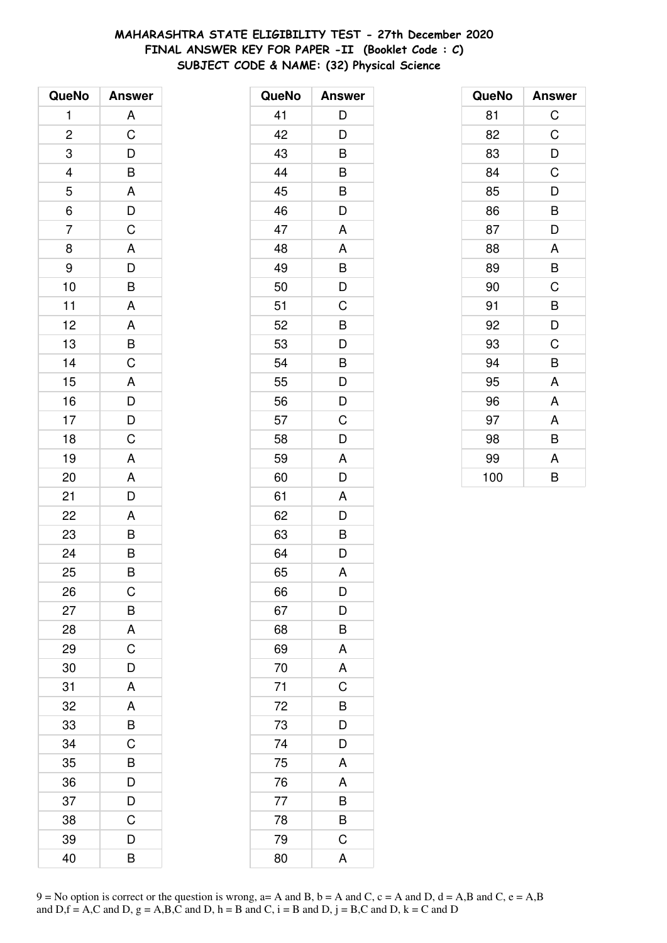# **MAHARASHTRA STATE ELIGIBILITY TEST - 27th December 2020 FINAL ANSWER KEY FOR PAPER -II (Booklet Code : C) SUBJECT CODE & NAME: (32) Physical Science**

| QueNo                    | <b>Answer</b>           |
|--------------------------|-------------------------|
| 1                        | A                       |
| $\overline{c}$           | C                       |
| 3                        | D                       |
| $\overline{\mathcal{L}}$ | B                       |
| 5                        | A                       |
| 6                        | $\overline{D}$          |
| $\overline{7}$           | C                       |
| 8                        | A                       |
| 9                        | $\overline{D}$          |
| 10                       | $\overline{\mathsf{B}}$ |
| 11                       | A                       |
| 12                       | A                       |
| 13                       | B                       |
| 14                       | C                       |
| 15                       | A                       |
| 16                       |                         |
| 17                       | $\frac{D}{D}$           |
| 18                       | $\overline{C}$          |
| 19                       | A                       |
| 20                       | A                       |
| 21                       | D                       |
| 22                       | A                       |
| 23                       | B                       |
| 24                       | $\overline{\mathsf{B}}$ |
| 25                       | B                       |
| 26                       | С                       |
| 27                       | B                       |
| 28                       | A                       |
| 29                       | $\mathsf C$             |
| 30                       | D                       |
| 31                       | A                       |
| 32                       | A                       |
| 33                       | B                       |
| 34                       | C                       |
| 35                       | B                       |
| 36                       | D                       |
| 37                       | D                       |
| 38                       | C                       |
| 39                       | D                       |
| 40                       | B                       |

| QueNo | <b>Answer</b>  |
|-------|----------------|
| 41    | D              |
| 42    | D              |
| 43    | B              |
| 44    | B              |
| 45    | B              |
| 46    | D              |
| 47    | A              |
| 48    | A              |
| 49    | B              |
| 50    | D              |
| 51    | C              |
| 52    | B              |
| 53    | D              |
| 54    | B              |
| 55    | D              |
| 56    | D              |
| 57    | C              |
| 58    | D              |
| 59    | A              |
| 60    | D              |
| 61    | A              |
| 62    | D              |
| 63    | B              |
| 64    | D              |
| 65    | A              |
| 66    | D              |
| 67    | D              |
| 68    | B              |
| 69    | A              |
| 70    | A              |
| 71    | $\mathsf C$    |
| 72    | $\overline{B}$ |
| 73    | D              |
| 74    | D              |
| 75    | A              |
| 76    | A              |
| 77    | B              |
| 78    | B              |
| 79    | $\mathsf C$    |
| 80    | A              |

| QueNo | <b>Answer</b> |
|-------|---------------|
| 81    | $\mathsf C$   |
| 82    | C             |
| 83    | D             |
| 84    | C             |
| 85    | D             |
| 86    | B             |
| 87    | D             |
| 88    | A             |
| 89    | B             |
| 90    | C             |
| 91    | B             |
| 92    | D             |
| 93    | C             |
| 94    | B             |
| 95    | A             |
| 96    | A             |
| 97    | A             |
| 98    | B             |
| 99    | A             |
| 100   | B             |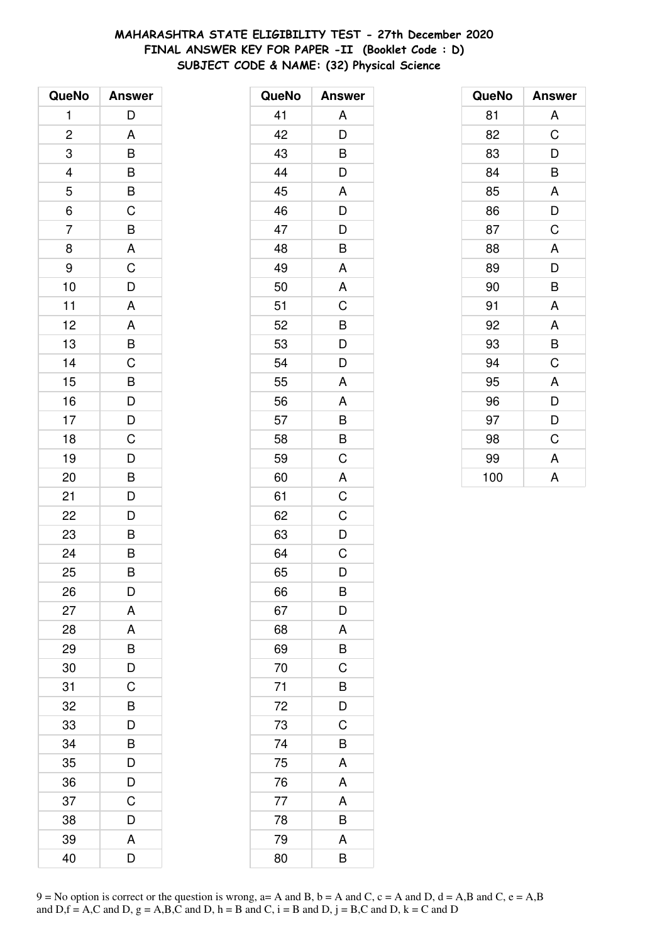# **MAHARASHTRA STATE ELIGIBILITY TEST - 27th December 2020 FINAL ANSWER KEY FOR PAPER -II (Booklet Code : D) SUBJECT CODE & NAME: (32) Physical Science**

| QueNo                    | <b>Answer</b>  |
|--------------------------|----------------|
| 1                        | D              |
| $\overline{\mathbf{c}}$  | A              |
| 3                        | B              |
| $\overline{\mathcal{L}}$ | B              |
| $\overline{5}$           | $\overline{B}$ |
| 6                        | $\overline{C}$ |
| $\overline{7}$           | B              |
| 8                        | A              |
| 9                        | $\mathsf C$    |
| 10                       | D              |
| 11                       | A              |
| 12                       | A              |
| 13                       | B              |
| 14                       | C              |
| 15                       | B              |
| 16                       | $\overline{D}$ |
| 17                       | $\overline{D}$ |
| 18                       | $\mathsf C$    |
| 19                       | D              |
| 20                       | B              |
| 21                       | D              |
| 22                       | D              |
| 23                       | B              |
| 24                       | B              |
| 25                       | B              |
| 26                       | D              |
| 27                       | A              |
| 28                       | A              |
| 29                       | B              |
| 30                       | D              |
| 31                       | C              |
| 32                       | B              |
| 33                       | D              |
| 34                       | B              |
| 35                       | D              |
| 36                       | D              |
| 37                       | Ć              |
| 38                       | D              |
| 39                       | A              |
| 40                       | D              |

| QueNo | <b>Answer</b> |
|-------|---------------|
| 41    | A             |
| 42    | D             |
| 43    | B             |
| 44    | D             |
| 45    | A             |
| 46    | D             |
| 47    | D             |
| 48    | B             |
| 49    | A             |
| 50    | A             |
| 51    | C             |
| 52    | B             |
| 53    | D             |
| 54    | D             |
| 55    | A             |
| 56    | A             |
| 57    | B             |
| 58    | B             |
| 59    | C             |
| 60    | A             |
| 61    | C             |
| 62    | C             |
| 63    | D             |
| 64    | C             |
| 65    | D             |
| 66    | B             |
| 67    | D             |
| 68    | A             |
| 69    | B             |
| 70    | C             |
| 71    | B             |
| 72    | D             |
| 73    | C             |
| 74    | B             |
| 75    | A             |
| 76    | A             |
| 77    | A             |
| 78    | B             |
| 79    | A             |
| 80    | B             |

| QueNo | <b>Answer</b> |
|-------|---------------|
| 81    | A             |
| 82    | C             |
| 83    | D             |
| 84    | B             |
| 85    | A             |
| 86    | D             |
| 87    | C             |
| 88    | A             |
| 89    | D             |
| 90    | B             |
| 91    | A             |
| 92    | A             |
| 93    | B             |
| 94    | $\mathsf C$   |
| 95    | A             |
| 96    | D             |
| 97    | D             |
| 98    | C             |
| 99    | A             |
| 100   | A             |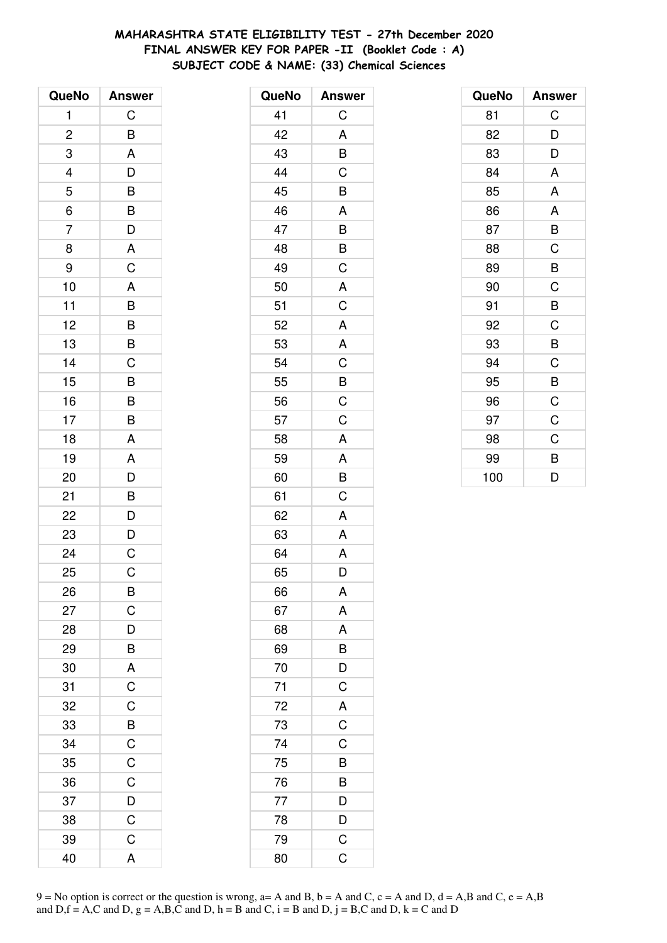# **MAHARASHTRA STATE ELIGIBILITY TEST - 27th December 2020 FINAL ANSWER KEY FOR PAPER -II (Booklet Code : A) SUBJECT CODE & NAME: (33) Chemical Sciences**

| QueNo                    | <b>Answer</b>         |
|--------------------------|-----------------------|
| 1                        | C                     |
| $\overline{c}$           | B                     |
| 3                        | A                     |
| $\overline{\mathcal{L}}$ | D                     |
| 5                        |                       |
| $\overline{6}$           |                       |
| $\overline{7}$           | B<br>B<br>D<br>A<br>C |
| 8                        |                       |
| 9                        |                       |
| 10                       | $\overline{A}$        |
| 11                       |                       |
| 12                       |                       |
| 13                       | $\frac{B}{B}$         |
| 14                       | $\overline{\text{c}}$ |
| 15                       | B                     |
| 16                       | B                     |
| 17                       | $\overline{B}$        |
| 18                       | A                     |
| 19                       | $\overline{A}$        |
| 20                       | $\overline{D}$        |
| 21                       |                       |
| 22                       | B<br>D                |
| 23                       | $\frac{D}{C}$         |
| 24                       |                       |
| 25                       | $\mathsf C$           |
| 26                       | B                     |
| 27                       | C                     |
| 28                       | D                     |
| 29                       | B                     |
| 30                       | $\overline{A}$        |
| 31                       | $\overline{C}$        |
| 32                       | $\overline{C}$        |
| 33                       | $\overline{B}$        |
| 34                       | $\mathsf C$           |
| 35                       | $\overline{C}$        |
| 36                       | $\mathsf{C}$          |
| 37                       | $\overline{D}$        |
| 38                       | $\overline{C}$        |
| 39                       | $\mathsf C$           |
| 40                       | A                     |

| QueNo | <b>Answer</b>             |
|-------|---------------------------|
| 41    | C                         |
| 42    | A                         |
| 43    | B                         |
| 44    | C                         |
| 45    | B                         |
| 46    | A                         |
| 47    | B                         |
| 48    | B                         |
| 49    | C                         |
| 50    | A                         |
| 51    | C                         |
| 52    | $\mathsf{A}$              |
| 53    | A                         |
| 54    | C                         |
| 55    | B                         |
| 56    | C                         |
| 57    | C                         |
| 58    | A                         |
| 59    | A                         |
| 60    | B                         |
| 61    | C                         |
| 62    | A                         |
| 63    | A                         |
| 64    | A                         |
| 65    | D                         |
| 66    | A                         |
| 67    | A                         |
| 68    | A                         |
| 69    | B                         |
| 70    | D                         |
| 71    | $\mathsf C$               |
| 72    | A                         |
| 73    | $\overline{C}$            |
| 74    | C                         |
| 75    | B                         |
| 76    | B                         |
| 77    | $\overline{\overline{D}}$ |
| 78    | $\overline{D}$            |
| 79    | $\mathsf C$               |
| 80    | C                         |

| QueNo | <b>Answer</b> |
|-------|---------------|
| 81    | C             |
| 82    | D             |
| 83    | D             |
| 84    | A             |
| 85    | A             |
| 86    | A             |
| 87    | B             |
| 88    | C             |
| 89    | B             |
| 90    | C             |
| 91    | B             |
| 92    | C             |
| 93    | B             |
| 94    | C             |
| 95    | B             |
| 96    | C             |
| 97    | C             |
| 98    | C             |
| 99    | B             |
| 100   | D             |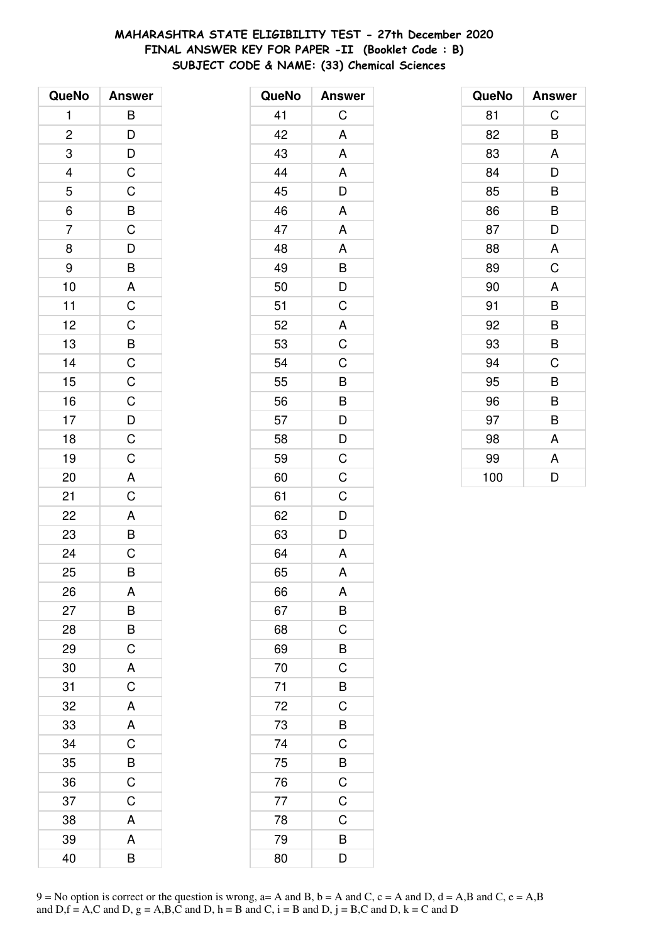# **MAHARASHTRA STATE ELIGIBILITY TEST - 27th December 2020 FINAL ANSWER KEY FOR PAPER -II (Booklet Code : B) SUBJECT CODE & NAME: (33) Chemical Sciences**

| QueNo          | <b>Answer</b>                                      |
|----------------|----------------------------------------------------|
| 1              | $\overline{B}$                                     |
| $\overline{c}$ | $\overline{D}$<br>$\overline{D}$<br>$\overline{C}$ |
| 3              |                                                    |
| $\overline{4}$ |                                                    |
| $\overline{5}$ |                                                    |
| $\frac{6}{ }$  | C B C D B A                                        |
| $\overline{7}$ |                                                    |
| 8              |                                                    |
| 9              |                                                    |
| 10             |                                                    |
| 11             |                                                    |
| 12             |                                                    |
| 13             |                                                    |
| 14             |                                                    |
| 15             | CCBCCCDCAC                                         |
| 16             |                                                    |
| 17             |                                                    |
| 18             |                                                    |
| 19             |                                                    |
| 20             |                                                    |
| 21             |                                                    |
| 22             | $\frac{A}{B}$                                      |
| 23             |                                                    |
| 24             |                                                    |
| 25             | B                                                  |
| 26             | A                                                  |
| 27             | B                                                  |
| 28             | B                                                  |
| 29             | $\mathsf C$                                        |
| 30             | $\overline{A}$                                     |
| 31             | $\overline{C}$                                     |
| 32             | A                                                  |
| 33             | A                                                  |
| 34             | C                                                  |
| 35             | B                                                  |
| 36             | $\mathsf C$                                        |
| 37             | C                                                  |
| 38             | A                                                  |
| 39             | A                                                  |
| 40             | B                                                  |

| QueNo | <b>Answer</b>           |
|-------|-------------------------|
| 41    | C                       |
| 42    | A                       |
| 43    | A                       |
| 44    | A                       |
| 45    | D                       |
| 46    | A                       |
| 47    | A                       |
| 48    | A                       |
| 49    |                         |
| 50    | $\frac{B}{D}$           |
| 51    | $\overline{\text{C}}$   |
| 52    | A                       |
| 53    | $\overline{C}$          |
| 54    | $\mathsf C$             |
| 55    | B                       |
| 56    | $\overline{B}$          |
| 57    | $\overline{D}$          |
| 58    | D                       |
| 59    | C                       |
| 60    | C                       |
| 61    | $\mathsf C$             |
| 62    | $\overline{D}$          |
| 63    | $\overline{\mathsf{D}}$ |
| 64    | A                       |
| 65    | A                       |
| 66    | A                       |
| 67    | B                       |
| 68    | $\mathsf{C}$            |
| 69    | $\overline{B}$          |
| 70    | $\mathsf C$             |
| 71    | B                       |
| 72    | $\mathsf C$             |
| 73    | B                       |
| 74    | $\overline{C}$          |
| 75    | $\frac{1}{B}$           |
| 76    | $\overline{C}$          |
| 77    | $\mathsf C$             |
| 78    | C                       |
| 79    | B                       |
| 80    | $\overline{\mathsf{D}}$ |

| QueNo | <b>Answer</b> |
|-------|---------------|
| 81    | C             |
| 82    | B             |
| 83    | A             |
| 84    | D             |
| 85    | B             |
| 86    | B             |
| 87    | D             |
| 88    | A             |
| 89    | C             |
| 90    | A             |
| 91    | B             |
| 92    | B             |
| 93    | B             |
| 94    | C             |
| 95    | B             |
| 96    | B             |
| 97    | В             |
| 98    | A             |
| 99    | A             |
| 100   | D             |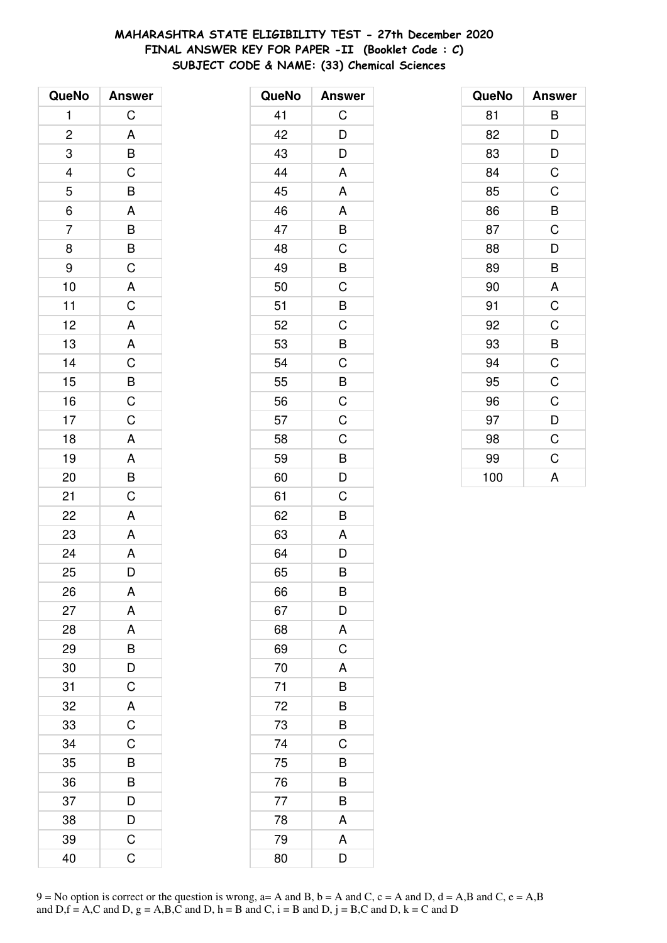# **MAHARASHTRA STATE ELIGIBILITY TEST - 27th December 2020 FINAL ANSWER KEY FOR PAPER -II (Booklet Code : C) SUBJECT CODE & NAME: (33) Chemical Sciences**

| QueNo                   | <b>Answer</b>                                      |
|-------------------------|----------------------------------------------------|
| 1                       | $\mathsf C$                                        |
| $\overline{\mathbf{c}}$ |                                                    |
| 3                       | $\frac{A}{B}$                                      |
| 4                       |                                                    |
| 5                       | $\frac{1}{A}$                                      |
| $\overline{6}$          |                                                    |
| $\overline{7}$          |                                                    |
| 8                       | $\overline{B}$<br>$\overline{B}$<br>$\overline{C}$ |
| 9                       |                                                    |
| 10                      | $\overline{A}$                                     |
| 11                      | $\mathsf{C}$                                       |
| 12                      | $\overline{A}$                                     |
| 13                      | $\overline{A}$                                     |
| 14                      | $rac{C}{B}$                                        |
| 15                      |                                                    |
| 16                      |                                                    |
| 17                      | $\overline{\mathsf{C}}$                            |
| 18                      | $\overline{\mathsf{A}}$                            |
| 19                      |                                                    |
| 20                      | $rac{A}{B}$                                        |
| 21                      | $\overline{C}$                                     |
| 22                      | $\overline{A}$                                     |
| 23                      | A                                                  |
| 24                      | A                                                  |
| 25                      | D                                                  |
| 26                      | A                                                  |
| 27                      | A                                                  |
| 28                      | A                                                  |
| 29                      |                                                    |
| 30                      | $\frac{B}{D}$                                      |
| 31                      | $\overline{C}$                                     |
| 32                      | $rac{A}{C}$                                        |
| 33                      |                                                    |
| 34                      | C                                                  |
| 35                      | B                                                  |
| 36                      |                                                    |
| 37                      | $\frac{B}{D}$                                      |
| 38                      | $\overline{D}$                                     |
| 39                      | $\mathsf C$                                        |
| 40                      | Ć                                                  |

| 41<br>С<br>D<br>42<br>D<br>43<br>A<br>44<br>A<br>45<br>A<br>46<br>B<br>47<br>C<br>48<br>B<br>49<br>$\overline{C}$<br>50<br>B<br>51<br>C<br>52<br>53<br>B<br>$\mathsf C$<br>54<br>$\overline{B}$<br>55<br>$\overline{C}$<br>56<br>C<br>57<br>C<br>58<br>B<br>59<br>D<br>60<br>C<br>61<br>$\bar{B}$<br>62<br>A<br>63<br>D<br>64<br>B<br>65<br>B<br>66<br>D<br>67<br>A<br>68<br>$\mathsf C$<br>69<br>A<br>70<br>71<br>B<br>72<br>B<br>73<br>B<br>C<br>74<br>B<br>75<br>76<br>B<br>77<br>B<br>A<br>78<br>A<br>79<br>D<br>80 | QueNo | <b>Answer</b> |
|-------------------------------------------------------------------------------------------------------------------------------------------------------------------------------------------------------------------------------------------------------------------------------------------------------------------------------------------------------------------------------------------------------------------------------------------------------------------------------------------------------------------------|-------|---------------|
|                                                                                                                                                                                                                                                                                                                                                                                                                                                                                                                         |       |               |
|                                                                                                                                                                                                                                                                                                                                                                                                                                                                                                                         |       |               |
|                                                                                                                                                                                                                                                                                                                                                                                                                                                                                                                         |       |               |
|                                                                                                                                                                                                                                                                                                                                                                                                                                                                                                                         |       |               |
|                                                                                                                                                                                                                                                                                                                                                                                                                                                                                                                         |       |               |
|                                                                                                                                                                                                                                                                                                                                                                                                                                                                                                                         |       |               |
|                                                                                                                                                                                                                                                                                                                                                                                                                                                                                                                         |       |               |
|                                                                                                                                                                                                                                                                                                                                                                                                                                                                                                                         |       |               |
|                                                                                                                                                                                                                                                                                                                                                                                                                                                                                                                         |       |               |
|                                                                                                                                                                                                                                                                                                                                                                                                                                                                                                                         |       |               |
|                                                                                                                                                                                                                                                                                                                                                                                                                                                                                                                         |       |               |
|                                                                                                                                                                                                                                                                                                                                                                                                                                                                                                                         |       |               |
|                                                                                                                                                                                                                                                                                                                                                                                                                                                                                                                         |       |               |
|                                                                                                                                                                                                                                                                                                                                                                                                                                                                                                                         |       |               |
|                                                                                                                                                                                                                                                                                                                                                                                                                                                                                                                         |       |               |
|                                                                                                                                                                                                                                                                                                                                                                                                                                                                                                                         |       |               |
|                                                                                                                                                                                                                                                                                                                                                                                                                                                                                                                         |       |               |
|                                                                                                                                                                                                                                                                                                                                                                                                                                                                                                                         |       |               |
|                                                                                                                                                                                                                                                                                                                                                                                                                                                                                                                         |       |               |
|                                                                                                                                                                                                                                                                                                                                                                                                                                                                                                                         |       |               |
|                                                                                                                                                                                                                                                                                                                                                                                                                                                                                                                         |       |               |
|                                                                                                                                                                                                                                                                                                                                                                                                                                                                                                                         |       |               |
|                                                                                                                                                                                                                                                                                                                                                                                                                                                                                                                         |       |               |
|                                                                                                                                                                                                                                                                                                                                                                                                                                                                                                                         |       |               |
|                                                                                                                                                                                                                                                                                                                                                                                                                                                                                                                         |       |               |
|                                                                                                                                                                                                                                                                                                                                                                                                                                                                                                                         |       |               |
|                                                                                                                                                                                                                                                                                                                                                                                                                                                                                                                         |       |               |
|                                                                                                                                                                                                                                                                                                                                                                                                                                                                                                                         |       |               |
|                                                                                                                                                                                                                                                                                                                                                                                                                                                                                                                         |       |               |
|                                                                                                                                                                                                                                                                                                                                                                                                                                                                                                                         |       |               |
|                                                                                                                                                                                                                                                                                                                                                                                                                                                                                                                         |       |               |
|                                                                                                                                                                                                                                                                                                                                                                                                                                                                                                                         |       |               |
|                                                                                                                                                                                                                                                                                                                                                                                                                                                                                                                         |       |               |
|                                                                                                                                                                                                                                                                                                                                                                                                                                                                                                                         |       |               |
|                                                                                                                                                                                                                                                                                                                                                                                                                                                                                                                         |       |               |
|                                                                                                                                                                                                                                                                                                                                                                                                                                                                                                                         |       |               |
|                                                                                                                                                                                                                                                                                                                                                                                                                                                                                                                         |       |               |
|                                                                                                                                                                                                                                                                                                                                                                                                                                                                                                                         |       |               |
|                                                                                                                                                                                                                                                                                                                                                                                                                                                                                                                         |       |               |
|                                                                                                                                                                                                                                                                                                                                                                                                                                                                                                                         |       |               |

| QueNo | <b>Answer</b> |
|-------|---------------|
| 81    | B             |
| 82    | D             |
| 83    | D             |
| 84    | $\mathsf C$   |
| 85    | C             |
| 86    | B             |
| 87    | C             |
| 88    | D             |
| 89    | B             |
| 90    | A             |
| 91    | C             |
| 92    | C             |
| 93    | B             |
| 94    | $\mathsf C$   |
| 95    | $\mathsf C$   |
| 96    | C             |
| 97    | D             |
| 98    | C             |
| 99    | C             |
| 100   | A             |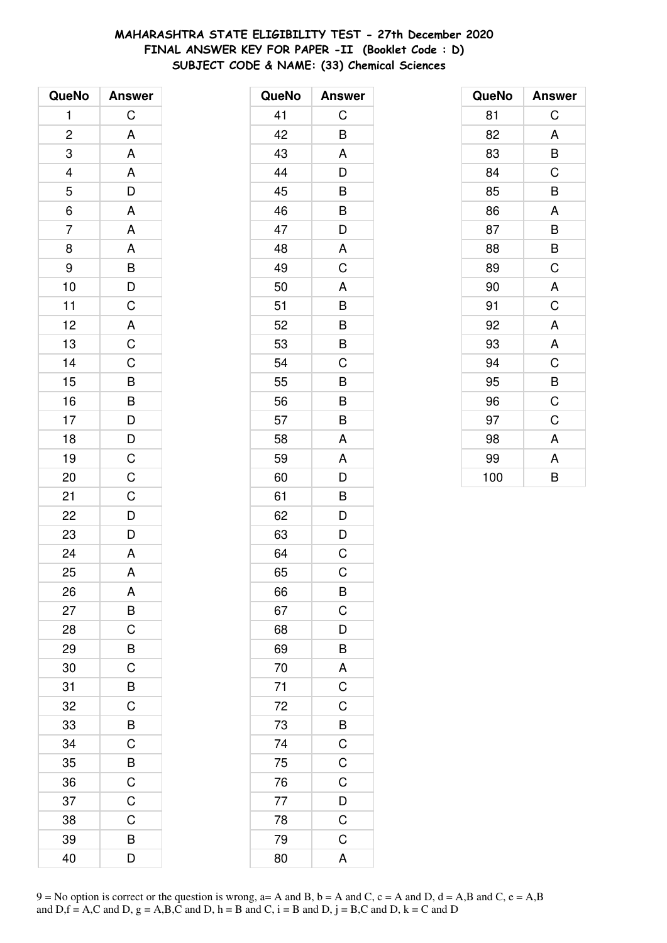# **MAHARASHTRA STATE ELIGIBILITY TEST - 27th December 2020 FINAL ANSWER KEY FOR PAPER -II (Booklet Code : D) SUBJECT CODE & NAME: (33) Chemical Sciences**

| QueNo                    | <b>Answer</b>    |
|--------------------------|------------------|
| 1                        | C                |
| $\overline{\mathbf{c}}$  | A                |
| 3                        | A                |
| $\overline{\mathcal{L}}$ |                  |
| 5                        | $\frac{A}{D}$    |
| $\frac{1}{6}$            | $\overline{A}$   |
| $\overline{7}$           | $\overline{A}$   |
| 8                        |                  |
| 9                        |                  |
| 10                       | A<br>B<br>D<br>C |
| 11                       |                  |
| 12                       |                  |
| 13                       | $rac{A}{C}$      |
| 14                       | CBBDDCCCD        |
| 15                       |                  |
| 16                       |                  |
| 17                       |                  |
| 18                       |                  |
| 19                       |                  |
| 20                       |                  |
| 21                       |                  |
| 22                       |                  |
| 23                       | $\overline{D}$   |
| 24                       | $\overline{A}$   |
| 25                       | A                |
| 26                       | A                |
| 27                       | B                |
| 28                       | C                |
| 29                       | B                |
| 30                       | $\overline{C}$   |
| 31                       | $\overline{B}$   |
| 32                       | C                |
| 33                       | B                |
| 34                       | C                |
| 35                       | B                |
| 36                       | $\mathsf{C}$     |
| 37                       | $\overline{C}$   |
| 38                       | C                |
| 39                       | B                |
| 40                       | D                |

| QueNo           | <b>Answer</b>    |
|-----------------|------------------|
| 41              | С                |
| 42              | B                |
| 43              | A                |
| 44              | D                |
| 45              | B                |
| 46              | B                |
| 47              | D                |
| 48              | A                |
| 49              | C                |
| 50              | A                |
| 51              | B                |
| 52              | B                |
| 53              | B                |
| 54              | C                |
| 55              | B                |
| 56              | B                |
| 57              | B                |
| 58              | A                |
| 59              | A                |
| 60              | D                |
| 61              | B                |
| 62              | D                |
| 63              | D                |
| 64              | $\mathsf C$      |
| 65              | С                |
| 66              | B                |
| 67              | $\mathsf C$      |
| 68              | $\overline{D}$   |
| 69              | B                |
| 70              | A                |
| $\overline{71}$ | $rac{1}{C}$      |
|                 | $\mathsf C$      |
| 72<br>73<br>74  |                  |
|                 | $\overline{B}$ C |
| 75              |                  |
| 76              | $\frac{C}{C}$    |
| 77              | $\overline{D}$   |
| 78              | $\overline{C}$   |
| 79              | $\overline{C}$   |
| 80              | A                |
|                 |                  |

| QueNo | <b>Answer</b> |
|-------|---------------|
| 81    | C             |
| 82    | A             |
| 83    | B             |
| 84    | C             |
| 85    | B             |
| 86    | A             |
| 87    | B             |
| 88    | B             |
| 89    | C             |
| 90    | A             |
| 91    | C             |
| 92    | A             |
| 93    | A             |
| 94    | C             |
| 95    | B             |
| 96    | C             |
| 97    | C             |
| 98    | A             |
| 99    | A             |
| 100   | B             |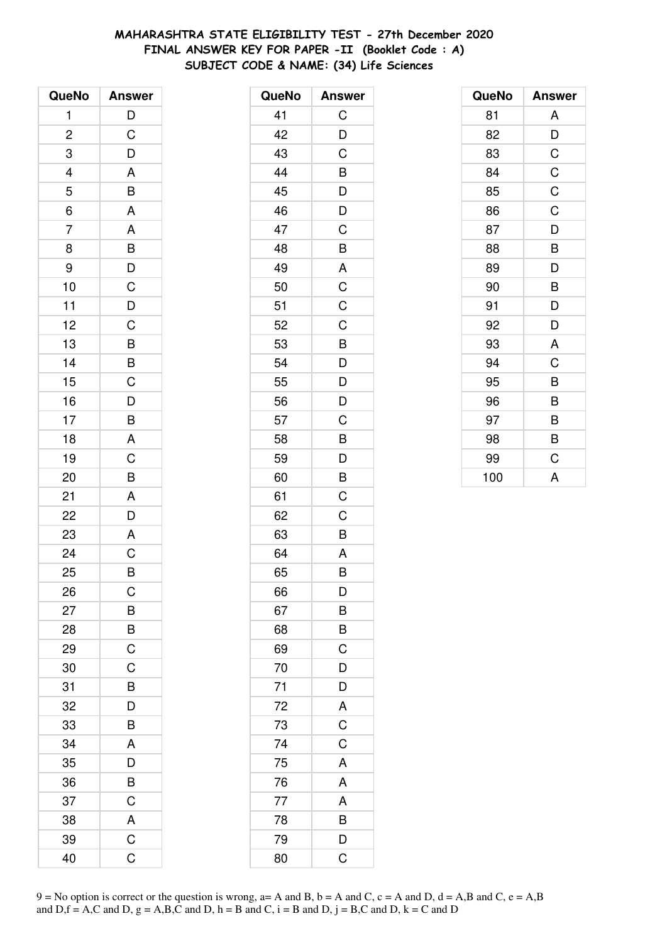# **MAHARASHTRA STATE ELIGIBILITY TEST - 27th December 2020 FINAL ANSWER KEY FOR PAPER -II (Booklet Code : A) SUBJECT CODE & NAME: (34) Life Sciences**

| QueNo          | <b>Answer</b>  |
|----------------|----------------|
| 1              | $\mathsf{D}$   |
| $\overline{c}$ | $\mathsf C$    |
| 3              | D              |
| 4              | A              |
| 5              | B              |
| $\overline{6}$ | A              |
| $\overline{7}$ | A              |
| 8              | $\overline{B}$ |
| 9              | $\frac{D}{C}$  |
| 10             |                |
| 11             | $\overline{D}$ |
| 12             | $\frac{1}{C}$  |
| 13             | $\frac{1}{B}$  |
| 14             | $\frac{B}{C}$  |
| 15             |                |
| 16             | $\mathsf{D}$   |
| 17             | $\overline{B}$ |
| 18             | A              |
| 19             | $\overline{C}$ |
| 20             | B              |
| 21             | A              |
| 22             | $\overline{D}$ |
| 23             | A              |
| 24             | $\overline{C}$ |
| 25             | B              |
| 26             | C              |
| 27             | B              |
| 28             | B              |
| 29             | $\mathsf C$    |
| 30             | $\overline{C}$ |
| 31             | $\overline{B}$ |
| 32             | D              |
| 33             | B              |
| 34             | A              |
| 35             | D              |
| 36             | B              |
| 37             | $\mathsf C$    |
| 38             | $rac{A}{C}$    |
| 39             |                |
| 40             | Ć              |

| QueNo           | <b>Answer</b>  |
|-----------------|----------------|
| 41              | С              |
| 42              | D              |
| 43              | C              |
| 44              | B              |
| 45              | D              |
| 46              | D              |
| 47              | C              |
| 48              | B              |
| 49              | A              |
| 50              | $\overline{C}$ |
| 51              | C              |
| 52              | C              |
| 53              | B              |
| 54              | D              |
| 55              | $\overline{D}$ |
| 56              | $\overline{D}$ |
| 57              | C              |
| 58              | B              |
| 59              | D              |
| 60              | B              |
| 61              | C              |
| 62              | C              |
| 63              | B              |
| 64              | A              |
| 65              | B              |
| 66              | D              |
| 67              | $\overline{B}$ |
| 68              | $\overline{B}$ |
| 69              | $\overline{C}$ |
| 70              | $\overline{D}$ |
| 71              | D              |
| $\overline{72}$ |                |
| 73              | $rac{A}{C}$    |
| 74              |                |
| 75              | A              |
| 76              | A              |
| 77              | A              |
| 78              | B              |
| 79              | $\frac{D}{C}$  |
| 80              |                |

| QueNo | <b>Answer</b> |
|-------|---------------|
| 81    | A             |
| 82    | D             |
| 83    | C             |
| 84    | $\mathsf C$   |
| 85    | $\mathsf C$   |
| 86    | C             |
| 87    | D             |
| 88    | B             |
| 89    | D             |
| 90    | B             |
| 91    | D             |
| 92    | D             |
| 93    | A             |
| 94    | C             |
| 95    | B             |
| 96    | B             |
| 97    | B             |
| 98    | B             |
| 99    | C             |
| 100   | A             |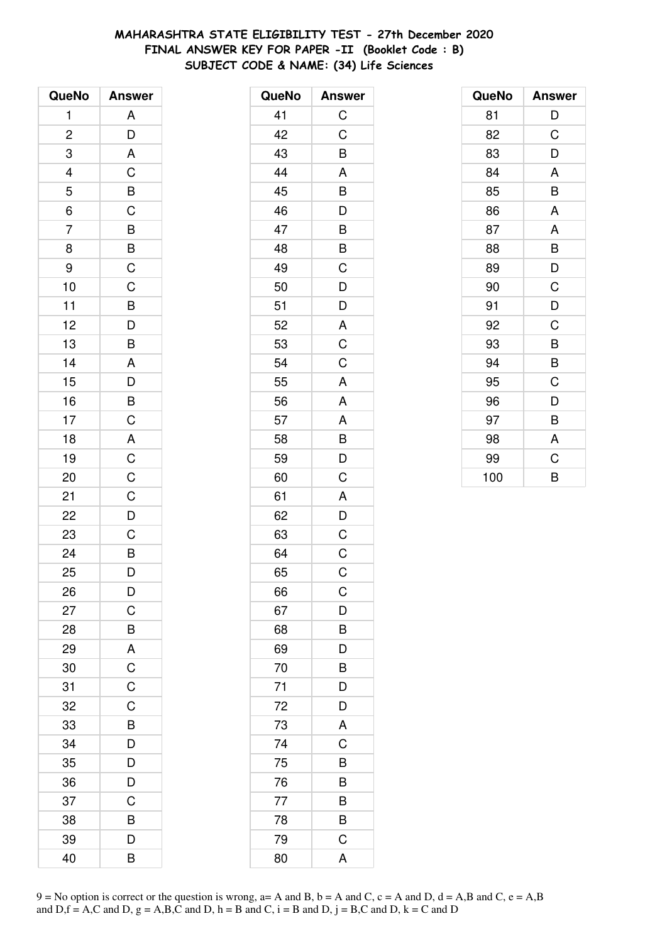# **MAHARASHTRA STATE ELIGIBILITY TEST - 27th December 2020 FINAL ANSWER KEY FOR PAPER -II (Booklet Code : B) SUBJECT CODE & NAME: (34) Life Sciences**

| QueNo                   | <b>Answer</b>                                      |
|-------------------------|----------------------------------------------------|
| 1                       | A                                                  |
| $\overline{\mathbf{c}}$ | D                                                  |
| 3                       | A                                                  |
|                         |                                                    |
| $\frac{4}{5}$           |                                                    |
| $\overline{6}$          | $rac{C}{C}$                                        |
| $\overline{7}$          |                                                    |
| 8                       |                                                    |
| 9                       | $\frac{B}{C}$                                      |
| 10                      | $\overline{C}$                                     |
| 11                      |                                                    |
| 12                      |                                                    |
| 13                      | $\overline{B}$<br>$\overline{D}$<br>$\overline{B}$ |
| 14                      | A                                                  |
| 15                      | $\bar{D}$<br>$\bar{D}$                             |
| 16                      |                                                    |
| 17                      |                                                    |
| 18                      |                                                    |
| 19                      | BCACC                                              |
| 20                      |                                                    |
| 21                      | $\mathsf C$                                        |
| 22                      | $\frac{1}{D}$                                      |
| 23                      | $\overline{C}$                                     |
| 24                      | $\overline{B}$                                     |
| 25                      | D                                                  |
| 26                      | D                                                  |
| 27                      | C                                                  |
| 28                      | B                                                  |
| 29                      | $\overline{A}$                                     |
| 30                      | $\frac{1}{C}$                                      |
| 31                      | $\overline{C}$                                     |
| 32                      | C                                                  |
| 33                      | B                                                  |
| 34                      | $\overline{D}$                                     |
| 35                      | $\frac{1}{D}$                                      |
| 36                      | $\overline{D}$                                     |
| 37                      | C                                                  |
| 38                      | B                                                  |
| 39                      | D                                                  |
| 40                      | B                                                  |

| QueNo | <b>Answer</b>  |
|-------|----------------|
| 41    | $\mathsf C$    |
| 42    | C              |
| 43    | B              |
| 44    | A              |
| 45    |                |
| 46    | $\frac{B}{D}$  |
| 47    | B              |
| 48    | B              |
| 49    | $\mathsf C$    |
| 50    | D              |
| 51    | $\overline{D}$ |
| 52    |                |
| 53    | $rac{A}{C}$    |
| 54    | $\mathsf C$    |
| 55    | $\mathsf{A}$   |
| 56    | A              |
| 57    | A              |
| 58    | $\overline{B}$ |
| 59    | D              |
| 60    | C              |
| 61    | A              |
| 62    | D              |
| 63    | $\overline{C}$ |
| 64    | $\mathsf C$    |
| 65    | C              |
| 66    | С              |
| 67    | D              |
| 68    | B              |
| 69    | D              |
| 70    | B              |
| 71    | D              |
| 72    | D              |
| 73    | A              |
| 74    | C              |
| 75    | B              |
| 76    | B              |
| 77    | B              |
| 78    | B              |
| 79    | C              |
| 80    | A              |

| QueNo | <b>Answer</b> |
|-------|---------------|
| 81    | D             |
| 82    | C             |
| 83    | D             |
| 84    | A             |
| 85    | B             |
| 86    | A             |
| 87    | A             |
| 88    | B             |
| 89    | D             |
| 90    | C             |
| 91    | D             |
| 92    | C             |
| 93    | B             |
| 94    | B             |
| 95    | C             |
| 96    | D             |
| 97    | B             |
| 98    | A             |
| 99    | C             |
| 100   | B             |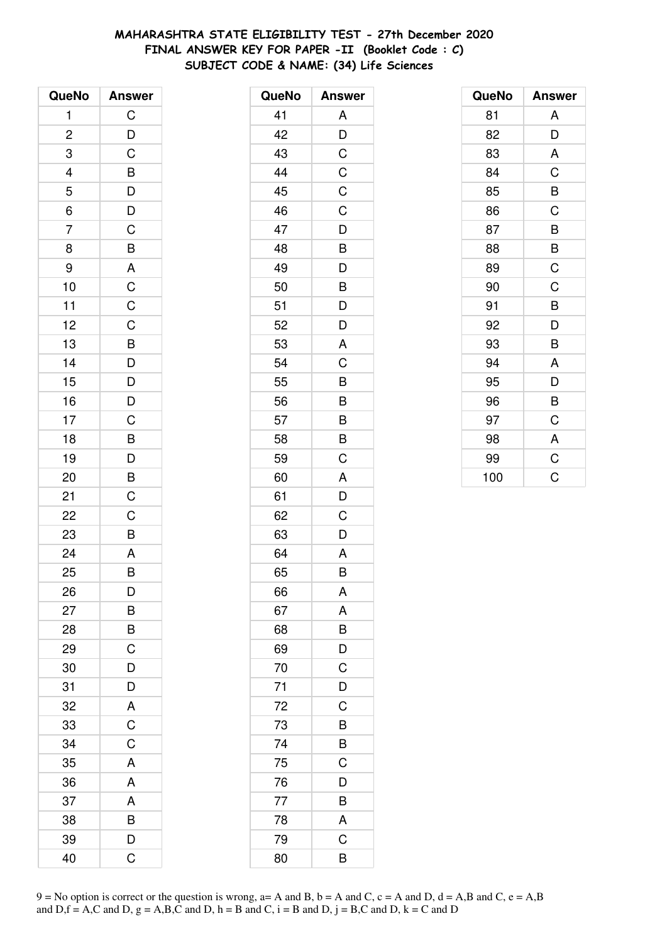# **MAHARASHTRA STATE ELIGIBILITY TEST - 27th December 2020 FINAL ANSWER KEY FOR PAPER -II (Booklet Code : C) SUBJECT CODE & NAME: (34) Life Sciences**

| QueNo          | <b>Answer</b>                                                           |
|----------------|-------------------------------------------------------------------------|
| 1              | C                                                                       |
| $\overline{c}$ |                                                                         |
| 3              | $\frac{D}{C}$                                                           |
|                |                                                                         |
| $\frac{4}{5}$  | $\begin{array}{c}\n\mathsf{B} \\ \mathsf{D} \\ \mathsf{C}\n\end{array}$ |
| $\overline{6}$ |                                                                         |
| $\overline{7}$ |                                                                         |
| 8              | $\overline{B}$                                                          |
| 9              |                                                                         |
| 10             | $rac{A}{C}$                                                             |
| 11             |                                                                         |
| 12             | $\overline{C}$                                                          |
| 13             | $\overline{B}$                                                          |
| 14             |                                                                         |
| 15             | $\frac{D}{D}$                                                           |
| 16             | $\frac{1}{D}$                                                           |
| 17             | $\frac{C}{B}$                                                           |
| 18             |                                                                         |
| 19             | $\overline{D}$                                                          |
| 20             | $\overline{B}$                                                          |
| 21             | $\mathsf C$                                                             |
| 22             | $\mathsf C$                                                             |
| 23             | $\overline{\mathsf{B}}$                                                 |
| 24             | A                                                                       |
| 25             | B                                                                       |
| 26             | D                                                                       |
| 27             | B                                                                       |
| 28             | B                                                                       |
| 29             | $\mathsf C$                                                             |
| 30             | D                                                                       |
| 31             | D                                                                       |
| 32             | A                                                                       |
| 33             | C                                                                       |
| 34             | C                                                                       |
| 35             | A                                                                       |
| 36             | A                                                                       |
| 37             | A                                                                       |
| 38             | B                                                                       |
| 39             | D                                                                       |
| 40             | Ć                                                                       |

| QueNo | <b>Answer</b> |
|-------|---------------|
| 41    | A             |
| 42    | D             |
| 43    | C             |
| 44    | C             |
| 45    | C             |
| 46    | C             |
| 47    | D             |
| 48    | B             |
| 49    | D             |
| 50    | B             |
| 51    | D             |
| 52    | D             |
| 53    | A             |
| 54    | C             |
| 55    | B             |
| 56    | B             |
| 57    | B             |
| 58    | B             |
| 59    | C             |
| 60    | A             |
| 61    | D             |
| 62    | C             |
| 63    | D             |
| 64    | A             |
| 65    | B             |
| 66    | A             |
| 67    | A             |
| 68    | B             |
| 69    | D             |
| 70    | C             |
| 71    | D             |
| 72    | C             |
| 73    | B             |
| 74    | B             |
| 75    | C             |
| 76    | D             |
| 77    | B             |
| 78    | A             |
| 79    | C             |
| 80    | B             |

| QueNo | <b>Answer</b> |
|-------|---------------|
| 81    | A             |
| 82    | D             |
| 83    | A             |
| 84    | C             |
| 85    | B             |
| 86    | C             |
| 87    | B             |
| 88    | B             |
| 89    | C             |
| 90    | C             |
| 91    | B             |
| 92    | D             |
| 93    | B             |
| 94    | A             |
| 95    | D             |
| 96    | B             |
| 97    | C             |
| 98    | A             |
| 99    | $\mathsf C$   |
| 100   | C             |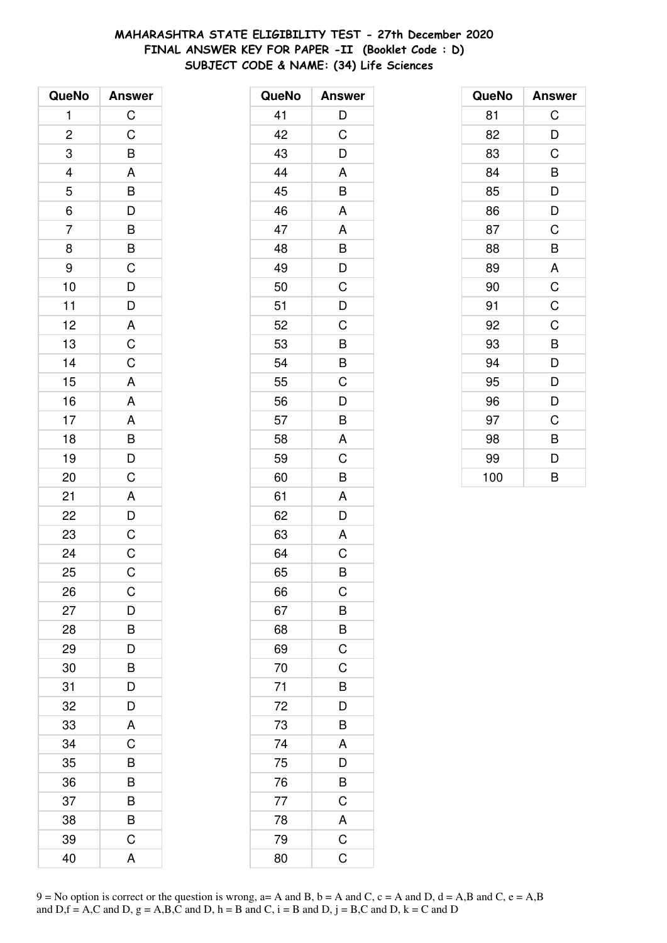# **MAHARASHTRA STATE ELIGIBILITY TEST - 27th December 2020 FINAL ANSWER KEY FOR PAPER -II (Booklet Code : D) SUBJECT CODE & NAME: (34) Life Sciences**

| QueNo                       | <b>Answer</b>                                     |
|-----------------------------|---------------------------------------------------|
| 1                           | $\mathsf{C}$                                      |
| $\overline{c}$              |                                                   |
| 3                           |                                                   |
|                             |                                                   |
|                             |                                                   |
| $\frac{4}{5}$ $\frac{6}{7}$ |                                                   |
|                             |                                                   |
| 8                           |                                                   |
| 9                           |                                                   |
| 10                          |                                                   |
| 11                          |                                                   |
| 12                          |                                                   |
| 13                          | CBABDBBCDDACC                                     |
| 14                          |                                                   |
| 15                          | $\overline{\mathsf{A}}$                           |
| 16                          |                                                   |
| 17                          |                                                   |
| 18                          |                                                   |
| 19                          | A<br>A<br>B<br>D<br>C                             |
| 20                          |                                                   |
| 21                          |                                                   |
| 22                          | $\begin{array}{c}\nA \\ D \\ C \\ C\n\end{array}$ |
| 23                          |                                                   |
| 24                          |                                                   |
| 25                          | C                                                 |
| 26                          | С                                                 |
| 27                          | D                                                 |
| 28                          | B                                                 |
| 29                          | $\overline{D}$                                    |
| 30                          | $\overline{B}$                                    |
| 31                          | D                                                 |
| 32                          | D                                                 |
| 33                          | A                                                 |
| 34                          | C                                                 |
| 35                          | B                                                 |
| 36                          | B                                                 |
| 37                          | B                                                 |
| 38                          | B                                                 |
| 39                          | C                                                 |
| 40                          | A                                                 |

| QueNo | <b>Answer</b>  |
|-------|----------------|
| 41    | D              |
| 42    | C              |
| 43    | D              |
| 44    | A              |
| 45    | B              |
| 46    | A              |
| 47    | A              |
| 48    | B              |
| 49    | D              |
| 50    | C              |
| 51    | D              |
| 52    | C              |
| 53    | B              |
| 54    | B              |
| 55    | C              |
| 56    | D              |
| 57    | B              |
| 58    | A              |
| 59    | C              |
| 60    | B              |
| 61    | A              |
| 62    | D              |
| 63    | A              |
| 64    | C              |
| 65    | B              |
| 66    | $\mathsf C$    |
| 67    | B              |
| 68    | B              |
| 69    | $\mathsf C$    |
| 70    | C              |
| 71    | B              |
| 72    | D              |
| 73    | B              |
| 74    | A              |
| 75    | D              |
| 76    | B              |
| 77    | $\mathsf C$    |
| 78    | A              |
| 79    | $\overline{C}$ |
| 80    | C              |

| QueNo | <b>Answer</b> |
|-------|---------------|
| 81    | C             |
| 82    | D             |
| 83    | C             |
| 84    | B             |
| 85    | D             |
| 86    | D             |
| 87    | C             |
| 88    | B             |
| 89    | A             |
| 90    | $\mathsf C$   |
| 91    | C             |
| 92    | C             |
| 93    | B             |
| 94    | D             |
| 95    | D             |
| 96    | D             |
| 97    | C             |
| 98    | B             |
| 99    | D             |
| 100   | B             |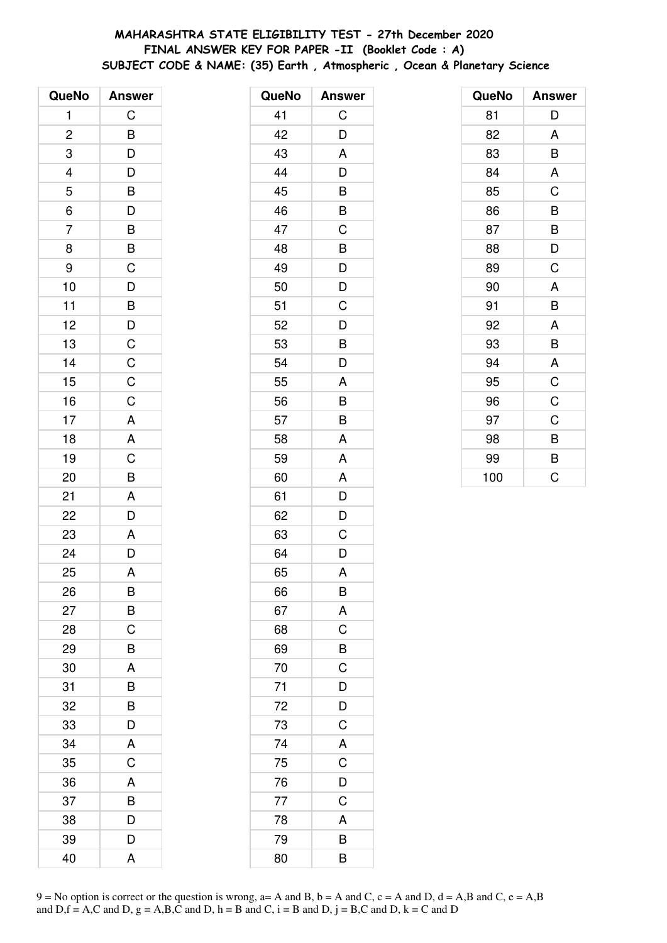# **MAHARASHTRA STATE ELIGIBILITY TEST - 27th December 2020 FINAL ANSWER KEY FOR PAPER -II (Booklet Code : A) SUBJECT CODE & NAME: (35) Earth , Atmospheric , Ocean & Planetary Science**

| QueNo                   | <b>Answer</b>           |
|-------------------------|-------------------------|
| 1                       | C                       |
| $\overline{\mathbf{c}}$ | B                       |
| $\overline{3}$          | $\overline{D}$          |
| $\overline{\mathbf{4}}$ | $\overline{\mathsf{D}}$ |
| 5                       | B                       |
| 6                       | D                       |
| $\overline{7}$          | B                       |
| 8                       | $\bar{B}$               |
| 9                       | $\overline{C}$          |
| 10                      | $\overline{D}$          |
| 11                      | $\overline{B}$          |
| 12                      |                         |
| 13                      | $\frac{D}{C}$           |
| 14                      |                         |
| 15                      | $\frac{C}{C}$           |
| 16                      | $\overline{C}$          |
| 17                      | A                       |
| 18                      | A                       |
| 19                      | C                       |
| 20                      | B                       |
| 21                      | A                       |
| 22                      | D                       |
| 23                      | A                       |
| 24                      | $\overline{D}$          |
| 25                      | A                       |
| 26                      | Β                       |
| 27                      | B                       |
| 28                      | C                       |
| 29                      | B                       |
| 30                      | A                       |
| 31                      | B                       |
| 32                      | B                       |
| 33                      | D                       |
| 34                      | A                       |
| 35                      | C                       |
| 36                      | A                       |
| 37                      | B                       |
| 38                      | D                       |
| 39                      | D                       |
| 40                      | A                       |

| QueNo | <b>Answer</b>  |
|-------|----------------|
| 41    | C              |
| 42    | D              |
| 43    | A              |
| 44    | D              |
| 45    | B              |
| 46    | B              |
| 47    | C              |
| 48    | B              |
| 49    | D              |
| 50    | D              |
| 51    | C              |
| 52    | D              |
| 53    | B              |
| 54    | D              |
| 55    | A              |
| 56    | B              |
| 57    | B              |
| 58    | A              |
| 59    | A              |
| 60    | A              |
| 61    | D              |
| 62    | D              |
| 63    | C              |
| 64    | D              |
| 65    | A              |
| 66    | B              |
| 67    | A              |
| 68    | C              |
| 69    | B              |
| 70    | $\overline{C}$ |
| 71    | $\overline{D}$ |
| 72    | $\overline{D}$ |
| 73    | $\mathsf C$    |
| 74    | A              |
| 75    | C              |
| 76    | D              |
| 77    | $\mathsf C$    |
| 78    | A              |
| 79    | B              |
| 80    | B              |

| QueNo | <b>Answer</b> |
|-------|---------------|
| 81    | D             |
| 82    | A             |
| 83    | B             |
| 84    | A             |
| 85    | C             |
| 86    | B             |
| 87    | B             |
| 88    | D             |
| 89    | C             |
| 90    | A             |
| 91    | B             |
| 92    | A             |
| 93    | B             |
| 94    | A             |
| 95    | $\mathsf C$   |
| 96    | $\mathsf C$   |
| 97    | C             |
| 98    | B             |
| 99    | B             |
| 100   | Ć             |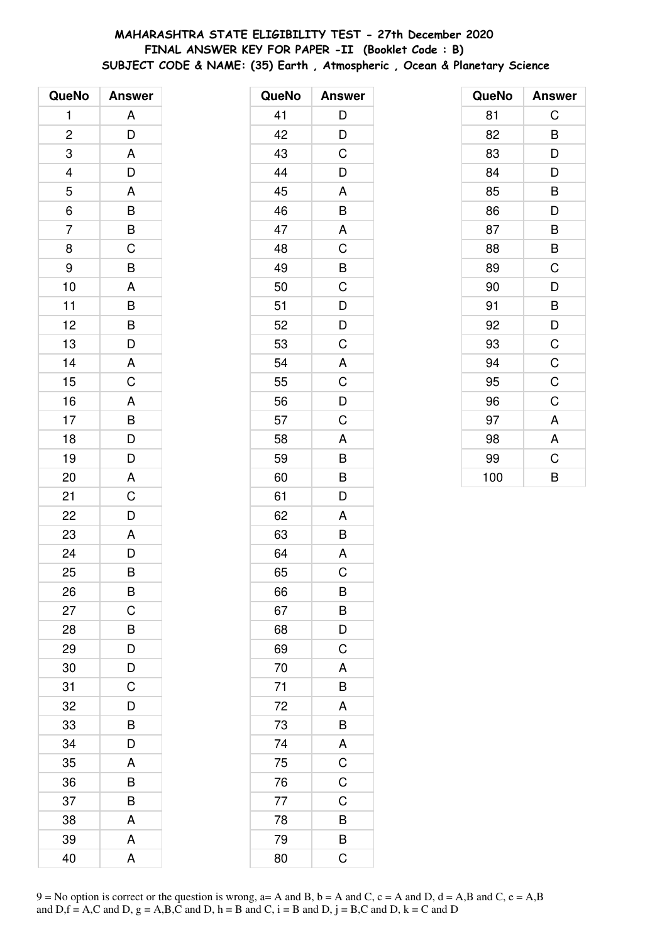# **MAHARASHTRA STATE ELIGIBILITY TEST - 27th December 2020 FINAL ANSWER KEY FOR PAPER -II (Booklet Code : B) SUBJECT CODE & NAME: (35) Earth , Atmospheric , Ocean & Planetary Science**

| QueNo                   | <b>Answer</b>         |
|-------------------------|-----------------------|
| 1                       | A                     |
| $\overline{\mathbf{c}}$ | D                     |
| 3                       | A                     |
|                         | D                     |
| $\frac{4}{5}$           | A                     |
| 6                       | B                     |
| $\overline{7}$          | B                     |
| 8                       | C                     |
| 9                       | B                     |
| 10                      | A                     |
| 11                      | $\overline{B}$        |
| 12                      | $\overline{B}$        |
| 13                      | D                     |
| 14                      | A                     |
| 15                      | $\overline{C}$        |
| 16                      | A                     |
| 17                      |                       |
| 18                      | $\overline{B}$<br>$D$ |
| 19                      | D                     |
| 20                      | A                     |
| 21                      | C                     |
| 22                      | D                     |
| 23                      | A                     |
| 24                      | D                     |
| 25                      | B                     |
| 26                      | B                     |
| 27                      | C                     |
| 28                      | B                     |
| 29                      | D                     |
| 30                      | D                     |
| 31                      | C                     |
| 32                      | D                     |
| 33                      | B                     |
| 34                      | D                     |
| 35                      | A                     |
| 36                      | B                     |
| 37                      | B                     |
| 38                      | A                     |
| 39                      | A                     |
| 40                      | A                     |

| QueNo | <b>Answer</b>  |
|-------|----------------|
| 41    | D              |
| 42    | D              |
| 43    | C              |
| 44    | D              |
| 45    | A              |
| 46    | B              |
| 47    | A              |
| 48    | C              |
| 49    | B              |
| 50    | C              |
| 51    | $\overline{D}$ |
| 52    | $\overline{D}$ |
| 53    | C              |
| 54    | A              |
| 55    | C              |
| 56    | D              |
| 57    | $\mathsf C$    |
| 58    | A              |
| 59    | B              |
| 60    | B              |
| 61    | D              |
| 62    | A              |
| 63    | B              |
| 64    | A              |
| 65    | C              |
| 66    | B              |
| 67    | B              |
| 68    | D              |
| 69    | $\overline{C}$ |
| 70    | A              |
| 71    | B              |
| 72    | A              |
| 73    | B              |
| 74    | $rac{A}{C}$    |
| 75    |                |
| 76    | $\overline{C}$ |
| 77    | $\mathsf C$    |
| 78    | B              |
| 79    | B              |
| 80    | C              |

| QueNo | <b>Answer</b>  |
|-------|----------------|
| 81    | C              |
| 82    | B              |
| 83    | D              |
| 84    | D              |
| 85    | B              |
| 86    | D              |
| 87    | B              |
| 88    | B              |
| 89    | C              |
| 90    | D              |
| 91    | B              |
| 92    | D              |
| 93    | $\mathsf C$    |
| 94    | $\overline{C}$ |
| 95    | $\mathsf C$    |
| 96    | C              |
| 97    | A              |
| 98    | A              |
| 99    | C              |
| 100   | B              |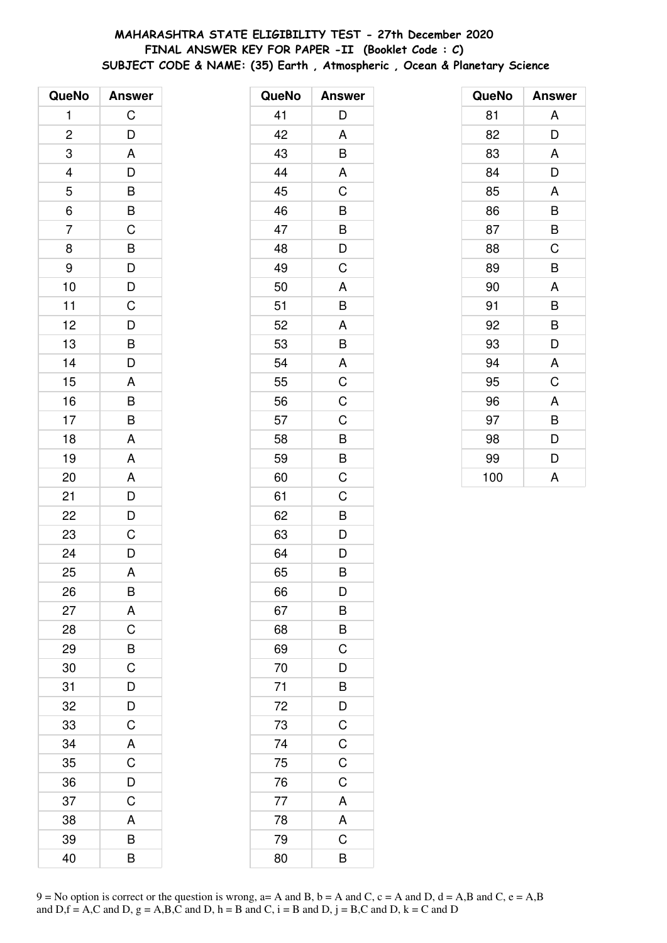# **MAHARASHTRA STATE ELIGIBILITY TEST - 27th December 2020 FINAL ANSWER KEY FOR PAPER -II (Booklet Code : C) SUBJECT CODE & NAME: (35) Earth , Atmospheric , Ocean & Planetary Science**

| QueNo          | <b>Answer</b>        |
|----------------|----------------------|
| 1              | $\mathsf C$          |
| $\overline{c}$ | D                    |
| 3              | A                    |
|                |                      |
| $\frac{4}{5}$  | $D$ B $B$ C          |
| $\overline{6}$ |                      |
| $\overline{7}$ |                      |
| 8              |                      |
| 9              | B<br>D<br>D<br>C     |
| 10             |                      |
| 11             |                      |
| 12             | $\frac{1}{\sqrt{2}}$ |
| 13             | $\overline{B}$       |
| 14             | D                    |
| 15             | A                    |
| 16             |                      |
| 17             | $\frac{B}{B}$        |
| 18             | A                    |
| 19             | A                    |
| 20             | A                    |
| 21             |                      |
| 22             | $\frac{D}{D}$        |
| 23             | $\overline{C}$       |
| 24             | $\overline{D}$       |
| 25             | A                    |
| 26             | B                    |
| 27             | A                    |
| 28             | C                    |
| 29             | $\overline{B}$       |
| 30             | $\overline{C}$       |
| 31             | D                    |
| 32             | D                    |
| 33             | $\mathsf C$          |
| 34             | A                    |
| 35             | $\overline{C}$       |
| 36             | D                    |
| 37             | $\mathsf C$          |
| 38             | A                    |
| 39             | В                    |
| 40             | B                    |

| QueNo | <b>Answer</b>  |
|-------|----------------|
| 41    | D              |
| 42    | A              |
| 43    | B              |
| 44    | A              |
| 45    | C              |
| 46    | B              |
| 47    | B              |
| 48    | D              |
| 49    | C              |
| 50    | A              |
| 51    | B              |
| 52    | A              |
| 53    | B              |
| 54    | A              |
| 55    | $\overline{C}$ |
| 56    | C              |
| 57    | C              |
| 58    | B              |
| 59    | B              |
| 60    | C              |
| 61    | C              |
| 62    | B              |
| 63    | D              |
| 64    | D              |
| 65    | B              |
| 66    | D              |
| 67    | B              |
| 68    | B              |
| 69    | $\mathsf C$    |
| 70    | $\overline{D}$ |
| 71    | B              |
| 72    | D              |
| 73    | $\mathsf C$    |
| 74    | $\mathsf C$    |
| 75    | $\mathsf C$    |
| 76    | $\mathsf C$    |
| 77    | A              |
| 78    | A              |
| 79    | C              |
| 80    | B              |

| QueNo | <b>Answer</b> |
|-------|---------------|
| 81    | A             |
| 82    | D             |
| 83    | A             |
| 84    | D             |
| 85    | A             |
| 86    | B             |
| 87    | B             |
| 88    | C             |
| 89    | B             |
| 90    | A             |
| 91    | B             |
| 92    | B             |
| 93    | D             |
| 94    | A             |
| 95    | C             |
| 96    | A             |
| 97    | B             |
| 98    | D             |
| 99    | D             |
| 100   | A             |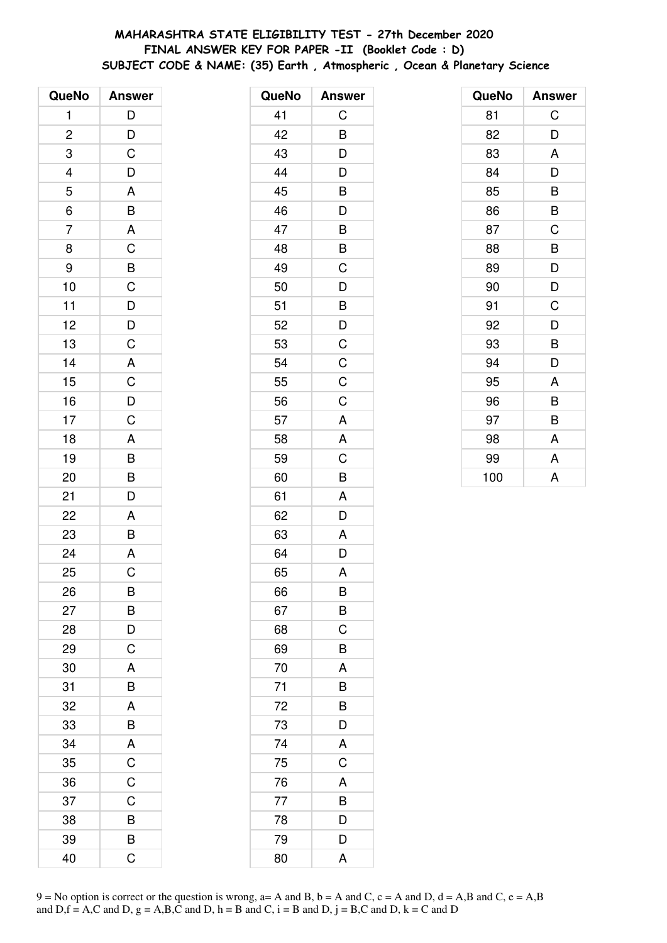# **MAHARASHTRA STATE ELIGIBILITY TEST - 27th December 2020 FINAL ANSWER KEY FOR PAPER -II (Booklet Code : D) SUBJECT CODE & NAME: (35) Earth , Atmospheric , Ocean & Planetary Science**

| QueNo          | <b>Answer</b>                                                                                                                             |
|----------------|-------------------------------------------------------------------------------------------------------------------------------------------|
| 1              | $\mathsf{D}$                                                                                                                              |
| $\overline{c}$ |                                                                                                                                           |
| 3              | $\frac{D}{C}$                                                                                                                             |
|                | $\overline{D}$                                                                                                                            |
| $\frac{4}{5}$  | $\overline{A}$                                                                                                                            |
| $\frac{1}{6}$  | $\overline{B}$                                                                                                                            |
| $\overline{7}$ | $rac{A}{C}$                                                                                                                               |
| 8              |                                                                                                                                           |
| 9              |                                                                                                                                           |
| 10             |                                                                                                                                           |
| 11             | $\begin{array}{c c} \multicolumn{2}{c }{B} & C & D & D \\ \multicolumn{2}{c }{C} & D & D & C \\ \multicolumn{2}{c }{A} & C & \end{array}$ |
| 12             |                                                                                                                                           |
| 13             |                                                                                                                                           |
| 14             |                                                                                                                                           |
| 15             |                                                                                                                                           |
| 16             | $\frac{D}{C}$                                                                                                                             |
| 17             |                                                                                                                                           |
| 18             | $\overline{A}$                                                                                                                            |
| 19             | $\frac{1}{B}$                                                                                                                             |
| 20             | $\overline{B}$                                                                                                                            |
| 21             | D                                                                                                                                         |
| 22             | A                                                                                                                                         |
| 23             | $\frac{1}{B}$                                                                                                                             |
| 24             | $\overline{A}$                                                                                                                            |
| 25             | $\overline{\text{c}}$                                                                                                                     |
| 26             | B                                                                                                                                         |
| 27             | B                                                                                                                                         |
| 28             | D                                                                                                                                         |
| 29             | $\overline{C}$                                                                                                                            |
| 30             | A                                                                                                                                         |
| 31             | B                                                                                                                                         |
| 32             | A                                                                                                                                         |
| 33             | B                                                                                                                                         |
| 34             | A                                                                                                                                         |
| 35             | $\overline{C}$                                                                                                                            |
| 36             | $\overline{C}$                                                                                                                            |
| 37             | $\mathsf C$                                                                                                                               |
| 38             | B                                                                                                                                         |
| 39             | B                                                                                                                                         |
| 40             | Ć                                                                                                                                         |

| QueNo | <b>Answer</b>  |
|-------|----------------|
| 41    | C              |
| 42    | B              |
| 43    | D              |
| 44    | D              |
| 45    | B              |
| 46    | D              |
| 47    | B              |
| 48    | B              |
| 49    | C              |
| 50    | D              |
| 51    | B              |
| 52    | D              |
| 53    | $\overline{C}$ |
| 54    | $\overline{C}$ |
| 55    | C              |
| 56    | C              |
| 57    | $\mathsf{A}$   |
| 58    | A              |
| 59    | C              |
| 60    | B              |
| 61    | A              |
| 62    | D              |
| 63    | Α              |
| 64    | D              |
| 65    | A              |
| 66    | B              |
| 67    | B              |
| 68    | C              |
| 69    | B              |
| 70    | A              |
| 71    | B              |
| 72    | B              |
| 73    | D              |
| 74    | A              |
| 75    | C              |
| 76    | A              |
| 77    | B              |
| 78    | D              |
| 79    | D              |
| 80    | A              |

| QueNo | <b>Answer</b> |
|-------|---------------|
| 81    | C             |
| 82    | D             |
| 83    | A             |
| 84    | D             |
| 85    | B             |
| 86    | B             |
| 87    | C             |
| 88    | B             |
| 89    | D             |
| 90    | D             |
| 91    | C             |
| 92    | D             |
| 93    | B             |
| 94    | D             |
| 95    | A             |
| 96    | B             |
| 97    | B             |
| 98    | A             |
| 99    | A             |
| 100   | A             |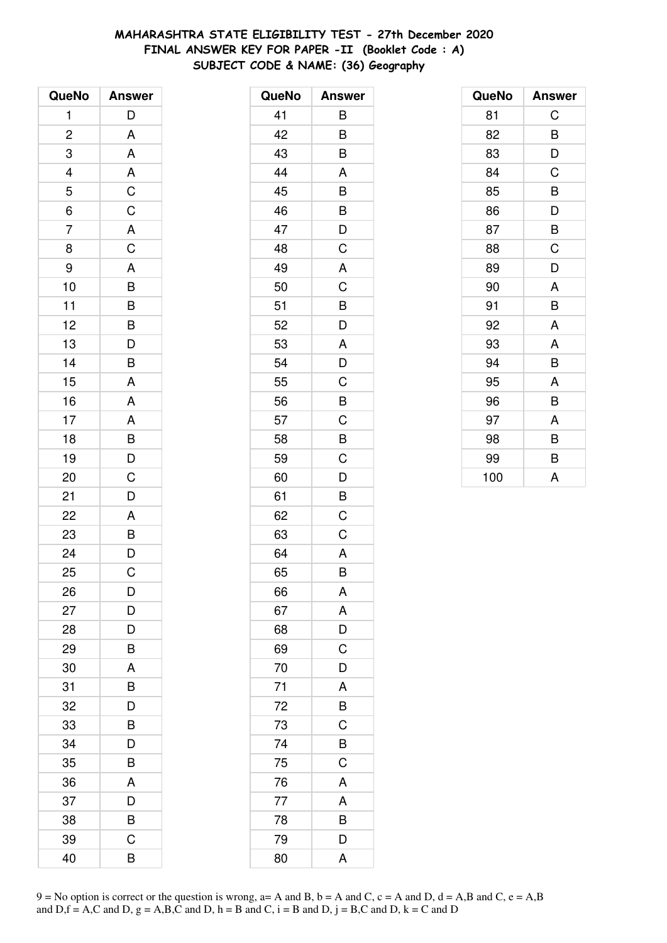# **MAHARASHTRA STATE ELIGIBILITY TEST - 27th December 2020 FINAL ANSWER KEY FOR PAPER -II (Booklet Code : A) SUBJECT CODE & NAME: (36) Geography**

| QueNo          | <b>Answer</b>                    |
|----------------|----------------------------------|
| 1              | D                                |
| $\overline{c}$ | A                                |
| 3              | A                                |
|                | A                                |
| $\frac{4}{5}$  | $\overline{C}$                   |
| $\overline{6}$ | $\overline{C}$                   |
| $\overline{7}$ | $rac{A}{C}$                      |
| 8              |                                  |
| 9              | A                                |
| 10             | $\overline{B}$                   |
| 11             |                                  |
| 12             |                                  |
| 13             | $\overline{B}$<br>$\overline{D}$ |
| 14             | B                                |
| 15             | A                                |
| 16             | A                                |
| 17             | $\overline{A}$                   |
| 18             |                                  |
| 19             | $\overline{B}$<br>$D$            |
| 20             | C                                |
| 21             | D                                |
| 22             | A                                |
| 23             | $\overline{B}$                   |
| 24             | $\overline{D}$                   |
| 25             | C                                |
| 26             | D                                |
| 27             | D                                |
| 28             | D                                |
| 29             | B                                |
| 30             | A                                |
| 31             | B                                |
| 32             | D                                |
| 33             | B                                |
| 34             | D                                |
| 35             | B                                |
| 36             | A                                |
| 37             | D                                |
| 38             | B                                |
| 39             | C                                |
| 40             | B                                |

| QueNo | <b>Answer</b>  |
|-------|----------------|
| 41    | B              |
| 42    | B              |
| 43    | B              |
| 44    | A              |
| 45    | B              |
| 46    | B              |
| 47    | D              |
| 48    | C              |
| 49    | A              |
| 50    | C              |
| 51    | B              |
| 52    | D              |
| 53    | A              |
| 54    | D              |
| 55    | C              |
| 56    | B              |
| 57    | C              |
| 58    | B              |
| 59    | C              |
| 60    | $\overline{D}$ |
| 61    | B              |
| 62    | C              |
| 63    | C              |
| 64    | A              |
| 65    | B              |
| 66    | A              |
| 67    | A              |
| 68    | D              |
| 69    | C              |
| 70    | D              |
| 71    | A              |
| 72    | B              |
| 73    | C              |
| 74    | B              |
| 75    | C              |
| 76    | A              |
| 77    | A              |
| 78    | $\overline{B}$ |
| 79    | D              |
| 80    | A              |

| QueNo | <b>Answer</b> |
|-------|---------------|
| 81    | C             |
| 82    | B             |
| 83    | D             |
| 84    | C             |
| 85    | B             |
| 86    | D             |
| 87    | B             |
| 88    | C             |
| 89    | D             |
| 90    | A             |
| 91    | B             |
| 92    | A             |
| 93    | A             |
| 94    | B             |
| 95    | A             |
| 96    | B             |
| 97    | A             |
| 98    | B             |
| 99    | B             |
| 100   | A             |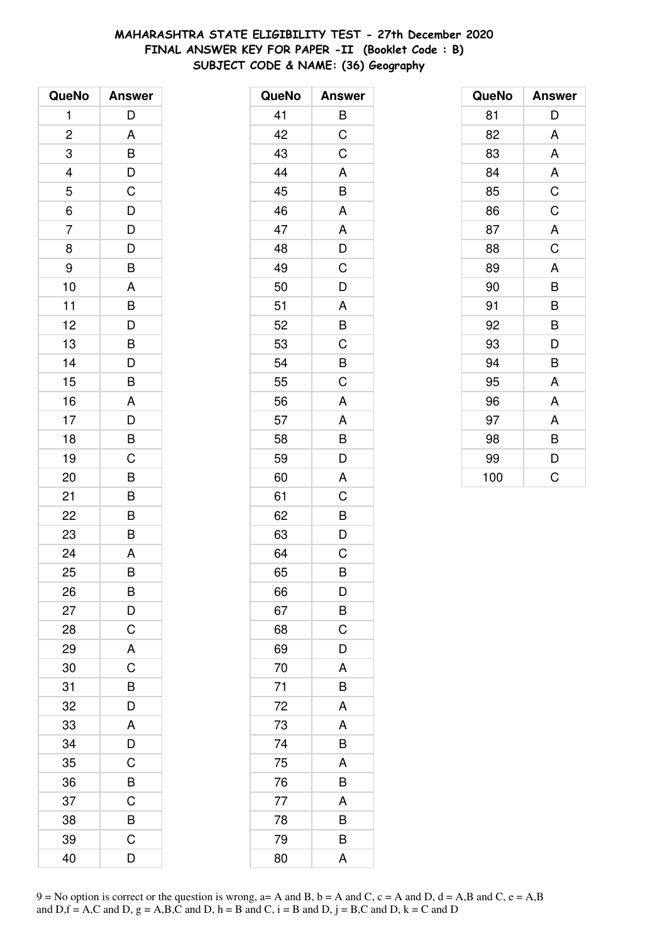# **MAHARASHTRA STATE ELIGIBILITY TEST - 27th December 2020 FINAL ANSWER KEY FOR PAPER -II (Booklet Code : B) SUBJECT CODE & NAME: (36) Geography**

| QueNo                    | <b>Answer</b>  |
|--------------------------|----------------|
| 1                        | D              |
| $\overline{c}$           | A              |
| 3                        | B              |
| $\overline{\mathcal{L}}$ | D              |
| 5                        | C              |
| $\overline{6}$           | $\overline{D}$ |
| $\overline{7}$           | $\overline{D}$ |
| 8                        | D              |
| 9                        | B              |
| 10                       | A              |
| 11                       | B              |
| 12                       | D              |
| 13                       | B              |
| 14                       | D              |
| 15                       | B              |
| 16                       | A              |
| 17                       | D              |
| 18                       | B              |
| 19                       | $\overline{C}$ |
| 20                       | B              |
| 21                       | B              |
| 22                       | B              |
| 23                       | B              |
| 24                       | A              |
| 25                       | B              |
| 26                       | B              |
| 27                       | D              |
| 28                       | C              |
| 29                       | A              |
| 30                       | $\mathsf C$    |
| 31                       | B              |
| 32                       | D              |
| 33                       | A              |
| 34                       | D              |
| 35                       | C              |
| 36                       | B              |
| 37                       | C              |
| 38                       | B              |
| 39                       | C              |
| 40                       | D              |

| QueNo | <b>Answer</b> |
|-------|---------------|
| 41    | B             |
| 42    | C             |
| 43    | C             |
| 44    | A             |
| 45    | B             |
| 46    | A             |
| 47    | A             |
| 48    | D             |
| 49    | C             |
| 50    | D             |
| 51    | A             |
| 52    | B             |
| 53    | C             |
| 54    | B             |
| 55    | C             |
| 56    | A             |
| 57    | A             |
| 58    | B             |
| 59    | D             |
| 60    | A             |
| 61    | C             |
| 62    | B             |
| 63    | D             |
| 64    | C             |
| 65    | B             |
| 66    | D             |
| 67    | B             |
| 68    | C             |
| 69    | D             |
| 70    | A             |
| 71    | B             |
| 72    | A             |
| 73    | A             |
| 74    | B             |
| 75    | A             |
| 76    | B             |
| 77    | A             |
| 78    | B             |
| 79    | B             |
| 80    | A             |

| QueNo | <b>Answer</b> |
|-------|---------------|
| 81    | D             |
| 82    | A             |
| 83    | A             |
| 84    | A             |
| 85    | C             |
| 86    | C             |
| 87    | A             |
| 88    | $\mathsf C$   |
| 89    | A             |
| 90    | B             |
| 91    | B             |
| 92    | B             |
| 93    | D             |
| 94    | B             |
| 95    | A             |
| 96    | A             |
| 97    | A             |
| 98    | B             |
| 99    | D             |
| 100   | C             |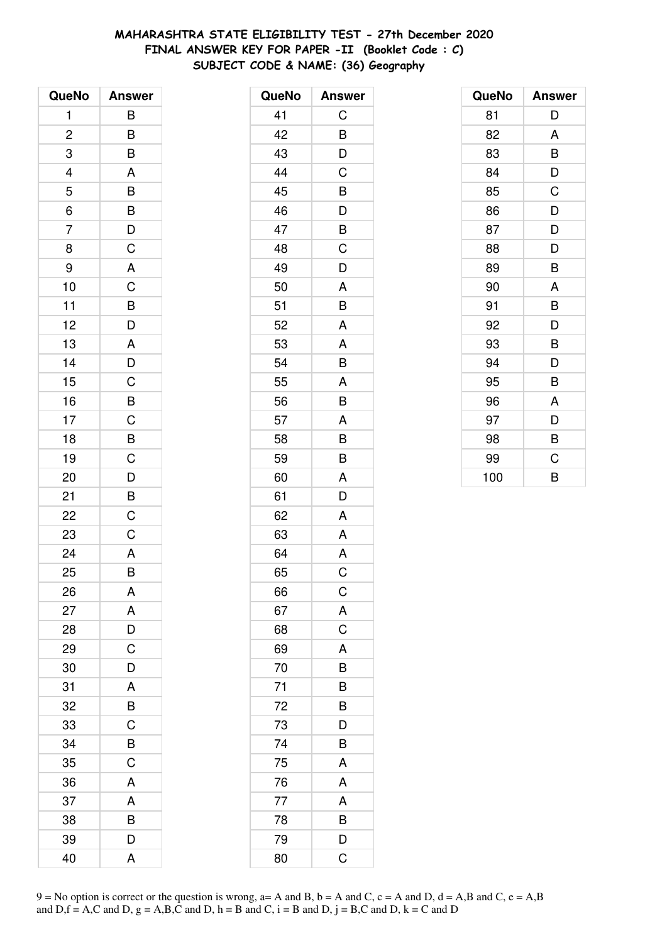# **MAHARASHTRA STATE ELIGIBILITY TEST - 27th December 2020 FINAL ANSWER KEY FOR PAPER -II (Booklet Code : C) SUBJECT CODE & NAME: (36) Geography**

| QueNo                    | <b>Answer</b>                                                        |
|--------------------------|----------------------------------------------------------------------|
| 1                        | B                                                                    |
| $\overline{\mathbf{c}}$  | B                                                                    |
| 3                        | $\overline{B}$                                                       |
| $\overline{\mathcal{L}}$ | $\mathsf{A}$                                                         |
| 5                        |                                                                      |
| $\overline{6}$           |                                                                      |
| $\overline{7}$           | $\overline{B}$<br>$\overline{B}$<br>$\overline{D}$<br>$\overline{C}$ |
| 8                        |                                                                      |
| 9                        | A                                                                    |
| 10                       | $\mathsf{C}$                                                         |
| 11                       | $\overline{B}$<br>$D$                                                |
| 12                       |                                                                      |
| 13                       | $\overline{A}$                                                       |
| 14                       | $\frac{D}{C}$                                                        |
| 15                       |                                                                      |
| 16                       | $\overline{B}$                                                       |
| 17                       | $\frac{C}{B}$                                                        |
| 18                       |                                                                      |
| 19                       | $\overline{C}$<br>$\overline{D}$<br>$\overline{B}$                   |
| 20                       |                                                                      |
| 21                       |                                                                      |
| 22                       | $\overline{C}$                                                       |
| 23                       | $\mathsf C$                                                          |
| 24                       | A                                                                    |
| 25                       | B                                                                    |
| 26                       | Α                                                                    |
| 27                       | A                                                                    |
| 28                       | D                                                                    |
| 29                       | $\overline{C}$                                                       |
| 30                       | D                                                                    |
| 31                       | A                                                                    |
| 32                       | B                                                                    |
| 33                       | C                                                                    |
| 34                       | B                                                                    |
| 35                       | $\overline{C}$                                                       |
| 36                       | A                                                                    |
| 37                       | A                                                                    |
| 38                       | B                                                                    |
| 39                       | D                                                                    |
| 40                       | A                                                                    |

| QueNo | <b>Answer</b> |
|-------|---------------|
| 41    | C             |
| 42    | B             |
| 43    | D             |
| 44    | $\mathsf C$   |
| 45    | B             |
| 46    | D             |
| 47    | B             |
| 48    | C             |
| 49    | D             |
| 50    | A             |
| 51    | B             |
| 52    | A             |
| 53    | A             |
| 54    | B             |
| 55    | A             |
| 56    | B             |
| 57    | A             |
| 58    | B             |
| 59    | B             |
| 60    | A             |
| 61    | D             |
| 62    | A             |
| 63    | A             |
| 64    | A             |
| 65    | C             |
| 66    | $\mathsf C$   |
| 67    | A             |
| 68    | $\mathsf C$   |
| 69    | A             |
| 70    | B             |
| 71    | B             |
| 72    | B             |
| 73    | D             |
| 74    | B             |
| 75    | A             |
| 76    | A             |
| 77    | A             |
| 78    | B             |
| 79    | D             |
| 80    | C             |

| QueNo | <b>Answer</b> |
|-------|---------------|
| 81    | D             |
| 82    | A             |
| 83    | B             |
| 84    | D             |
| 85    | C             |
| 86    | D             |
| 87    | D             |
| 88    | D             |
| 89    | B             |
| 90    | A             |
| 91    | B             |
| 92    | D             |
| 93    | B             |
| 94    | D             |
| 95    | B             |
| 96    | A             |
| 97    | D             |
| 98    | B             |
| 99    | C             |
| 100   | B             |

 $9 = No$  option is correct or the question is wrong,  $a = A$  and B,  $b = A$  and C,  $c = A$  and D,  $d = A$ ,B and C,  $e = A$ ,B and  $D,f = A,C$  and  $D, g = A,B,C$  and  $D, h = B$  and  $C, i = B$  and  $D, j = B,C$  and  $D, k = C$  and  $D$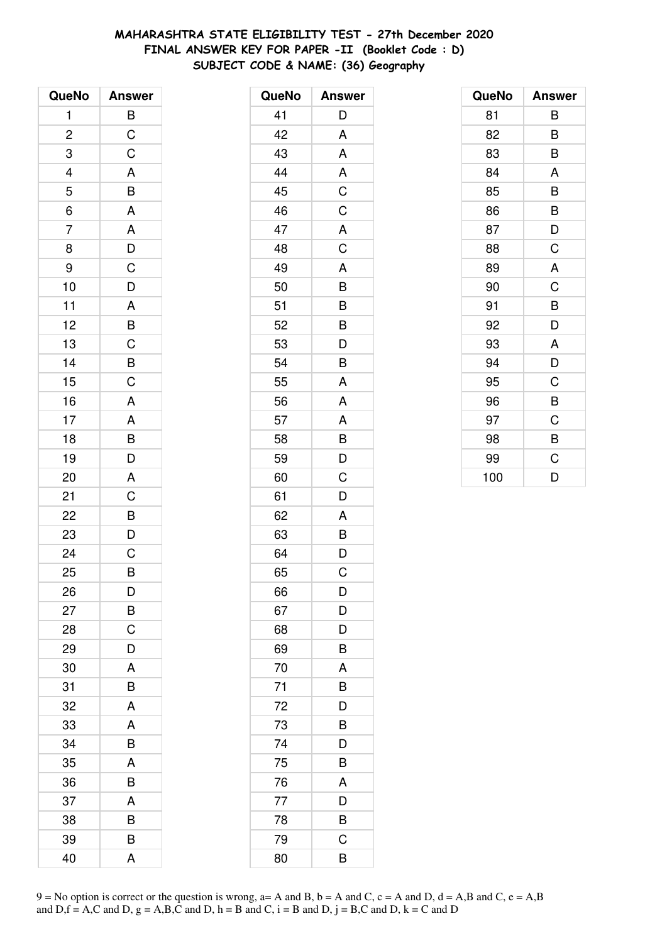# **MAHARASHTRA STATE ELIGIBILITY TEST - 27th December 2020 FINAL ANSWER KEY FOR PAPER -II (Booklet Code : D) SUBJECT CODE & NAME: (36) Geography**

| QueNo                   | <b>Answer</b>                                     |
|-------------------------|---------------------------------------------------|
| 1                       | B                                                 |
| $\overline{\mathbf{c}}$ | $\mathsf C$                                       |
| 3                       | $\overline{C}$                                    |
| $\overline{a}$          |                                                   |
| 5                       | $\frac{A}{B}$                                     |
| $\overline{6}$          |                                                   |
| $\overline{7}$          | $\begin{array}{c}\nA \\ D \\ C \\ D\n\end{array}$ |
| 8                       |                                                   |
| 9                       |                                                   |
| 10                      |                                                   |
| 11                      |                                                   |
| 12                      |                                                   |
| 13                      |                                                   |
| 14                      | A<br>B<br>C<br>B<br>C                             |
| 15                      |                                                   |
| 16                      | A                                                 |
| 17                      |                                                   |
| 18                      | $rac{A}{B}$                                       |
| 19                      | $\overline{D}$                                    |
| 20                      | A                                                 |
| 21                      | $\mathsf C$                                       |
| 22                      |                                                   |
| 23                      | $\frac{B}{D}$                                     |
| 24                      | $\overline{C}$                                    |
| 25                      | B                                                 |
| 26                      | D                                                 |
| 27                      | B                                                 |
| 28                      | C                                                 |
| 29                      | D                                                 |
| 30                      | A                                                 |
| 31                      | B                                                 |
| 32                      | A                                                 |
| 33                      | A                                                 |
| 34                      | B                                                 |
| 35                      | A                                                 |
| 36                      | B                                                 |
| 37                      | A                                                 |
| 38                      | B                                                 |
| 39                      | В                                                 |
| 40                      | A                                                 |

| QueNo | <b>Answer</b>           |
|-------|-------------------------|
| 41    | D                       |
| 42    | Α                       |
| 43    | A                       |
| 44    | A                       |
| 45    | $\overline{C}$          |
| 46    | C                       |
| 47    | A                       |
| 48    | $\overline{\mathsf{C}}$ |
| 49    | A                       |
| 50    | B                       |
| 51    | $\overline{B}$          |
| 52    | $\overline{B}$          |
| 53    | D                       |
| 54    | B                       |
| 55    | A                       |
| 56    | A                       |
| 57    | A                       |
| 58    | $\overline{B}$          |
| 59    | D                       |
| 60    | C                       |
| 61    | D                       |
| 62    | A                       |
| 63    | $\frac{B}{D}$           |
| 64    |                         |
| 65    | C                       |
| 66    | D                       |
| 67    | D                       |
| 68    | D                       |
| 69    | B                       |
| 70    | A                       |
| 71    | B                       |
| 72    | D                       |
| 73    | B                       |
| 74    | D                       |
| 75    | B                       |
| 76    | A                       |
| 77    | D                       |
| 78    | B                       |
| 79    | C                       |
| 80    | B                       |

| QueNo | <b>Answer</b> |
|-------|---------------|
| 81    | B             |
| 82    | B             |
| 83    | В             |
| 84    | A             |
| 85    | B             |
| 86    | B             |
| 87    | D             |
| 88    | $\mathsf C$   |
| 89    | A             |
| 90    | C             |
| 91    | B             |
| 92    | D             |
| 93    | A             |
| 94    | D             |
| 95    | C             |
| 96    | B             |
| 97    | C             |
| 98    | B             |
| 99    | C             |
| 100   | D             |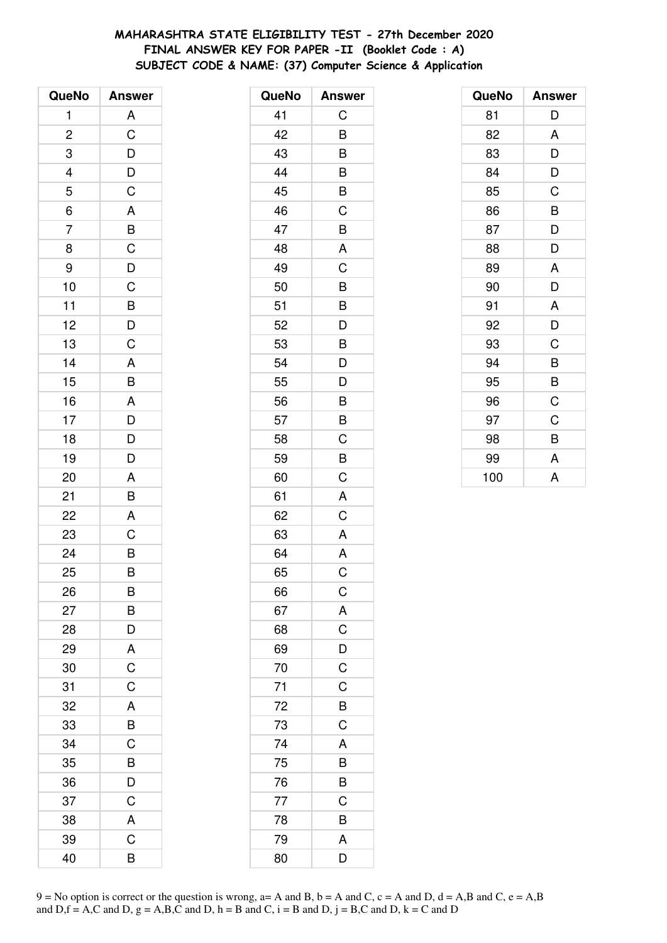# **MAHARASHTRA STATE ELIGIBILITY TEST - 27th December 2020 FINAL ANSWER KEY FOR PAPER -II (Booklet Code : A) SUBJECT CODE & NAME: (37) Computer Science & Application**

| QueNo                   | <b>Answer</b>                                      |
|-------------------------|----------------------------------------------------|
| 1                       | A                                                  |
| $\overline{\mathbf{c}}$ | $\overline{C}$                                     |
| 3                       | $\overline{D}$<br>$\overline{D}$<br>$\overline{C}$ |
| $\overline{\mathbf{r}}$ |                                                    |
| 5                       |                                                    |
| $\overline{6}$          | A                                                  |
| $\overline{7}$          |                                                    |
| 8                       |                                                    |
| 9                       |                                                    |
| 10                      |                                                    |
| 11                      |                                                    |
| 12                      |                                                    |
| 13                      | B C D C B D C                                      |
| 14                      |                                                    |
| 15                      | $\frac{A}{B}$                                      |
| 16                      |                                                    |
| 17                      | $\begin{array}{c}\nA \\ D \\ D\n\end{array}$       |
| 18                      |                                                    |
| 19                      | D                                                  |
| 20                      | A                                                  |
| 21                      | B                                                  |
| 22                      | A                                                  |
| 23                      | $\overline{C}$                                     |
| 24                      | $\overline{B}$                                     |
| 25                      | B                                                  |
| 26                      | B                                                  |
| 27                      | B                                                  |
| 28                      |                                                    |
| 29                      | $\frac{D}{A}$                                      |
| 30                      | $\overline{C}$                                     |
| 31                      | C                                                  |
| 32                      | A                                                  |
| 33                      | $\overline{\mathsf{B}}$                            |
| 34                      | $\mathsf C$                                        |
| 35                      | B                                                  |
| 36                      | $\overline{\mathsf{D}}$                            |
| 37                      | C                                                  |
| 38                      | A                                                  |
| 39                      | C                                                  |
| 40                      | B                                                  |

| QueNo | <b>Answer</b>           |
|-------|-------------------------|
| 41    | C                       |
| 42    | B                       |
| 43    | B                       |
| 44    | B                       |
| 45    | B                       |
| 46    | C                       |
| 47    | B                       |
| 48    | A                       |
| 49    | C                       |
| 50    | B                       |
| 51    | B                       |
| 52    | D                       |
| 53    | B                       |
| 54    | D                       |
| 55    | D                       |
| 56    | B                       |
| 57    | B                       |
| 58    | C                       |
| 59    | B                       |
| 60    | C                       |
| 61    | A                       |
| 62    | $\overline{\mathsf{C}}$ |
| 63    | A                       |
| 64    | A                       |
| 65    | C                       |
| 66    | $\mathsf C$             |
| 67    | $rac{A}{C}$             |
| 68    |                         |
| 69    | D                       |
| 70    | $\overline{C}$          |
| 71    | $\mathsf C$             |
| 72    | $\overline{B}$          |
| 73    | $\overline{C}$          |
| 74    | A                       |
| 75    | B                       |
| 76    | B                       |
| 77    | C                       |
| 78    | B                       |
| 79    | A                       |
| 80    | D                       |

| QueNo | <b>Answer</b> |
|-------|---------------|
| 81    | D             |
| 82    | A             |
| 83    | D             |
| 84    | D             |
| 85    | C             |
| 86    | B             |
| 87    | D             |
| 88    | D             |
| 89    | A             |
| 90    | D             |
| 91    | A             |
| 92    | D             |
| 93    | C             |
| 94    | B             |
| 95    | B             |
| 96    | C             |
| 97    | C             |
| 98    | B             |
| 99    | A             |
| 100   | A             |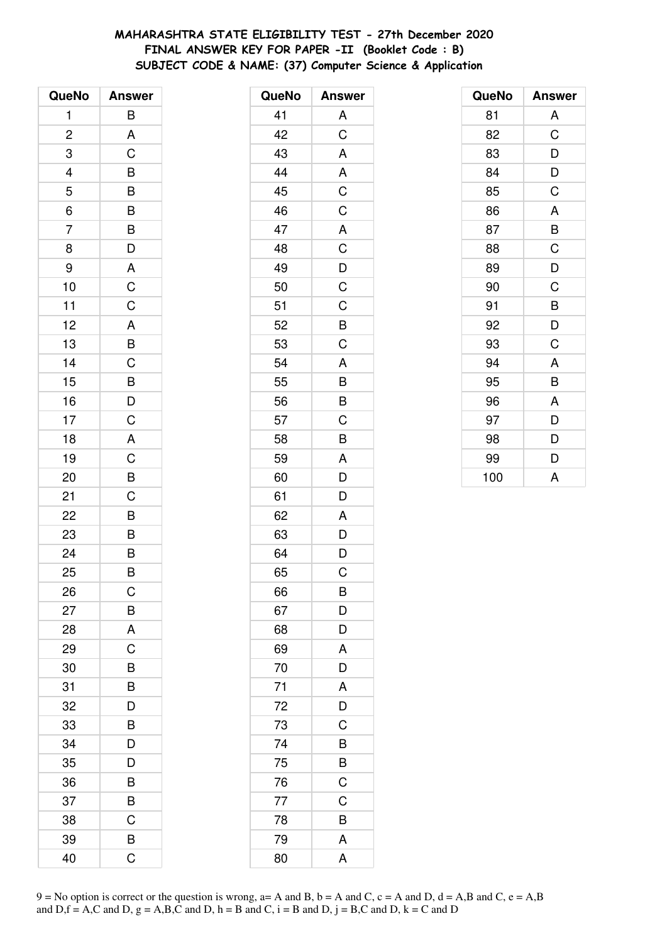# **MAHARASHTRA STATE ELIGIBILITY TEST - 27th December 2020 FINAL ANSWER KEY FOR PAPER -II (Booklet Code : B) SUBJECT CODE & NAME: (37) Computer Science & Application**

| QueNo                   | <b>Answer</b>                                      |
|-------------------------|----------------------------------------------------|
| 1                       | B                                                  |
| $\overline{\mathbf{c}}$ | A                                                  |
| 3                       | C                                                  |
| $\overline{a}$          |                                                    |
| $\overline{5}$          | $\frac{B}{B}$                                      |
| $\overline{6}$          |                                                    |
| $\overline{7}$          | B                                                  |
| 8                       | $\overline{D}$                                     |
| 9                       |                                                    |
| 10                      | $rac{A}{C}$                                        |
| 11                      | $\overline{C}$                                     |
| 12                      |                                                    |
| 13                      | $rac{A}{B}$                                        |
| 14                      | $\mathsf C$                                        |
| 15                      |                                                    |
| 16                      | $\overline{B}$<br>$\overline{D}$<br>$\overline{C}$ |
| 17                      |                                                    |
| 18                      | $\overline{A}$                                     |
| 19                      |                                                    |
| 20                      | $\frac{C}{B}$                                      |
| 21                      | $\mathsf C$                                        |
| 22                      | B                                                  |
| 23                      |                                                    |
| 24                      | $\frac{B}{B}$                                      |
| 25                      | B                                                  |
| 26                      | С                                                  |
| 27                      | B                                                  |
| 28                      | A                                                  |
| 29                      | $\overline{C}$                                     |
| 30                      | B                                                  |
| 31                      | B                                                  |
| 32                      | D                                                  |
| 33                      | B                                                  |
| 34                      | D                                                  |
| 35                      | $\overline{\mathsf{D}}$                            |
| 36                      | B                                                  |
| 37                      | B                                                  |
| 38                      | C                                                  |
| 39                      | B                                                  |
| 40                      | Ć                                                  |

| QueNo | <b>Answer</b>           |
|-------|-------------------------|
| 41    | A                       |
| 42    | $\overline{C}$          |
| 43    | $\overline{\mathsf{A}}$ |
| 44    | A                       |
| 45    | $\overline{C}$          |
| 46    | $\mathsf C$             |
| 47    | $\mathsf{A}$            |
| 48    | $\overline{\mathrm{C}}$ |
| 49    |                         |
| 50    | $\frac{D}{C}$           |
| 51    | $\mathsf C$             |
| 52    | B                       |
| 53    | C                       |
| 54    | A                       |
| 55    | B                       |
| 56    | B                       |
| 57    | $\overline{C}$          |
| 58    | B                       |
| 59    | A                       |
| 60    | D                       |
| 61    | D                       |
| 62    | A                       |
| 63    | D                       |
| 64    | D                       |
| 65    | C                       |
| 66    | B                       |
| 67    | D                       |
| 68    | D                       |
| 69    | A                       |
| 70    | D                       |
| 71    | $\mathsf{A}$            |
| 72    | $\overline{D}$          |
| 73    | $\overline{C}$          |
| 74    | B                       |
| 75    | B                       |
| 76    | $\mathsf C$             |
| 77    | $\mathsf C$             |
| 78    | B                       |
| 79    | A                       |
| 80    | A                       |

| QueNo | <b>Answer</b> |
|-------|---------------|
| 81    | A             |
| 82    | C             |
| 83    | D             |
| 84    | D             |
| 85    | C             |
| 86    | A             |
| 87    | B             |
| 88    | C             |
| 89    | D             |
| 90    | C             |
| 91    | B             |
| 92    | D             |
| 93    | C             |
| 94    | A             |
| 95    | B             |
| 96    | A             |
| 97    | D             |
| 98    | D             |
| 99    | D             |
| 100   | A             |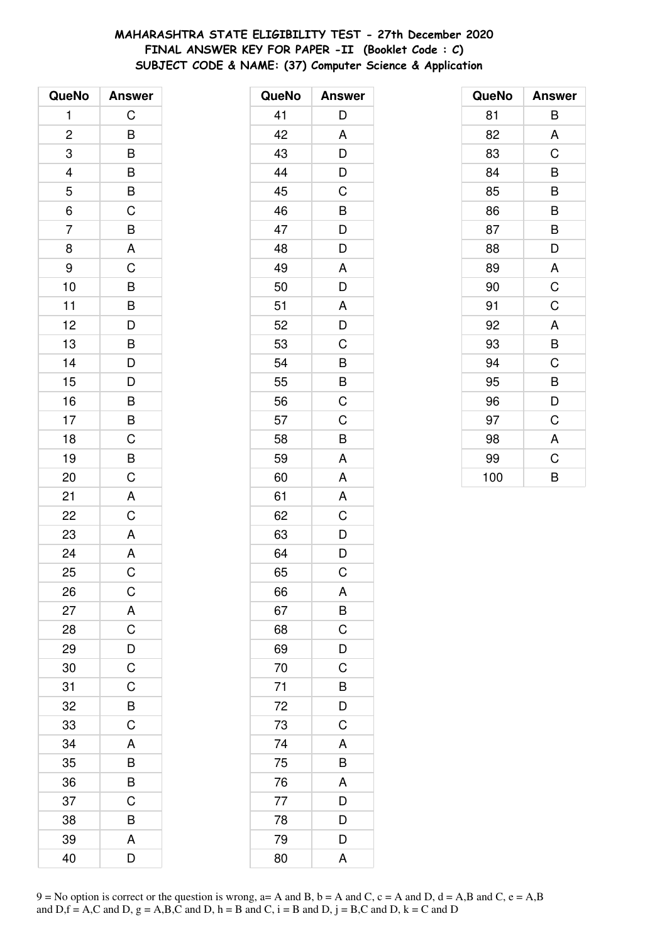# **MAHARASHTRA STATE ELIGIBILITY TEST - 27th December 2020 FINAL ANSWER KEY FOR PAPER -II (Booklet Code : C) SUBJECT CODE & NAME: (37) Computer Science & Application**

| QueNo                   | <b>Answer</b>                                                                                                                                             |
|-------------------------|-----------------------------------------------------------------------------------------------------------------------------------------------------------|
| 1                       | C                                                                                                                                                         |
| $\overline{\mathbf{c}}$ | B                                                                                                                                                         |
| 3                       | $\overline{B}$                                                                                                                                            |
| $\frac{4}{5}$           |                                                                                                                                                           |
|                         | $\frac{B}{C}$                                                                                                                                             |
| $\overline{6}$          |                                                                                                                                                           |
| $\overline{7}$          |                                                                                                                                                           |
| 8                       | $rac{B}{A}$                                                                                                                                               |
| 9                       | $\mathsf C$                                                                                                                                               |
| 10                      |                                                                                                                                                           |
| 11                      |                                                                                                                                                           |
| 12                      |                                                                                                                                                           |
| 13                      |                                                                                                                                                           |
| 14                      |                                                                                                                                                           |
| 15                      | $\begin{array}{c}\n\mathbf{B} \\ \hline\n\mathbf{B} \\ \hline\n\mathbf{D} \\ \hline\n\mathbf{B} \\ \hline\n\mathbf{D} \\ \hline\n\mathbf{D}\n\end{array}$ |
| 16                      |                                                                                                                                                           |
| 17                      |                                                                                                                                                           |
| 18                      | $\frac{B}{C}$                                                                                                                                             |
| 19                      | $\overline{B}$                                                                                                                                            |
| 20                      | C                                                                                                                                                         |
| 21                      | A                                                                                                                                                         |
| 22                      | $\overline{C}$                                                                                                                                            |
| 23                      |                                                                                                                                                           |
| 24                      | $\frac{A}{A}$                                                                                                                                             |
| 25                      | C                                                                                                                                                         |
| 26                      | $\mathsf C$                                                                                                                                               |
| 27                      | A                                                                                                                                                         |
| 28                      | C                                                                                                                                                         |
| 29                      |                                                                                                                                                           |
| 30                      | $\frac{D}{C}$                                                                                                                                             |
| 31                      | C                                                                                                                                                         |
| 32                      | B                                                                                                                                                         |
| 33                      | C                                                                                                                                                         |
| 34                      | A                                                                                                                                                         |
| 35                      | B                                                                                                                                                         |
| 36                      | $\overline{B}$                                                                                                                                            |
| 37                      | C                                                                                                                                                         |
| 38                      | B                                                                                                                                                         |
| 39                      | A                                                                                                                                                         |
| 40                      | D                                                                                                                                                         |

| QueNo | <b>Answer</b>           |
|-------|-------------------------|
| 41    | D                       |
| 42    | A                       |
| 43    | D                       |
| 44    | D                       |
| 45    | C                       |
| 46    | B                       |
| 47    | D                       |
| 48    | D                       |
| 49    | A                       |
| 50    | D                       |
| 51    | A                       |
| 52    | D                       |
| 53    | C                       |
| 54    | B                       |
| 55    | B                       |
| 56    | C                       |
| 57    | C                       |
| 58    | B                       |
| 59    | A                       |
| 60    | A                       |
| 61    | A                       |
| 62    | C                       |
| 63    | D                       |
| 64    | D                       |
| 65    | C                       |
| 66    | A                       |
| 67    | B                       |
| 68    | C                       |
| 69    | D                       |
| 70    | C                       |
| 71    | B                       |
| 72    | D                       |
| 73    | C                       |
| 74    | A                       |
| 75    | B                       |
| 76    | A                       |
| 77    | $\overline{\mathsf{D}}$ |
| 78    | D                       |
| 79    | D                       |
| 80    | A                       |

| QueNo | <b>Answer</b>  |
|-------|----------------|
| 81    | B              |
| 82    | A              |
| 83    | C              |
| 84    | B              |
| 85    | B              |
| 86    | B              |
| 87    | B              |
| 88    | D              |
| 89    | A              |
| 90    | $\overline{C}$ |
| 91    | C              |
| 92    | A              |
| 93    | B              |
| 94    | C              |
| 95    | B              |
| 96    | D              |
| 97    | C              |
| 98    | A              |
| 99    | C              |
| 100   | B              |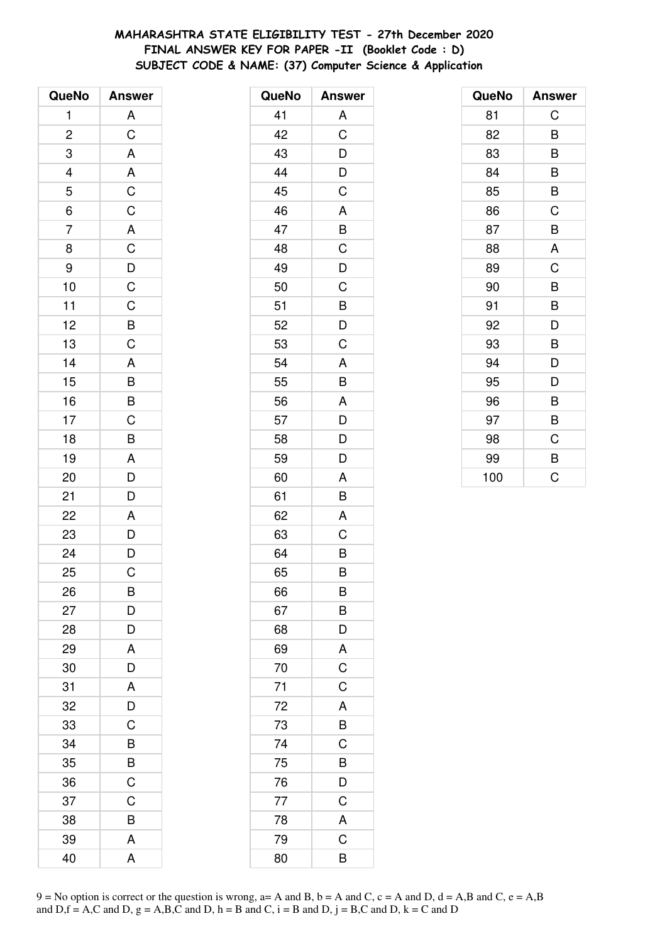# **MAHARASHTRA STATE ELIGIBILITY TEST - 27th December 2020 FINAL ANSWER KEY FOR PAPER -II (Booklet Code : D) SUBJECT CODE & NAME: (37) Computer Science & Application**

| QueNo                   | <b>Answer</b>                                                           |
|-------------------------|-------------------------------------------------------------------------|
| 1                       | A                                                                       |
| $\overline{\mathbf{c}}$ | $\overline{C}$                                                          |
| 3                       | $\overline{A}$                                                          |
|                         |                                                                         |
| $\frac{4}{5}$           |                                                                         |
| $\overline{6}$          | $rac{A}{C}$                                                             |
| $\overline{7}$          |                                                                         |
| 8                       |                                                                         |
| 9                       |                                                                         |
| 10                      |                                                                         |
| 11                      |                                                                         |
| 12                      |                                                                         |
| 13                      | $\begin{array}{c c} \nA & C & D & C & B \\ \nC & B & C & \n\end{array}$ |
| 14                      |                                                                         |
| 15                      | $\overline{AB}$ $\overline{B}$ $\overline{C}$ $\overline{B}$            |
| 16                      |                                                                         |
| 17                      |                                                                         |
| 18                      |                                                                         |
| 19                      |                                                                         |
| 20                      | $rac{A}{D}$                                                             |
| 21                      | D                                                                       |
| 22                      |                                                                         |
| 23                      | $\begin{array}{c}\nA \\ D \\ D\n\end{array}$                            |
| 24                      |                                                                         |
| 25                      | C                                                                       |
| 26                      | B                                                                       |
| 27                      | D                                                                       |
| 28                      | D                                                                       |
| 29                      | A                                                                       |
| 30                      | D                                                                       |
| 31                      | A                                                                       |
| 32                      | D                                                                       |
| 33                      | C                                                                       |
| 34                      | B                                                                       |
| 35                      | B                                                                       |
| 36                      | $\overline{C}$                                                          |
| 37                      | C                                                                       |
| 38                      | B                                                                       |
| 39                      | Α                                                                       |
| 40                      | A                                                                       |

| QueNo | <b>Answer</b>  |
|-------|----------------|
| 41    | A              |
| 42    | C              |
| 43    | D              |
| 44    | D              |
| 45    | C              |
| 46    | A              |
| 47    | $\overline{B}$ |
| 48    | C              |
| 49    | D              |
| 50    | C              |
| 51    | B              |
| 52    | D              |
| 53    | C              |
| 54    | A              |
| 55    | B              |
| 56    | A              |
| 57    | D              |
| 58    | D              |
| 59    | D              |
| 60    | A              |
| 61    | B              |
| 62    | A              |
| 63    | C              |
| 64    | B              |
| 65    | B              |
| 66    | B              |
| 67    | B              |
| 68    | D              |
| 69    | A              |
| 70    | $\overline{C}$ |
| 71    | $\overline{C}$ |
| 72    | A              |
| 73    | B              |
| 74    | C              |
| 75    | B              |
| 76    | D              |
| 77    | $\overline{C}$ |
| 78    | A              |
| 79    | C              |
| 80    | B              |

| QueNo | <b>Answer</b> |
|-------|---------------|
| 81    | C             |
| 82    | B             |
| 83    | B             |
| 84    | B             |
| 85    | B             |
| 86    | C             |
| 87    | B             |
| 88    | A             |
| 89    | C             |
| 90    | B             |
| 91    | B             |
| 92    | D             |
| 93    | B             |
| 94    | D             |
| 95    | D             |
| 96    | B             |
| 97    | B             |
| 98    | C             |
| 99    | B             |
| 100   | C             |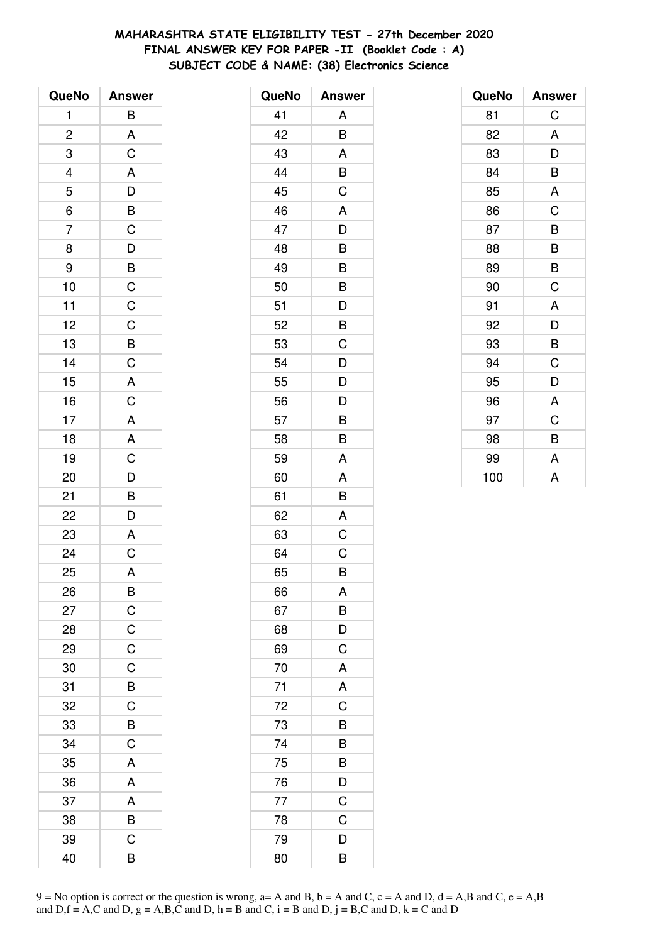# **MAHARASHTRA STATE ELIGIBILITY TEST - 27th December 2020 FINAL ANSWER KEY FOR PAPER -II (Booklet Code : A) SUBJECT CODE & NAME: (38) Electronics Science**

| QueNo                                           | <b>Answer</b>             |
|-------------------------------------------------|---------------------------|
| 1                                               | B                         |
| $\overline{2}$                                  |                           |
|                                                 | $rac{A}{C}$               |
|                                                 |                           |
| $\begin{array}{c} 3 \\ 4 \\ 5 \\ 6 \end{array}$ |                           |
|                                                 |                           |
| $\overline{7}$                                  |                           |
| 8                                               |                           |
| 9                                               |                           |
| 10                                              |                           |
| 11                                              |                           |
| 12                                              |                           |
| 13                                              |                           |
| 14                                              | A D B C D B C C C B C A C |
| 15                                              |                           |
| 16                                              |                           |
| 17                                              |                           |
| 18                                              |                           |
| 19                                              |                           |
| 20                                              | A A C D B D               |
| 21                                              |                           |
| 22                                              |                           |
| 23                                              | $\overline{A}$            |
| 24                                              | $\overline{C}$            |
| 25                                              | A                         |
| 26                                              | B                         |
| 27                                              | $\mathsf C$               |
| 28                                              | $\mathsf C$               |
| 29                                              | $\mathsf C$               |
| 30                                              | $\overline{C}$            |
| 31                                              | $\overline{B}$            |
| 32                                              | C                         |
| 33                                              | B                         |
| 34                                              | C                         |
| 35                                              | A                         |
| 36                                              | A                         |
| 37                                              | A                         |
| 38                                              | B                         |
| 39                                              | C                         |
| 40                                              | B                         |

| QueNo | <b>Answer</b>  |
|-------|----------------|
| 41    | A              |
| 42    | B              |
| 43    | A              |
| 44    | B              |
| 45    | C              |
| 46    | A              |
| 47    | D              |
| 48    | B              |
| 49    | B              |
| 50    | B              |
| 51    | D              |
| 52    | B              |
| 53    | C              |
| 54    | D              |
| 55    | D              |
| 56    | D              |
| 57    | B              |
| 58    | B              |
| 59    | A              |
| 60    | A              |
| 61    | B              |
| 62    | A              |
| 63    | C              |
| 64    | C              |
| 65    | B              |
| 66    | A              |
| 67    | B              |
| 68    | D              |
| 69    | $\overline{C}$ |
| 70    | A              |
| 71    | A              |
| 72    | C              |
| 73    | B              |
| 74    | B              |
| 75    | B              |
| 76    | D              |
| 77    | C              |
| 78    | C              |
| 79    | D              |
| 80    | B              |

| QueNo | <b>Answer</b> |
|-------|---------------|
| 81    | C             |
| 82    | A             |
| 83    | D             |
| 84    | B             |
| 85    | A             |
| 86    | C             |
| 87    | B             |
| 88    | B             |
| 89    | B             |
| 90    | C             |
| 91    | A             |
| 92    | D             |
| 93    | B             |
| 94    | C             |
| 95    | D             |
| 96    | A             |
| 97    | C             |
| 98    | B             |
| 99    | A             |
| 100   | A             |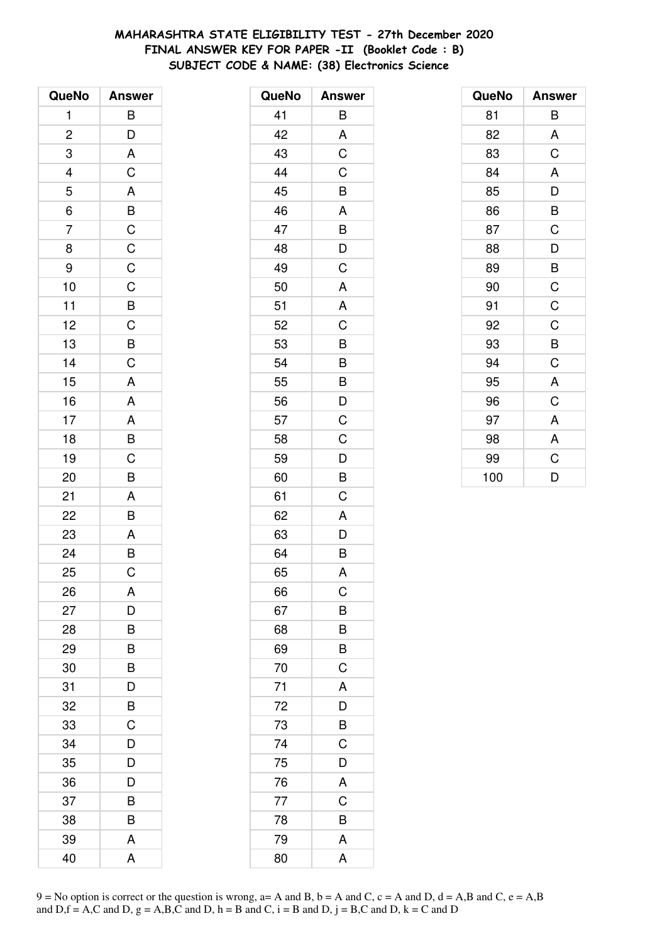# **MAHARASHTRA STATE ELIGIBILITY TEST - 27th December 2020 FINAL ANSWER KEY FOR PAPER -II (Booklet Code : B) SUBJECT CODE & NAME: (38) Electronics Science**

| QueNo          | <b>Answer</b>                                               |
|----------------|-------------------------------------------------------------|
| $\mathbf{1}$   | $\mathsf{B}$                                                |
| $\overline{c}$ | $\overline{D}$                                              |
| 3              | A                                                           |
| $\frac{4}{1}$  | C                                                           |
| 5              |                                                             |
| $\overline{6}$ |                                                             |
| $\overline{7}$ | $A$ $B$ $C$ $C$ $C$ $C$                                     |
| 8              |                                                             |
| 9              |                                                             |
| 10             |                                                             |
| 11             | $\overline{B}$ $\overline{C}$ $\overline{B}$ $\overline{C}$ |
| 12             |                                                             |
| 13             |                                                             |
| 14             |                                                             |
| 15             | A                                                           |
| 16             | A                                                           |
| 17             |                                                             |
| 18             | $\frac{A}{B}$                                               |
| 19             |                                                             |
| 20             | B                                                           |
| 21             | A                                                           |
| 22             | $\overline{B}$                                              |
| 23             |                                                             |
| 24             | $rac{A}{B}$                                                 |
| 25             | C                                                           |
| 26             | A                                                           |
| 27             | D                                                           |
| 28             | B                                                           |
| 29             | B                                                           |
| 30             | B                                                           |
| 31             | D                                                           |
| 32             | B                                                           |
| 33             | C                                                           |
| 34             | D                                                           |
| 35             | D                                                           |
| 36             | D                                                           |
| 37             | B                                                           |
| 38             | B                                                           |
| 39             | A                                                           |
| 40             | A                                                           |

| QueNo | <b>Answer</b>         |
|-------|-----------------------|
| 41    | В                     |
| 42    | A                     |
| 43    | C                     |
| 44    | C                     |
| 45    | B                     |
| 46    | A                     |
| 47    | B                     |
| 48    | D                     |
| 49    | C                     |
| 50    | A                     |
| 51    | A                     |
| 52    | C                     |
| 53    | B                     |
| 54    | $\overline{B}$        |
| 55    | B                     |
| 56    | D                     |
| 57    | C                     |
| 58    | C                     |
| 59    | D                     |
| 60    | $\overline{B}$        |
| 61    | C                     |
| 62    | A                     |
| 63    | D                     |
| 64    | B                     |
| 65    | A                     |
| 66    | C                     |
| 67    | B                     |
| 68    | B                     |
| 69    | B                     |
| 70    | C                     |
| 71    | A                     |
| 72    | D                     |
| 73    | $\overline{B}$        |
| 74    | $\overline{\text{C}}$ |
| 75    | D                     |
| 76    | A                     |
| 77    | C                     |
| 78    | B                     |
| 79    | A                     |
| 80    | A                     |

| QueNo | <b>Answer</b> |
|-------|---------------|
| 81    | В             |
| 82    | A             |
| 83    | C             |
| 84    | A             |
| 85    | D             |
| 86    | B             |
| 87    | C             |
| 88    | D             |
| 89    | B             |
| 90    | C             |
| 91    | C             |
| 92    | C             |
| 93    | B             |
| 94    | C             |
| 95    | A             |
| 96    | C             |
| 97    | A             |
| 98    | A             |
| 99    | C             |
| 100   | D             |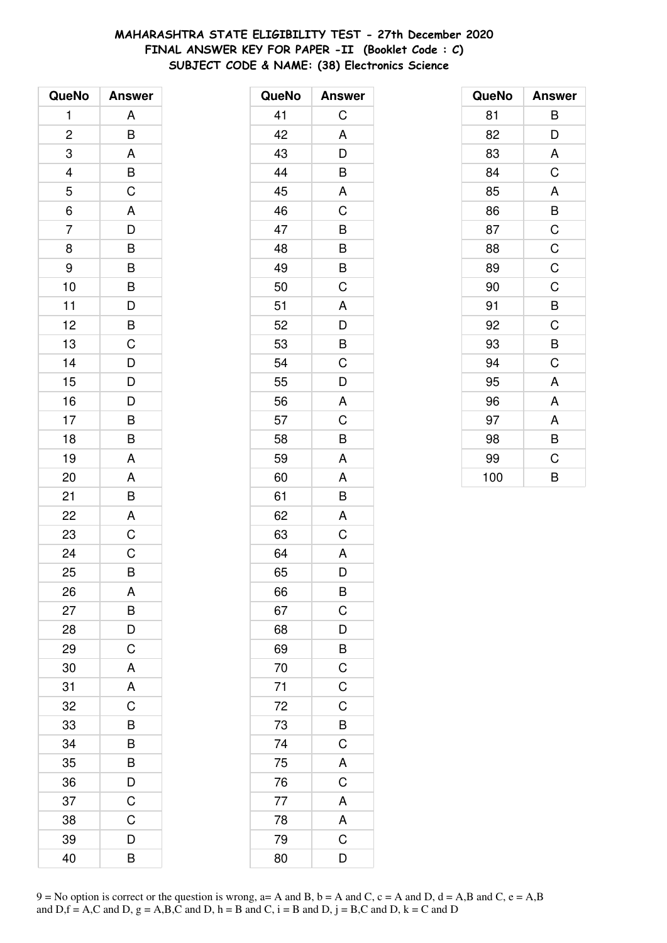# **MAHARASHTRA STATE ELIGIBILITY TEST - 27th December 2020 FINAL ANSWER KEY FOR PAPER -II (Booklet Code : C) SUBJECT CODE & NAME: (38) Electronics Science**

| QueNo          | <b>Answer</b>  |
|----------------|----------------|
| 1              | A              |
| $\overline{c}$ | B              |
| 3              | A              |
| 4              | $\overline{B}$ |
| 5              | $\overline{C}$ |
| $\overline{6}$ | A              |
| $\overline{7}$ | D              |
| 8              | B              |
| 9              | B              |
| 10             | B              |
| 11             |                |
| 12             | $\frac{D}{B}$  |
| 13             | $\overline{C}$ |
| 14             | $\overline{D}$ |
| 15             | D              |
| 16             | D              |
| 17             | B              |
| 18             | $\overline{B}$ |
| 19             | A              |
| 20             | A              |
| 21             | B              |
| 22             | A              |
| 23             | C              |
| 24             | $\mathsf C$    |
| 25             | B              |
| 26             | A              |
| 27             | B              |
| 28             | D              |
| 29             | $\mathsf C$    |
| 30             | A              |
| 31             | A              |
| 32             | $\overline{C}$ |
| 33             | B              |
| 34             | B              |
| 35             | B              |
| 36             | D              |
| 37             | $\overline{C}$ |
| 38             | C              |
| 39             | D              |
| 40             | B              |

| <b>Answer</b>           |
|-------------------------|
| С                       |
| A                       |
| D                       |
| B                       |
| A                       |
| C                       |
| B                       |
| B                       |
| $\overline{B}$          |
| C                       |
| A                       |
| D                       |
| B                       |
| $\mathsf C$             |
| D                       |
| A                       |
| C                       |
| B                       |
| A                       |
| A                       |
| B                       |
| A                       |
| $\mathsf{C}$            |
| A                       |
| D                       |
| B                       |
| $\overline{C}$          |
| $\overline{D}$          |
| $\overline{B}$          |
| $\mathsf C$             |
| $\overline{C}$          |
| $\mathsf{C}$            |
|                         |
| $\frac{B}{C}$           |
| $\mathsf{A}$            |
| $\overline{\mathsf{C}}$ |
| A                       |
| $\frac{1}{A}$           |
| $\overline{C}$          |
| D                       |
|                         |

| QueNo | <b>Answer</b> |
|-------|---------------|
| 81    | В             |
| 82    | D             |
| 83    | A             |
| 84    | C             |
| 85    | A             |
| 86    | B             |
| 87    | C             |
| 88    | $\mathsf C$   |
| 89    | $\mathsf C$   |
| 90    | C             |
| 91    | B             |
| 92    | C             |
| 93    | B             |
| 94    | C             |
| 95    | A             |
| 96    | A             |
| 97    | A             |
| 98    | B             |
| 99    | C             |
| 100   | B             |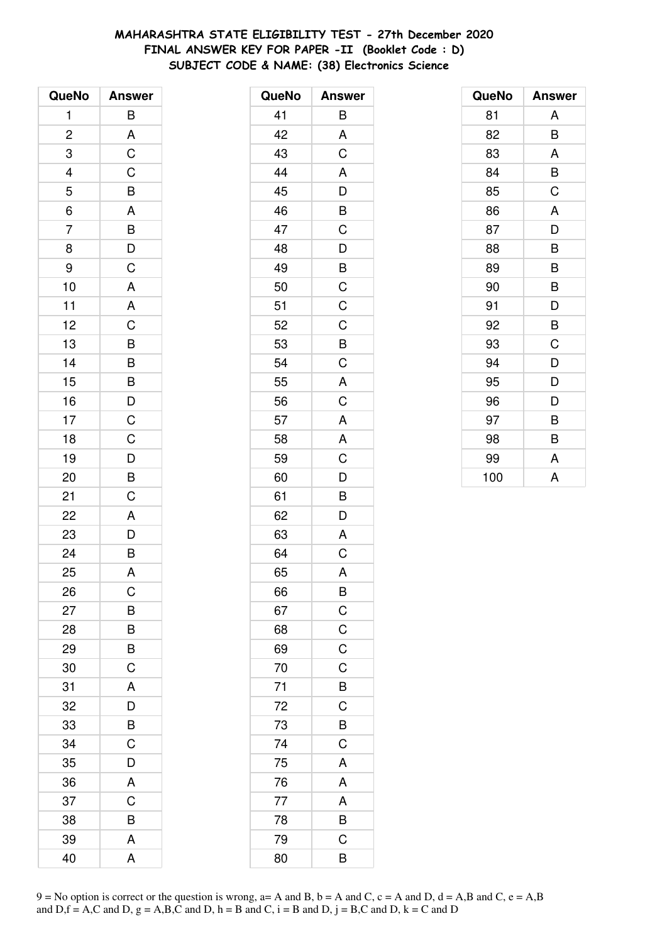# **MAHARASHTRA STATE ELIGIBILITY TEST - 27th December 2020 FINAL ANSWER KEY FOR PAPER -II (Booklet Code : D) SUBJECT CODE & NAME: (38) Electronics Science**

| QueNo          | <b>Answer</b>                                      |
|----------------|----------------------------------------------------|
| 1              | B                                                  |
| $\overline{c}$ |                                                    |
| 3              | $rac{A}{C}$                                        |
| $\frac{4}{5}$  | $\overline{C}$                                     |
|                | $\overline{B}$<br>A                                |
| $\overline{6}$ |                                                    |
| $\overline{7}$ | $\overline{B}$<br>$\overline{D}$<br>$\overline{C}$ |
| 8              |                                                    |
| 9              |                                                    |
| 10             | A                                                  |
| 11             | A                                                  |
| 12             |                                                    |
| 13             |                                                    |
| 14             | C B B B D C C                                      |
| 15             |                                                    |
| 16             |                                                    |
| 17             |                                                    |
| 18             |                                                    |
| 19             |                                                    |
| 20             | $\overline{D}$<br>B                                |
| 21             | C                                                  |
| 22             | $\overline{A}$                                     |
| 23             |                                                    |
| 24             | $\frac{D}{B}$                                      |
| 25             | A                                                  |
| 26             | C                                                  |
| 27             | B                                                  |
| 28             | B                                                  |
| 29             | B                                                  |
| 30             | $\overline{C}$                                     |
| 31             | A                                                  |
| 32             | D                                                  |
| 33             | B                                                  |
| 34             | C                                                  |
| 35             | D                                                  |
| 36             | A                                                  |
| 37             | C                                                  |
| 38             | B                                                  |
| 39             | A                                                  |
| 40             | A                                                  |

| 41<br>Β<br>A<br>42<br>$\overline{C}$<br>43<br>A<br>44<br>D<br>45<br>B<br>46<br>$\mathsf C$<br>47<br>$\frac{1}{D}$<br>48<br>$\frac{1}{2}$<br>49<br>$\overline{\mathrm{C}}$<br>50<br>$\overline{C}$<br>51<br>$\mathsf C$<br>52<br>B<br>53<br>$\mathsf C$<br>54<br>A<br>55<br>$\overline{C}$<br>56<br>A<br>57<br>A<br>58 | QueNo | <b>Answer</b> |
|-----------------------------------------------------------------------------------------------------------------------------------------------------------------------------------------------------------------------------------------------------------------------------------------------------------------------|-------|---------------|
|                                                                                                                                                                                                                                                                                                                       |       |               |
|                                                                                                                                                                                                                                                                                                                       |       |               |
|                                                                                                                                                                                                                                                                                                                       |       |               |
|                                                                                                                                                                                                                                                                                                                       |       |               |
|                                                                                                                                                                                                                                                                                                                       |       |               |
|                                                                                                                                                                                                                                                                                                                       |       |               |
|                                                                                                                                                                                                                                                                                                                       |       |               |
|                                                                                                                                                                                                                                                                                                                       |       |               |
|                                                                                                                                                                                                                                                                                                                       |       |               |
|                                                                                                                                                                                                                                                                                                                       |       |               |
|                                                                                                                                                                                                                                                                                                                       |       |               |
|                                                                                                                                                                                                                                                                                                                       |       |               |
|                                                                                                                                                                                                                                                                                                                       |       |               |
|                                                                                                                                                                                                                                                                                                                       |       |               |
|                                                                                                                                                                                                                                                                                                                       |       |               |
|                                                                                                                                                                                                                                                                                                                       |       |               |
|                                                                                                                                                                                                                                                                                                                       |       |               |
|                                                                                                                                                                                                                                                                                                                       |       |               |
| $\mathsf C$<br>59                                                                                                                                                                                                                                                                                                     |       |               |
| $\overline{D}$<br>60                                                                                                                                                                                                                                                                                                  |       |               |
| $\overline{B}$<br>61                                                                                                                                                                                                                                                                                                  |       |               |
| D<br>62                                                                                                                                                                                                                                                                                                               |       |               |
| A<br>63                                                                                                                                                                                                                                                                                                               |       |               |
| C<br>64                                                                                                                                                                                                                                                                                                               |       |               |
| A<br>65                                                                                                                                                                                                                                                                                                               |       |               |
| B<br>66                                                                                                                                                                                                                                                                                                               |       |               |
| 67                                                                                                                                                                                                                                                                                                                    |       |               |
| $\frac{C}{C}$<br>68                                                                                                                                                                                                                                                                                                   |       |               |
| 69                                                                                                                                                                                                                                                                                                                    |       |               |
| $\mathsf C$<br>70                                                                                                                                                                                                                                                                                                     |       |               |
| $\overline{B}$<br>71                                                                                                                                                                                                                                                                                                  |       |               |
| 72                                                                                                                                                                                                                                                                                                                    |       |               |
| $\overline{C}$<br>$\overline{B}$<br>$\overline{C}$<br>73                                                                                                                                                                                                                                                              |       |               |
| 74                                                                                                                                                                                                                                                                                                                    |       |               |
| A<br>75                                                                                                                                                                                                                                                                                                               |       |               |
| 76<br>A                                                                                                                                                                                                                                                                                                               |       |               |
| 77                                                                                                                                                                                                                                                                                                                    |       |               |
| $rac{A}{B}$<br>78                                                                                                                                                                                                                                                                                                     |       |               |
| $\overline{C}$<br>79                                                                                                                                                                                                                                                                                                  |       |               |
| B<br>80                                                                                                                                                                                                                                                                                                               |       |               |

| QueNo | <b>Answer</b> |
|-------|---------------|
| 81    | A             |
| 82    | B             |
| 83    | A             |
| 84    | B             |
| 85    | C             |
| 86    | A             |
| 87    | D             |
| 88    | B             |
| 89    | B             |
| 90    | B             |
| 91    | D             |
| 92    | B             |
| 93    | C             |
| 94    | D             |
| 95    | D             |
| 96    | D             |
| 97    | В             |
| 98    | B             |
| 99    | A             |
| 100   | A             |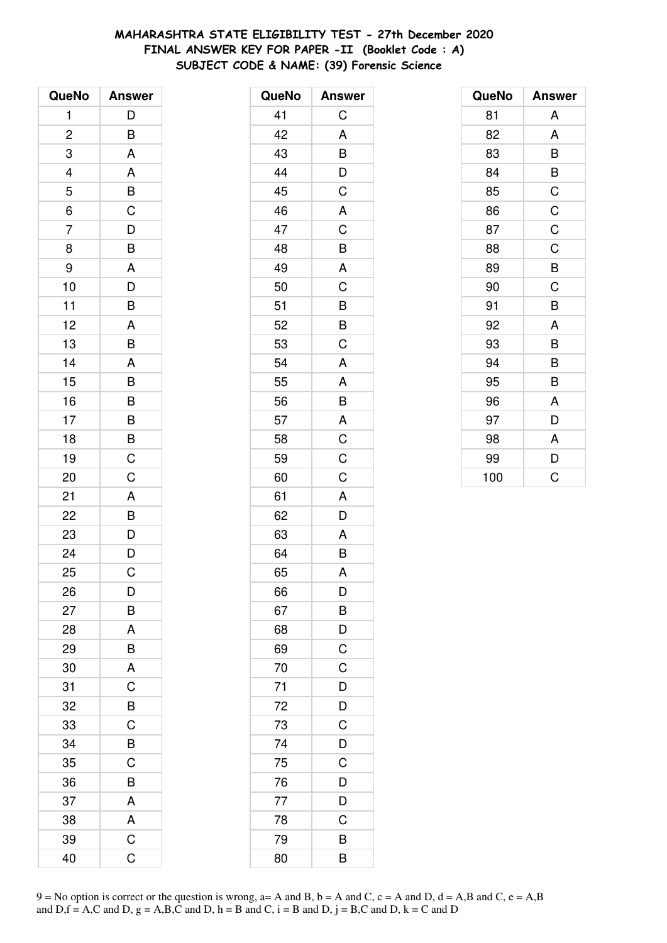# **MAHARASHTRA STATE ELIGIBILITY TEST - 27th December 2020 FINAL ANSWER KEY FOR PAPER -II (Booklet Code : A) SUBJECT CODE & NAME: (39) Forensic Science**

| QueNo                   | <b>Answer</b>                    |
|-------------------------|----------------------------------|
| 1                       | D                                |
| $\overline{\mathbf{c}}$ | B                                |
| 3                       | A                                |
| $\overline{a}$          | A                                |
| $\overline{5}$          | $\overline{B}$                   |
| 6                       | $\overline{C}$                   |
| $\overline{7}$          | D                                |
| 8                       | B                                |
| 9                       | A                                |
| 10                      | D                                |
| 11                      | B                                |
| 12                      | A                                |
| 13                      | B                                |
| 14                      | A                                |
| 15                      | B                                |
| 16                      | $\overline{B}$                   |
| 17                      |                                  |
| 18                      | $\overline{B}$<br>$\overline{B}$ |
| 19                      | C                                |
| 20                      | $\overline{C}$                   |
| 21                      | A                                |
| 22                      | B                                |
| 23                      |                                  |
| 24                      | $\frac{D}{D}$                    |
| 25                      | C                                |
| 26                      | D                                |
| 27                      | B                                |
| 28                      | A                                |
| 29                      | B                                |
| 30                      | A                                |
| 31                      | C                                |
| 32                      | B                                |
| 33                      | C                                |
| 34                      | B                                |
| 35                      | C                                |
| 36                      | B                                |
| 37                      | A                                |
| 38                      | A                                |
| 39                      | C                                |
| 40                      | C                                |

| QueNo | <b>Answer</b> |
|-------|---------------|
| 41    | C             |
| 42    | A             |
| 43    | B             |
| 44    | D             |
| 45    | C             |
| 46    | A             |
| 47    | C             |
| 48    | B             |
| 49    | A             |
| 50    | C             |
| 51    | B             |
| 52    | B             |
| 53    | C             |
| 54    | A             |
| 55    | A             |
| 56    | B             |
| 57    | A             |
| 58    | $\mathsf C$   |
| 59    | C             |
| 60    | C             |
| 61    | A             |
| 62    | D             |
| 63    | A             |
| 64    | $\bar{B}$     |
| 65    | A             |
| 66    | D             |
| 67    | B             |
| 68    | D             |
| 69    | C             |
| 70    | C             |
| 71    | D             |
| 72    | D             |
| 73    | C             |
| 74    | D             |
| 75    | C             |
| 76    | D             |
| 77    | D             |
| 78    | C             |
| 79    | B             |
| 80    | B             |

| QueNo | <b>Answer</b> |
|-------|---------------|
| 81    | A             |
| 82    | A             |
| 83    | B             |
| 84    | B             |
| 85    | C             |
| 86    | $\mathsf C$   |
| 87    | C             |
| 88    | $\mathsf C$   |
| 89    | B             |
| 90    | C             |
| 91    | B             |
| 92    | A             |
| 93    | B             |
| 94    | B             |
| 95    | B             |
| 96    | A             |
| 97    | D             |
| 98    | A             |
| 99    | D             |
| 100   | C             |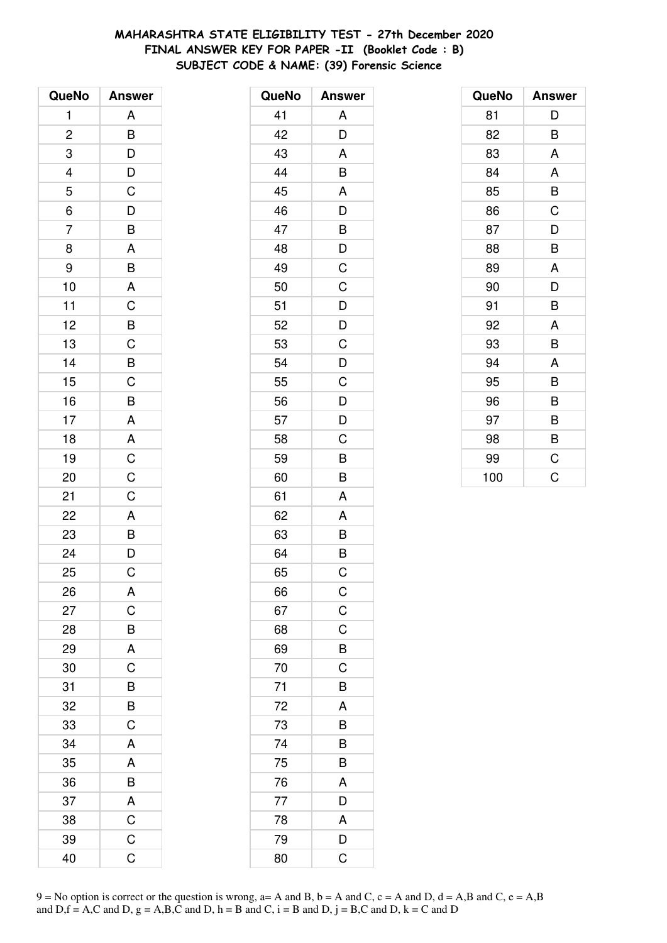# **MAHARASHTRA STATE ELIGIBILITY TEST - 27th December 2020 FINAL ANSWER KEY FOR PAPER -II (Booklet Code : B) SUBJECT CODE & NAME: (39) Forensic Science**

| QueNo          | <b>Answer</b>           |
|----------------|-------------------------|
| 1              | A                       |
| $\overline{c}$ | B                       |
| 3              | $\overline{D}$          |
|                |                         |
| $\frac{4}{5}$  | $\frac{D}{C}$           |
| 6              | $\overline{D}$          |
| $\overline{7}$ | $\overline{B}$          |
| 8              | A                       |
| 9              | B                       |
| 10             | $\overline{A}$          |
| 11             | $rac{C}{C}$             |
| 12             |                         |
| 13             |                         |
| 14             | $rac{B}{C}$             |
| 15             |                         |
| 16             | B                       |
| 17             | $\overline{A}$          |
| 18             | $\overline{A}$          |
| 19             | $\frac{C}{C}$           |
| 20             |                         |
| 21             | $\mathsf C$             |
| 22             | $\overline{A}$          |
| 23             | $\overline{B}$<br>$D$   |
| 24             |                         |
| 25             | C                       |
| 26             | Α                       |
| 27             | C                       |
| 28             | B                       |
| 29             | $\overline{\mathsf{A}}$ |
| 30             | C                       |
| 31             | B                       |
| 32             | B                       |
| 33             | C                       |
| 34             | A                       |
| 35             | A                       |
| 36             | B                       |
| 37             | A                       |
| 38             | $\overline{\mathrm{C}}$ |
| 39             | C                       |
| 40             | Ć                       |

| QueNo | <b>Answer</b> |
|-------|---------------|
| 41    | A             |
| 42    | D             |
| 43    | A             |
| 44    | B             |
| 45    | A             |
| 46    | D             |
| 47    | B             |
| 48    | D             |
| 49    | C             |
| 50    | C             |
| 51    | D             |
| 52    | D             |
| 53    | $\mathsf C$   |
| 54    | D             |
| 55    | C             |
| 56    | D             |
| 57    | D             |
| 58    | C             |
| 59    | B             |
| 60    | B             |
| 61    | A             |
| 62    | A             |
| 63    | B             |
| 64    | B             |
| 65    | C             |
| 66    | $\mathsf C$   |
| 67    | $\mathsf C$   |
| 68    | C             |
| 69    | B             |
| 70    | C             |
| 71    | B             |
| 72    | A             |
| 73    | B             |
| 74    | B             |
| 75    | B             |
| 76    | A             |
| 77    | D             |
| 78    | A             |
| 79    | D             |
| 80    | C             |

| QueNo | <b>Answer</b> |
|-------|---------------|
| 81    | D             |
| 82    | B             |
| 83    | A             |
| 84    | A             |
| 85    | B             |
| 86    | C             |
| 87    | D             |
| 88    | B             |
| 89    | A             |
| 90    | D             |
| 91    | B             |
| 92    | A             |
| 93    | B             |
| 94    | A             |
| 95    | B             |
| 96    | B             |
| 97    | B             |
| 98    | B             |
| 99    | C             |
| 100   | Ć             |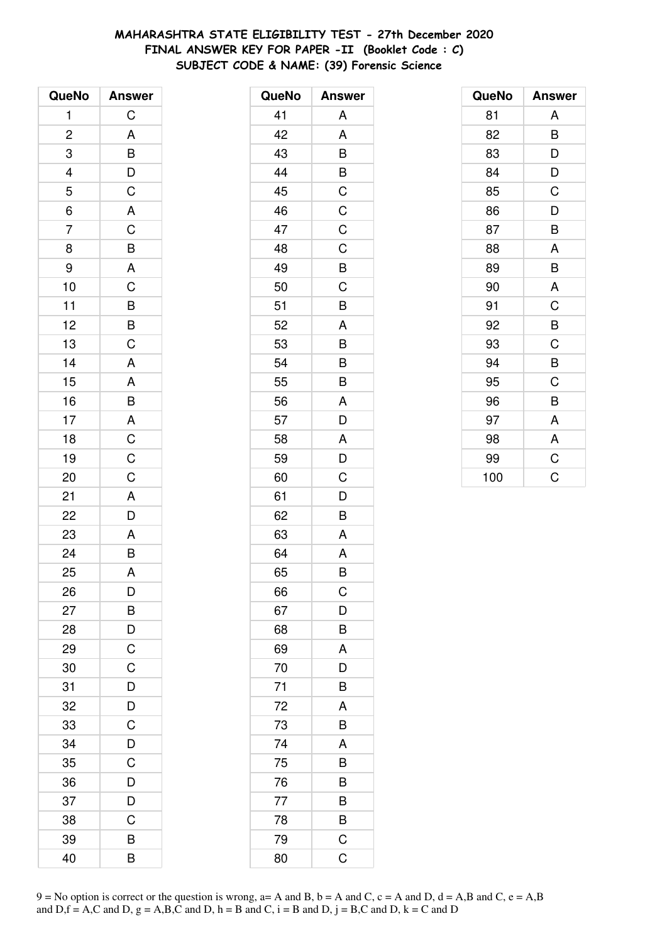# **MAHARASHTRA STATE ELIGIBILITY TEST - 27th December 2020 FINAL ANSWER KEY FOR PAPER -II (Booklet Code : C) SUBJECT CODE & NAME: (39) Forensic Science**

| QueNo          | <b>Answer</b>                                               |
|----------------|-------------------------------------------------------------|
| 1              | $\mathsf C$                                                 |
| $\overline{c}$ |                                                             |
| 3              | $\begin{array}{c}\nA \\ B \\ D \\ C \\ A \\ C\n\end{array}$ |
|                |                                                             |
| $\frac{4}{5}$  |                                                             |
| $\overline{6}$ |                                                             |
| $\overline{7}$ |                                                             |
| 8              |                                                             |
| 9              |                                                             |
| 10             |                                                             |
| 11             |                                                             |
| 12             |                                                             |
| 13             | $B$ A C $B$ $B$ C                                           |
| 14             | $\mathsf{A}$                                                |
| 15             | $\overline{\mathsf{A}}$                                     |
| 16             | $\overline{B}$                                              |
| 17             |                                                             |
| 18             | $rac{A}{C}$ $rac{C}{C}$                                     |
| 19             |                                                             |
| 20             |                                                             |
| 21             |                                                             |
| 22             | $rac{A}{D}$                                                 |
| 23             |                                                             |
| 24             | $rac{A}{B}$                                                 |
| 25             | A                                                           |
| 26             | D                                                           |
| 27             | B                                                           |
| 28             | D                                                           |
| 29             | $\overline{C}$                                              |
| 30             | C                                                           |
| 31             | D                                                           |
| 32             | D                                                           |
| 33             | C                                                           |
| 34             | D                                                           |
| 35             | C                                                           |
| 36             | D                                                           |
| 37             | D                                                           |
| 38             | C                                                           |
| 39             | B                                                           |
| 40             | B                                                           |

| QueNo | <b>Answer</b> |
|-------|---------------|
| 41    | A             |
| 42    | A             |
| 43    | B             |
| 44    | B             |
| 45    | C             |
| 46    | $\mathsf C$   |
| 47    | $\mathsf C$   |
| 48    | C             |
| 49    | B             |
| 50    | C             |
| 51    | B             |
| 52    | A             |
| 53    | B             |
| 54    | B             |
| 55    | B             |
| 56    | A             |
| 57    | D             |
| 58    | A             |
| 59    | D             |
| 60    | C             |
| 61    | D             |
| 62    | B             |
| 63    | A             |
| 64    | A             |
| 65    | B             |
| 66    | C             |
| 67    | D             |
| 68    | B             |
| 69    | A             |
| 70    | D             |
| 71    | B             |
| 72    | A             |
| 73    | B             |
| 74    | A             |
| 75    | B             |
| 76    | B             |
| 77    | B             |
| 78    | B             |
| 79    | $\mathsf C$   |
| 80    | $\mathsf C$   |

| QueNo | <b>Answer</b> |
|-------|---------------|
| 81    | A             |
| 82    | B             |
| 83    | D             |
| 84    | D             |
| 85    | C             |
| 86    | D             |
| 87    | B             |
| 88    | A             |
| 89    | B             |
| 90    | A             |
| 91    | C             |
| 92    | B             |
| 93    | C             |
| 94    | B             |
| 95    | C             |
| 96    | B             |
| 97    | A             |
| 98    | A             |
| 99    | $\mathsf C$   |
| 100   | Ċ             |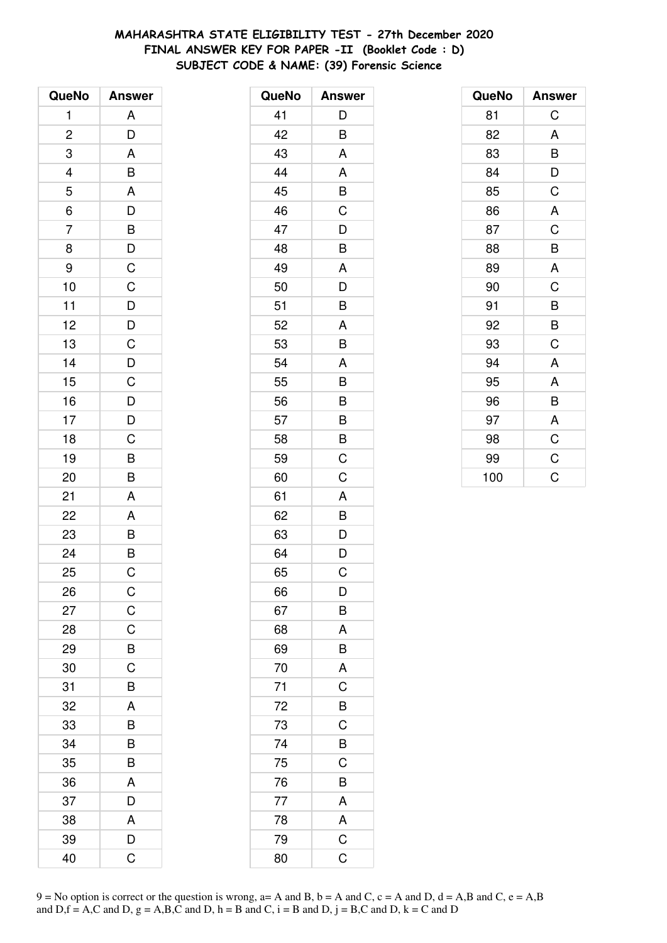# **MAHARASHTRA STATE ELIGIBILITY TEST - 27th December 2020 FINAL ANSWER KEY FOR PAPER -II (Booklet Code : D) SUBJECT CODE & NAME: (39) Forensic Science**

| QueNo                    | <b>Answer</b>  |
|--------------------------|----------------|
| 1                        | A              |
| $\overline{\mathbf{c}}$  | D              |
| 3                        | A              |
| $\overline{\mathcal{L}}$ | B              |
| $\overline{5}$           | A              |
| 6                        | $\overline{D}$ |
| $\overline{7}$           | B              |
| 8                        | $\mathsf{D}$   |
| 9                        | $\mathsf{C}$   |
| 10                       | $\mathsf C$    |
| 11                       |                |
| 12                       | $\frac{D}{D}$  |
| 13                       | C              |
| 14                       | $\overline{D}$ |
| 15                       | C              |
| 16                       | $\overline{D}$ |
| 17                       | $\overline{D}$ |
| 18                       | C              |
| 19                       | B              |
| 20                       | B              |
| 21                       | A              |
| 22                       | A              |
| 23                       | $\frac{B}{B}$  |
| 24                       |                |
| 25                       | C              |
| 26                       | $\mathsf C$    |
| 27                       | $\mathsf C$    |
| 28                       | C              |
| 29                       | B              |
| 30                       | C              |
| 31                       | B              |
| 32                       | A              |
| 33                       | B              |
| 34                       | B              |
| 35                       | B              |
| 36                       | A              |
| 37                       | D              |
| 38                       | A              |
| 39                       | D              |
| 40                       | Ć              |

| QueNo | <b>Answer</b>  |
|-------|----------------|
| 41    | D              |
| 42    | B              |
| 43    | A              |
| 44    | A              |
| 45    | B              |
| 46    | C              |
| 47    | D              |
| 48    | B              |
| 49    | A              |
| 50    | D              |
| 51    | B              |
| 52    | A              |
| 53    | B              |
| 54    | A              |
| 55    | B              |
| 56    | B              |
| 57    | B              |
| 58    | B              |
| 59    | C              |
| 60    | C              |
| 61    | A              |
| 62    | B              |
| 63    | D              |
| 64    | D              |
| 65    | C              |
| 66    | D              |
| 67    | В              |
| 68    | A              |
| 69    | B              |
| 70    | A              |
| 71    | $\mathsf C$    |
| 72    | $\overline{B}$ |
| 73    | C              |
| 74    | B              |
| 75    | C              |
| 76    | B              |
| 77    | A              |
| 78    | A              |
| 79    | $\mathsf C$    |
| 80    | C              |

| QueNo | <b>Answer</b> |
|-------|---------------|
| 81    | C             |
| 82    | A             |
| 83    | B             |
| 84    | D             |
| 85    | C             |
| 86    | A             |
| 87    | C             |
| 88    | B             |
| 89    | A             |
| 90    | C             |
| 91    | B             |
| 92    | B             |
| 93    | C             |
| 94    | A             |
| 95    | A             |
| 96    | B             |
| 97    | A             |
| 98    | $\mathsf C$   |
| 99    | $\mathsf C$   |
| 100   | Ċ             |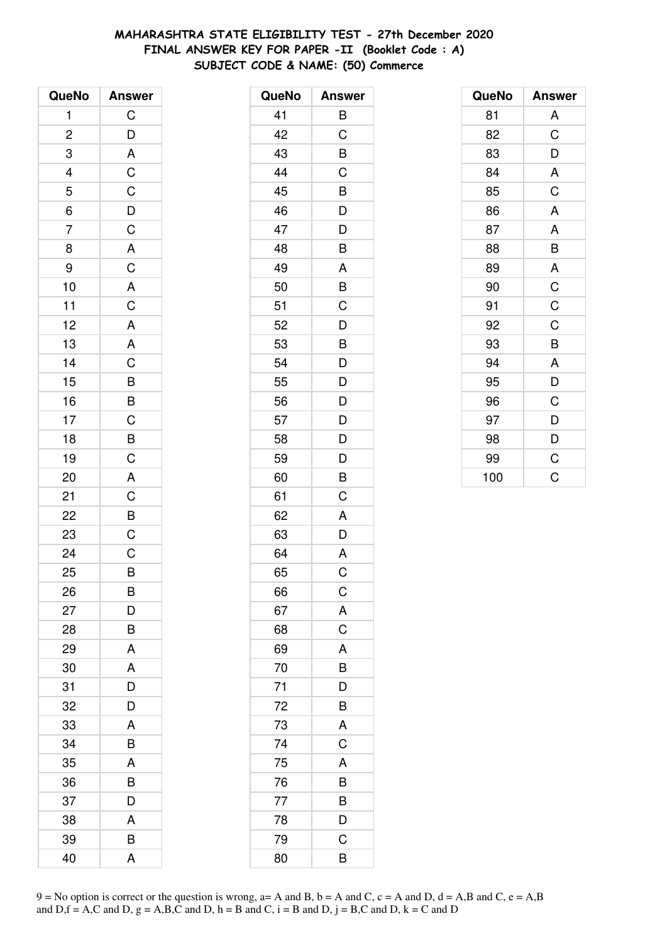# **MAHARASHTRA STATE ELIGIBILITY TEST - 27th December 2020 FINAL ANSWER KEY FOR PAPER -II (Booklet Code : A) SUBJECT CODE & NAME: (50) Commerce**

| QueNo                   | <b>Answer</b>              |
|-------------------------|----------------------------|
| 1                       | $\mathsf C$                |
| $\overline{\mathbf{c}}$ |                            |
| 3                       | $\frac{D}{A}$              |
|                         |                            |
| $\frac{4}{5}$           |                            |
| $\overline{6}$          |                            |
| $\overline{7}$          | C<br>C<br>D<br>C<br>A<br>C |
| 8                       |                            |
| 9                       |                            |
| 10                      |                            |
| 11                      |                            |
| 12                      |                            |
| 13                      | A C A A C B B C B C A C    |
| 14                      |                            |
| 15                      |                            |
| 16                      |                            |
| 17                      |                            |
| 18                      |                            |
| 19                      |                            |
| 20                      |                            |
| 21                      |                            |
| 22                      | $\frac{B}{C}$              |
| 23                      |                            |
| 24                      | $\overline{C}$             |
| 25                      | B                          |
| 26                      | B                          |
| 27                      | D                          |
| 28                      | B                          |
| 29                      | A                          |
| 30                      | A                          |
| 31                      | D                          |
| 32                      | D                          |
| 33                      | A                          |
| 34                      | B                          |
| 35                      | A                          |
| 36                      | B                          |
| 37                      | D                          |
| 38                      | A                          |
| 39                      | B                          |
| 40                      | A                          |

| QueNo | <b>Answer</b>            |
|-------|--------------------------|
| 41    | B                        |
| 42    | C                        |
| 43    | B                        |
| 44    | $\mathsf C$              |
| 45    | $\frac{1}{\overline{B}}$ |
| 46    | $\overline{\mathsf{D}}$  |
| 47    | D                        |
| 48    | B                        |
| 49    | Α                        |
| 50    | B                        |
| 51    | $\mathsf C$              |
| 52    | D                        |
| 53    | B                        |
| 54    | D                        |
| 55    | D                        |
| 56    | $\overline{D}$           |
| 57    | $\frac{1}{D}$            |
| 58    | $\overline{\mathsf{D}}$  |
| 59    | D                        |
| 60    | B                        |
| 61    | С                        |
| 62    | A                        |
| 63    | D                        |
| 64    | $\mathsf{A}$             |
| 65    | C                        |
| 66    | $\mathsf C$              |
| 67    | A                        |
| 68    | $\mathsf C$              |
| 69    | A                        |
| 70    | $\overline{B}$           |
| 71    | D                        |
| 72    | B                        |
| 73    | A                        |
| 74    | C                        |
| 75    | A                        |
| 76    | B                        |
| 77    | B                        |
| 78    | D                        |
| 79    | C                        |
| 80    | B                        |

| QueNo | <b>Answer</b> |
|-------|---------------|
| 81    | A             |
| 82    | C             |
| 83    | D             |
| 84    | A             |
| 85    | C             |
| 86    | A             |
| 87    | A             |
| 88    | B             |
| 89    | A             |
| 90    | $\mathsf C$   |
| 91    | C             |
| 92    | C             |
| 93    | B             |
| 94    | A             |
| 95    | D             |
| 96    | C             |
| 97    | D             |
| 98    | D             |
| 99    | C             |
| 100   | Ć             |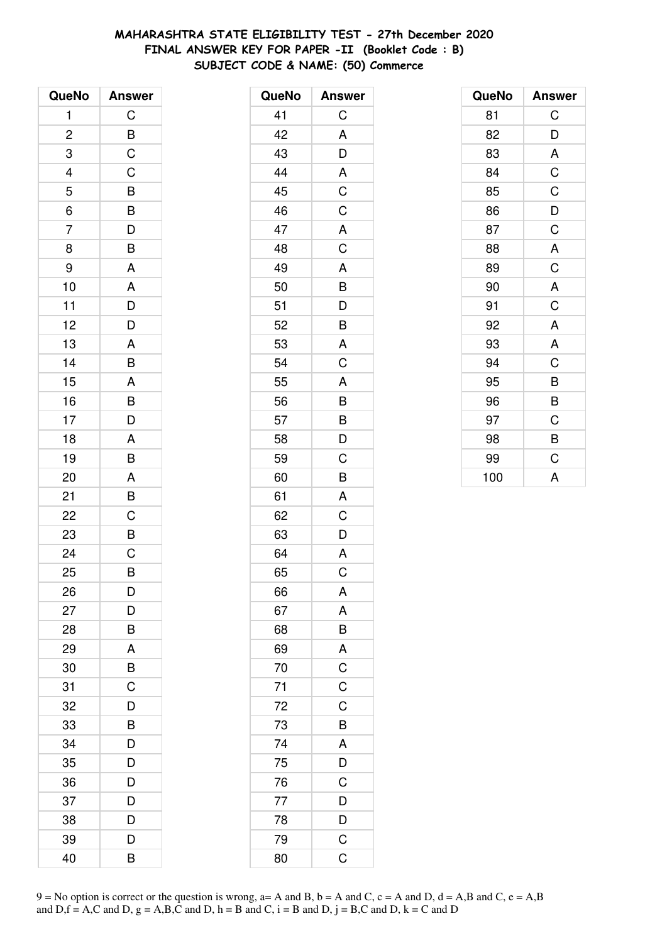# **MAHARASHTRA STATE ELIGIBILITY TEST - 27th December 2020 FINAL ANSWER KEY FOR PAPER -II (Booklet Code : B) SUBJECT CODE & NAME: (50) Commerce**

| QueNo                   | <b>Answer</b>                                |
|-------------------------|----------------------------------------------|
| 1                       | C                                            |
| $\overline{\mathbf{c}}$ |                                              |
| 3                       | $rac{B}{C}$                                  |
|                         | $\mathsf C$                                  |
| $\frac{4}{5}$           | $\overline{B}$<br>$\overline{B}$             |
| $\overline{6}$          |                                              |
| $\overline{7}$          | $\frac{1}{D}$                                |
| 8                       | $\overline{\mathsf{B}}$                      |
| 9                       | A                                            |
| 10                      |                                              |
| 11                      | $\begin{array}{c}\nA \\ D \\ D\n\end{array}$ |
| 12                      |                                              |
| 13                      | A                                            |
| 14                      | B                                            |
| 15                      | A                                            |
| 16                      |                                              |
| 17                      | $\frac{B}{D}$                                |
| 18                      | A                                            |
| 19                      | B                                            |
| 20                      | A                                            |
| 21                      | B                                            |
| 22                      | $\overline{C}$                               |
| 23                      | $\frac{1}{\sqrt{2}}$                         |
| 24                      | $\overline{C}$                               |
| 25                      | B                                            |
| 26                      | D                                            |
| 27                      | D                                            |
| 28                      | B                                            |
| 29                      | A                                            |
| 30                      | $\overline{B}$                               |
| 31                      | $\overline{\text{c}}$                        |
| 32                      | D                                            |
| 33                      | B                                            |
| 34                      | D                                            |
| 35                      | D                                            |
| 36                      | D                                            |
| 37                      | D                                            |
| 38                      | D                                            |
| 39                      | D                                            |
| 40                      | B                                            |

| QueNo | <b>Answer</b>                                      |
|-------|----------------------------------------------------|
| 41    | C                                                  |
| 42    | A                                                  |
| 43    | $\overline{D}$                                     |
| 44    | A                                                  |
| 45    | $rac{1}{C}$                                        |
| 46    | $\overline{C}$                                     |
| 47    |                                                    |
| 48    | $rac{A}{C}$                                        |
| 49    | A                                                  |
| 50    | B                                                  |
| 51    | $\overline{D}$<br>$\overline{B}$<br>$\overline{A}$ |
| 52    |                                                    |
| 53    |                                                    |
| 54    | $\overline{\mathrm{C}}$                            |
| 55    | A                                                  |
| 56    |                                                    |
| 57    |                                                    |
| 58    | B<br>B<br>D                                        |
| 59    | C                                                  |
| 60    | B                                                  |
| 61    | A                                                  |
| 62    | C                                                  |
| 63    | D                                                  |
| 64    | $\mathsf{A}$                                       |
| 65    | C                                                  |
| 66    | A                                                  |
| 67    | A                                                  |
| 68    |                                                    |
| 69    |                                                    |
| 70    | $\overline{A}$ $\overline{C}$ $\overline{C}$       |
| 71    |                                                    |
| 72    | $\mathsf C$                                        |
| 73    | B                                                  |
| 74    |                                                    |
| 75    | $\frac{A}{D}$                                      |
| 76    |                                                    |
| 77    |                                                    |
| 78    | $\frac{D}{D}$                                      |
| 79    | $\mathsf C$                                        |
| 80    | $\overline{\mathrm{C}}$                            |

| QueNo | <b>Answer</b> |
|-------|---------------|
| 81    | C             |
| 82    | D             |
| 83    | A             |
| 84    | $\mathsf C$   |
| 85    | C             |
| 86    | D             |
| 87    | C             |
| 88    | A             |
| 89    | C             |
| 90    | A             |
| 91    | C             |
| 92    | A             |
| 93    | A             |
| 94    | C             |
| 95    | B             |
| 96    | B             |
| 97    | C             |
| 98    | B             |
| 99    | C             |
| 100   | A             |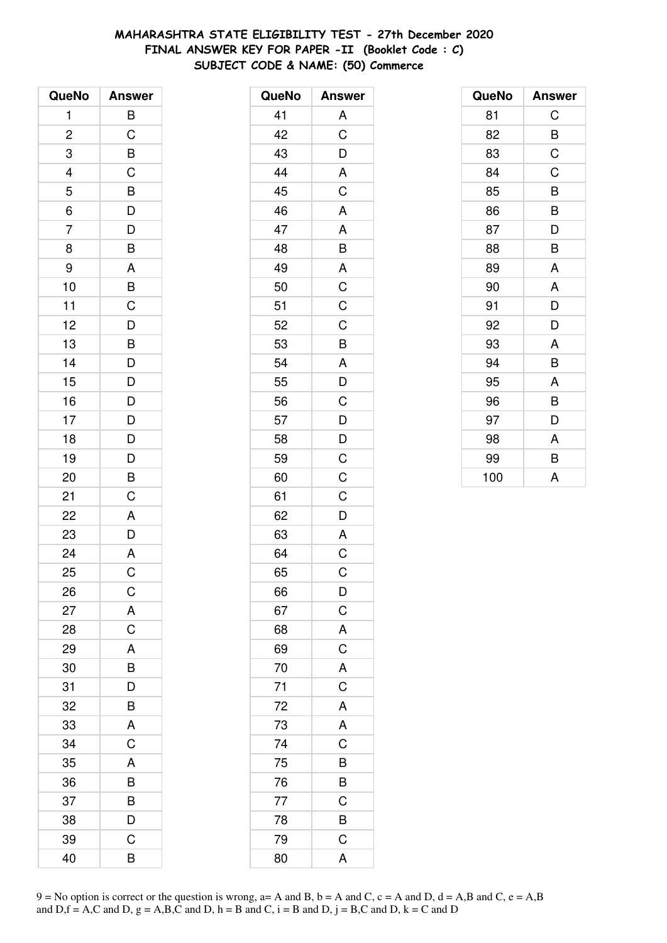# **MAHARASHTRA STATE ELIGIBILITY TEST - 27th December 2020 FINAL ANSWER KEY FOR PAPER -II (Booklet Code : C) SUBJECT CODE & NAME: (50) Commerce**

| QueNo                   | <b>Answer</b>         |
|-------------------------|-----------------------|
| 1                       | B                     |
| $\overline{\mathbf{c}}$ | C                     |
| 3                       | B                     |
|                         | $\mathsf C$           |
| $\frac{4}{5}$           |                       |
| $\overline{6}$          | $\overline{B}$<br>$D$ |
| $\overline{7}$          | D                     |
| 8                       | B                     |
| 9                       | A                     |
| 10                      | B                     |
| 11                      | $\mathsf{C}$          |
| 12                      | $\overline{D}$        |
| 13                      | $\overline{B}$        |
| 14                      | D                     |
| 15                      | D                     |
| 16                      | D                     |
| 17                      |                       |
| 18                      | $\frac{D}{D}$         |
| 19                      | D                     |
| 20                      | B                     |
| 21                      | C                     |
| 22                      | A                     |
| 23                      | D                     |
| 24                      | $\overline{A}$        |
| 25                      | $\overline{C}$        |
| 26                      | C                     |
| 27                      | A                     |
| 28                      | C                     |
| 29                      | A                     |
| 30                      | B                     |
| 31                      | D                     |
| 32                      | B                     |
| 33                      | A                     |
| 34                      | C                     |
| 35                      | A                     |
| 36                      | B                     |
| 37                      | B                     |
| 38                      | D                     |
| 39                      | С                     |
| 40                      | B                     |

| QueNo | <b>Answer</b>           |
|-------|-------------------------|
| 41    | A                       |
| 42    | $\overline{C}$          |
| 43    | D                       |
| 44    | A                       |
| 45    | $\overline{C}$          |
| 46    | A                       |
| 47    | A                       |
| 48    | B                       |
| 49    | $\mathsf{A}$            |
| 50    | $\overline{\mathsf{C}}$ |
| 51    | C                       |
| 52    | C                       |
| 53    | B                       |
| 54    | A                       |
| 55    | $\overline{D}$          |
| 56    | C                       |
| 57    | D                       |
| 58    | $\overline{D}$          |
| 59    | $\mathsf C$             |
| 60    | $\overline{C}$          |
| 61    | C                       |
| 62    | D                       |
| 63    | A                       |
| 64    | $\overline{C}$          |
| 65    | C                       |
| 66    | $\overline{D}$          |
| 67    | $\frac{1}{C}$           |
| 68    | $rac{A}{C}$             |
| 69    |                         |
| 70    | $\overline{\mathsf{A}}$ |
| 71    | $\mathsf C$             |
| 72    | A                       |
| 73    | A                       |
| 74    | $\mathsf C$             |
| 75    | B                       |
| 76    | B                       |
| 77    | C                       |
| 78    | $\overline{B}$          |
| 79    | $\overline{C}$          |
| 80    | A                       |

| QueNo | <b>Answer</b> |
|-------|---------------|
| 81    | C             |
| 82    | B             |
| 83    | C             |
| 84    | C             |
| 85    | B             |
| 86    | B             |
| 87    | D             |
| 88    | B             |
| 89    | A             |
| 90    | A             |
| 91    | D             |
| 92    | D             |
| 93    | A             |
| 94    | B             |
| 95    | A             |
| 96    | B             |
| 97    | D             |
| 98    | A             |
| 99    | B             |
| 100   | A             |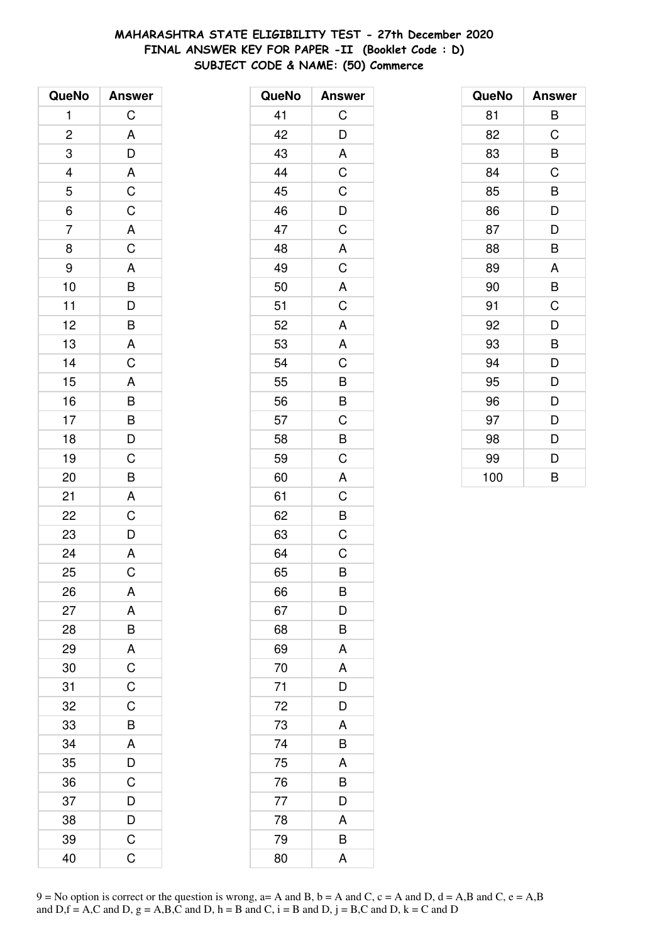# **MAHARASHTRA STATE ELIGIBILITY TEST - 27th December 2020 FINAL ANSWER KEY FOR PAPER -II (Booklet Code : D) SUBJECT CODE & NAME: (50) Commerce**

| QueNo                          | <b>Answer</b>                                |
|--------------------------------|----------------------------------------------|
| 1                              | C                                            |
| $\overline{\mathbf{c}}$        |                                              |
| 3                              |                                              |
|                                |                                              |
|                                |                                              |
| $\frac{4}{5}$<br>$\frac{1}{6}$ | A<br>D<br>A<br>C<br>C                        |
| $\overline{7}$                 |                                              |
| 8                              | $rac{A}{C}$                                  |
| 9                              |                                              |
| 10                             |                                              |
| 11                             |                                              |
| 12                             |                                              |
| 13                             | A B D B A C                                  |
| 14                             |                                              |
| 15                             | A<br>B<br>B<br>D<br>D                        |
| 16                             |                                              |
| 17                             |                                              |
| 18                             |                                              |
| 19                             |                                              |
| 20                             | $\frac{C}{B}$                                |
| 21                             | $\mathsf{A}$                                 |
| 22                             | $\overline{C}$                               |
| 23                             | $\frac{D}{A}$                                |
| 24                             |                                              |
| 25                             | $\overline{\text{c}}$                        |
| 26                             | A                                            |
| 27                             | A                                            |
| 28                             |                                              |
| 29                             | $\begin{array}{c}\nB \\ C \\ C\n\end{array}$ |
| 30                             |                                              |
| 31                             |                                              |
| 32                             | C                                            |
| 33                             | B                                            |
| 34                             | A                                            |
| 35                             | $\frac{D}{C}$                                |
| 36                             |                                              |
| 37                             | $\overline{D}$                               |
| 38                             | D                                            |
| 39                             | C                                            |
| 40                             | Ć                                            |

| QueNo | <b>Answer</b>  |
|-------|----------------|
| 41    | C              |
| 42    | D              |
| 43    | A              |
| 44    | $\mathsf C$    |
| 45    | $\overline{C}$ |
| 46    | $\overline{D}$ |
| 47    | $\mathsf C$    |
| 48    | A              |
| 49    | $\mathsf C$    |
| 50    | A              |
| 51    | $\overline{C}$ |
| 52    | A              |
| 53    | A              |
| 54    | $\mathsf C$    |
| 55    | B              |
| 56    | $\overline{B}$ |
| 57    | $\overline{C}$ |
| 58    | $\overline{B}$ |
| 59    | C              |
| 60    | A              |
| 61    | C              |
| 62    | B              |
| 63    | $\mathsf C$    |
| 64    | $\mathsf C$    |
| 65    | B              |
| 66    | B              |
| 67    | D              |
| 68    | B              |
| 69    | A              |
| 70    | A              |
| 71    | D              |
| 72    | D              |
| 73    | A              |
| 74    | B              |
| 75    | A              |
| 76    | B              |
| 77    | D              |
| 78    | A              |
| 79    | B              |
| 80    | A              |

| QueNo | <b>Answer</b> |
|-------|---------------|
| 81    | B             |
| 82    | C             |
| 83    | B             |
| 84    | C             |
| 85    | B             |
| 86    | D             |
| 87    | D             |
| 88    | B             |
| 89    | A             |
| 90    | B             |
| 91    | C             |
| 92    | D             |
| 93    | B             |
| 94    | D             |
| 95    | D             |
| 96    | D             |
| 97    | D             |
| 98    | D             |
| 99    | D             |
| 100   | B             |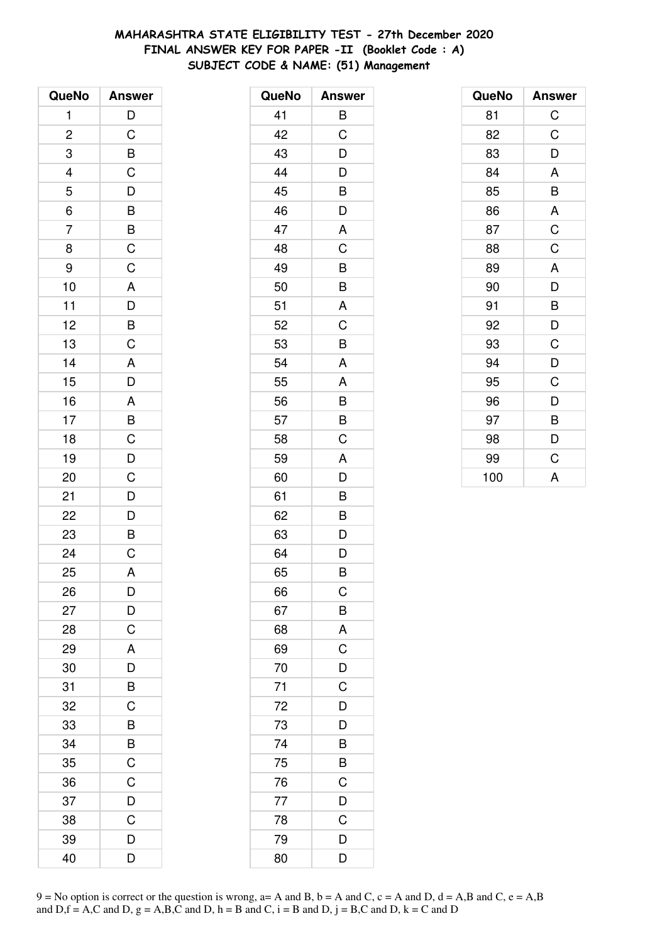# **MAHARASHTRA STATE ELIGIBILITY TEST - 27th December 2020 FINAL ANSWER KEY FOR PAPER -II (Booklet Code : A) SUBJECT CODE & NAME: (51) Management**

| QueNo          | <b>Answer</b>                                     |
|----------------|---------------------------------------------------|
| 1              | $\overline{D}$                                    |
| $\overline{c}$ |                                                   |
| 3              |                                                   |
|                |                                                   |
| $\frac{4}{5}$  |                                                   |
| $\frac{1}{6}$  | CBCDBBCC                                          |
| 7              |                                                   |
| 8              |                                                   |
| 9              |                                                   |
| 10             |                                                   |
| 11             |                                                   |
| 12             |                                                   |
| 13             | $\begin{array}{c}\nA \\ D \\ B \\ C\n\end{array}$ |
| 14             |                                                   |
| 15             | ADABCDC                                           |
| 16             |                                                   |
| 17             |                                                   |
| 18             |                                                   |
| 19             |                                                   |
| 20             |                                                   |
| 21             |                                                   |
| 22             |                                                   |
| 23             | $\begin{array}{c}\nD \\ D \\ E\n\end{array}$      |
| 24             |                                                   |
| 25             | A                                                 |
| 26             | D                                                 |
| 27             | D                                                 |
| 28             | C                                                 |
| 29             | A                                                 |
| 30             | D                                                 |
| 31             | B                                                 |
| 32             | C                                                 |
| 33             | B                                                 |
| 34             | $\overline{B}$                                    |
| 35             | $\overline{C}$                                    |
| 36             | $\mathsf C$                                       |
| 37             | $\overline{D}$                                    |
| 38             | C                                                 |
| 39             | D                                                 |
| 40             | D                                                 |

| QueNo | <b>Answer</b>           |
|-------|-------------------------|
| 41    | B                       |
| 42    | C                       |
| 43    | D                       |
| 44    | D                       |
| 45    | $\overline{\mathsf{B}}$ |
| 46    | D                       |
| 47    | A                       |
| 48    | C                       |
| 49    | B                       |
| 50    | B                       |
| 51    | A                       |
| 52    | C                       |
| 53    | B                       |
| 54    | A                       |
| 55    | A                       |
| 56    | B                       |
| 57    | $\overline{B}$          |
| 58    | C                       |
| 59    | A                       |
| 60    | D                       |
| 61    | B                       |
| 62    | B                       |
| 63    | D                       |
| 64    | D                       |
| 65    | B                       |
| 66    | C                       |
| 67    | B                       |
| 68    | A                       |
| 69    | $\overline{C}$          |
| 70    | $\frac{D}{C}$           |
| 71    |                         |
| 72    | D                       |
| 73    | D                       |
| 74    | B                       |
| 75    | $\overline{\mathsf{B}}$ |
| 76    | $\mathsf{C}$            |
| 77    | $\overline{D}$          |
| 78    | $\mathsf C$             |
| 79    | D                       |
| 80    | D                       |

| QueNo | <b>Answer</b> |
|-------|---------------|
| 81    | $\mathsf C$   |
| 82    | C             |
| 83    | D             |
| 84    | A             |
| 85    | B             |
| 86    | A             |
| 87    | $\mathsf C$   |
| 88    | $\mathsf C$   |
| 89    | A             |
| 90    | D             |
| 91    | B             |
| 92    | D             |
| 93    | C             |
| 94    | D             |
| 95    | C             |
| 96    | D             |
| 97    | B             |
| 98    | D             |
| 99    | C             |
| 100   | A             |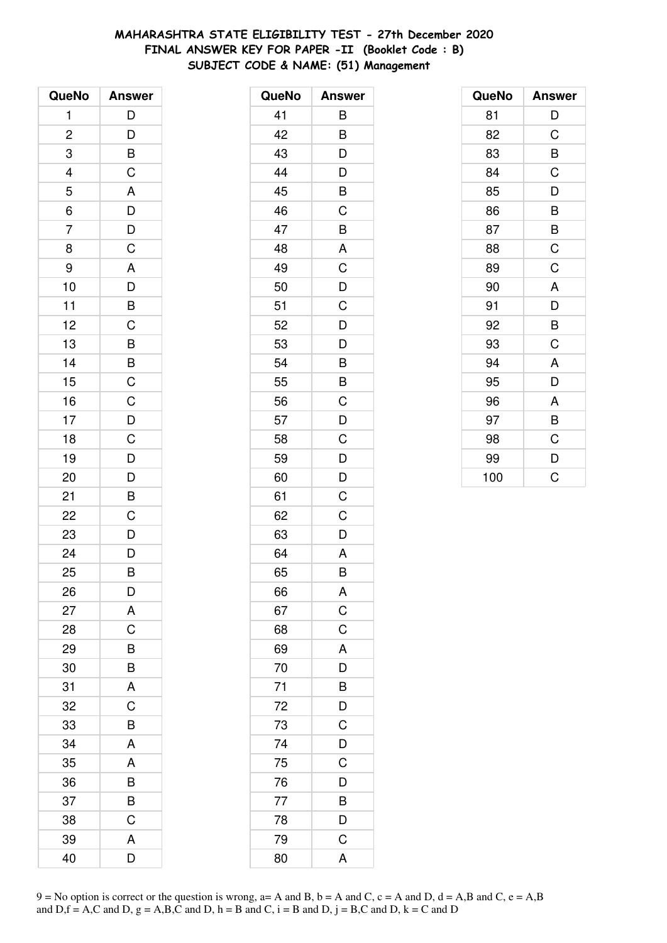# **MAHARASHTRA STATE ELIGIBILITY TEST - 27th December 2020 FINAL ANSWER KEY FOR PAPER -II (Booklet Code : B) SUBJECT CODE & NAME: (51) Management**

| QueNo          | <b>Answer</b>                                     |
|----------------|---------------------------------------------------|
| 1              | D                                                 |
| $\overline{c}$ |                                                   |
| 3              | $\frac{D}{B}$                                     |
|                | $\mathsf{C}$                                      |
| $\frac{4}{5}$  |                                                   |
| $\overline{6}$ | $\frac{A}{D}$                                     |
| $\overline{7}$ | $\frac{D}{C}$                                     |
| 8              |                                                   |
| 9              |                                                   |
| 10             | $\begin{array}{c}\nA \\ D \\ B \\ C\n\end{array}$ |
| 11             |                                                   |
| 12             |                                                   |
| 13             |                                                   |
| 14             | BBCCDC                                            |
| 15             |                                                   |
| 16             |                                                   |
| 17             |                                                   |
| 18             |                                                   |
| 19             |                                                   |
| 20             | $\frac{D}{D}$                                     |
| 21             | $\overline{B}$                                    |
| 22             | $\overline{C}$                                    |
| 23             | $\frac{D}{D}$                                     |
| 24             |                                                   |
| 25             | B                                                 |
| 26             | D                                                 |
| 27             | A                                                 |
| 28             | C                                                 |
| 29             | $\overline{B}$                                    |
| 30             | $\overline{B}$                                    |
| 31             | A                                                 |
| 32             | C                                                 |
| 33             | B                                                 |
| 34             | A                                                 |
| 35             | A                                                 |
| 36             | B                                                 |
| 37             | B                                                 |
| 38             | C                                                 |
| 39             | A                                                 |
| 40             | D                                                 |

| QueNo | <b>Answer</b>           |
|-------|-------------------------|
| 41    | B                       |
| 42    | B                       |
| 43    | D                       |
| 44    |                         |
| 45    | $\frac{D}{B}$           |
| 46    | $\overline{C}$          |
| 47    | B                       |
| 48    | A                       |
| 49    | $\mathsf C$             |
| 50    | $\overline{D}$          |
| 51    | $\overline{C}$          |
| 52    | D                       |
| 53    | D                       |
| 54    | B                       |
| 55    | B                       |
| 56    | $\mathsf C$             |
| 57    | $\overline{D}$          |
| 58    | $\overline{C}$          |
| 59    | D                       |
| 60    | D                       |
| 61    | C                       |
| 62    | C                       |
| 63    | D                       |
| 64    | A                       |
| 65    | B                       |
| 66    | A                       |
| 67    | $\mathsf C$             |
| 68    | $\mathsf{C}$            |
| 69    | $\overline{\mathsf{A}}$ |
| 70    | D                       |
| 71    | B                       |
| 72    | $\frac{D}{C}$           |
| 73    |                         |
| 74    | $\frac{D}{C}$           |
| 75    |                         |
| 76    | D                       |
| 77    | B                       |
| 78    | D                       |
| 79    | $\mathsf C$             |
| 80    | $\overline{\mathsf{A}}$ |

| QueNo | <b>Answer</b> |
|-------|---------------|
| 81    | D             |
| 82    | C             |
| 83    | B             |
| 84    | C             |
| 85    | D             |
| 86    | B             |
| 87    | B             |
| 88    | C             |
| 89    | C             |
| 90    | A             |
| 91    | D             |
| 92    | B             |
| 93    | C             |
| 94    | A             |
| 95    | D             |
| 96    | A             |
| 97    | B             |
| 98    | C             |
| 99    | D             |
| 100   | C             |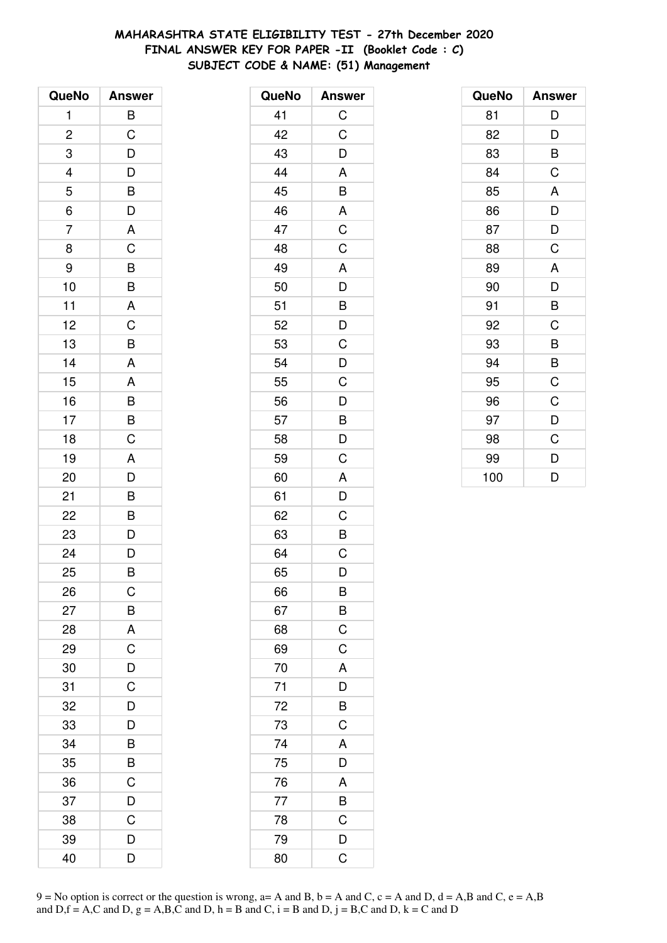# **MAHARASHTRA STATE ELIGIBILITY TEST - 27th December 2020 FINAL ANSWER KEY FOR PAPER -II (Booklet Code : C) SUBJECT CODE & NAME: (51) Management**

| QueNo          | <b>Answer</b>                                      |
|----------------|----------------------------------------------------|
| 1              | B                                                  |
| $\overline{c}$ | C                                                  |
| 3              | D                                                  |
|                |                                                    |
| $\frac{4}{5}$  | $\overline{D}$<br>$\overline{B}$<br>$\overline{D}$ |
| $\overline{6}$ |                                                    |
| $\overline{7}$ |                                                    |
| 8              | $rac{A}{C}$                                        |
| 9              |                                                    |
| 10             | $\frac{B}{B}$                                      |
| 11             | $\overline{A}$                                     |
| 12             | $\overline{C}$                                     |
| 13             | B                                                  |
| 14             | A                                                  |
| 15             | A                                                  |
| 16             |                                                    |
| 17             | $\frac{B}{C}$                                      |
| 18             |                                                    |
| 19             |                                                    |
| 20             | $\frac{A}{D}$                                      |
| 21             | B                                                  |
| 22             | $\overline{B}$                                     |
| 23             | $\frac{D}{D}$                                      |
| 24             |                                                    |
| 25             | B                                                  |
| 26             | С                                                  |
| 27             | B                                                  |
| 28             | A                                                  |
| 29             | $\overline{C}$                                     |
| 30             | $\overline{D}$                                     |
| 31             | $\overline{C}$                                     |
| 32             | D                                                  |
| 33             | D                                                  |
| 34             | B                                                  |
| 35             | $\overline{\mathsf{B}}$                            |
| 36             | $\mathsf C$                                        |
| 37             | $\overline{D}$                                     |
| 38             | C                                                  |
| 39             | D                                                  |
| 40             | D                                                  |

| QueNo | <b>Answer</b>                                |
|-------|----------------------------------------------|
| 41    | $\mathsf C$                                  |
| 42    | $\mathsf C$                                  |
| 43    | D                                            |
| 44    | $\mathsf{A}$                                 |
| 45    | $\overline{B}$                               |
| 46    | A                                            |
| 47    | $\overline{C}$                               |
| 48    | $\overline{C}$                               |
| 49    | A                                            |
| 50    | D                                            |
| 51    | $\frac{B}{D}$                                |
| 52    |                                              |
| 53    | $\overline{C}$                               |
| 54    | D                                            |
| 55    | C                                            |
| 56    |                                              |
| 57    | $\begin{array}{c}\nD \\ B \\ D\n\end{array}$ |
| 58    |                                              |
| 59    | $\overline{C}$                               |
| 60    | A                                            |
| 61    | D                                            |
| 62    | C                                            |
| 63    | B                                            |
| 64    | $\overline{C}$                               |
| 65    | D                                            |
| 66    | B                                            |
| 67    | B                                            |
| 68    | $\overline{C}$                               |
| 69    | $\mathsf C$                                  |
| 70    | A                                            |
| 71    | D                                            |
| 72    | B                                            |
| 73    | C                                            |
| 74    | A                                            |
| 75    | $\overline{D}$                               |
| 76    | A                                            |
| 77    | $\frac{1}{B}$                                |
| 78    | $\mathsf C$                                  |
| 79    | D                                            |
| 80    | $\overline{\mathrm{C}}$                      |

| QueNo | <b>Answer</b> |
|-------|---------------|
| 81    | D             |
| 82    | D             |
| 83    | B             |
| 84    | C             |
| 85    | A             |
| 86    | D             |
| 87    | D             |
| 88    | C             |
| 89    | A             |
| 90    | D             |
| 91    | B             |
| 92    | C             |
| 93    | B             |
| 94    | B             |
| 95    | C             |
| 96    | $\mathsf C$   |
| 97    | D             |
| 98    | C             |
| 99    | D             |
| 100   | D             |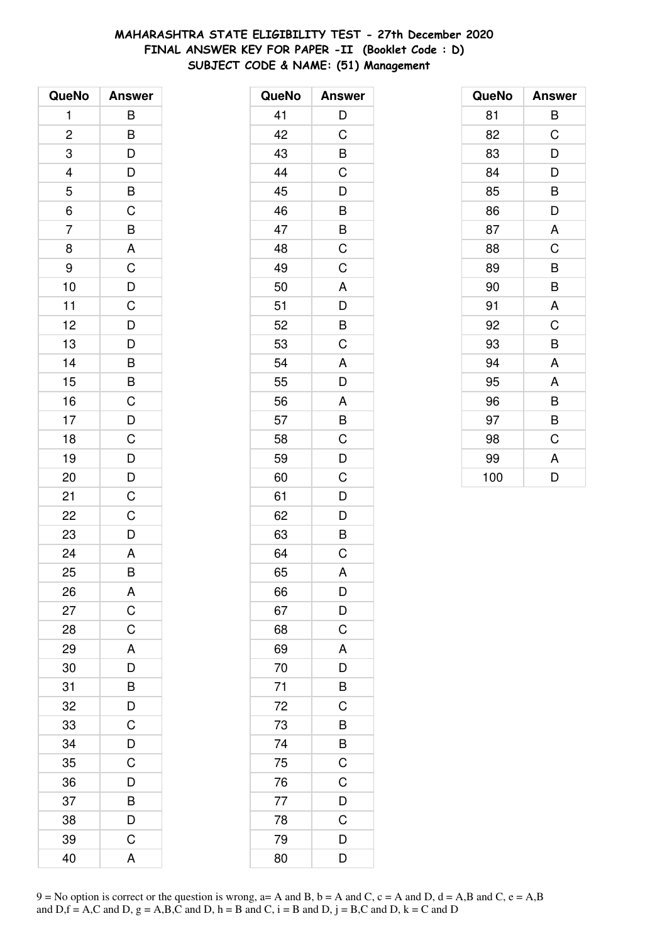# **MAHARASHTRA STATE ELIGIBILITY TEST - 27th December 2020 FINAL ANSWER KEY FOR PAPER -II (Booklet Code : D) SUBJECT CODE & NAME: (51) Management**

| QueNo          | <b>Answer</b>                                      |
|----------------|----------------------------------------------------|
| 1              | B                                                  |
| $\overline{c}$ |                                                    |
| 3              | $\frac{B}{D}$                                      |
|                |                                                    |
| $\frac{4}{5}$  | $\overline{D}$<br>$\overline{B}$<br>$\overline{C}$ |
| $\overline{6}$ |                                                    |
| $\overline{7}$ | $\frac{B}{A}$                                      |
| 8              |                                                    |
| 9              |                                                    |
| 10             |                                                    |
| 11             |                                                    |
| 12             |                                                    |
| 13             | C<br>D<br>C<br>D<br>D<br>D                         |
| 14             |                                                    |
| 15             | BBCDC                                              |
| 16             |                                                    |
| 17             |                                                    |
| 18             |                                                    |
| 19             | $\frac{D}{D}$                                      |
| 20             |                                                    |
| 21             | $\mathsf C$                                        |
| 22             | $\mathsf C$                                        |
| 23             | D                                                  |
| 24             | A                                                  |
| 25             | B                                                  |
| 26             | A                                                  |
| 27             | C                                                  |
| 28             | C                                                  |
| 29             | A                                                  |
| 30             | D                                                  |
| 31             | B                                                  |
| 32             | D                                                  |
| 33             | C                                                  |
| 34             | D                                                  |
| 35             | $\overline{\text{c}}$                              |
| 36             | D                                                  |
| 37             | B                                                  |
| 38             | D                                                  |
| 39             | C                                                  |
| 40             | A                                                  |

| QueNo | <b>Answer</b>           |
|-------|-------------------------|
| 41    | D                       |
| 42    | C                       |
| 43    | B                       |
| 44    | $\mathsf C$             |
| 45    | $\frac{1}{D}$           |
| 46    | $\overline{B}$          |
| 47    | $rac{B}{C}$             |
| 48    |                         |
| 49    | C                       |
| 50    | A                       |
| 51    |                         |
| 52    | $\frac{D}{B}$           |
| 53    | C                       |
| 54    | A                       |
| 55    | $\overline{\mathsf{D}}$ |
| 56    |                         |
| 57    | $rac{A}{B}$             |
| 58    | $\overline{C}$          |
| 59    | D                       |
| 60    | C                       |
| 61    | D                       |
| 62    | $\overline{D}$          |
| 63    | $\overline{\mathsf{B}}$ |
| 64    | $\overline{C}$          |
| 65    | A                       |
| 66    | D                       |
| 67    | D                       |
| 68    | $\mathsf{C}$            |
| 69    | A                       |
| 70    | $\overline{D}$          |
| 71    | B                       |
| 72    | C                       |
| 73    | B                       |
| 74    | $rac{B}{C}$             |
| 75    |                         |
| 76    | $\overline{C}$          |
| 77    | $\frac{D}{C}$           |
| 78    |                         |
| 79    | D                       |
| 80    | D                       |

| QueNo | <b>Answer</b> |
|-------|---------------|
| 81    | В             |
| 82    | C             |
| 83    | D             |
| 84    | D             |
| 85    | B             |
| 86    | D             |
| 87    | A             |
| 88    | C             |
| 89    | B             |
| 90    | B             |
| 91    | A             |
| 92    | C             |
| 93    | B             |
| 94    | A             |
| 95    | A             |
| 96    | B             |
| 97    | B             |
| 98    | C             |
| 99    | A             |
| 100   | D             |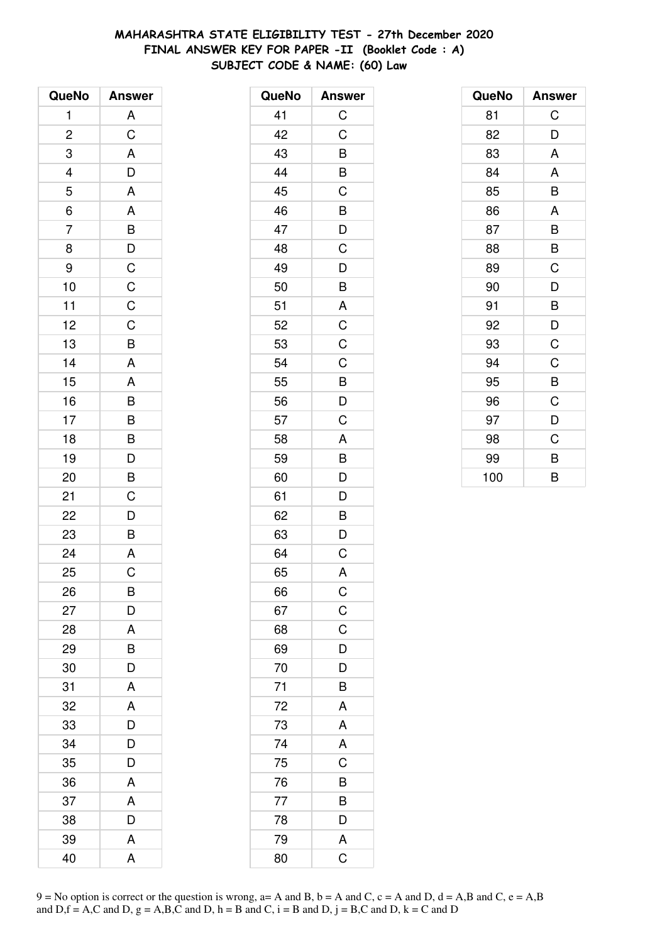# MAHARASHTRA STATE ELIGIBILITY TEST - 27th December 2020 FINAL ANSWER KEY FOR PAPER -II (Booklet Code: A) SUBJECT CODE & NAME: (60) Law

| QueNo          | <b>Answer</b>                                |
|----------------|----------------------------------------------|
| 1              | A                                            |
| $\overline{c}$ | $\overline{C}$                               |
| 3              | A                                            |
|                | D                                            |
| $\frac{4}{5}$  | A                                            |
| $\overline{6}$ | A                                            |
| $\overline{7}$ | B                                            |
| 8              |                                              |
| 9              |                                              |
| 10             | $\begin{array}{c}\nD \\ C \\ C\n\end{array}$ |
| 11             |                                              |
| 12             | $\overline{C}$                               |
| 13             | B                                            |
| 14             | A                                            |
| 15             | A                                            |
| 16             | $\overline{B}$                               |
| 17             | $\overline{B}$                               |
| 18             |                                              |
| 19             | $\overline{D}$                               |
| 20             | B                                            |
| 21             | $\mathsf C$                                  |
| 22             | D                                            |
| 23             | B                                            |
| 24             | $\overline{A}$                               |
| 25             | C                                            |
| 26             | B                                            |
| 27             | D                                            |
| 28             | A                                            |
| 29             | B                                            |
| 30             | D                                            |
| 31             | A                                            |
| 32             | A                                            |
| 33             | D                                            |
| 34             | D                                            |
| 35             | D                                            |
| 36             | A                                            |
| 37             | A                                            |
| 38             | D                                            |
| 39             | A                                            |
| 40             | A                                            |

| QueNo | <b>Answer</b>  |
|-------|----------------|
| 41    | $\mathsf C$    |
| 42    | C              |
| 43    | B              |
| 44    | B              |
| 45    | C              |
| 46    | B              |
| 47    | D              |
| 48    | C              |
| 49    | D              |
| 50    | B              |
| 51    | A              |
| 52    | C              |
| 53    | $\overline{C}$ |
| 54    | C              |
| 55    | B              |
| 56    | D              |
| 57    | C              |
| 58    | A              |
| 59    | B              |
| 60    | D              |
| 61    | D              |
| 62    | B              |
| 63    | D              |
| 64    | C              |
| 65    | A              |
| 66    | $\mathsf C$    |
| 67    | $\overline{C}$ |
| 68    | C              |
| 69    | D              |
| 70    | D              |
| 71    | B              |
| 72    | A              |
| 73    | A              |
| 74    | A              |
| 75    | C              |
| 76    | B              |
| 77    | B              |
| 78    | D              |
| 79    | A              |
| 80    | C              |

| QueNo | <b>Answer</b> |
|-------|---------------|
| 81    | C             |
| 82    | D             |
| 83    | A             |
| 84    | A             |
| 85    | B             |
| 86    | A             |
| 87    | B             |
| 88    | B             |
| 89    | C             |
| 90    | D             |
| 91    | B             |
| 92    | D             |
| 93    | C             |
| 94    | C             |
| 95    | B             |
| 96    | C             |
| 97    | D             |
| 98    | C             |
| 99    | B             |
| 100   | B             |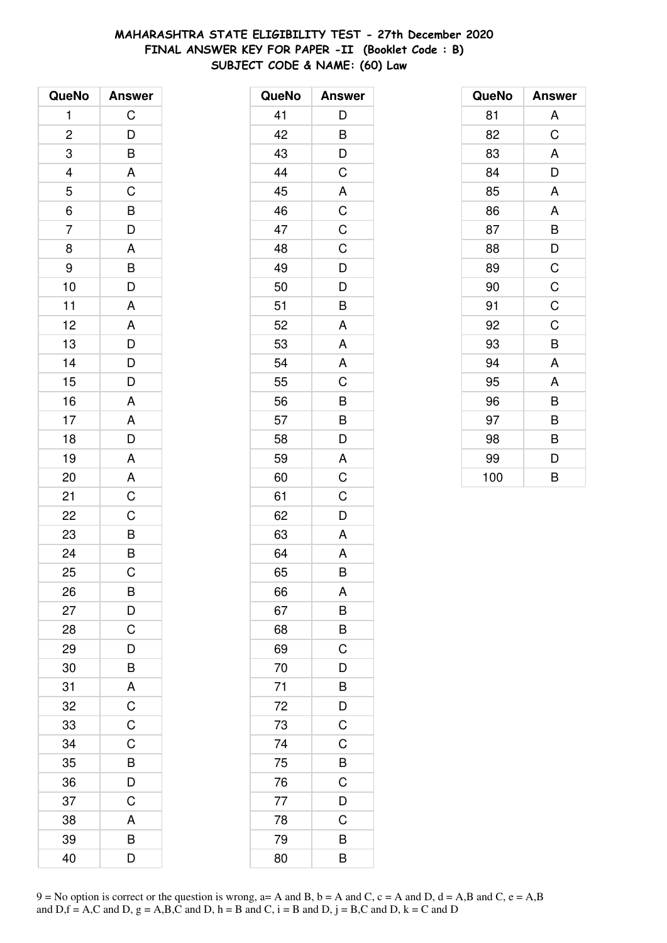# **MAHARASHTRA STATE ELIGIBILITY TEST - 27th December 2020 FINAL ANSWER KEY FOR PAPER -II (Booklet Code : B) SUBJECT CODE & NAME: (60) Law**

| QueNo                   | <b>Answer</b>           |
|-------------------------|-------------------------|
| 1                       | C                       |
| $\overline{\mathbf{c}}$ |                         |
| 3                       | $\frac{D}{B}$           |
|                         |                         |
| $\frac{4}{5}$           |                         |
| $\overline{6}$          |                         |
| $\overline{7}$          | A C B D A               |
| 8                       |                         |
| 9                       |                         |
| 10                      | $\overline{B}$<br>D     |
| 11                      | $\overline{A}$          |
| 12                      |                         |
| 13                      | $\frac{A}{D}$           |
| 14                      |                         |
| 15                      | $\frac{D}{D}$           |
| 16                      | A                       |
| 17                      | $\frac{A}{D}$           |
| 18                      |                         |
| 19                      | $\frac{A}{A}$           |
| 20                      |                         |
| 21                      | $\overline{C}$          |
| 22                      | $\overline{C}$          |
| 23                      | $\overline{B}$          |
| 24                      |                         |
| 25                      | C                       |
| 26                      | B                       |
| 27                      | D                       |
| 28                      | C                       |
| 29                      | D                       |
| 30                      | $\overline{B}$          |
| 31                      | $\overline{\mathsf{A}}$ |
| 32                      | $\overline{C}$          |
| 33                      | $\overline{C}$          |
| 34                      | C                       |
| 35                      | B                       |
| 36                      | $\overline{D}$          |
| 37                      | C                       |
| 38                      | A                       |
| 39                      | B                       |
| 40                      | D                       |

| QueNo | <b>Answer</b>           |
|-------|-------------------------|
| 41    | D                       |
| 42    | B                       |
| 43    | D                       |
| 44    | C                       |
| 45    | A                       |
| 46    | $\overline{C}$          |
| 47    | $\mathsf C$             |
| 48    | C                       |
| 49    | D                       |
| 50    | D                       |
| 51    | $\overline{\mathsf{B}}$ |
| 52    | A                       |
| 53    | A                       |
| 54    | A                       |
| 55    | C                       |
| 56    | $\overline{B}$          |
| 57    | $\frac{B}{D}$           |
| 58    |                         |
| 59    | A                       |
| 60    | $\overline{\mathrm{C}}$ |
| 61    | C                       |
| 62    | D                       |
| 63    | A                       |
| 64    | A                       |
| 65    | B                       |
| 66    | A                       |
| 67    | B                       |
| 68    | B                       |
| 69    | $\overline{C}$          |
| 70    | D                       |
| 71    | B                       |
| 72    | $\frac{D}{C}$           |
| 73    |                         |
| 74    | $\mathsf C$             |
| 75    | $\overline{B}$          |
| 76    | $\mathsf C$             |
| 77    | D                       |
| 78    | C                       |
| 79    | B                       |
| 80    | B                       |

| QueNo | <b>Answer</b> |
|-------|---------------|
| 81    | A             |
| 82    | C             |
| 83    | A             |
| 84    | D             |
| 85    | A             |
| 86    | A             |
| 87    | B             |
| 88    | D             |
| 89    | $\mathsf C$   |
| 90    | $\mathsf C$   |
| 91    | C             |
| 92    | C             |
| 93    | B             |
| 94    | A             |
| 95    | A             |
| 96    | B             |
| 97    | B             |
| 98    | B             |
| 99    | D             |
| 100   | B             |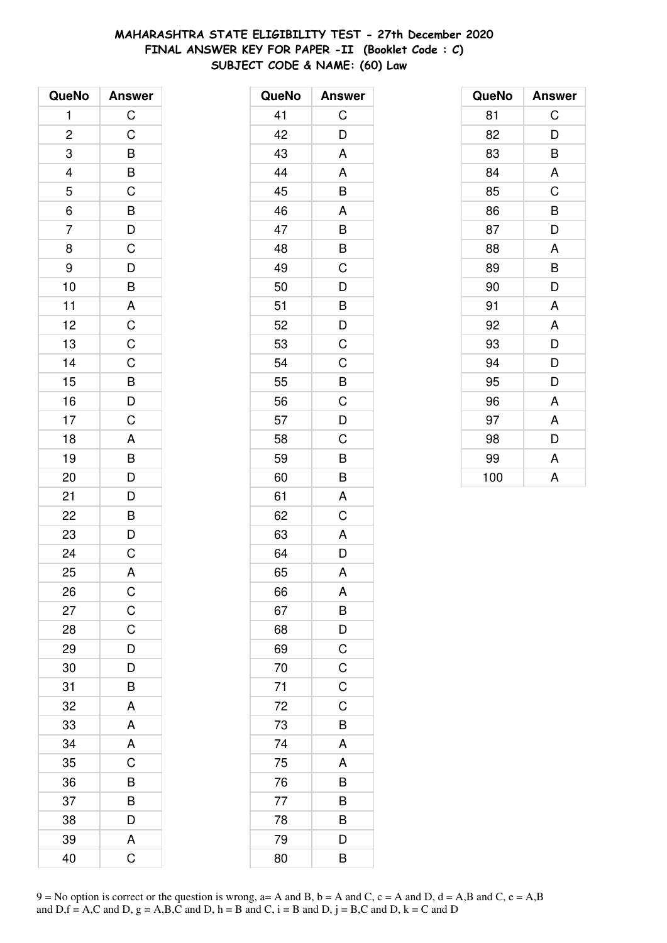#### **MAHARASHTRA STATE ELIGIBILITY TEST - 27th December 2020 FINAL ANSWER KEY FOR PAPER -II (Booklet Code : C) SUBJECT CODE & NAME: (60) Law**

| QueNo                                             | <b>Answer</b>                                                                                                                            |
|---------------------------------------------------|------------------------------------------------------------------------------------------------------------------------------------------|
| 1                                                 | $\mathsf{C}$                                                                                                                             |
| $\overline{2}$                                    | $\mathsf C$                                                                                                                              |
|                                                   |                                                                                                                                          |
|                                                   |                                                                                                                                          |
|                                                   |                                                                                                                                          |
| $\begin{array}{c}\n3 \\ 4 \\ 5 \\ 6\n\end{array}$ |                                                                                                                                          |
| $\overline{7}$                                    | $\begin{array}{c c} \hline \mathsf{B} & \mathsf{B} & \mathsf{C} \\ \hline \mathsf{C} & \mathsf{B} & \mathsf{D} & \mathsf{C} \end{array}$ |
| 8                                                 |                                                                                                                                          |
| 9                                                 |                                                                                                                                          |
| 10                                                |                                                                                                                                          |
| 11                                                |                                                                                                                                          |
| 12                                                |                                                                                                                                          |
| 13                                                |                                                                                                                                          |
| 14                                                | DBACCCBDCABD                                                                                                                             |
| 15                                                |                                                                                                                                          |
| 16                                                |                                                                                                                                          |
| 17                                                |                                                                                                                                          |
| 18                                                |                                                                                                                                          |
| 19                                                |                                                                                                                                          |
| 20                                                |                                                                                                                                          |
| 21                                                |                                                                                                                                          |
| 22                                                | $\begin{array}{c} \mathsf{D} \\ \hline \mathsf{B} \\ \mathsf{D} \end{array}$                                                             |
| 23                                                |                                                                                                                                          |
| 24                                                | $\overline{C}$                                                                                                                           |
| 25                                                | A                                                                                                                                        |
| 26                                                | $\mathsf{C}$                                                                                                                             |
| 27                                                | $\mathsf C$                                                                                                                              |
| 28                                                | C                                                                                                                                        |
| 29                                                | $\overline{D}$                                                                                                                           |
| 30                                                | $\overline{\mathsf{D}}$                                                                                                                  |
| 31                                                | B                                                                                                                                        |
| 32                                                | A                                                                                                                                        |
| 33                                                | A                                                                                                                                        |
| 34                                                | A                                                                                                                                        |
| 35                                                | C                                                                                                                                        |
| 36                                                | B                                                                                                                                        |
| 37                                                | $\overline{B}$                                                                                                                           |
| 38                                                | D                                                                                                                                        |
| 39                                                | A                                                                                                                                        |
| 40                                                | Ć                                                                                                                                        |

| QueNo | <b>Answer</b>  |
|-------|----------------|
| 41    | С              |
| 42    | D              |
| 43    | A              |
| 44    | A              |
| 45    | B              |
| 46    | A              |
| 47    | B              |
| 48    | B              |
| 49    | C              |
| 50    | D              |
| 51    | B              |
| 52    | D              |
| 53    | C              |
| 54    | $\mathsf C$    |
| 55    | $\overline{B}$ |
| 56    | $\mathsf C$    |
| 57    | D              |
| 58    | C              |
| 59    | B              |
| 60    | B              |
| 61    | A              |
| 62    | C              |
| 63    | A              |
| 64    | D              |
| 65    | A              |
| 66    | A              |
| 67    | $\overline{B}$ |
| 68    | $\overline{D}$ |
| 69    | $\overline{C}$ |
| 70    | $\mathsf C$    |
| 71    | C              |
| 72    | $\mathsf C$    |
| 73    | $\overline{B}$ |
| 74    | A              |
| 75    | A              |
| 76    | B              |
| 77    | B              |
| 78    | B              |
| 79    | D              |
| 80    | B              |

| QueNo | <b>Answer</b> |
|-------|---------------|
| 81    | C             |
| 82    | D             |
| 83    | B             |
| 84    | A             |
| 85    | C             |
| 86    | B             |
| 87    | D             |
| 88    | A             |
| 89    | B             |
| 90    | D             |
| 91    | A             |
| 92    | A             |
| 93    | D             |
| 94    | D             |
| 95    | D             |
| 96    | A             |
| 97    | A             |
| 98    | D             |
| 99    | A             |
| 100   | A             |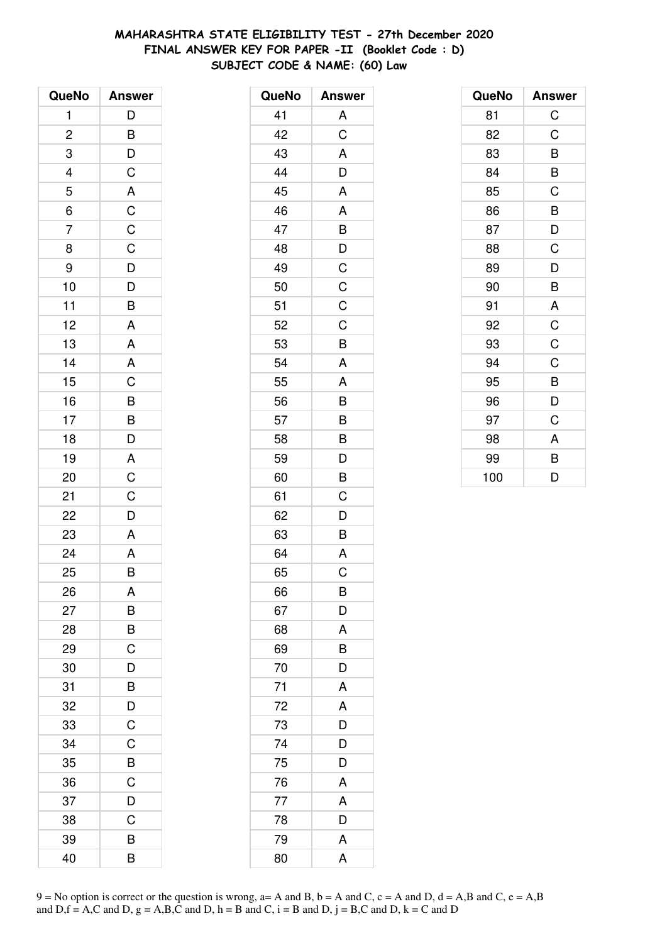# MAHARASHTRA STATE ELIGIBILITY TEST - 27th December 2020 FINAL ANSWER KEY FOR PAPER -II (Booklet Code: D) SUBJECT CODE & NAME: (60) Law

| QueNo          | <b>Answer</b>                    |
|----------------|----------------------------------|
| 1              | $\mathsf{D}$                     |
| $\overline{c}$ |                                  |
| 3              | $\frac{B}{D}$                    |
|                |                                  |
| $\frac{4}{5}$  |                                  |
| $\overline{6}$ |                                  |
| $\overline{7}$ | A C C C D D B                    |
| 8              |                                  |
| 9              |                                  |
| 10             |                                  |
| 11             |                                  |
| 12             | A                                |
| 13             | A                                |
| 14             | $rac{A}{C}$                      |
| 15             |                                  |
| 16             |                                  |
| 17             | $\overline{B}$<br>$\overline{D}$ |
| 18             |                                  |
| 19             |                                  |
| 20             | $rac{A}{C}$                      |
| 21             | $\frac{C}{D}$                    |
| 22             |                                  |
| 23             | A                                |
| 24             | A                                |
| 25             | B                                |
| 26             | A                                |
| 27             | B                                |
| 28             | B                                |
| 29             | $\mathsf C$                      |
| 30             | $\overline{D}$                   |
| 31             | $\overline{B}$                   |
| 32             | $\frac{D}{C}$                    |
| 33             |                                  |
| 34             | C                                |
| 35             | B                                |
| 36             | $\mathsf{C}$                     |
| 37             | D                                |
| 38             | C                                |
| 39             | B                                |
| 40             | B                                |

| QueNo | <b>Answer</b>           |
|-------|-------------------------|
| 41    | A                       |
| 42    | C                       |
| 43    | A                       |
| 44    | D                       |
| 45    | A                       |
| 46    | A                       |
| 47    | B                       |
| 48    | D                       |
| 49    | $\mathsf C$             |
| 50    | $\mathsf C$             |
| 51    | $\mathsf C$             |
| 52    | $\mathsf C$             |
| 53    | B                       |
| 54    | Α                       |
| 55    | A                       |
| 56    | B                       |
| 57    | B                       |
| 58    | B                       |
| 59    | D                       |
| 60    | B                       |
| 61    | C                       |
| 62    | D                       |
| 63    | B                       |
| 64    | A                       |
| 65    | C                       |
| 66    | B                       |
| 67    | D                       |
| 68    | A                       |
| 69    | $\overline{B}$          |
| 70    | $\overline{\mathsf{D}}$ |
| 71    | A                       |
| 72    | A                       |
| 73    | D                       |
| 74    | D                       |
| 75    | $\overline{\mathsf{D}}$ |
| 76    | A                       |
| 77    | A                       |
| 78    | D                       |
| 79    | A                       |
| 80    | A                       |

| QueNo | <b>Answer</b>  |
|-------|----------------|
| 81    | C              |
| 82    | C              |
| 83    | B              |
| 84    | B              |
| 85    | C              |
| 86    | B              |
| 87    | D              |
| 88    | C              |
| 89    | D              |
| 90    | B              |
| 91    | A              |
| 92    | $\mathsf C$    |
| 93    | $\overline{C}$ |
| 94    | C              |
| 95    | B              |
| 96    | D              |
| 97    | C              |
| 98    | A              |
| 99    | B              |
| 100   | D              |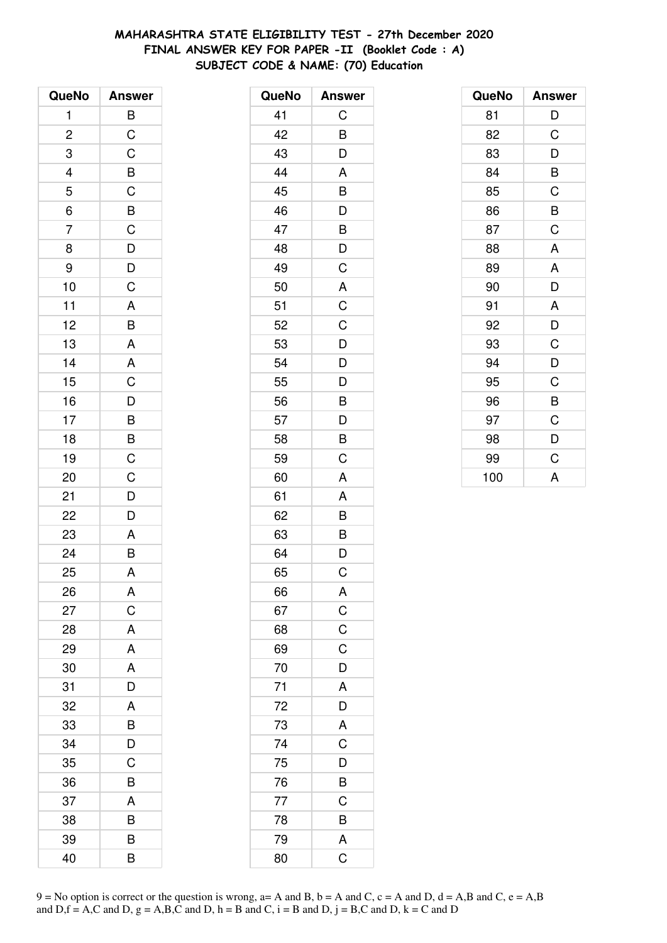# MAHARASHTRA STATE ELIGIBILITY TEST - 27th December 2020 FINAL ANSWER KEY FOR PAPER -II (Booklet Code: A) SUBJECT CODE & NAME: (70) Education

| QueNo          | <b>Answer</b>           |
|----------------|-------------------------|
| 1              | B                       |
| $\overline{c}$ | $\overline{C}$          |
| 3              | $\overline{C}$          |
|                | $\overline{B}$          |
| $\frac{4}{5}$  | $\overline{C}$          |
| $\overline{6}$ |                         |
| $\overline{7}$ | B C D D C               |
| 8              |                         |
| 9              |                         |
| 10             |                         |
| 11             |                         |
| 12             | $\frac{A}{B}$           |
| 13             | $\overline{\mathsf{A}}$ |
| 14             | A                       |
| 15             | $\overline{\text{c}}$   |
| 16             |                         |
| 17             |                         |
| 18             |                         |
| 19             | $D$ $B$ $B$ $C$ $C$     |
| 20             |                         |
| 21             | $\mathsf{D}$            |
| 22             | $\overline{D}$          |
| 23             |                         |
| 24             | $rac{A}{B}$             |
| 25             | A                       |
| 26             | Α                       |
| 27             | $\mathsf C$             |
| 28             | A                       |
| 29             | A                       |
| 30             | A                       |
| 31             | D                       |
| 32             | A                       |
| 33             | B                       |
| 34             | D                       |
| 35             | C                       |
| 36             | B                       |
| 37             | A                       |
| 38             | B                       |
| 39             | B                       |
| 40             | B                       |

| QueNo | <b>Answer</b>           |
|-------|-------------------------|
| 41    | C                       |
| 42    | B                       |
| 43    | D                       |
| 44    | A                       |
| 45    | B                       |
| 46    | D                       |
| 47    | B                       |
| 48    | D                       |
| 49    | C                       |
| 50    | A                       |
| 51    | C                       |
| 52    | C                       |
| 53    | D                       |
| 54    | D                       |
| 55    | D                       |
| 56    | B                       |
| 57    | D                       |
| 58    | B                       |
| 59    | C                       |
| 60    | A                       |
| 61    | A                       |
| 62    | B                       |
| 63    | B                       |
| 64    | D                       |
| 65    | C                       |
| 66    | A                       |
| 67    | $\frac{C}{C}$           |
| 68    |                         |
| 69    | $\mathsf C$             |
| 70    | D                       |
| 71    | A                       |
| 72    | $\overline{D}$          |
| 73    | A                       |
| 74    | $\overline{C}$          |
| 75    | D                       |
| 76    | B                       |
| 77    | $\overline{C}$          |
| 78    | B                       |
| 79    | A                       |
| 80    | $\overline{\mathsf{C}}$ |

| QueNo | <b>Answer</b> |
|-------|---------------|
| 81    | D             |
| 82    | C             |
| 83    | D             |
| 84    | B             |
| 85    | C             |
| 86    | B             |
| 87    | C             |
| 88    | A             |
| 89    | A             |
| 90    | D             |
| 91    | A             |
| 92    | D             |
| 93    | C             |
| 94    | D             |
| 95    | C             |
| 96    | B             |
| 97    | C             |
| 98    | D             |
| 99    | C             |
| 100   | A             |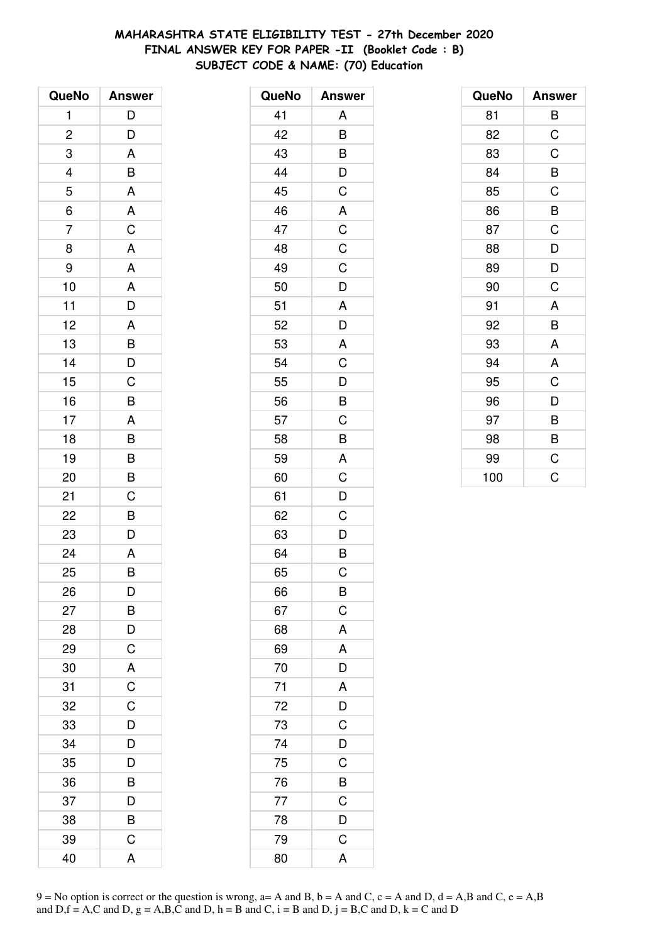# **MAHARASHTRA STATE ELIGIBILITY TEST - 27th December 2020 FINAL ANSWER KEY FOR PAPER -II (Booklet Code : B) SUBJECT CODE & NAME: (70) Education**

| QueNo          | <b>Answer</b>           |
|----------------|-------------------------|
| 1              | D                       |
| $\overline{c}$ | D                       |
| 3              | A                       |
|                | B                       |
| $\frac{4}{5}$  | A                       |
| $\overline{6}$ | A                       |
| $\overline{7}$ | $\overline{C}$          |
| 8              | $\overline{\mathsf{A}}$ |
| 9              | A                       |
| 10             | $\overline{\mathsf{A}}$ |
| 11             | $\overline{D}$          |
| 12             | A                       |
| 13             | B                       |
| 14             |                         |
| 15             | $\frac{D}{C}$           |
| 16             | B                       |
| 17             | $\mathsf{A}$            |
| 18             | $\overline{B}$          |
| 19             | B                       |
| 20             | B                       |
| 21             | $\mathsf C$             |
| 22             | B                       |
| 23             | D                       |
| 24             | A                       |
| 25             | B                       |
| 26             | D                       |
| 27             | B                       |
| 28             | D                       |
| 29             | $\overline{C}$          |
| 30             | A                       |
| 31             | $\overline{C}$          |
| 32             | C                       |
| 33             | D                       |
| 34             | D                       |
| 35             | $\overline{\mathsf{D}}$ |
| 36             | B                       |
| 37             | D                       |
| 38             | B                       |
| 39             | C                       |
| 40             | A                       |

| QueNo | <b>Answer</b>           |
|-------|-------------------------|
| 41    | Α                       |
| 42    | B                       |
| 43    | B                       |
| 44    |                         |
| 45    | $\frac{D}{C}$           |
| 46    | A                       |
| 47    |                         |
| 48    | $\frac{C}{C}$           |
| 49    | $\mathsf C$             |
| 50    | $\overline{D}$          |
| 51    | A                       |
| 52    | $\overline{D}$          |
| 53    | A                       |
| 54    | $\overline{\mathsf{C}}$ |
| 55    | D                       |
| 56    | $\overline{B}$          |
| 57    | $\overline{C}$          |
| 58    | $\overline{B}$          |
| 59    | A                       |
| 60    | $\overline{\mathrm{c}}$ |
| 61    | D                       |
| 62    | $\mathsf C$             |
| 63    |                         |
| 64    | $\frac{D}{B}$           |
| 65    | C                       |
| 66    | B                       |
| 67    | $\mathsf C$             |
| 68    | A                       |
| 69    | A                       |
| 70    | $\overline{D}$          |
| 71    | A                       |
| 72    | $\frac{D}{C}$           |
| 73    |                         |
| 74    | $\overline{D}$          |
| 75    | $\overline{\text{c}}$   |
| 76    | $\overline{B}$          |
| 77    | $\mathsf C$             |
| 78    | $\overline{\mathsf{D}}$ |
| 79    | $\mathsf C$             |
| 80    | A                       |

| QueNo | <b>Answer</b> |
|-------|---------------|
| 81    | B             |
| 82    | C             |
| 83    | C             |
| 84    | B             |
| 85    | C             |
| 86    | B             |
| 87    | C             |
| 88    | D             |
| 89    | D             |
| 90    | C             |
| 91    | A             |
| 92    | B             |
| 93    | A             |
| 94    | A             |
| 95    | C             |
| 96    | D             |
| 97    | B             |
| 98    | B             |
| 99    | C             |
| 100   | Ć             |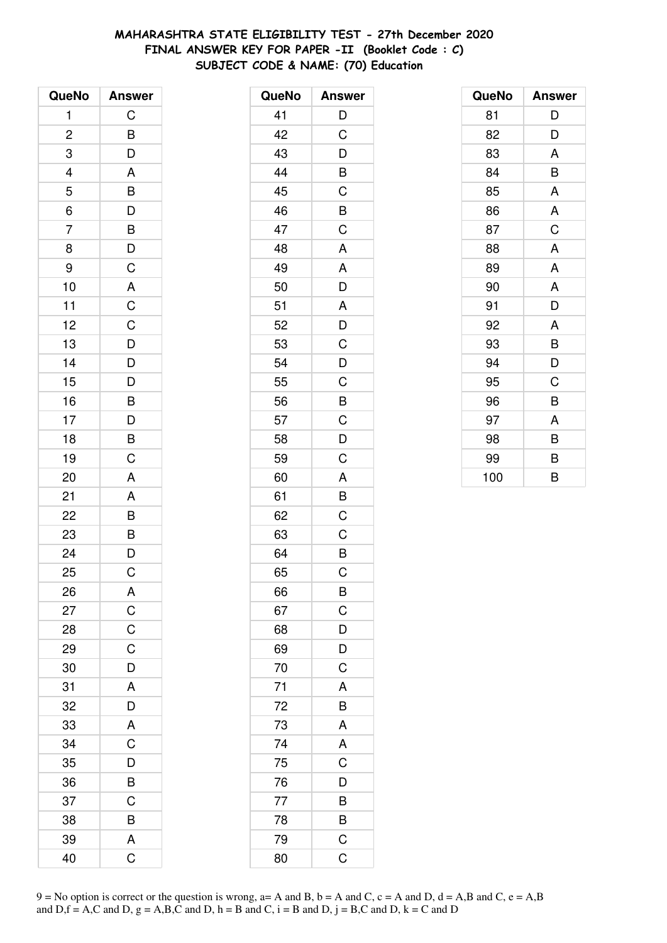# **MAHARASHTRA STATE ELIGIBILITY TEST - 27th December 2020 FINAL ANSWER KEY FOR PAPER -II (Booklet Code : C) SUBJECT CODE & NAME: (70) Education**

| QueNo          | <b>Answer</b>  |
|----------------|----------------|
| 1              | C              |
| $\overline{c}$ | B              |
| 3              | $\overline{D}$ |
|                | A              |
| $\frac{4}{5}$  |                |
| $\overline{6}$ | BDBDC          |
| $\overline{7}$ |                |
| 8              |                |
| 9              |                |
| 10             | A              |
| 11             | $\overline{C}$ |
| 12             |                |
| 13             |                |
| 14             |                |
| 15             | CDDDBDBC       |
| 16             |                |
| 17             |                |
| 18             |                |
| 19             |                |
| 20             | A              |
| 21             | A              |
| 22             | $\overline{B}$ |
| 23             |                |
| 24             | $\frac{B}{D}$  |
| 25             | C              |
| 26             | A              |
| 27             | $\overline{C}$ |
| 28             | $\overline{C}$ |
| 29             | $\mathsf C$    |
| 30             | $\overline{D}$ |
| 31             | A              |
| 32             | D              |
| 33             | A              |
| 34             | C              |
| 35             | D              |
| 36             | B              |
| 37             | C              |
| 38             | B              |
| 39             | A              |
| 40             | Ć              |

| QueNo | <b>Answer</b>           |
|-------|-------------------------|
| 41    | D                       |
| 42    | C                       |
| 43    | D                       |
| 44    | B                       |
| 45    | $\mathsf C$             |
| 46    | B                       |
| 47    | C                       |
| 48    | A                       |
| 49    | A                       |
| 50    | D                       |
| 51    | A                       |
| 52    | D                       |
| 53    | C                       |
| 54    | D                       |
| 55    | C                       |
| 56    | B                       |
| 57    | $\mathsf C$             |
| 58    | $\overline{\mathsf{D}}$ |
| 59    | C                       |
| 60    | A                       |
| 61    | B                       |
| 62    | C                       |
| 63    | C                       |
| 64    | B                       |
| 65    | C                       |
| 66    | B                       |
| 67    | $\mathsf C$             |
| 68    | D                       |
| 69    | D                       |
| 70    | $\mathsf C$             |
| 71    | A                       |
| 72    | B                       |
| 73    | A                       |
| 74    | A                       |
| 75    | $\mathsf C$             |
| 76    | D                       |
| 77    | B                       |
| 78    | B                       |
| 79    | C                       |
| 80    | C                       |

| QueNo | <b>Answer</b> |
|-------|---------------|
| 81    | D             |
| 82    | D             |
| 83    | A             |
| 84    | B             |
| 85    | A             |
| 86    | A             |
| 87    | C             |
| 88    | A             |
| 89    | A             |
| 90    | A             |
| 91    | D             |
| 92    | A             |
| 93    | B             |
| 94    | D             |
| 95    | C             |
| 96    | B             |
| 97    | A             |
| 98    | B             |
| 99    | B             |
| 100   | B             |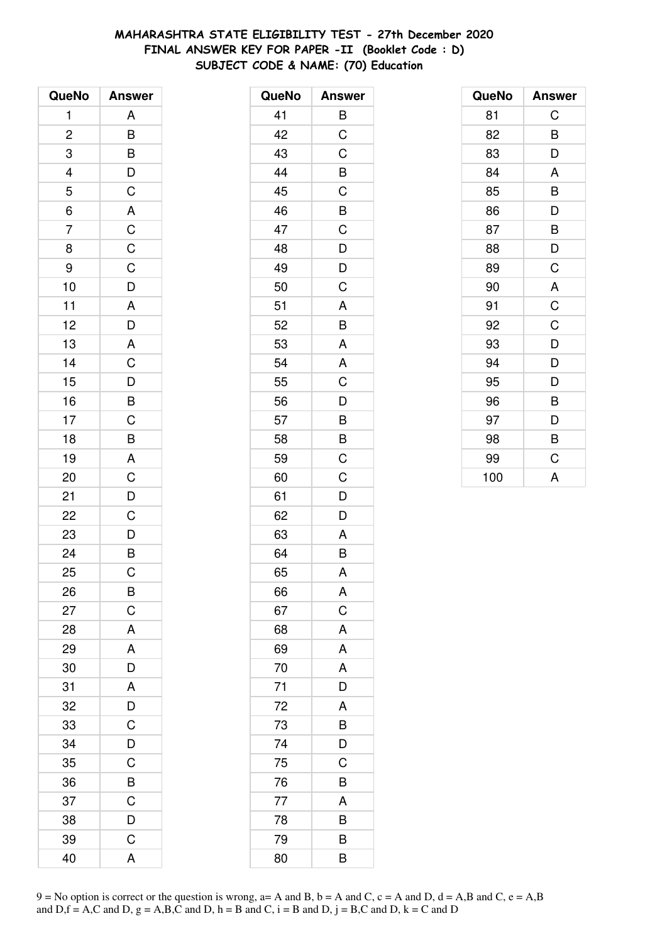# **MAHARASHTRA STATE ELIGIBILITY TEST - 27th December 2020 FINAL ANSWER KEY FOR PAPER -II (Booklet Code : D) SUBJECT CODE & NAME: (70) Education**

| QueNo                    | <b>Answer</b>                      |
|--------------------------|------------------------------------|
| 1                        | A                                  |
| $\overline{\mathbf{c}}$  | B                                  |
| 3                        |                                    |
| $\overline{\mathcal{L}}$ | $\frac{B}{D}$                      |
| 5                        |                                    |
| $\overline{6}$           |                                    |
| $\overline{7}$           |                                    |
| 8                        |                                    |
| 9                        |                                    |
| 10                       |                                    |
| 11                       |                                    |
| 12                       |                                    |
| 13                       |                                    |
| 14                       | A C C C D A D A C D B C B          |
| 15                       |                                    |
| 16                       |                                    |
| 17                       |                                    |
| 18                       |                                    |
| 19                       |                                    |
| 20                       | $\overline{AC}$<br>$\overline{OC}$ |
| 21                       |                                    |
| 22                       |                                    |
| 23                       |                                    |
| 24                       | $\frac{D}{B}$                      |
| 25                       | C                                  |
| 26                       | B                                  |
| 27                       | $\mathsf C$                        |
| 28                       | A                                  |
| 29                       | A                                  |
| 30                       | $\frac{D}{A}$                      |
| 31                       |                                    |
| 32                       | $\frac{D}{C}$                      |
| 33                       |                                    |
| 34                       | D                                  |
| 35                       | C                                  |
| 36                       | $\overline{B}$                     |
| 37                       | $\overline{C}$                     |
| 38                       | D                                  |
| 39                       | $\mathsf C$                        |
| 40                       | A                                  |

| QueNo | <b>Answer</b>           |
|-------|-------------------------|
| 41    | B                       |
| 42    | C                       |
| 43    | C                       |
| 44    | B                       |
| 45    | C                       |
| 46    | B                       |
| 47    | $\overline{C}$          |
| 48    | D                       |
| 49    | D                       |
| 50    | C                       |
| 51    | A                       |
| 52    | B                       |
| 53    | A                       |
| 54    | A                       |
| 55    | C                       |
| 56    | D                       |
| 57    | B                       |
| 58    | B                       |
| 59    | $\overline{\mathrm{C}}$ |
| 60    | C                       |
| 61    | D                       |
| 62    | D                       |
| 63    | A                       |
| 64    | $\overline{B}$          |
| 65    | A                       |
| 66    | A                       |
| 67    | C                       |
| 68    | A                       |
| 69    | A                       |
| 70    | A                       |
| 71    | D                       |
| 72    | A                       |
| 73    | B                       |
| 74    | D                       |
| 75    | C                       |
| 76    | B                       |
| 77    | A                       |
| 78    | B                       |
| 79    | B                       |
| 80    | B                       |

| QueNo | <b>Answer</b> |
|-------|---------------|
| 81    | C             |
| 82    | B             |
| 83    | D             |
| 84    | A             |
| 85    | B             |
| 86    | D             |
| 87    | B             |
| 88    | D             |
| 89    | C             |
| 90    | A             |
| 91    | $\mathsf C$   |
| 92    | C             |
| 93    | D             |
| 94    | D             |
| 95    | D             |
| 96    | B             |
| 97    | D             |
| 98    | B             |
| 99    | C             |
| 100   | A             |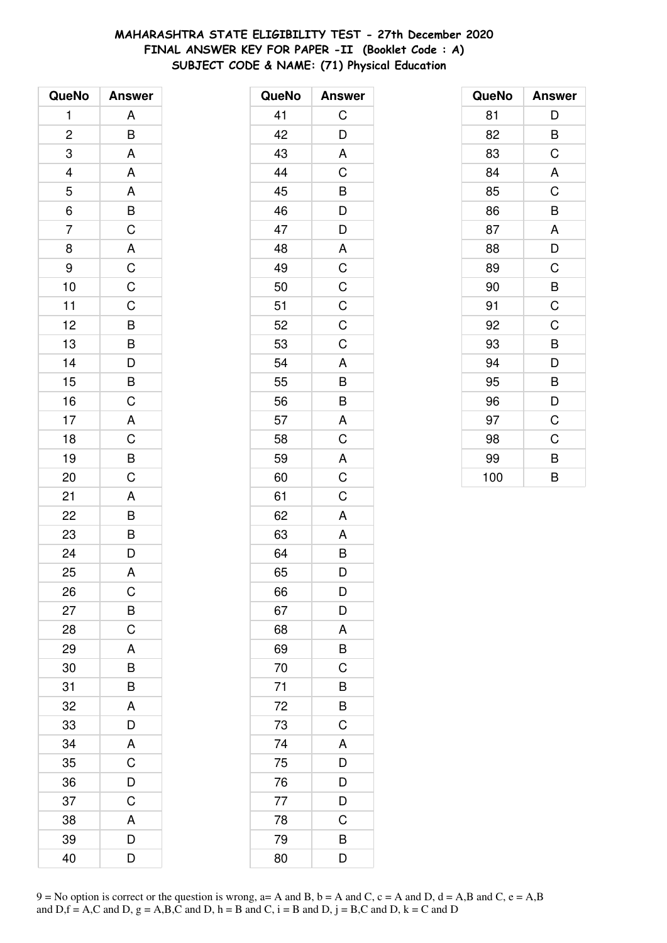# MAHARASHTRA STATE ELIGIBILITY TEST - 27th December 2020 FINAL ANSWER KEY FOR PAPER -II (Booklet Code: A) SUBJECT CODE & NAME: (71) Physical Education

| QueNo          | <b>Answer</b>                                      |
|----------------|----------------------------------------------------|
| 1              | A                                                  |
| $\overline{c}$ | B                                                  |
| 3              | A                                                  |
|                | A                                                  |
| $\frac{4}{5}$  |                                                    |
| $\overline{6}$ |                                                    |
| $\overline{7}$ |                                                    |
| 8              |                                                    |
| 9              |                                                    |
| 10             |                                                    |
| 11             |                                                    |
| 12             |                                                    |
| 13             |                                                    |
| 14             | A B C A C C C B B D B C                            |
| 15             |                                                    |
| 16             |                                                    |
| 17             |                                                    |
| 18             |                                                    |
| 19             | $\frac{A}{C}$                                      |
| 20             | $\overline{C}$                                     |
| 21             | $\mathsf{A}$                                       |
| 22             | $\overline{B}$<br>$\overline{B}$<br>$\overline{D}$ |
| 23             |                                                    |
| 24             |                                                    |
| 25             | A                                                  |
| 26             | $\mathsf C$                                        |
| 27             |                                                    |
| 28             | $rac{B}{C}$                                        |
| 29             | A                                                  |
| 30             | B                                                  |
| 31             | $\overline{B}$                                     |
| 32             | A                                                  |
| 33             | D                                                  |
| 34             | A                                                  |
| 35             | C                                                  |
| 36             | D                                                  |
| 37             | C                                                  |
| 38             | A                                                  |
| 39             | D                                                  |
| 40             | D                                                  |

| <b>Answer</b>  |
|----------------|
| С              |
| D              |
| A              |
| $\overline{C}$ |
| B              |
| D              |
| D              |
| A              |
| $\overline{C}$ |
| $\overline{C}$ |
| $\mathsf C$    |
| C              |
| $\overline{C}$ |
| A              |
| $\overline{B}$ |
| B              |
| A              |
| C              |
| A              |
| C              |
| C              |
| A              |
| A              |
| B              |
| D              |
| D              |
| D              |
| A              |
| B              |
| $\mathsf C$    |
| B              |
| B              |
| $\mathsf C$    |
| A              |
| D              |
| D              |
| D              |
| C              |
| B              |
| D              |
|                |

| QueNo | <b>Answer</b> |
|-------|---------------|
| 81    | D             |
| 82    | B             |
| 83    | C             |
| 84    | A             |
| 85    | C             |
| 86    | B             |
| 87    | A             |
| 88    | D             |
| 89    | C             |
| 90    | B             |
| 91    | C             |
| 92    | C             |
| 93    | B             |
| 94    | D             |
| 95    | B             |
| 96    | D             |
| 97    | C             |
| 98    | C             |
| 99    | B             |
| 100   | B             |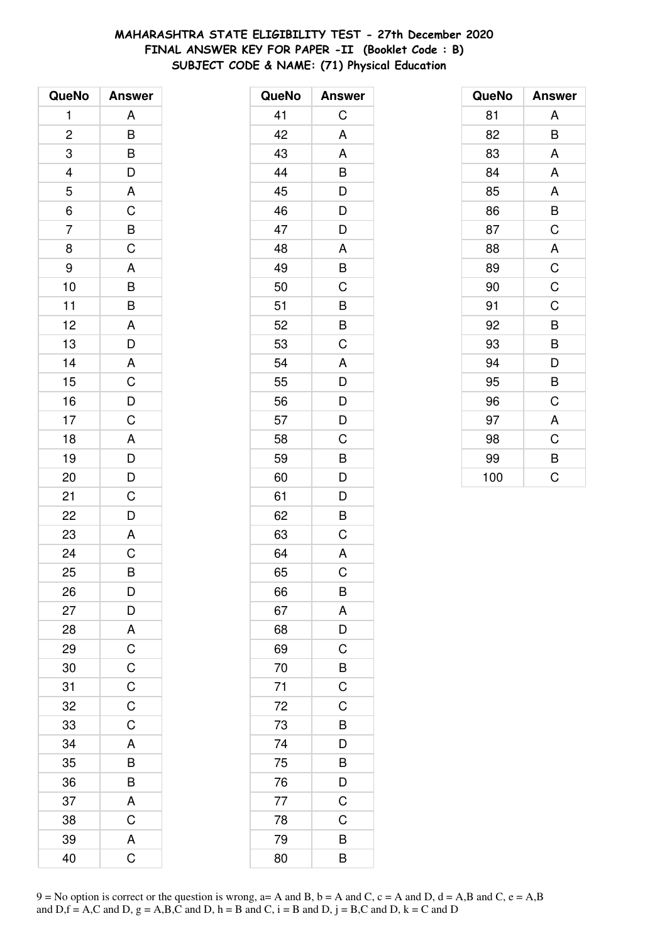# **MAHARASHTRA STATE ELIGIBILITY TEST - 27th December 2020 FINAL ANSWER KEY FOR PAPER -II (Booklet Code : B) SUBJECT CODE & NAME: (71) Physical Education**

| QueNo                   | <b>Answer</b>                                      |
|-------------------------|----------------------------------------------------|
| 1                       | A                                                  |
| $\overline{\mathbf{c}}$ | B                                                  |
| 3                       | $\overline{B}$                                     |
| 4                       |                                                    |
| 5                       | $\frac{D}{A}$                                      |
| $\overline{6}$          | $\overline{C}$<br>$\overline{B}$<br>$\overline{C}$ |
| $\overline{7}$          |                                                    |
| 8                       |                                                    |
| 9                       | A                                                  |
| 10                      | $\overline{B}$                                     |
| 11                      | B                                                  |
| 12                      | A                                                  |
| 13                      | $\overline{D}$                                     |
| 14                      |                                                    |
| 15                      | $rac{A}{C}$                                        |
| 16                      |                                                    |
| 17                      | $\frac{D}{C}$                                      |
| 18                      | A                                                  |
| 19                      |                                                    |
| 20                      | $\frac{D}{D}$                                      |
| 21                      | $\mathsf C$                                        |
| 22                      | $\overline{\mathsf{D}}$                            |
| 23                      | A                                                  |
| 24                      | $\overline{C}$                                     |
| 25                      | B                                                  |
| 26                      | D                                                  |
| 27                      | D                                                  |
| 28                      | A                                                  |
| 29                      |                                                    |
| 30                      |                                                    |
| 31                      | $\frac{C}{C}$                                      |
| 32                      | $\overline{C}$                                     |
| 33                      | $\overline{C}$                                     |
| 34                      | A                                                  |
| 35                      | B                                                  |
| 36                      | B                                                  |
| 37                      | A                                                  |
| 38                      | $\overline{C}$                                     |
| 39                      | A                                                  |
| 40                      | Ć                                                  |

| QueNo | <b>Answer</b>         |
|-------|-----------------------|
| 41    | С                     |
| 42    | A                     |
| 43    | A                     |
| 44    | B                     |
| 45    | D                     |
| 46    | D                     |
| 47    | D                     |
| 48    | A                     |
| 49    | B                     |
| 50    | C                     |
| 51    | B                     |
| 52    | B                     |
| 53    | $\overline{C}$        |
| 54    | A                     |
| 55    | D                     |
| 56    | D                     |
| 57    | D                     |
| 58    | C                     |
| 59    | B                     |
| 60    | D                     |
| 61    | D                     |
| 62    | B                     |
| 63    | C                     |
| 64    | A                     |
| 65    | C                     |
| 66    | B                     |
| 67    | A                     |
| 68    | $\overline{D}$        |
| 69    | C                     |
| 70    | B                     |
| 71    | $\overline{\text{c}}$ |
| 72    | $\mathsf C$           |
| 73    | B                     |
| 74    | D                     |
| 75    | B                     |
| 76    | D                     |
| 77    | $\mathsf C$           |
| 78    | $\mathsf C$           |
| 79    | B                     |
| 80    | $\overline{B}$        |

| QueNo | <b>Answer</b>  |
|-------|----------------|
| 81    | Α              |
| 82    | B              |
| 83    | A              |
| 84    | A              |
| 85    | A              |
| 86    | B              |
| 87    | C              |
| 88    | A              |
| 89    | $\overline{C}$ |
| 90    | $\overline{C}$ |
| 91    | C              |
| 92    | B              |
| 93    | B              |
| 94    | D              |
| 95    | B              |
| 96    | C              |
| 97    | A              |
| 98    | C              |
| 99    | B              |
| 100   | Ć              |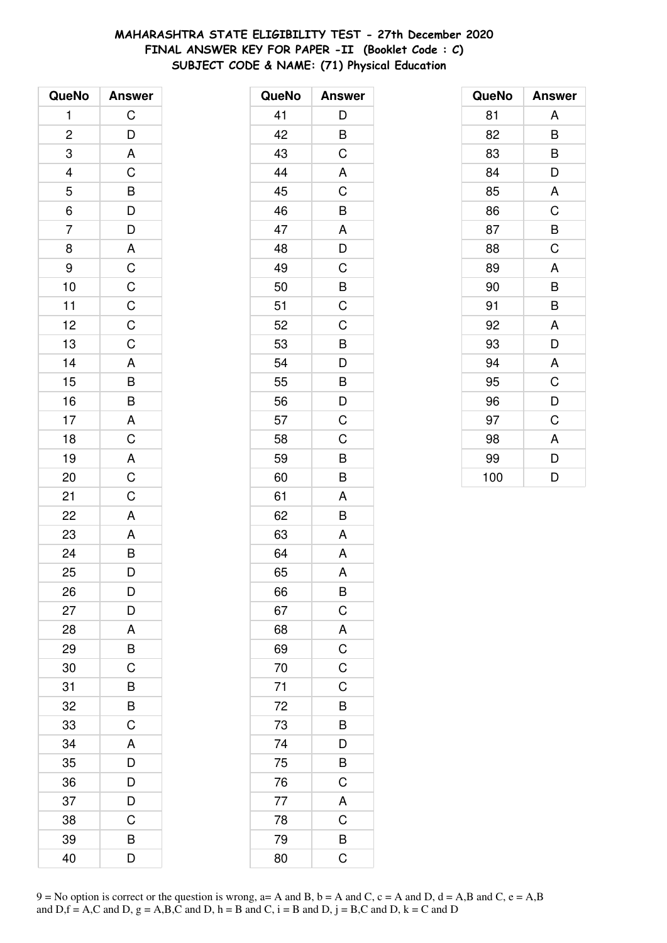# MAHARASHTRA STATE ELIGIBILITY TEST - 27th December 2020 FINAL ANSWER KEY FOR PAPER -II (Booklet Code : C) SUBJECT CODE & NAME: (71) Physical Education

| QueNo                   | <b>Answer</b>           |
|-------------------------|-------------------------|
| 1                       | $\mathsf C$             |
| $\overline{\mathbf{c}}$ | $\overline{D}$          |
| 3                       | $\overline{\mathsf{A}}$ |
| $\frac{4}{5}$           | $\mathsf C$             |
|                         |                         |
| $\frac{1}{6}$           |                         |
| $\overline{7}$          |                         |
| 8                       |                         |
| 9                       |                         |
| 10                      |                         |
| 11                      |                         |
| 12                      |                         |
| 13                      | BDDACCCCC               |
| 14                      |                         |
| 15                      | A B B A C               |
| 16                      |                         |
| 17                      |                         |
| 18                      |                         |
| 19                      |                         |
| 20                      | $rac{A}{C}$             |
| 21                      | $\overline{C}$          |
| 22                      | $\mathsf{A}$            |
| 23                      |                         |
| 24                      | $\frac{A}{B}$           |
| 25                      | D                       |
| 26                      | D                       |
| 27                      | D                       |
| 28                      | A                       |
| 29                      | B                       |
| 30                      | $\overline{C}$          |
| 31                      | B                       |
| 32                      | B                       |
| 33                      | C                       |
| 34                      | A                       |
| 35                      | D                       |
| 36                      | D                       |
| 37                      | $\overline{D}$          |
| 38                      | C                       |
| 39                      | B                       |
| 40                      | D                       |

| QueNo | <b>Answer</b>           |
|-------|-------------------------|
| 41    | D                       |
| 42    | B                       |
| 43    | C                       |
| 44    | A                       |
| 45    | C                       |
| 46    | B                       |
| 47    | A                       |
| 48    | D                       |
| 49    | $\mathsf C$             |
| 50    | $\overline{B}$          |
| 51    | C                       |
| 52    | C                       |
| 53    | B                       |
| 54    | $\mathsf{D}$            |
| 55    | $\overline{B}$          |
| 56    | $\overline{D}$          |
| 57    | $\overline{C}$          |
| 58    | C                       |
| 59    | B                       |
| 60    | B                       |
| 61    | A                       |
| 62    | B                       |
| 63    | A                       |
| 64    | A                       |
| 65    | A                       |
| 66    | B                       |
| 67    | $\overline{C}$          |
| 68    |                         |
| 69    | $\frac{A}{C}$           |
| 70    |                         |
| 71    | C                       |
| 72    | B                       |
| 73    |                         |
| 74    | B<br>D                  |
| 75    | $\overline{B}$          |
| 76    | $\mathsf C$             |
| 77    | A                       |
| 78    | $\mathsf C$             |
| 79    | $\overline{B}$          |
| 80    | $\overline{\mathsf{C}}$ |
|       |                         |

| QueNo | <b>Answer</b> |
|-------|---------------|
| 81    | A             |
| 82    | B             |
| 83    | B             |
| 84    | D             |
| 85    | A             |
| 86    | C             |
| 87    | B             |
| 88    | C             |
| 89    | A             |
| 90    | B             |
| 91    | B             |
| 92    | A             |
| 93    | D             |
| 94    | A             |
| 95    | C             |
| 96    | D             |
| 97    | C             |
| 98    | A             |
| 99    | D             |
| 100   | D             |